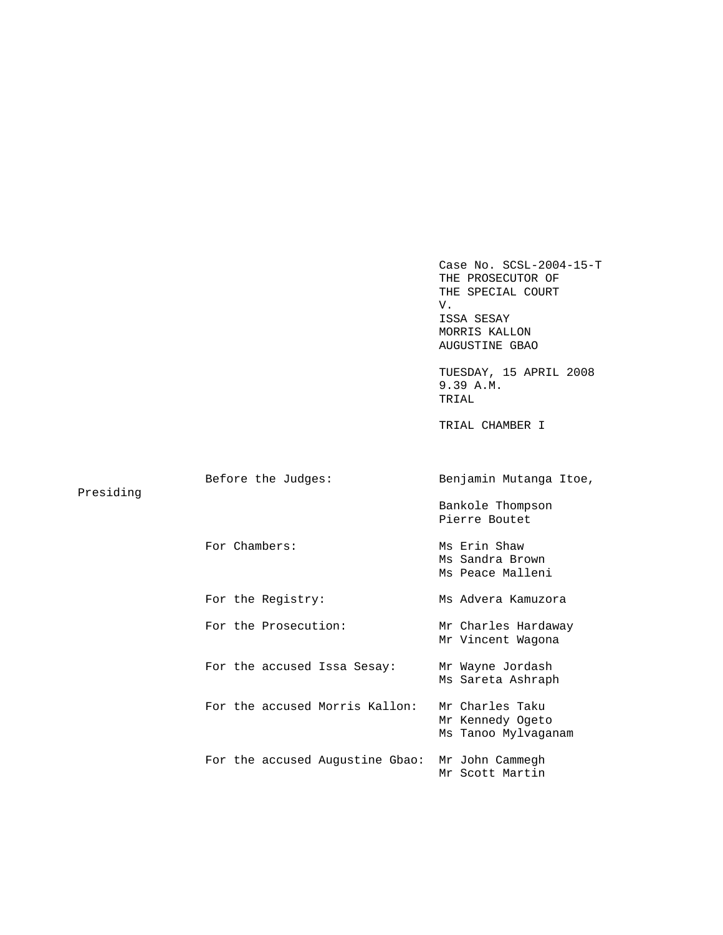Case No. SCSL-2004-15-T THE PROSECUTOR OF THE SPECIAL COURT V. ISSA SESAY MORRIS KALLON AUGUSTINE GBAO TUESDAY, 15 APRIL 2008 9.39 A.M. TRIAL TRIAL CHAMBER I Before the Judges: Benjamin Mutanga Itoe, Bankole Thompson Pierre Boutet For Chambers: Ms Erin Shaw Ms Sandra Brown Ms Peace Malleni For the Registry: Ms Advera Kamuzora For the Prosecution: Mr Charles Hardaway Mr Vincent Wagona For the accused Issa Sesay: Mr Wayne Jordash Ms Sareta Ashraph For the accused Morris Kallon: Mr Charles Taku Mr Kennedy Ogeto Ms Tanoo Mylvaganam For the accused Augustine Gbao: Mr John Cammegh Mr Scott Martin

Presiding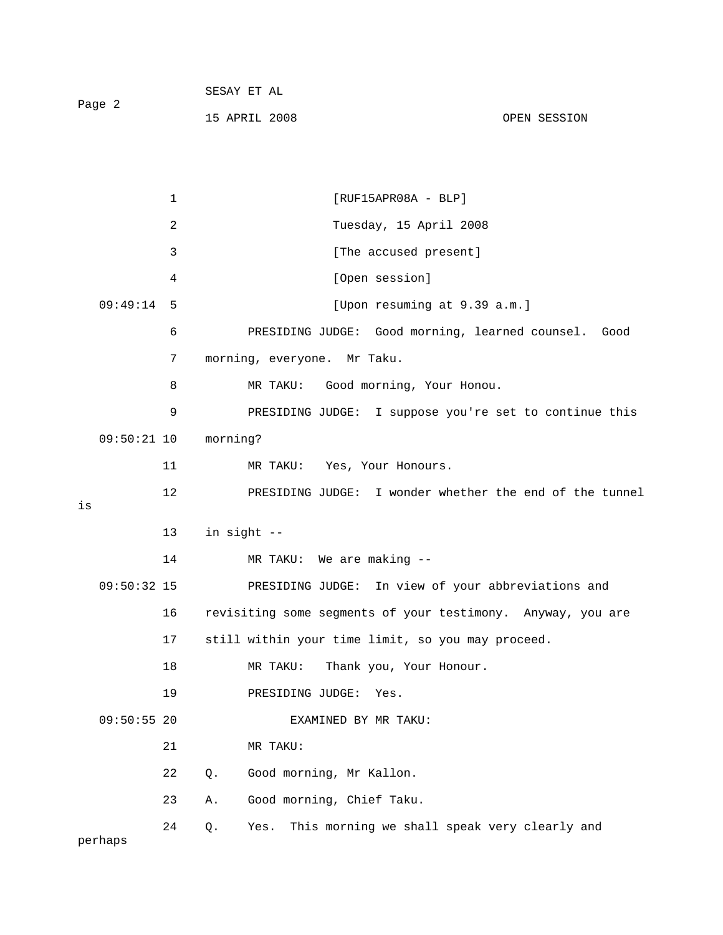| Page 2 | SESAY ET AL   |              |
|--------|---------------|--------------|
|        | 15 APRIL 2008 | OPEN SESSION |

| $\mathbf 1$    | $[RUF15APR08A - BLP]$                                       |
|----------------|-------------------------------------------------------------|
| $\overline{a}$ | Tuesday, 15 April 2008                                      |
| 3              | [The accused present]                                       |
| 4              | [Open session]                                              |
| 09:49:14<br>5  | [Upon resuming at 9.39 a.m.]                                |
| 6              | PRESIDING JUDGE: Good morning, learned counsel. Good        |
| 7              | morning, everyone. Mr Taku.                                 |
| 8              | MR TAKU: Good morning, Your Honou.                          |
| 9              | PRESIDING JUDGE: I suppose you're set to continue this      |
| $09:50:21$ 10  | morning?                                                    |
| 11             | MR TAKU: Yes, Your Honours.                                 |
| 12<br>is       | PRESIDING JUDGE: I wonder whether the end of the tunnel     |
|                |                                                             |
|                |                                                             |
| 13             | in sight --                                                 |
| 14             | MR TAKU: We are making --                                   |
| $09:50:32$ 15  | PRESIDING JUDGE: In view of your abbreviations and          |
| 16             | revisiting some segments of your testimony. Anyway, you are |
| 17             | still within your time limit, so you may proceed.           |
| 18             | Thank you, Your Honour.<br>MR TAKU:                         |
| 19             | PRESIDING JUDGE:<br>Yes.                                    |
| $09:50:55$ 20  | EXAMINED BY MR TAKU:                                        |
| 21             | MR TAKU:                                                    |
| 22             | Good morning, Mr Kallon.<br>Q.                              |
| 23             | Good morning, Chief Taku.<br>Α.                             |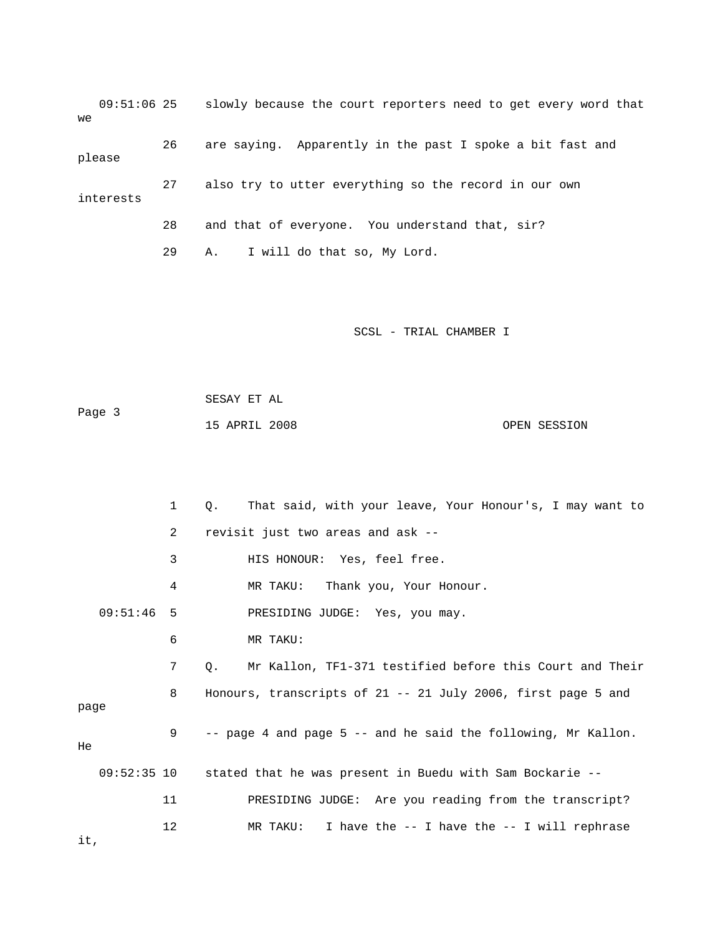09:51:06 25 slowly because the court reporters need to get every word that we 26 are saying. Apparently in the past I spoke a bit fast and please

 27 also try to utter everything so the record in our own interests

28 and that of everyone. You understand that, sir?

29 A. I will do that so, My Lord.

SCSL - TRIAL CHAMBER I

 SESAY ET AL Page 3 15 APRIL 2008 OPEN SESSION

 1 Q. That said, with your leave, Your Honour's, I may want to 2 revisit just two areas and ask -- 3 HIS HONOUR: Yes, feel free. 4 MR TAKU: Thank you, Your Honour. 09:51:46 5 PRESIDING JUDGE: Yes, you may. 6 MR TAKU: 7 Q. Mr Kallon, TF1-371 testified before this Court and Their 8 Honours, transcripts of 21 -- 21 July 2006, first page 5 and page 9 -- page 4 and page 5 -- and he said the following, Mr Kallon. He 09:52:35 10 stated that he was present in Buedu with Sam Bockarie -- 11 PRESIDING JUDGE: Are you reading from the transcript? 12 MR TAKU: I have the -- I have the -- I will rephrase

it,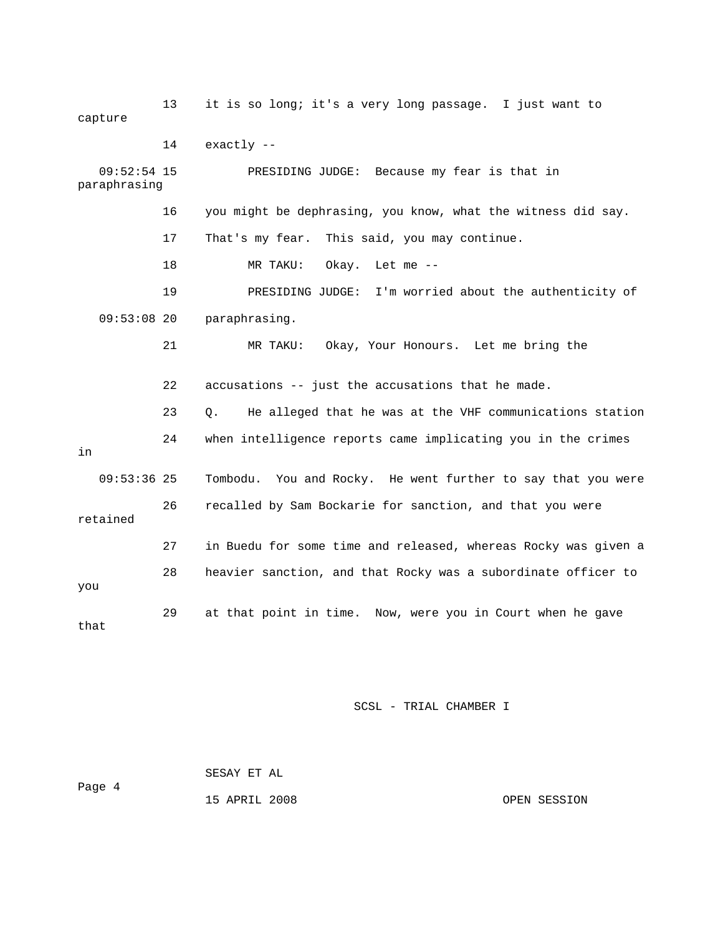13 it is so long; it's a very long passage. I just want to capture 14 exactly -- 09:52:54 15 PRESIDING JUDGE: Because my fear is that in 16 you might be dephrasing, you know, what the witness did say. 17 That's my fear. This said, you may continue. 19 PRESIDING JUDGE: I'm worried about the authenticity of 09:53:08 20 paraphrasing. 21 MR TAKU: Okay, Your Honours. Let me bring the 23 Q. He alleged that he was at the VHF communications station 24 when intelligence reports came implicating you in the crimes 26 recalled by Sam Bockarie for sanction, and that you were 27 in Buedu for some time and released, whereas Rocky was given a 28 heavier sanction, and that Rocky was a subordinate officer to paraphrasing 18 MR TAKU: Okay. Let me -- 22 accusations -- just the accusations that he made. in 09:53:36 25 Tombodu. You and Rocky. He went further to say that you were retained you 29 at that point in time. Now, were you in Court when he gave that

SCSL - TRIAL CHAMBER I

 SESAY ET AL Page 4

15 APRIL 2008 OPEN SESSION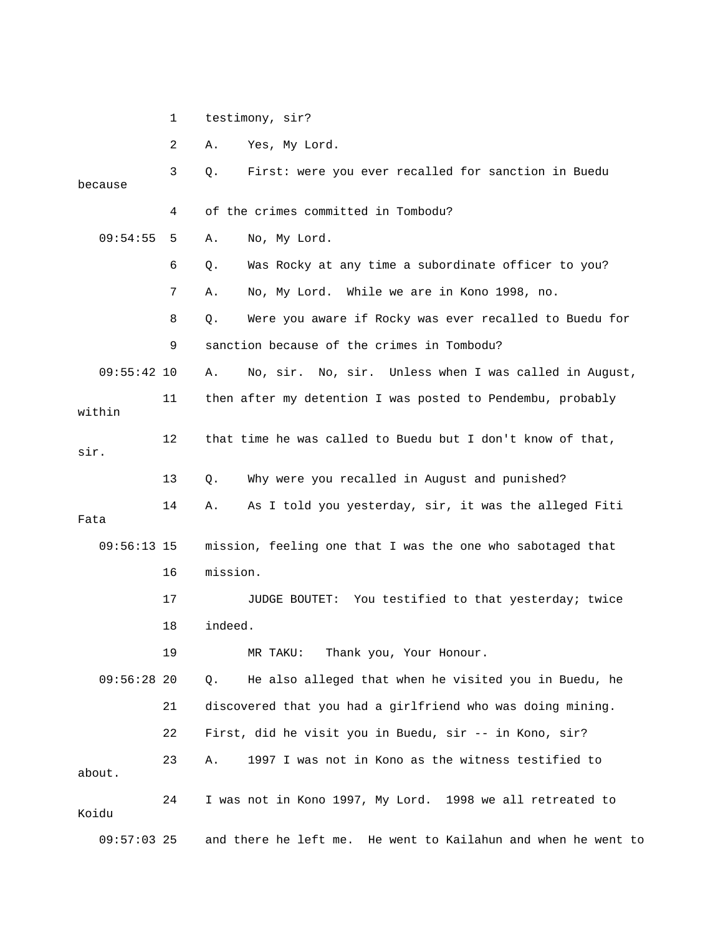1 testimony, sir?

2 A. Yes, My Lord. 3 Q. First: were you ever recalled for sanction in Buedu 09:54:55 5 A. No, My Lord. any time a subordinate officer to you? 6 Q. Was Rocky at 7 A. No, My Lord. While we are in Kono 1998, no. 8 Q. Were you aware if Rocky was ever recalled to Buedu for 09:55:42 10 A. No, sir. No, sir. Unless when I was called in August, 11 then after my detention I was posted to Pendembu, probably 14 A. As I told you yesterday, sir, it was the alleged Fiti 16 mission. 17 JUDGE BOUTET: You testified to that yesterday; twice 19 MR TAKU: Thank you, Your Honour. 09:56:28 20 Q. He also alleged that when he visited you in Buedu, he 21 discovered that you had a girlfriend who was doing mining. 22 First, did he visit you in Buedu, sir -- in Kono, sir? 23 A. 1997 I was not in Kono as the witness testified to because 4 of the crimes committed in Tombodu? 9 sanction because of the crimes in Tombodu? within 12 that time he was called to Buedu but I don't know of that, sir. 13 Q. Why were you recalled in August and punished? Fata 09:56:13 15 mission, feeling one that I was the one who sabotaged that 18 indeed. about. 24 I was not in Kono 1997, My Lord. 1998 we all retreated to Koidu

09:57:03 25 and there he left me. He went to Kailahun and when he went to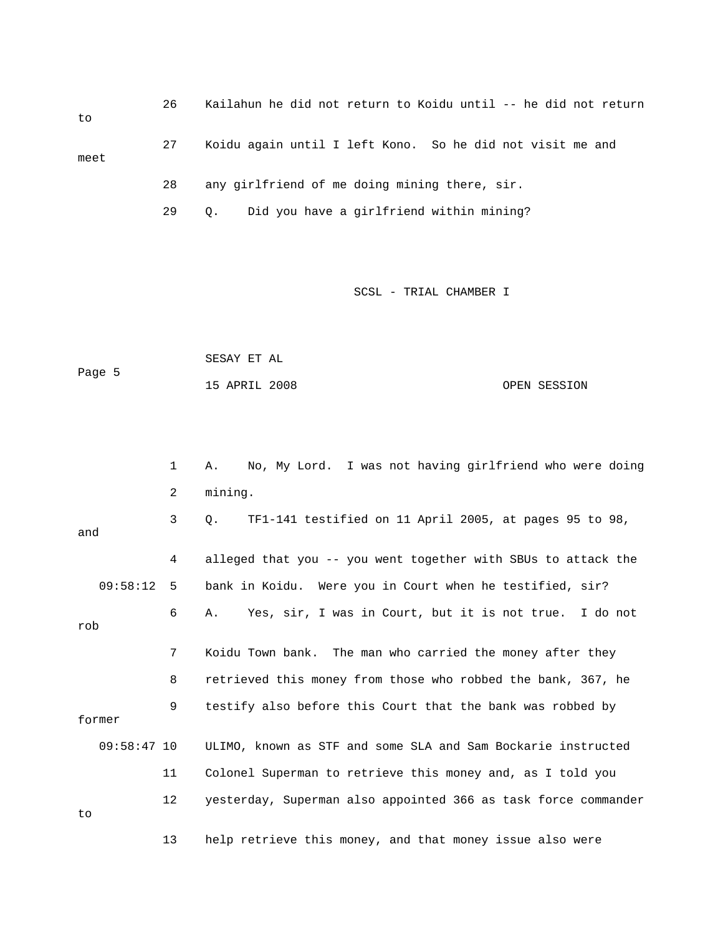26 Kailahun he did not return to Koidu until -- he did not return 29 Q. Did you have a girlfriend within mining? to 27 Koidu again until I left Kono. So he did not visit me and meet 28 any girlfriend of me doing mining there, sir.

SCSL - TRIAL CHAMBER I

 SESAY ET AL Page 5 15 APRIL 2008 OPEN SESSION

 1 A. No, My Lord. I was not having girlfriend who were doing 2 mining. and 4 alleged that you -- you went together with SBUs to attack the 7 Koidu Town bank. The man who carried the money after they 8 retrieved this money from those who robbed the bank, 367, he former 11 Colonel Superman to retrieve this money and, as I told you 13 help retrieve this money, and that money issue also were 3 Q. TF1-141 testified on 11 April 2005, at pages 95 to 98, 09:58:12 5 bank in Koidu. Were you in Court when he testified, sir? 6 A. Yes, sir, I was in Court, but it is not true. I do not rob 9 testify also before this Court that the bank was robbed by 09:58:47 10 ULIMO, known as STF and some SLA and Sam Bockarie instructed 12 yesterday, Superman also appointed 366 as task force commander to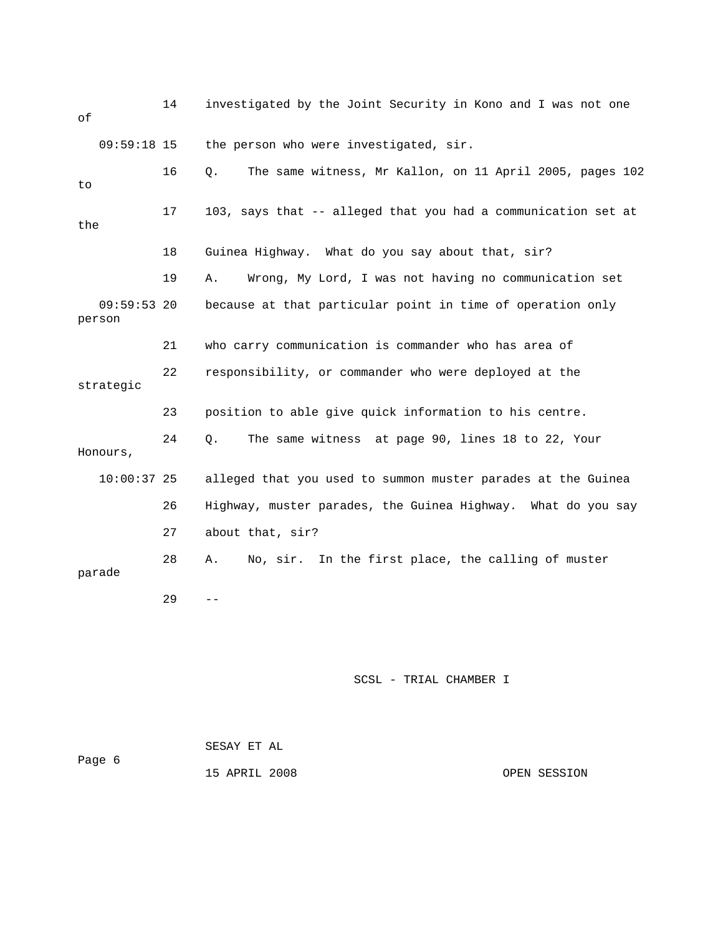14 investigated by the Joint Security in Kono and I was not one 16 Q. The same witness, Mr Kallon, on 11 April 2005, pages 102 17 103, says that -- alleged that you had a communication set at 18 Guinea Highway. What do you say about that, sir? 19 A. Wrong, My Lord, I was not having no communication set 09:59:53 20 because at that particular point in time of operation only person 22 responsibility, or commander who were deployed at the 23 position to able give quick information to his centre. 24 Q. The same witness at page 90, lines 18 to 22, Your Honours, 10:00:37 25 alleged that you used to summon muster parades at the Guinea 26 Highway, muster parades, the Guinea Highway. What do you say parade  $29$  -of 09:59:18 15 the person who were investigated, sir. to the 21 who carry communication is commander who has area of strategic 27 about that, sir? 28 A. No, sir. In the first place, the calling of muster

SCSL - TRIAL CHAMBER I

Page 6 15 APRIL 2008 OPEN SESSION SESAY ET AL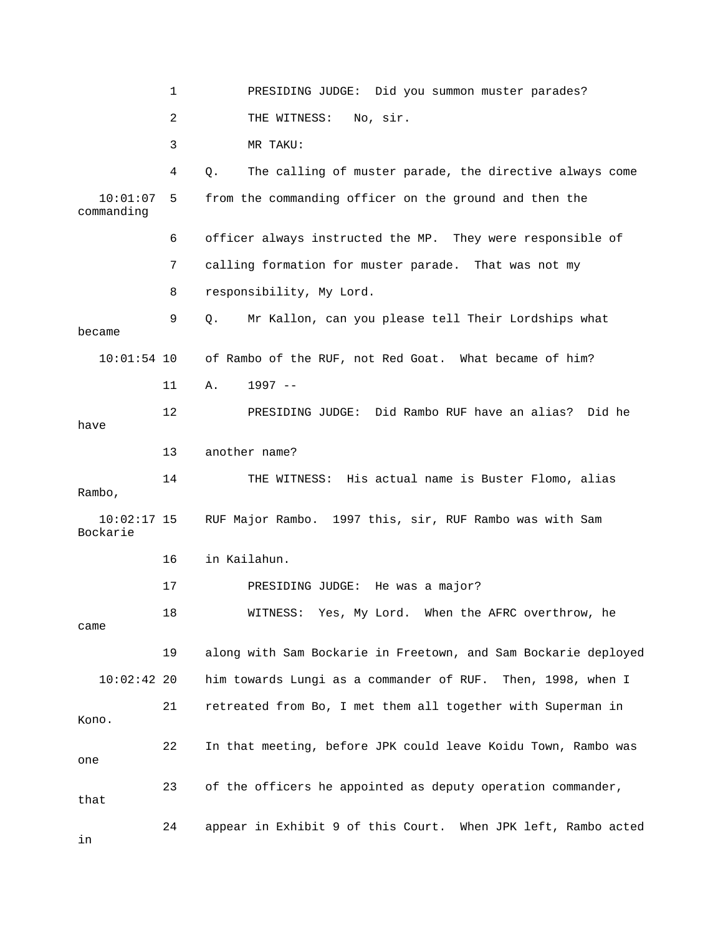1 PRESIDING JUDGE: Did you summon muster parades? 2 THE WITNESS: No, sir. 4 Q. The calling of muster parade, the directive always come 10:01:07 5 from the commanding officer on the ground and then the commanding 6 officer always instructed the MP. They were responsible of 7 calling formation for muster parade. That was not my 9 Q. Mr Kallon, can you please tell Their Lordships what became 10:01:54 10 of Rambo of the RUF, not Red Goat. What became of him? 11 A. 1997 - he 12 PRESIDING JUDGE: Did Rambo RUF have an alias? Did 13 another name? 14 THE WITNESS: His actual name is Buster Flomo, alias Rambo, 10:02:17 15 RUF Major Rambo. 1997 this, sir, RUF Rambo was with Sam 16 in Kailahun. Yes, My Lord. When the AFRC overthrow, he 18 WITNESS: 19 along with Sam Bockarie in Freetown, and Sam Bockarie deployed him towards Lungi as a commander of RUF. Then, 1998, when I Kono. 23 of the officers he appointed as deputy operation commander, 24 appear in Exhibit 9 of this Court. When JPK left, Rambo acted in 3 MR TAKU: 8 responsibility, My Lord. have Bockarie 17 PRESIDING JUDGE: He was a major? came  $10:02:42$  20 21 retreated from Bo, I met them all together with Superman in 22 In that meeting, before JPK could leave Koidu Town, Rambo was one that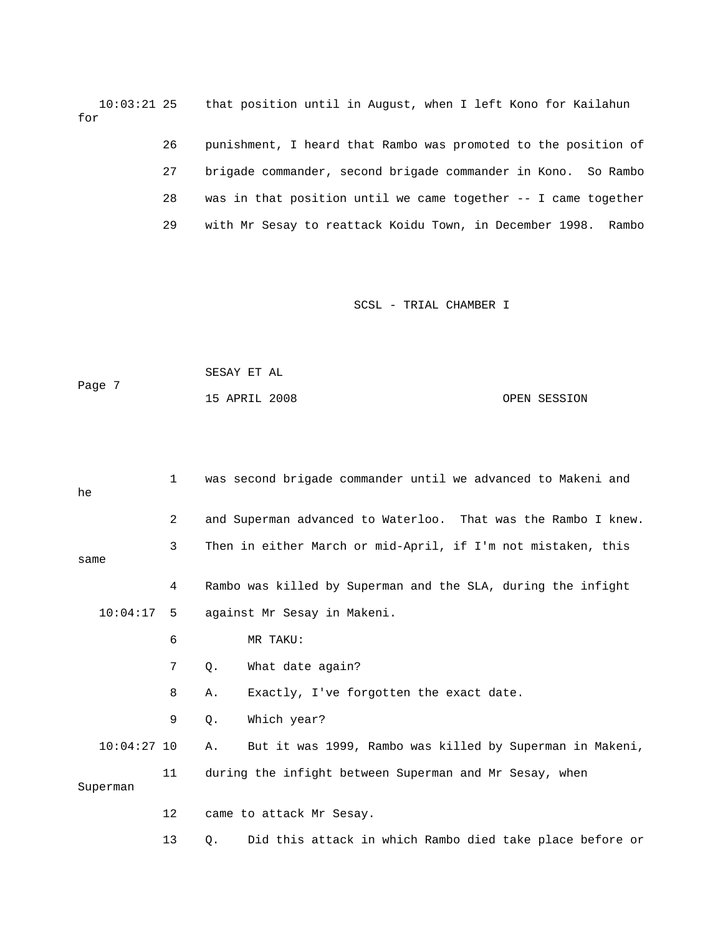10:03:21 25 that position until in August, when I left Kono for Kailahun for

> 26 punishment, I heard that Rambo was promoted to the position of 28 was in that position until we came together -- I came together 27 brigade commander, second brigade commander in Kono. So Rambo 29 with Mr Sesay to reattack Koidu Town, in December 1998. Rambo

|        | SESAY ET AL   |  |              |
|--------|---------------|--|--------------|
| Page 7 |               |  |              |
|        | 15 APRIL 2008 |  | OPEN SESSION |

| he            | $\mathbf{1}$   | was second brigade commander until we advanced to Makeni and   |
|---------------|----------------|----------------------------------------------------------------|
|               | $\overline{2}$ | and Superman advanced to Waterloo. That was the Rambo I knew.  |
| same          | 3              | Then in either March or mid-April, if I'm not mistaken, this   |
|               | 4              | Rambo was killed by Superman and the SLA, during the infight   |
| 10:04:17      | - 5            | against Mr Sesay in Makeni.                                    |
|               | 6              | MR TAKU:                                                       |
|               | 7              | What date again?<br>Q.                                         |
|               | 8              | Exactly, I've forgotten the exact date.<br>Α.                  |
|               | 9              | Which year?<br>$Q$ .                                           |
| $10:04:27$ 10 |                | But it was 1999, Rambo was killed by Superman in Makeni,<br>Α. |
| Superman      | 11             | during the infight between Superman and Mr Sesay, when         |
|               | 12             | came to attack Mr Sesay.                                       |
|               | 13             | Did this attack in which Rambo died take place before or<br>Q. |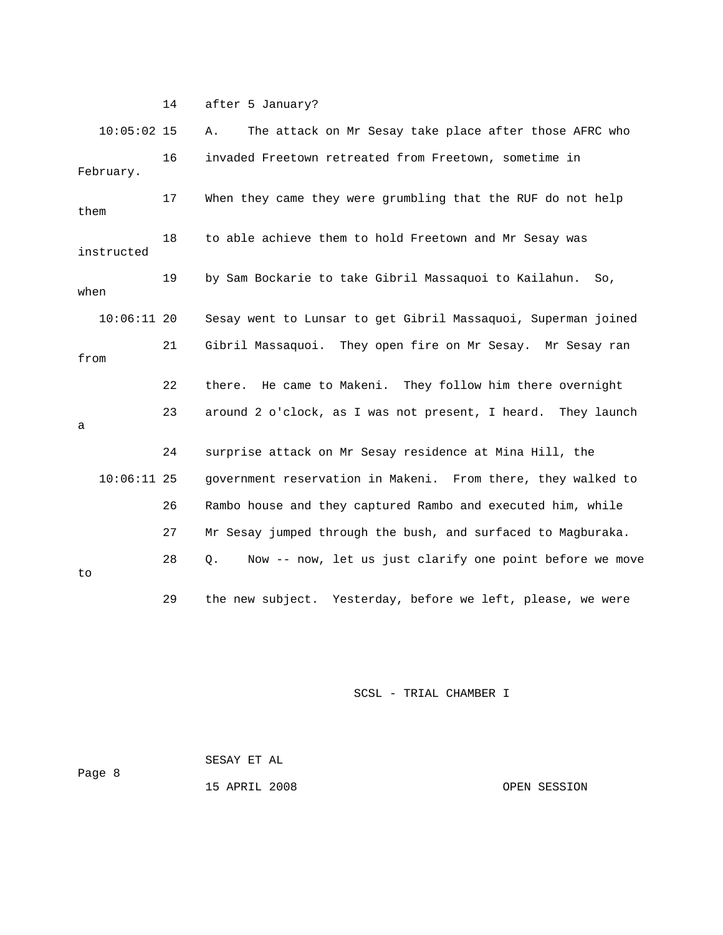14 after 5 January?

| $10:05:02$ 15 |    | The attack on Mr Sesay take place after those AFRC who<br>Α.   |
|---------------|----|----------------------------------------------------------------|
| February.     | 16 | invaded Freetown retreated from Freetown, sometime in          |
| them          | 17 | When they came they were grumbling that the RUF do not help    |
| instructed    | 18 | to able achieve them to hold Freetown and Mr Sesay was         |
| when          | 19 | by Sam Bockarie to take Gibril Massaquoi to Kailahun.<br>So,   |
| $10:06:11$ 20 |    | Sesay went to Lunsar to get Gibril Massaquoi, Superman joined  |
| from          | 21 | Gibril Massaquoi. They open fire on Mr Sesay. Mr Sesay ran     |
|               | 22 | He came to Makeni. They follow him there overnight<br>there.   |
| a             | 23 | around 2 o'clock, as I was not present, I heard. They launch   |
|               | 24 | surprise attack on Mr Sesay residence at Mina Hill, the        |
| $10:06:11$ 25 |    | government reservation in Makeni. From there, they walked to   |
|               | 26 | Rambo house and they captured Rambo and executed him, while    |
|               | 27 | Mr Sesay jumped through the bush, and surfaced to Magburaka.   |
| to            | 28 | Now -- now, let us just clarify one point before we move<br>Q. |
|               | 29 | the new subject. Yesterday, before we left, please, we were    |

SCSL - TRIAL CHAMBER I

 SESAY ET AL Page 8 15 APRIL 2008

OPEN SESSION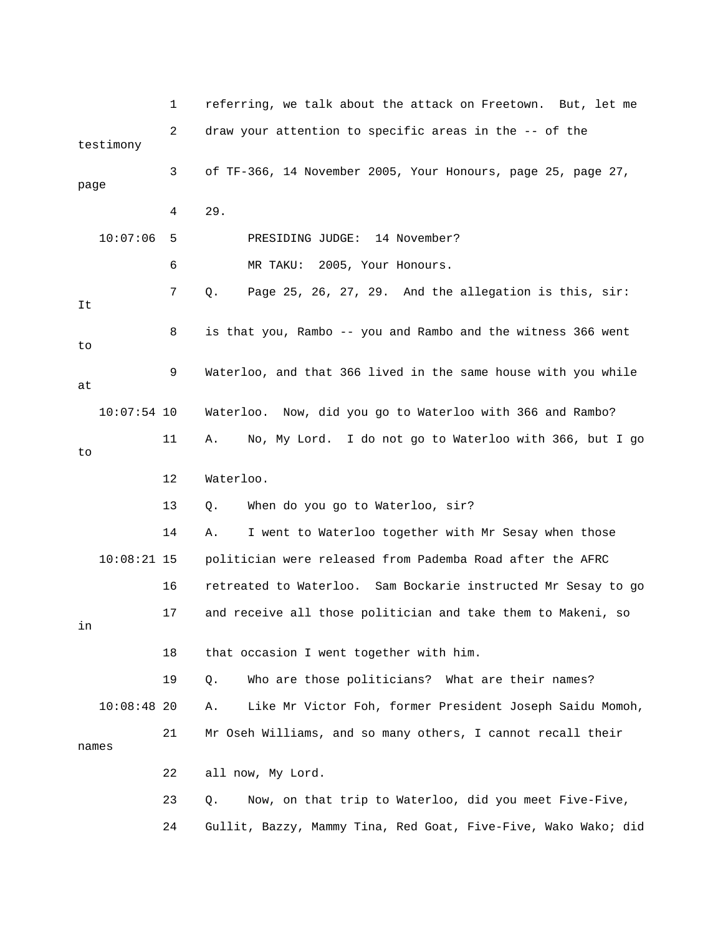1 referring, we talk about the attack on Freetown. But, let me 2 draw your attention to specific areas in the -- of the testimony 3 of TF-366, 14 November 2005, Your Honours, page 25, page 27, 4 29. 5 PRESIDING JUDGE: 14 November? 7 Q. Page 25, 26, 27, 29. And the allegation is this, sir: 8 is that you, Rambo -- you and Rambo and the witness 366 went 9 Waterloo, and that 366 lived in the same house with you while 10:07:54 10 Waterloo. Now, did you go to Waterloo with 366 and Rambo? 11 A. No, My Lord. I do not go to Waterloo with 366, but I go 12 Waterloo. 10:08:21 15 politician were released from Pademba Road after the AFRC 16 retreated to Waterloo. Sam Bockarie instructed Mr Sesay to go 17 and receive all those politician and take them to Makeni, so 21 Mr Oseh Williams, and so many others, I cannot recall their 24 Gullit, Bazzy, Mammy Tina, Red Goat, Five-Five, Wako Wako; did page 10:07:06 6 MR TAKU: 2005, Your Honours. It to at to 13 Q. When do you go to Waterloo, sir? 14 A. I went to Waterloo together with Mr Sesay when those in 18 that occasion I went together with him. 19 Q. Who are those politicians? What are their names? 10:08:48 20 A. Like Mr Victor Foh, former President Joseph Saidu Momoh, names 22 all now, My Lord. 23 Q. Now, on that trip to Waterloo, did you meet Five-Five,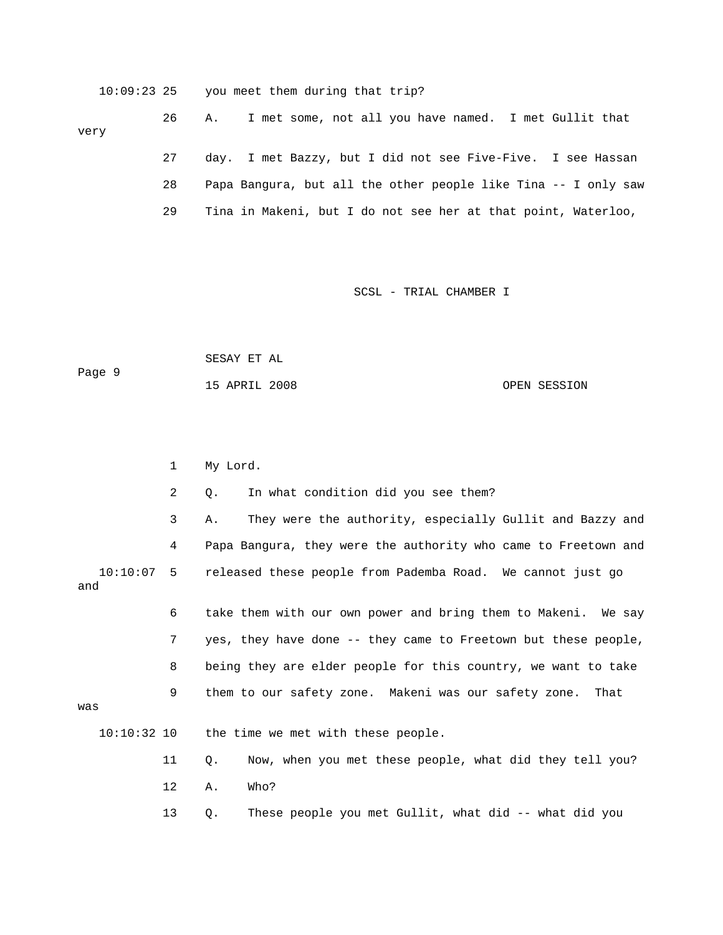10:09:23 25 you meet them during that trip? 26 A. I met some, not all you have named. I met Gullit that 28 Papa Bangura, but all the other people like Tina -- I only saw very 27 day. I met Bazzy, but I did not see Five-Five. I see Hassan 29 Tina in Makeni, but I do not see her at that point, Waterloo,

SCSL - TRIAL CHAMBER I

 SESAY ET AL Page 9 OPEN SESSION 15 APRIL 2008

1 My Lord.

 2 Q. In what condition did you see them? 3 A. They were the authority, especially Gullit and Bazzy and 4 Papa Bangura, they were the authority who came to Freetown and 10:10:07 5 released these people from Pademba Road. We cannot just go 9 them to our safety zone. Makeni was our safety zone. That 13 Q. These people you met Gullit, what did -- what did you and 6 take them with our own power and bring them to Makeni. We say 7 yes, they have done -- they came to Freetown but these people, 8 being they are elder people for this country, we want to take was 10:10:32 10 the time we met with these people. 11 Q. Now, when you met these people, what did they tell you? 12 A. Who?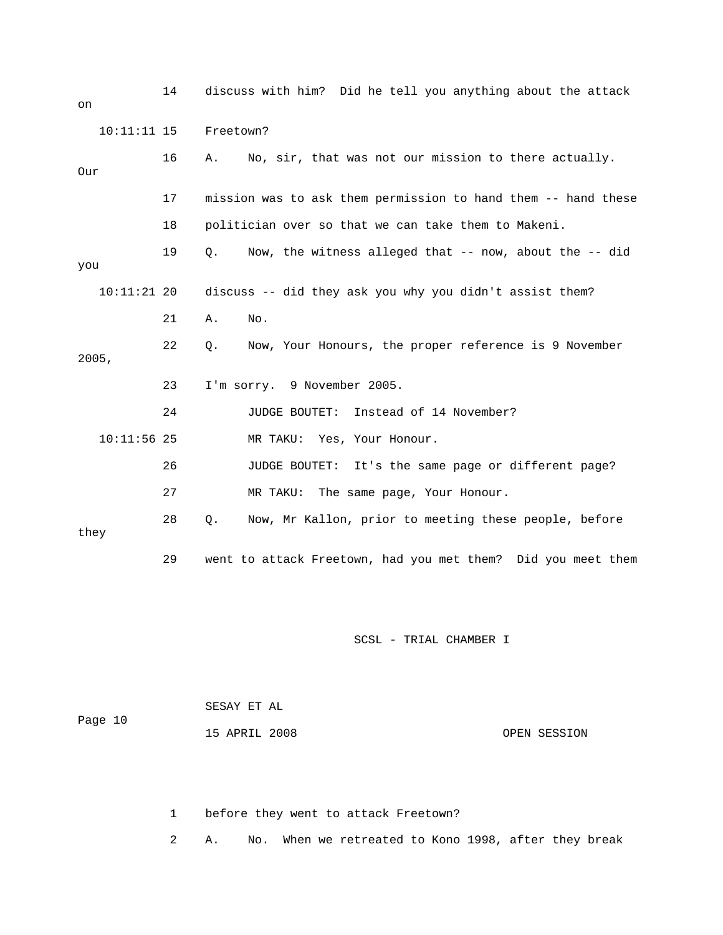14 discuss with him? Did he tell you anything about the attack on 10:11:11 15 Freetown? 16 A. No, sir, that was not our mission to there actually. 17 mission was to ask them permission to hand them -- hand these 19 Q. Now, the witness alleged that -- now, about the -- did 10:11:21 20 discuss -- did they ask you why you didn't assist them? 21 A. No. 22 Q. Now, Your Honours, the proper reference is 9 November 2005, 23 I'm sorry. 9 November 2005. 24 JUDGE BOUTET: Instead of 14 November? MR TAKU: Yes, Your Honour. 26 JUDGE BOUTET: It's the same page or different page? 28 Q. Now, Mr Kallon, prior to meeting these people, before they 29 went to attack Freetown, had you met them? Did you meet them Our 18 politician over so that we can take them to Makeni. you  $10:11:56$  25 27 MR TAKU: The same page, Your Honour.

SCSL - TRIAL CHAMBER I

|         | SESAY ET AL   |              |
|---------|---------------|--------------|
| Page 10 |               |              |
|         | 15 APRIL 2008 | OPEN SESSION |

1 before they went to attack Freetown?

2 A. No. When we retreated to Kono 1998, after they break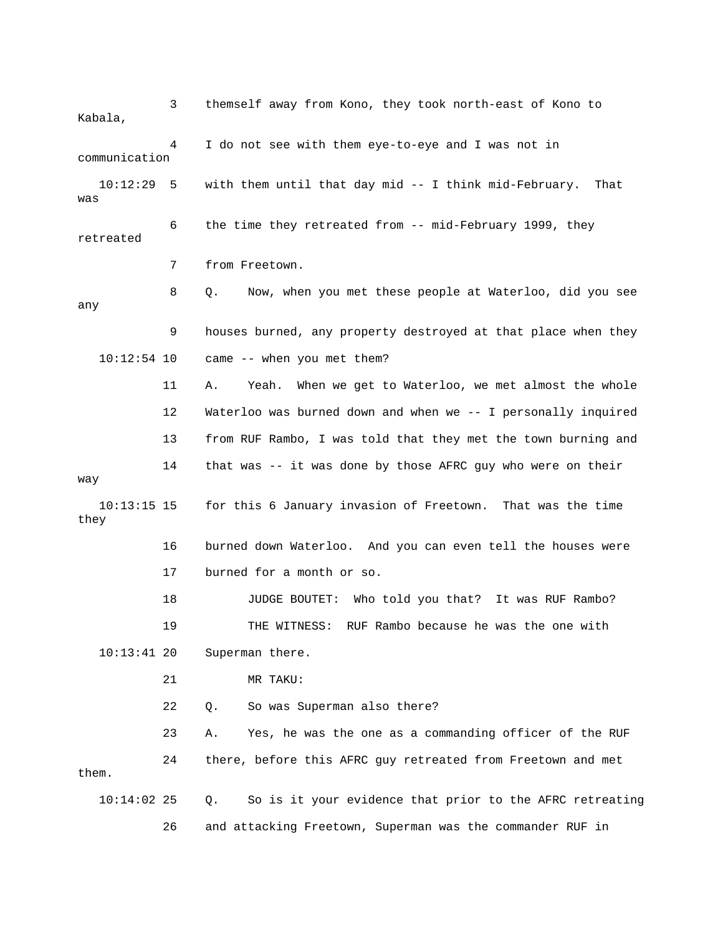3 themself away from Kono, they took north-east of Kono to Kabala, 10:12:29 5 with them until that day mid -- I think mid-February. That 6 the time they retreated from -- mid-February 1999, they 8 Q. Now, when you met these people at Waterloo, did you see 9 houses burned, any property destroyed at that place when they  $10:12:54$  10 came  $-$ - when you met them? 11 A. Yeah. When we get to Waterloo, we met almost the whole 13 from RUF Rambo, I was told that they met the town burning and way 17 burned for a month or so. 18 JUDGE BOUTET: Who told you that? It was RUF Rambo? 23 A. Yes, he was the one as a commanding officer of the RUF 24 there, before this AFRC guy retreated from Freetown and met them. 10:14:02 25 Q. So is it your evidence that prior to the AFRC retreating 4 I do not see with them eye-to-eye and I was not in communication was retreated 7 from Freetown. any 12 Waterloo was burned down and when we -- I personally inquired 14 that was -- it was done by those AFRC guy who were on their 10:13:15 15 for this 6 January invasion of Freetown. That was the time they 16 burned down Waterloo. And you can even tell the houses were 19 THE WITNESS: RUF Rambo because he was the one with 10:13:41 20 Superman there. 21 MR TAKU: 22 Q. So was Superman also there? 26 and attacking Freetown, Superman was the commander RUF in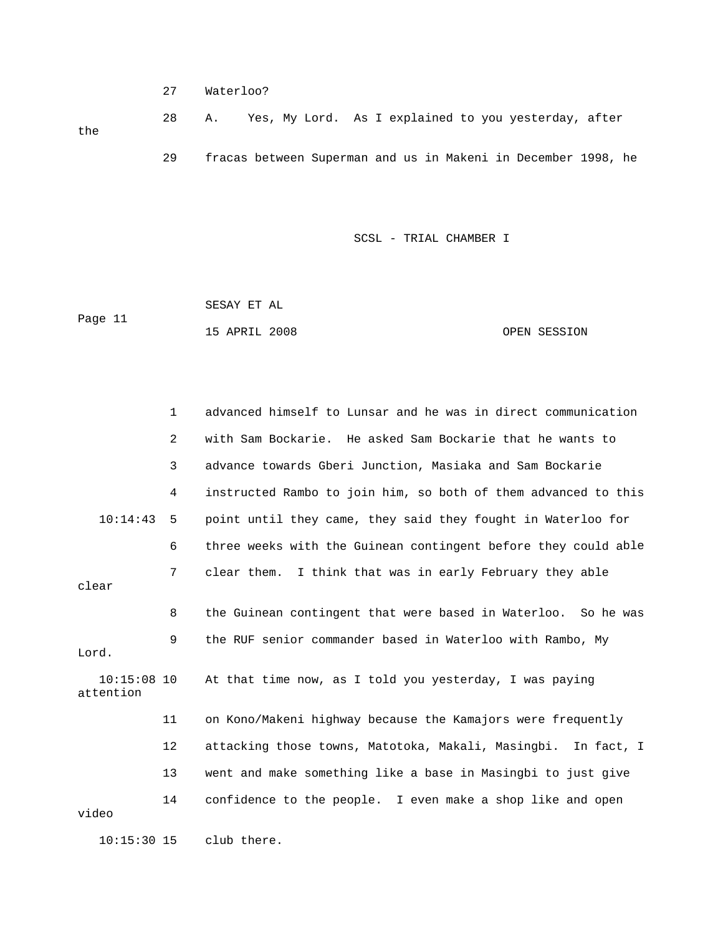27 Waterloo?

 28 A. Yes, My Lord. As I explained to you yesterday, after 29 fracas between Superman and us in Makeni in December 1998, he the

SCSL - TRIAL CHAMBER I

| Page 11 | SESAY ET AL   |              |
|---------|---------------|--------------|
|         | 15 APRIL 2008 | OPEN SESSION |

 1 advanced himself to Lunsar and he was in direct communication 2 with Sam Bockarie. He asked Sam Bockarie that he wants to 3 advance towards Gberi Junction, Masiaka and Sam Bockarie 4 instructed Rambo to join him, so both of them advanced to this 10:14:43 5 point until they came, they said they fought in Waterloo for 6 three weeks with the Guinean contingent before they could able 7 clear them. I think that was in early February they able Lord. At that time now, as I told you yesterday, I was paying attention 11 on Kono/Makeni highway because the Kamajors were frequently 12 attacking those towns, Matotoka, Makali, Masingbi. In fact, I 13 went and make something like a base in Masingbi to just give clear 8 the Guinean contingent that were based in Waterloo. So he was 9 the RUF senior commander based in Waterloo with Rambo, My  $10:15:08$  10 14 confidence to the people. I even make a shop like and open video 10:15:30 15 club there.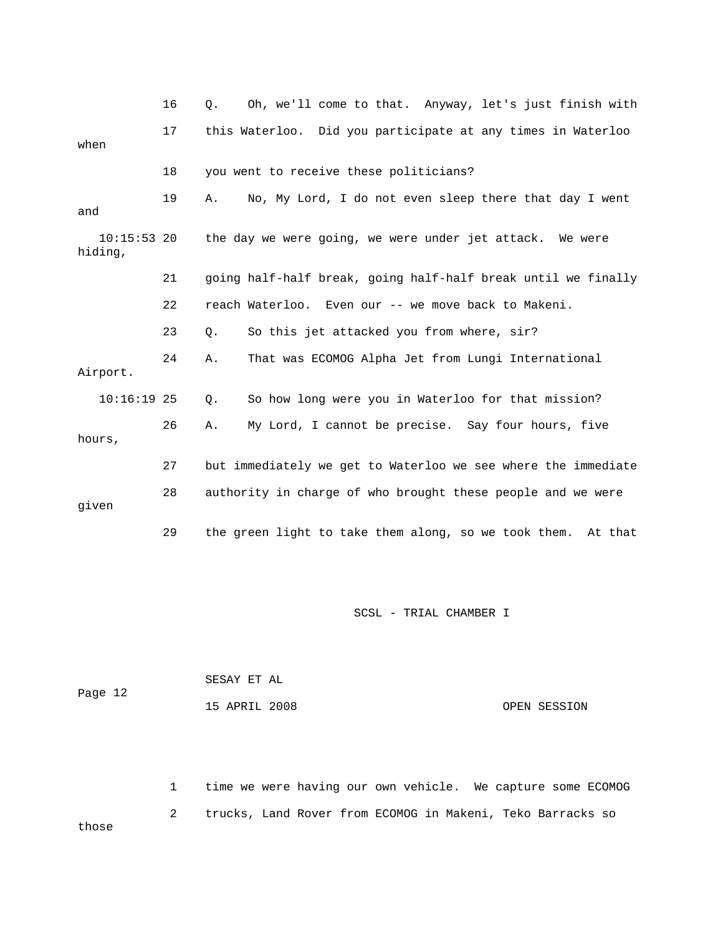|                          | 16 | Oh, we'll come to that. Anyway, let's just finish with<br>Ο.    |
|--------------------------|----|-----------------------------------------------------------------|
| when                     | 17 | this Waterloo. Did you participate at any times in Waterloo     |
|                          | 18 | you went to receive these politicians?                          |
| and                      | 19 | No, My Lord, I do not even sleep there that day I went<br>Α.    |
| $10:15:53$ 20<br>hiding, |    | the day we were going, we were under jet attack. We were        |
|                          | 21 | going half-half break, going half-half break until we finally   |
|                          | 22 | reach Waterloo. Even our -- we move back to Makeni.             |
|                          | 23 | So this jet attacked you from where, sir?<br>Q.                 |
| Airport.                 | 24 | That was ECOMOG Alpha Jet from Lungi International<br>Α.        |
| $10:16:19$ 25            |    | So how long were you in Waterloo for that mission?<br>Q.        |
| hours,                   | 26 | My Lord, I cannot be precise. Say four hours, five<br>Α.        |
|                          | 27 | but immediately we get to Waterloo we see where the immediate   |
| given                    | 28 | authority in charge of who brought these people and we were     |
|                          | 29 | the green light to take them along, so we took them.<br>At that |

| Page 12 | SESAY ET AL   |              |
|---------|---------------|--------------|
|         | 15 APRIL 2008 | OPEN SESSION |

2 trucks, Land Rover from ECOMOG in Makeni, Teko Barracks so 1 time we were having our own vehicle. We capture some ECOMOG those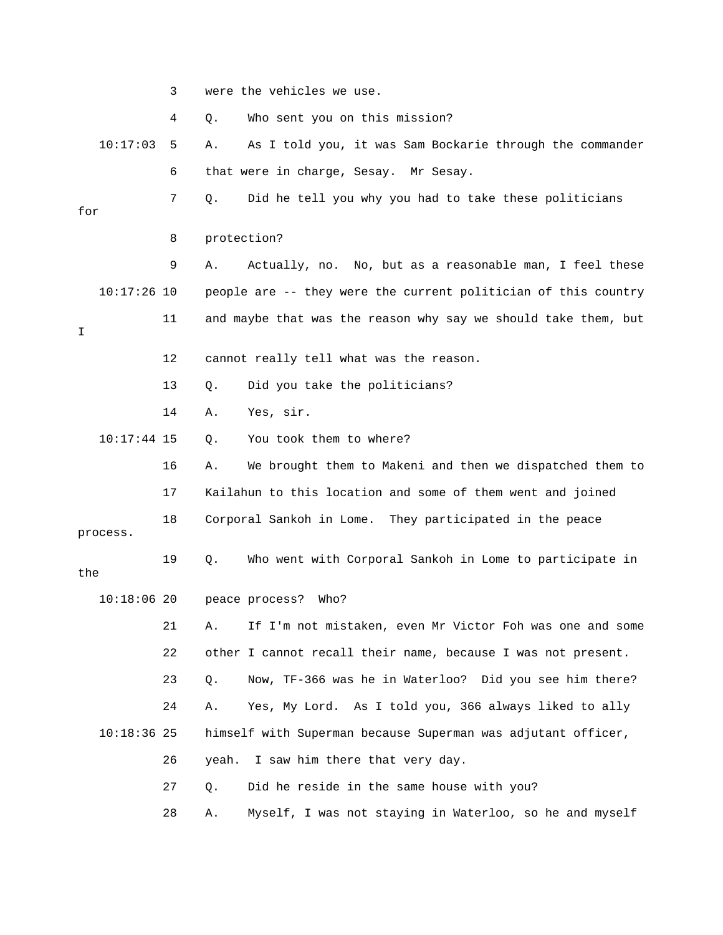3 were the vehicles we use. 4 Q. Who sent you on this mission? 10:17:03 5 A. As I told you, it was Sam Bockarie through the commander 6 that were in charge, Sesay. Mr Sesay. 7 Q. Did he tell you why you had to take these politicians for 8 protection? 9 A. Actually, no. No, but as a reasonable man, I feel these 10:17:26 10 people are -- they were the current politician of this country 11 and maybe that was the reason why say we should take them, but 12 cannot really tell what was the reason. 14 A. Yes, sir. 10:17:44 15 Q. You took them to where? 16 A. We brought them to Makeni and then we dispatched them to 17 Kailahun to this location and some of them went and joined 18 Corporal Sankoh in Lome. They participated in the peace process. 19 Q. Who went with Corporal Sankoh in Lome to participate in 21 A. If I'm not mistaken, even Mr Victor Foh was one and some 22 other I cannot recall their name, because I was not present. 23 Q. Now, TF-366 was he in Waterloo? Did you see him there? 24 A. Yes, My Lord. As I told you, 366 always liked to ally 28 A. Myself, I was not staying in Waterloo, so he and myself I 13 Q. Did you take the politicians? the 10:18:06 20 peace process? Who? 10:18:36 25 himself with Superman because Superman was adjutant officer, 26 yeah. I saw him there that very day. 27 Q. Did he reside in the same house with you?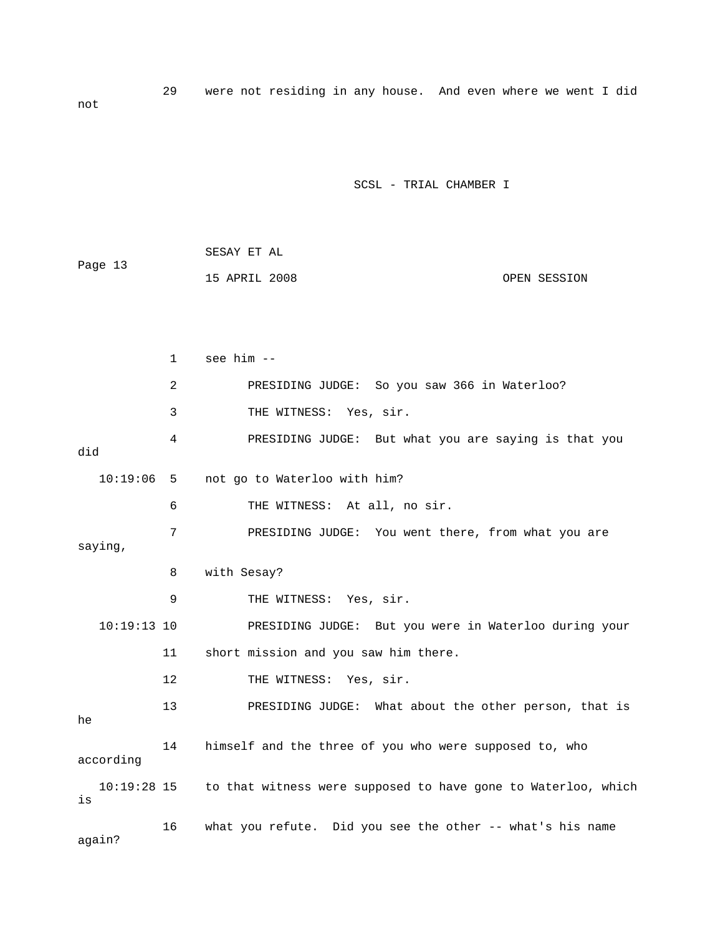29 were not residing in any house. And even where we went I did not

|         | SESAY ET AL   |  |              |
|---------|---------------|--|--------------|
| Page 13 |               |  |              |
|         | 15 APRIL 2008 |  | OPEN SESSION |

|               | $\mathbf{1}$ | see him --                                                                |
|---------------|--------------|---------------------------------------------------------------------------|
|               | 2            | PRESIDING JUDGE: So you saw 366 in Waterloo?                              |
|               | 3            | THE WITNESS: Yes, sir.                                                    |
| did           | 4            | PRESIDING JUDGE: But what you are saying is that you                      |
| $10:19:06$ 5  |              | not go to Waterloo with him?                                              |
|               | 6            | THE WITNESS: At all, no sir.                                              |
| saying,       | 7            | PRESIDING JUDGE: You went there, from what you are                        |
|               | 8            | with Sesay?                                                               |
|               | 9            | THE WITNESS: Yes, sir.                                                    |
| $10:19:13$ 10 |              | PRESIDING JUDGE: But you were in Waterloo during your                     |
|               | 11           | short mission and you saw him there.                                      |
|               | 12           | THE WITNESS: Yes, sir.                                                    |
| he            | 13           | PRESIDING JUDGE: What about the other person, that is                     |
| according     | 14           | himself and the three of you who were supposed to, who                    |
| is            |              | 10:19:28 15 to that witness were supposed to have gone to Waterloo, which |
| again?        | 16           | what you refute. Did you see the other -- what's his name                 |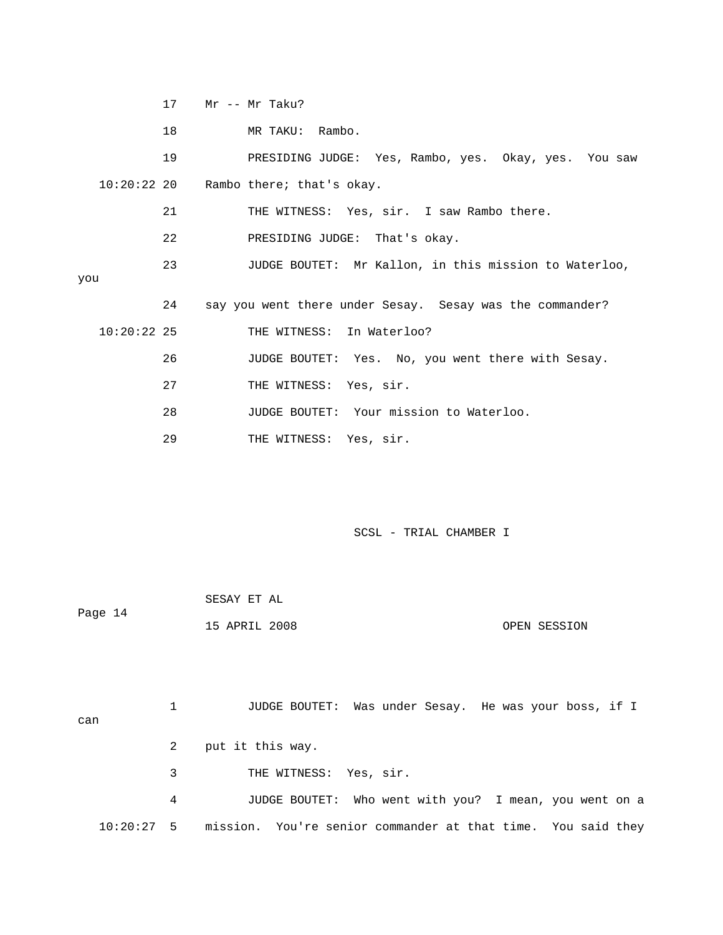17 Mr -- Mr Taku?

18 MR TAKU: Rambo.

 19 PRESIDING JUDGE: Yes, Rambo, yes. Okay, yes. You saw Rambo there; that's okay.  $10:20:22$  20

21 THE WITNESS: Yes, sir. I saw Rambo there.

22 **PRESIDING JUDGE:** That's okay.

you 23 JUDGE BOUTET: Mr Kallon, in this mission to Waterloo,

24 say you went there under Sesay. Sesay was the commander?

10:20:22 25 THE WITNESS: In Waterloo?

26 JUDGE BOUTET: Yes. No, you went there with Sesay.

27 THE WITNESS: Yes, sir.

28 JUDGE BOUTET: Your mission to Waterloo.

29 THE WITNESS: Yes, sir.

SCSL - TRIAL CHAMBER I

|         | SESAY ET AL   |  |              |
|---------|---------------|--|--------------|
| Page 14 |               |  |              |
|         | 15 APRIL 2008 |  | OPEN SESSION |

 3 THE WITNESS: Yes, sir. 1 JUDGE BOUTET: Was under Sesay. He was your boss, if I can 2 put it this way. 4 JUDGE BOUTET: Who went with you? I mean, you went on a

10:20:27 5 mission. You're senior commander at that time. You said they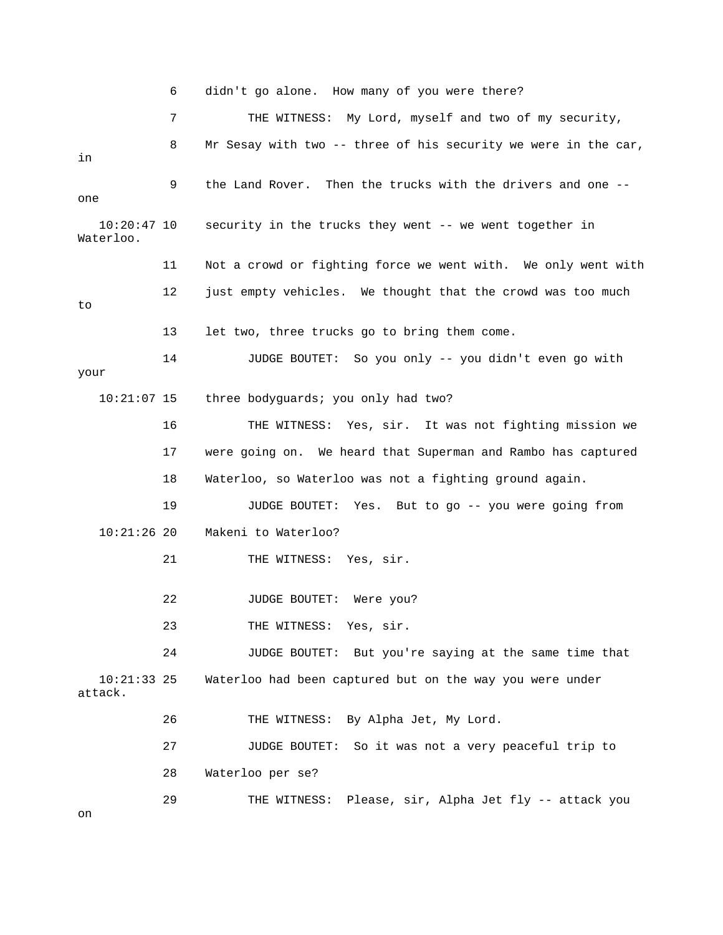6 didn't go alone. How many of you were there? 7 THE WITNESS: My Lord, myself and two of my security, 9 the Land Rover. Then the trucks with the drivers and one --Waterloo. 11 Not a crowd or fighting force we went with. We only went with 14 JUDGE BOUTET: So you only -- you didn't even go with 16 THE WITNESS: Yes, sir. It was not fighting mission we 17 were going on. We heard that Superman and Rambo has captured 18 Waterloo, so Waterloo was not a fighting ground again. 19 JUDGE BOUTET: Yes. But to go -- you were going from 22 JUDGE BOUTET: Were you? 24 JUDGE BOUTET: But you're saying at the same time that 10:21:33 25 Waterloo had been captured but on the way you were under attack. 26 THE WITNESS: By Alpha Jet, My Lord. 27 JUDGE BOUTET: So it was not a very peaceful trip to 28 Waterloo per se? 29 THE WITNESS: Please, sir, Alpha Jet fly -- attack you 8 Mr Sesay with two -- three of his security we were in the car, in one 10:20:47 10 security in the trucks they went -- we went together in 12 just empty vehicles. We thought that the crowd was too much to 13 let two, three trucks go to bring them come. your 10:21:07 15 three bodyguards; you only had two? 10:21:26 20 Makeni to Waterloo? 21 THE WITNESS: Yes, sir. 23 THE WITNESS: Yes, sir. on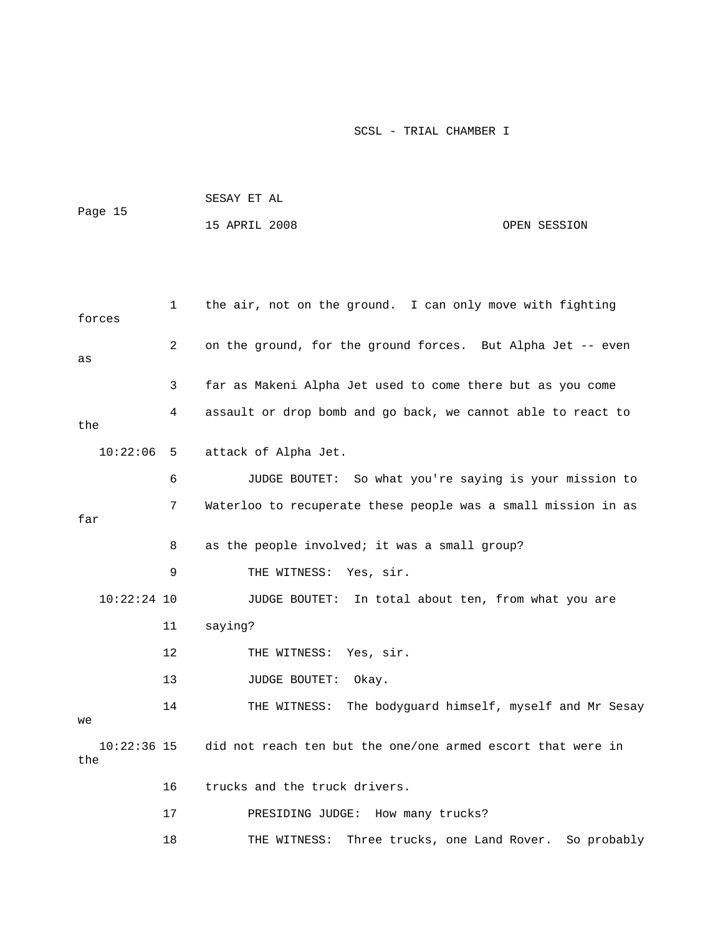|         | SESAY ET AL   |              |
|---------|---------------|--------------|
| Page 15 |               |              |
|         | 15 APRIL 2008 | OPEN SESSION |

| forces             | 1              | the air, not on the ground. I can only move with fighting     |
|--------------------|----------------|---------------------------------------------------------------|
| as                 | $\overline{2}$ | on the ground, for the ground forces. But Alpha Jet -- even   |
|                    | 3              | far as Makeni Alpha Jet used to come there but as you come    |
| the                | 4              | assault or drop bomb and go back, we cannot able to react to  |
| 10:22:06           | 5              | attack of Alpha Jet.                                          |
|                    | 6              | JUDGE BOUTET: So what you're saying is your mission to        |
| far                | 7              | Waterloo to recuperate these people was a small mission in as |
|                    | 8              | as the people involved; it was a small group?                 |
|                    | 9              | THE WITNESS: Yes, sir.                                        |
| $10:22:24$ 10      |                | JUDGE BOUTET:<br>In total about ten, from what you are        |
|                    | 11             | saying?                                                       |
|                    | 12             | THE WITNESS: Yes, sir.                                        |
|                    | 13             | <b>JUDGE BOUTET:</b><br>Okay.                                 |
| we                 | 14             | THE WITNESS: The bodyguard himself, myself and Mr Sesay       |
| 10:22:36 15<br>the |                | did not reach ten but the one/one armed escort that were in   |
|                    | 16             | trucks and the truck drivers.                                 |
|                    | 17             | PRESIDING JUDGE: How many trucks?                             |
|                    | 18             | Three trucks, one Land Rover.<br>So probably<br>THE WITNESS:  |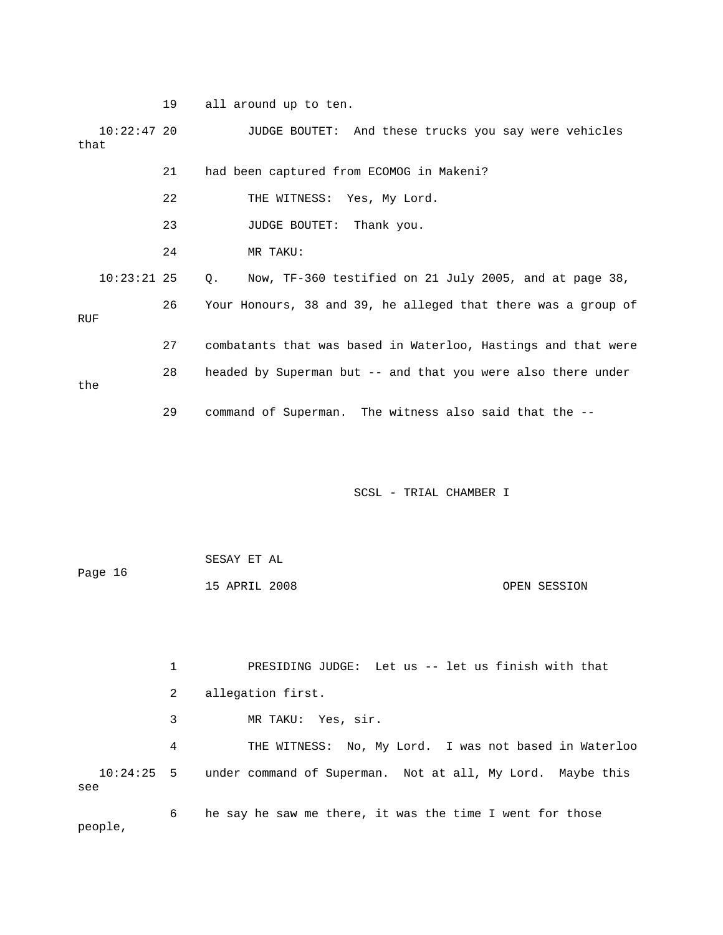19 all around up to ten.

10:22:47 20 JUDGE BOUTET: And these trucks you say were vehicles 21 had been captured from ECOMOG in Makeni? 22 THE WITNESS: Yes, My Lord. 24 MR TAKU:  $10:23:21$  25  $Q.$  Now, TF-360 testified on 21 July 2005, and at page 38, 26 Your Honours, 38 and 39, he alleged that there was a group of RUF 27 combatants that was based in Waterloo, Hastings and that were that 23 JUDGE BOUTET: Thank you.

the

29 command of Superman. The witness also said that the --

28 headed by Superman but -- and that you were also there under

SCSL - TRIAL CHAMBER I

| Page 16 | SESAY ET AL   |  |              |
|---------|---------------|--|--------------|
|         | 15 APRIL 2008 |  | OPEN SESSION |

 3 MR TAKU: Yes, sir. 4 THE WITNESS: No, My Lord. I was not based in Waterloo 10:24:25 5 under command of Superman. Not at all, My Lord. Maybe this 6 he say he saw me there, it was the time I went for those 1 PRESIDING JUDGE: Let us -- let us finish with that 2 allegation first. see

people,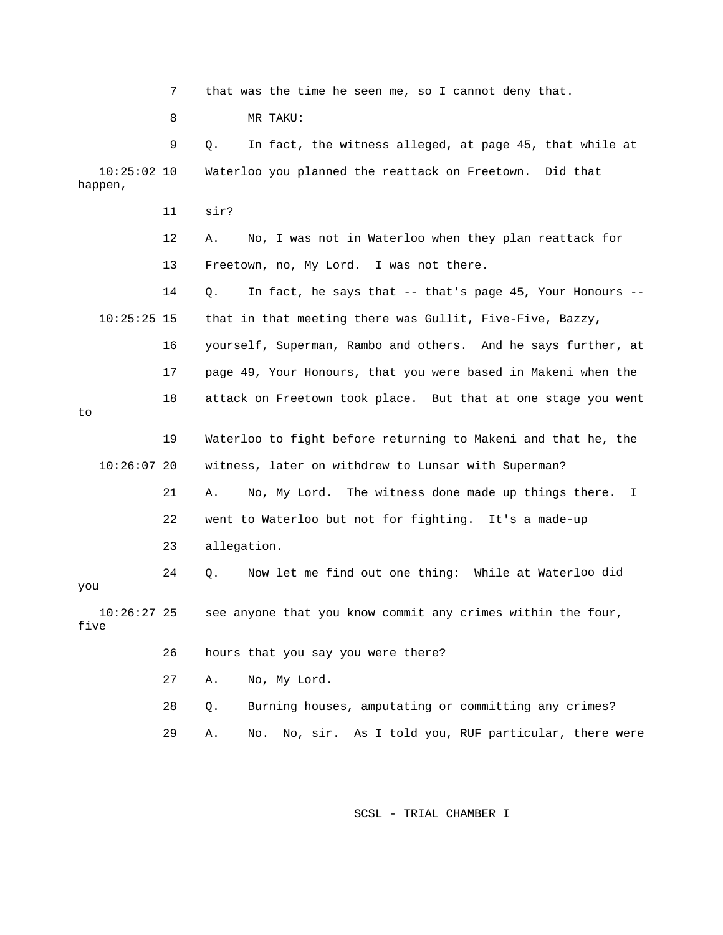7 that was the time he seen me, so I cannot deny that.

8 MR TAKU:

11 sir?

 9 Q. In fact, the witness alleged, at page 45, that whil e at 10:25:02 10 Waterloo you planned the reattack on Freetown. Did that happen,

> 12 A. No, I was not in Waterloo when they plan reattack for 13 Freetown, no, My Lord. I was not there.

 14 Q. In fact, he says that -- that's page 45, Your Honours - that in that meeting there was Gullit, Five-Five, Bazzy,  $10:25:25$  15

t 16 yourself, Superman, Rambo and others. And he says further, a 17 page 49, Your Honours, that you were based in Makeni when the 18 attack on Freetown took place. But that at one stage you went

to

 19 Waterloo to fight before returning to Makeni and that he, the 10:26:07 20 witness, later on withdrew to Lunsar with Superman?

> 21 A. No, My Lord. The witness done made up things there. I 22 went to Waterloo but not for fighting. It's a made-up

23 allegation.

24 Q. Wow let me find out one thing: While at Waterloo did 10:26:27 25 see anyone that you know commit any crimes within the four, you

five

26 hours that you say you were there?

27 A. No, My Lord.

28 Q. Burning houses, amputating or committing any crimes?

29 A. No. No, sir. As I told you, RUF particular, there were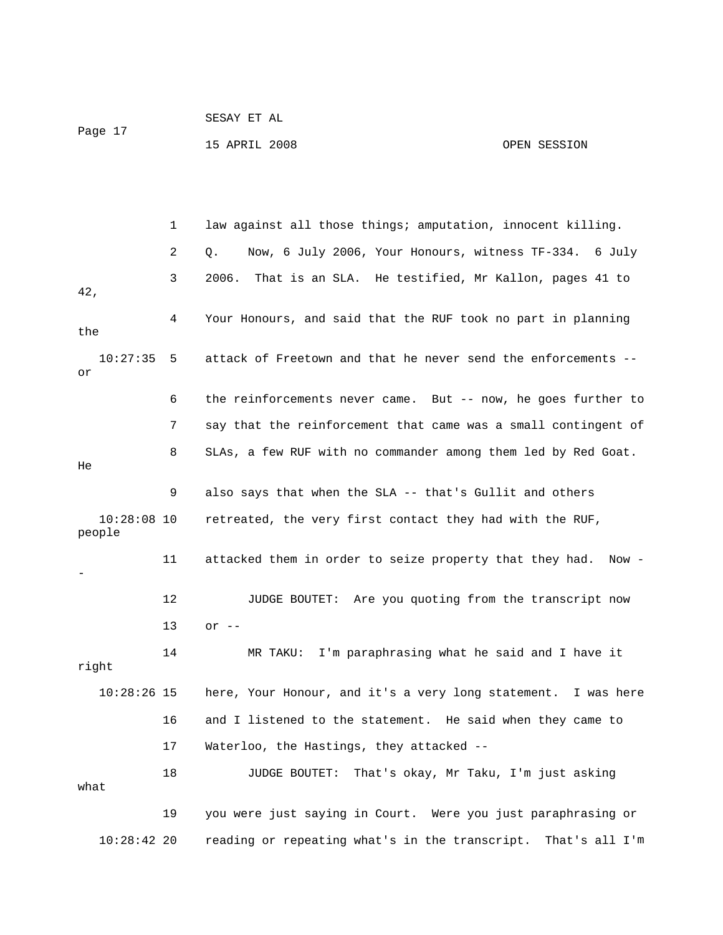| Page 17 | SESAY ET AL   |              |
|---------|---------------|--------------|
|         | 15 APRIL 2008 | OPEN SESSION |

|                         | 1  | law against all those things; amputation, innocent killing.      |
|-------------------------|----|------------------------------------------------------------------|
|                         | 2  | Now, 6 July 2006, Your Honours, witness TF-334. 6 July<br>Q.     |
| 42,                     | 3  | 2006.<br>That is an SLA. He testified, Mr Kallon, pages 41 to    |
| the                     | 4  | Your Honours, and said that the RUF took no part in planning     |
| 10:27:35<br>or          | 5  | attack of Freetown and that he never send the enforcements --    |
|                         | 6  | the reinforcements never came. But -- now, he goes further to    |
|                         | 7  | say that the reinforcement that came was a small contingent of   |
| He                      | 8  | SLAs, a few RUF with no commander among them led by Red Goat.    |
|                         | 9  | also says that when the SLA -- that's Gullit and others          |
| $10:28:08$ 10<br>people |    | retreated, the very first contact they had with the RUF,         |
|                         | 11 | attacked them in order to seize property that they had. Now -    |
|                         | 12 | JUDGE BOUTET: Are you quoting from the transcript now            |
|                         | 13 | or $--$                                                          |
| right                   | 14 | I'm paraphrasing what he said and I have it<br>MR TAKU:          |
| $10:28:26$ 15           |    | here, Your Honour, and it's a very long statement. I was here    |
|                         | 16 | and I listened to the statement. He said when they came to       |
|                         | 17 | Waterloo, the Hastings, they attacked --                         |
| what                    | 18 | That's okay, Mr Taku, I'm just asking<br><b>JUDGE BOUTET:</b>    |
|                         | 19 | you were just saying in Court. Were you just paraphrasing or     |
| $10:28:42$ 20           |    | reading or repeating what's in the transcript.<br>That's all I'm |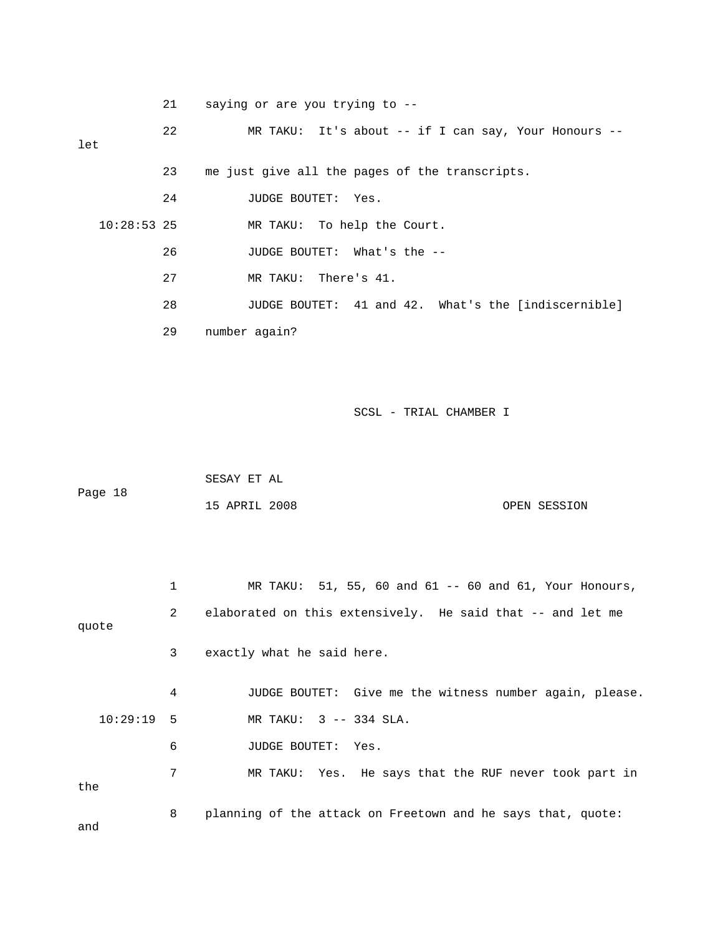21 saying or are you trying to --

 22 MR TAKU: It's about -- if I can say, Your Honours - let

> 23 me just give all the pages of the transcripts. 24 JUDGE BOUTET: Yes.

10:28:53 25 MR TAKU: To help the Court.

26 JUDGE BOUTET: What's the --

27 MR TAKU: There's 41.

28 JUDGE BOUTET: 41 and 42. What's the [indiscernible]

29 number again?

SCSL - TRIAL CHAMBER I

|         | SESAY ET AL   |  |              |
|---------|---------------|--|--------------|
| Page 18 |               |  |              |
|         | 15 APRIL 2008 |  | OPEN SESSION |

 1 MR TAKU: 51, 55, 60 and 61 -- 60 and 61, Your Honours, 2 elaborated on this extensively. He said that -- and let me 3 exactly what he said here. 4 JUDGE BOUTET: Give me the witness number again, please. 10:29:19 5 MR TAKU: 3 -- 334 SLA. s that the RUF never took part in 7 MR TAKU: Yes. He say quote 6 JUDGE BOUTET: Yes. the 8 planning of the attack on Freetown and he says that, quote: and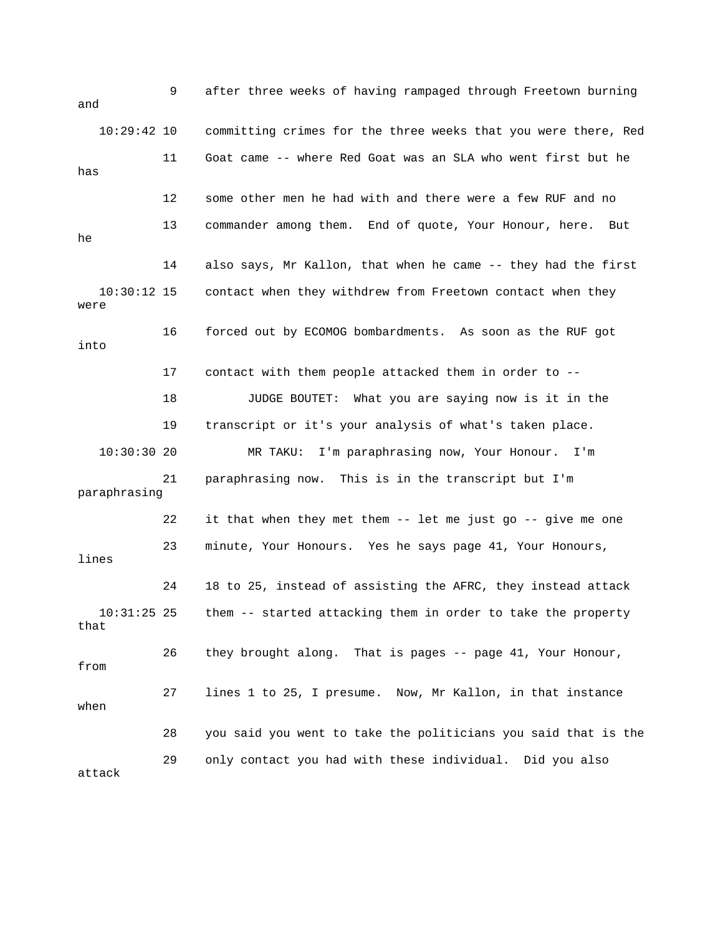| and                   | 9  | after three weeks of having rampaged through Freetown burning  |
|-----------------------|----|----------------------------------------------------------------|
| $10:29:42$ 10         |    | committing crimes for the three weeks that you were there, Red |
| has                   | 11 | Goat came -- where Red Goat was an SLA who went first but he   |
|                       | 12 | some other men he had with and there were a few RUF and no     |
| he                    | 13 | commander among them. End of quote, Your Honour, here.<br>But  |
|                       | 14 | also says, Mr Kallon, that when he came -- they had the first  |
| $10:30:12$ 15<br>were |    | contact when they withdrew from Freetown contact when they     |
| into                  | 16 | forced out by ECOMOG bombardments. As soon as the RUF got      |
|                       | 17 | contact with them people attacked them in order to --          |
|                       | 18 | JUDGE BOUTET: What you are saying now is it in the             |
|                       | 19 | transcript or it's your analysis of what's taken place.        |
| 10:30:30 20           |    | I'm paraphrasing now, Your Honour. I'm<br>MR TAKU:             |
| paraphrasing          | 21 | paraphrasing now. This is in the transcript but I'm            |
|                       | 22 | it that when they met them -- let me just go -- give me one    |
| lines                 | 23 | minute, Your Honours. Yes he says page 41, Your Honours,       |
|                       | 24 | 18 to 25, instead of assisting the AFRC, they instead attack   |
| $10:31:25$ 25<br>that |    | them -- started attacking them in order to take the property   |
| from                  | 26 | they brought along. That is pages -- page 41, Your Honour,     |
| when                  | 27 | lines 1 to 25, I presume. Now, Mr Kallon, in that instance     |
|                       | 28 | you said you went to take the politicians you said that is the |
| attack                | 29 | only contact you had with these individual. Did you also       |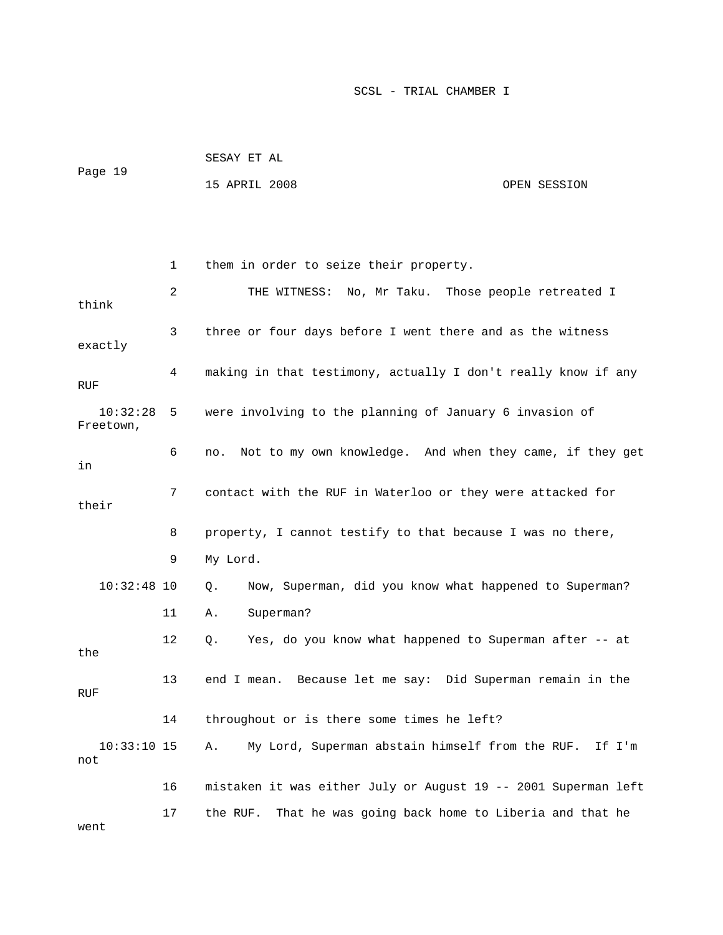| Page 19 | SESAY ET AL   |              |
|---------|---------------|--------------|
|         | 15 APRIL 2008 | OPEN SESSION |

 2 THE WITNESS: No, Mr Taku. Those people retreated I 3 three or four days before I went there and as the witness exactly 4 making in that testimony, actually I don't really know if any Freetown, 6 no. Not to my own knowledge. And when they came, if they get 8 property, I cannot testify to that because I was no there, 9 My Lord. 12 Q. Yes, do you know what happened to Superman after -- at 13 end I mean. Because let me say: Did Superman remain in the RUF 14 throughout or is there some times he left? 10:33:10 15 A. My Lord, Superman abstain himself from the RUF. If I'm 16 mistaken it was either July or August 19 -- 2001 Superman left 17 the RUF. That he was going back home to Liberia and that he 1 them in order to seize their property. think RUF 10:32:28 5 were involving to the planning of January 6 invasion of in 7 contact with the RUF in Waterloo or they were attacked for their 10:32:48 10 Q. Now, Superman, did you know what happened to Superman? 11 A. Superman? the not went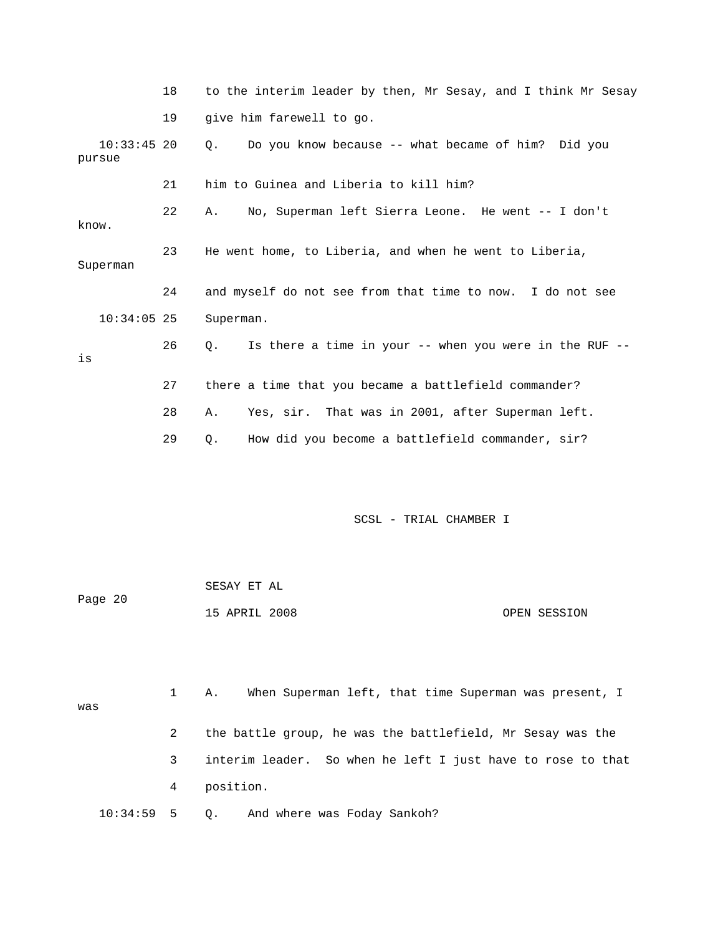|                         | 18 | to the interim leader by then, Mr Sesay, and I think Mr Sesay |
|-------------------------|----|---------------------------------------------------------------|
|                         | 19 | give him farewell to go.                                      |
| $10:33:45$ 20<br>pursue |    | 0.<br>Do you know because -- what became of him? Did you      |
|                         | 21 | him to Guinea and Liberia to kill him?                        |
| know.                   | 22 | No, Superman left Sierra Leone. He went -- I don't<br>Α.      |
| Superman                | 23 | He went home, to Liberia, and when he went to Liberia,        |
|                         | 24 | and myself do not see from that time to now. I do not see     |
| $10:34:05$ 25           |    | Superman.                                                     |
| is                      | 26 | Is there a time in your -- when you were in the RUF --<br>0.  |
|                         | 27 | there a time that you became a battlefield commander?         |
|                         | 28 | Yes, sir. That was in 2001, after Superman left.<br>Α.        |
|                         | 29 | How did you become a battlefield commander, sir?<br>Q.        |

| Page 20 | SESAY ET AL   |              |
|---------|---------------|--------------|
|         | 15 APRIL 2008 | OPEN SESSION |

|                 |   | When Superman left, that time Superman was present, I<br>Α. |
|-----------------|---|-------------------------------------------------------------|
| was             |   |                                                             |
|                 | 2 | the battle group, he was the battlefield, Mr Sesay was the  |
|                 | 3 | interim leader. So when he left I just have to rose to that |
|                 | 4 | position.                                                   |
| $10:34:59$ 5 0. |   | And where was Foday Sankoh?                                 |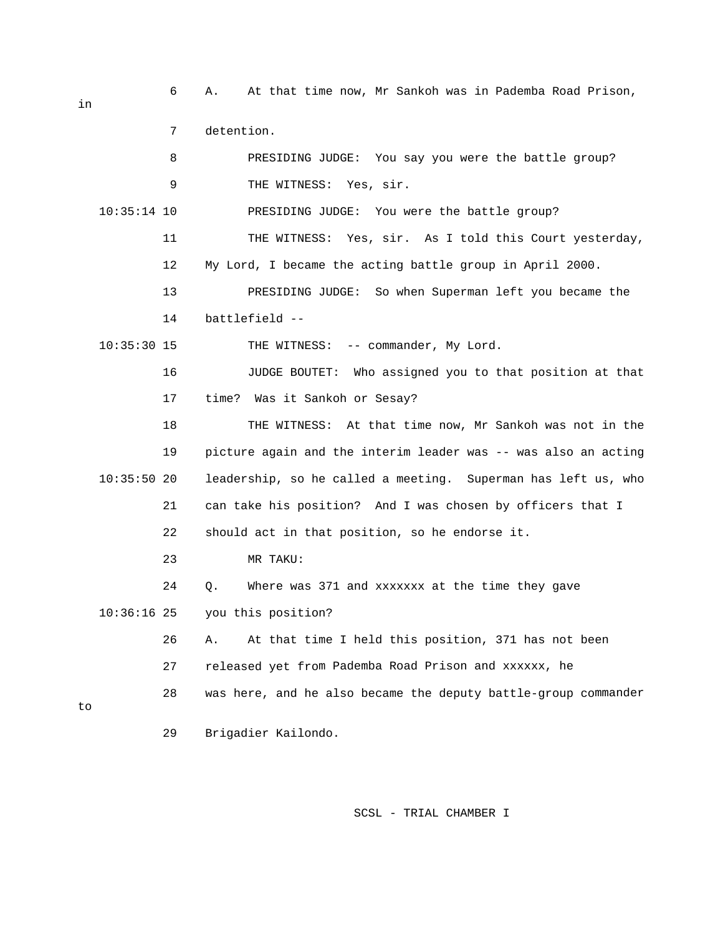6 A. At that time now, Mr Sankoh was in Pademba Road Prison, 8 PRESIDING JUDGE: You say you were the battle group? PRESIDING JUDGE: You were the battle group? TNESS: Yes, sir. As I told this Court yesterday, 11 THE WI 13 PRESIDING JUDGE: So when Superman left you became the 16 JUDGE BOUTET: Who assigned you to that position at that 18 THE WITNESS: At that time now, Mr Sankoh was not in the 19 picture again and the interim leader was -- was also an acting 21 can take his position? And I was chosen by officers that I 26 A. At that time I held this position, 371 has not been 27 released yet from Pademba Road Prison and xxxxxx, he 28 was here, and he also became the deputy battle-group commander 29 Brigadier Kailondo. 7 detention. 9 THE WITNESS: Yes, sir.  $10:35:14$  10 12 My Lord, I became the acting battle group in April 2000. 14 battlefield -- 10:35:30 15 THE WITNESS: -- commander, My Lord. 17 time? Was it Sankoh or Sesay? 10:35:50 20 leadership, so he called a meeting. Superman has left us, who 22 should act in that position, so he endorse it. 23 MR TAKU: 24 Q. Where was 371 and xxxxxxx at the time they gave 10:36:16 25 you this position? to

SCSL - TRIAL CHAMBER I

in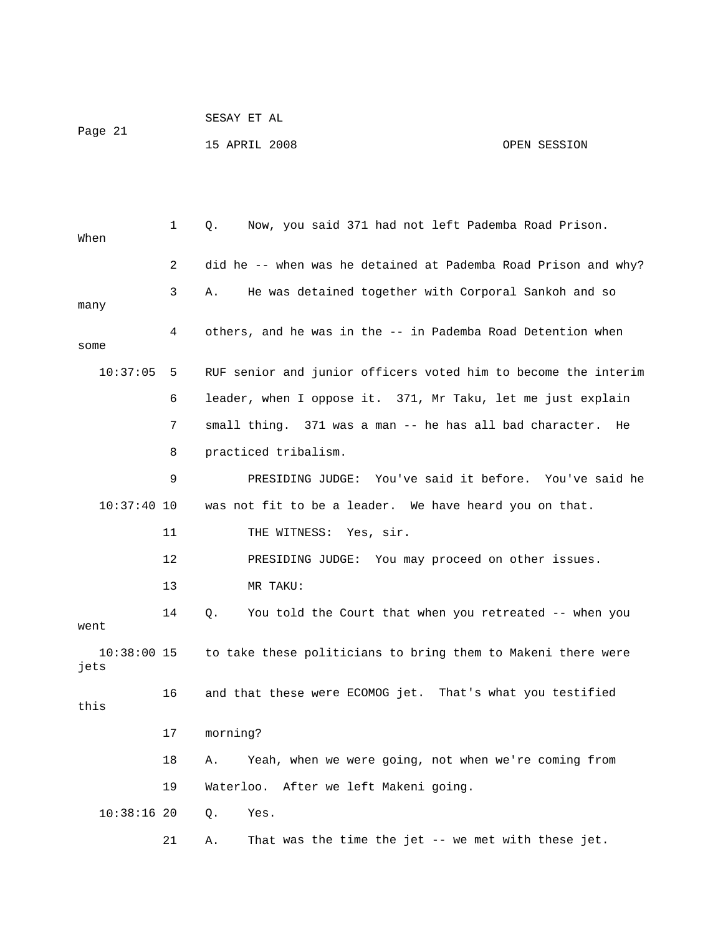|         | SESAY ET AL   |              |
|---------|---------------|--------------|
| Page 21 |               |              |
|         | 15 APRIL 2008 | OPEN SESSION |

| When                  | 1  | Now, you said 371 had not left Pademba Road Prison.<br>Q.      |
|-----------------------|----|----------------------------------------------------------------|
|                       | 2  | did he -- when was he detained at Pademba Road Prison and why? |
|                       | 3  | He was detained together with Corporal Sankoh and so<br>Α.     |
| many                  | 4  | others, and he was in the -- in Pademba Road Detention when    |
| some                  |    |                                                                |
| 10:37:05              | 5  | RUF senior and junior officers voted him to become the interim |
|                       | 6  | leader, when I oppose it. 371, Mr Taku, let me just explain    |
|                       | 7  | small thing. 371 was a man -- he has all bad character.<br>He  |
|                       | 8  | practiced tribalism.                                           |
|                       | 9  | PRESIDING JUDGE: You've said it before. You've said he         |
| $10:37:40$ 10         |    | was not fit to be a leader. We have heard you on that.         |
|                       | 11 | THE WITNESS: Yes, sir.                                         |
|                       | 12 | PRESIDING JUDGE: You may proceed on other issues.              |
|                       | 13 | MR TAKU:                                                       |
| went                  | 14 | You told the Court that when you retreated -- when you<br>Q.   |
| $10:38:00$ 15<br>jets |    | to take these politicians to bring them to Makeni there were   |
| this                  | 16 | and that these were ECOMOG jet. That's what you testified      |
|                       | 17 | morning?                                                       |
|                       | 18 | Yeah, when we were going, not when we're coming from<br>Α.     |
|                       | 19 | Waterloo. After we left Makeni going.                          |
| 10:38:1620            |    | Q.<br>Yes.                                                     |
|                       | 21 | That was the time the jet -- we met with these jet.<br>Α.      |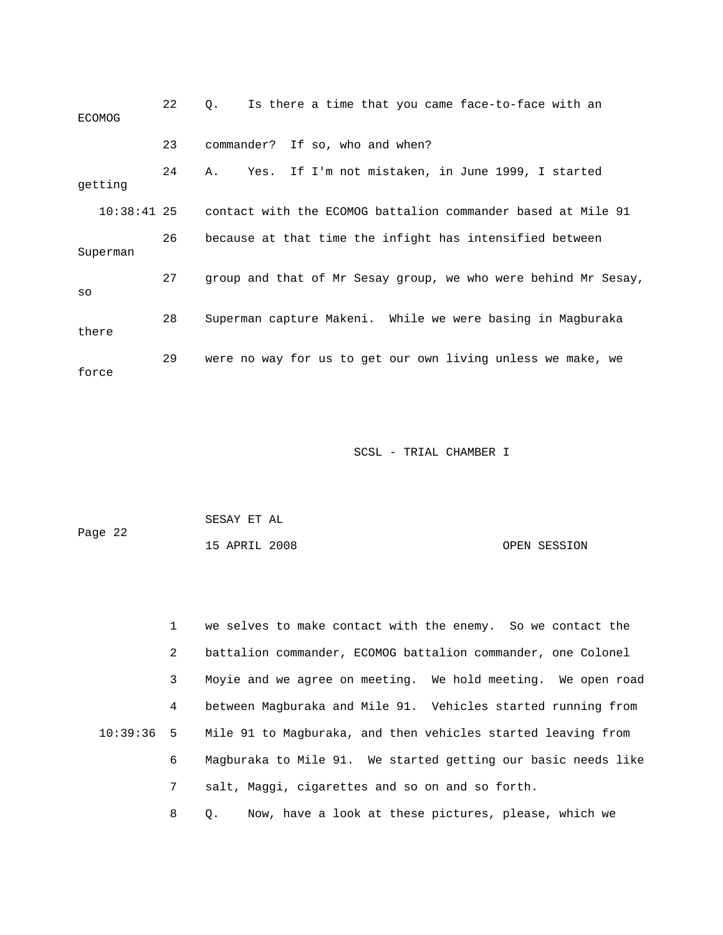| <b>ECOMOG</b> | 22 | Is there a time that you came face-to-face with an<br>$\circ$ . |
|---------------|----|-----------------------------------------------------------------|
|               | 23 | commander? If so, who and when?                                 |
| getting       | 24 | Yes. If I'm not mistaken, in June 1999, I started<br>Α.         |
| $10:38:41$ 25 |    | contact with the ECOMOG battalion commander based at Mile 91    |
| Superman      | 26 | because at that time the infight has intensified between        |
| SO            | 27 | group and that of Mr Sesay group, we who were behind Mr Sesay,  |
| there         | 28 | Superman capture Makeni. While we were basing in Magburaka      |
| force         | 29 | were no way for us to get our own living unless we make, we     |

| Page 22 | SESAY ET AL   |              |
|---------|---------------|--------------|
|         | 15 APRIL 2008 | OPEN SESSION |

2 battalion commander, ECOMOG battalion commander, one Colonel 3 Moyie and we agree on meeting. We hold meeting. We open road 4 between Magburaka and Mile 91. Vehicles started running from 1 we selves to make contact with the enemy. So we contact the 10:39:36 5 Mile 91 to Magburaka, and then vehicles started leaving from 6 Magburaka to Mile 91. We started getting our basic needs like 7 salt, Maggi, cigarettes and so on and so forth. 8 Q. Now, have a look at these pictures, please, which we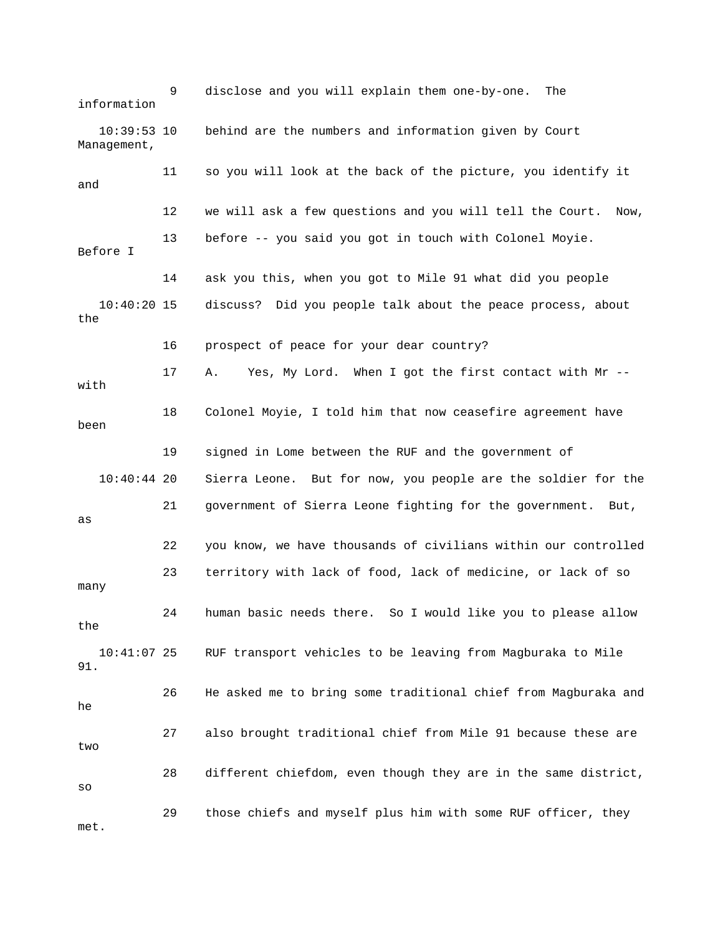9 disclose and you will explain them one-by-one. The 10:39:53 10 behind are the numbers and information given by Court 11 so you will look at the back of the picture, you identify it 12 we will ask a few questions and you will tell the Court. Now, 3 before -- you said you got in touch with Colonel Moyie. Before I 14 ask you this, when you got to Mile 91 what did you people the 16 prospect of peace for your dear country? 17 A. Yes, My Lord. When I got the first contact with Mr -- 19 signed in Lome between the RUF and the government of 21 government of Sierra Leone fighting for the government. But, 22 you know, we have thousands of civilians within our controlled 23 territory with lack of food, lack of medicine, or lack of so 26 He asked me to bring some traditional chief from Magburaka and 27 also brought traditional chief from Mile 91 because these are 28 different chiefdom, even though they are in the same district, 29 those chiefs and myself plus him with some RUF officer, they . metinformation Management, and 1 10:40:20 15 discuss? Did you people talk about the peace process, about with 18 Colonel Moyie, I told him that now ceasefire agreement have been 10:40:44 20 Sierra Leone. But for now, you people are the soldier for the as many 24 human basic needs there. So I would like you to please allow the 10:41:07 25 RUF transport vehicles to be leaving from Magburaka to Mile 91. he two so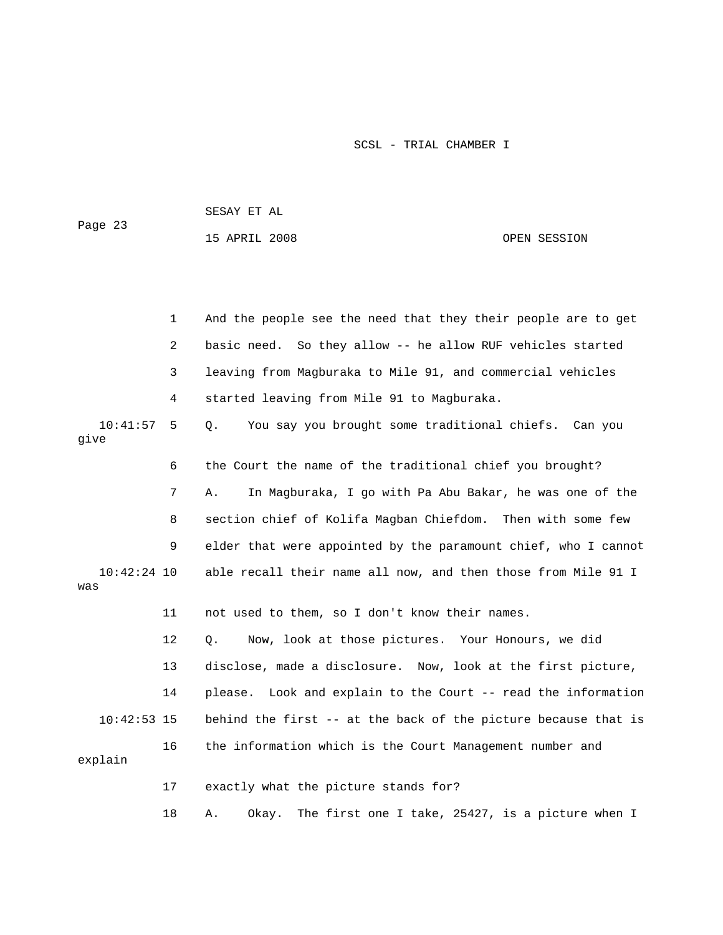| Page 23              |    | SESAY ET AL                                                     |              |  |
|----------------------|----|-----------------------------------------------------------------|--------------|--|
|                      |    | 15 APRIL 2008                                                   | OPEN SESSION |  |
|                      |    |                                                                 |              |  |
|                      |    |                                                                 |              |  |
|                      | 1  | And the people see the need that they their people are to get   |              |  |
|                      | 2  | basic need. So they allow -- he allow RUF vehicles started      |              |  |
|                      | 3  | leaving from Magburaka to Mile 91, and commercial vehicles      |              |  |
|                      | 4  | started leaving from Mile 91 to Magburaka.                      |              |  |
| 10:41:57<br>give     | 5  | You say you brought some traditional chiefs. Can you<br>Q.      |              |  |
|                      | 6  | the Court the name of the traditional chief you brought?        |              |  |
|                      | 7  | Α.<br>In Magburaka, I go with Pa Abu Bakar, he was one of the   |              |  |
|                      | 8  | section chief of Kolifa Magban Chiefdom. Then with some few     |              |  |
|                      | 9  | elder that were appointed by the paramount chief, who I cannot  |              |  |
| $10:42:24$ 10<br>was |    | able recall their name all now, and then those from Mile 91 I   |              |  |
|                      | 11 | not used to them, so I don't know their names.                  |              |  |
|                      | 12 | Now, look at those pictures. Your Honours, we did<br>Q.         |              |  |
|                      | 13 | disclose, made a disclosure. Now, look at the first picture,    |              |  |
|                      | 14 | please. Look and explain to the Court -- read the information   |              |  |
| $10:42:53$ 15        |    | behind the first -- at the back of the picture because that is  |              |  |
| explain              | 16 | the information which is the Court Management number and        |              |  |
|                      | 17 | exactly what the picture stands for?                            |              |  |
|                      | 18 | Okay.<br>The first one I take, 25427, is a picture when I<br>Α. |              |  |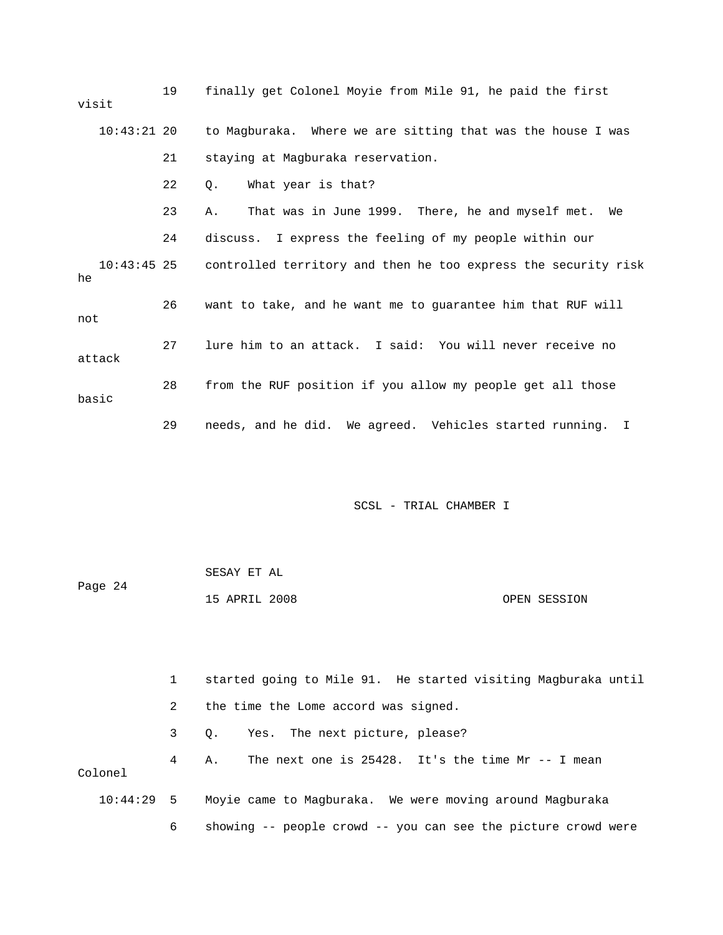| visit  |               | 19 | finally get Colonel Moyie from Mile 91, he paid the first                  |
|--------|---------------|----|----------------------------------------------------------------------------|
|        | $10:43:21$ 20 |    | to Magburaka. Where we are sitting that was the house I was                |
|        |               | 21 | staying at Magburaka reservation.                                          |
|        |               | 22 | What year is that?<br>$\circ$ .                                            |
|        |               | 23 | That was in June 1999. There, he and myself met. We<br>Α.                  |
|        |               | 24 | discuss. I express the feeling of my people within our                     |
| he     |               |    | 10:43:45 25 controlled territory and then he too express the security risk |
| not    |               | 26 | want to take, and he want me to guarantee him that RUF will                |
| attack |               | 27 | lure him to an attack. I said: You will never receive no                   |
| basic  |               | 28 | from the RUF position if you allow my people get all those                 |
|        |               | 29 | needs, and he did. We agreed. Vehicles started running. I                  |

|         | SESAY ET AL   |  |              |
|---------|---------------|--|--------------|
| Page 24 |               |  |              |
|         | 15 APRIL 2008 |  | OPEN SESSION |

|              |                | started going to Mile 91. He started visiting Magburaka until |
|--------------|----------------|---------------------------------------------------------------|
|              | $\mathbf{2}$   | the time the Lome accord was signed.                          |
|              | $3^{\circ}$    | Q. Yes. The next picture, please?                             |
| Colonel      | $\overline{4}$ | The next one is $25428$ . It's the time Mr -- I mean<br>Α.    |
| $10:44:29$ 5 |                | Moyie came to Magburaka. We were moving around Magburaka      |
|              | 6              | showing -- people crowd -- you can see the picture crowd were |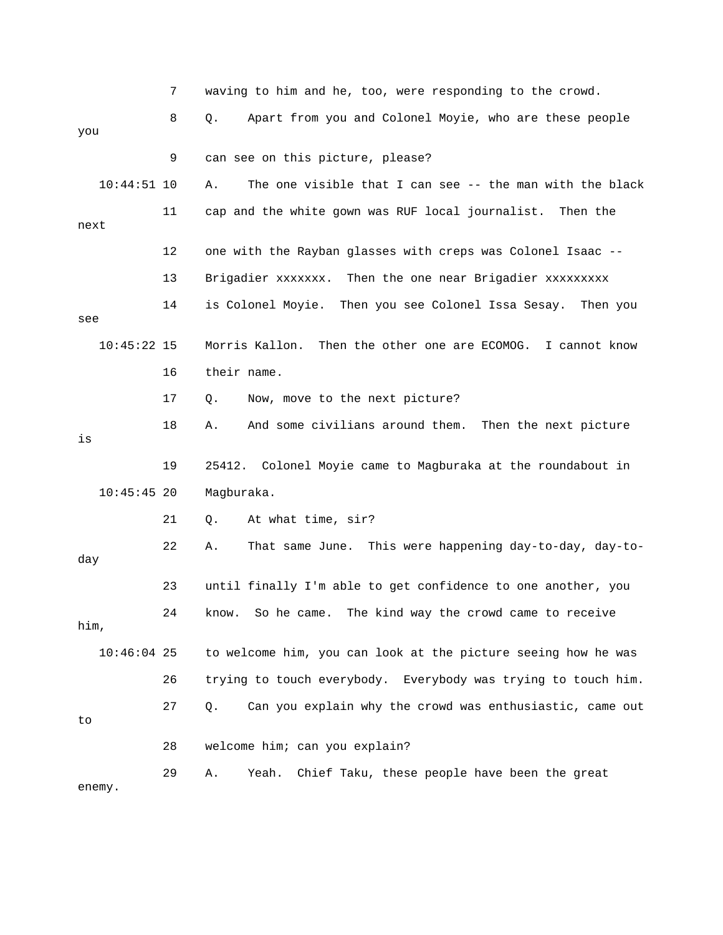|               | 7  | waving to him and he, too, were responding to the crowd.          |
|---------------|----|-------------------------------------------------------------------|
| you           | 8  | Apart from you and Colonel Moyie, who are these people<br>Q.      |
|               | 9  | can see on this picture, please?                                  |
| $10:44:51$ 10 |    | The one visible that I can see -- the man with the black<br>Α.    |
| next          | 11 | cap and the white gown was RUF local journalist. Then the         |
|               | 12 | one with the Rayban glasses with creps was Colonel Isaac --       |
|               | 13 | Brigadier xxxxxxx. Then the one near Brigadier xxxxxxxxx          |
| see           | 14 | is Colonel Moyie.<br>Then you see Colonel Issa Sesay.<br>Then you |
| $10:45:22$ 15 |    | Then the other one are ECOMOG. I cannot know<br>Morris Kallon.    |
|               | 16 | their name.                                                       |
|               | 17 | Q.<br>Now, move to the next picture?                              |
| is            | 18 | And some civilians around them. Then the next picture<br>Α.       |
|               | 19 | 25412. Colonel Moyie came to Magburaka at the roundabout in       |
| $10:45:45$ 20 |    | Magburaka.                                                        |
|               | 21 | At what time, sir?<br>Q.                                          |
| day           | 22 | This were happening day-to-day, day-to-<br>That same June.<br>Α.  |
|               | 23 | until finally I'm able to get confidence to one another, you      |
| him,          | 24 | know. So he came. The kind way the crowd came to receive          |
|               |    |                                                                   |
| $10:46:04$ 25 |    | to welcome him, you can look at the picture seeing how he was     |
|               | 26 | trying to touch everybody. Everybody was trying to touch him.     |
| to            | 27 | Can you explain why the crowd was enthusiastic, came out<br>О.    |
|               | 28 | welcome him; can you explain?                                     |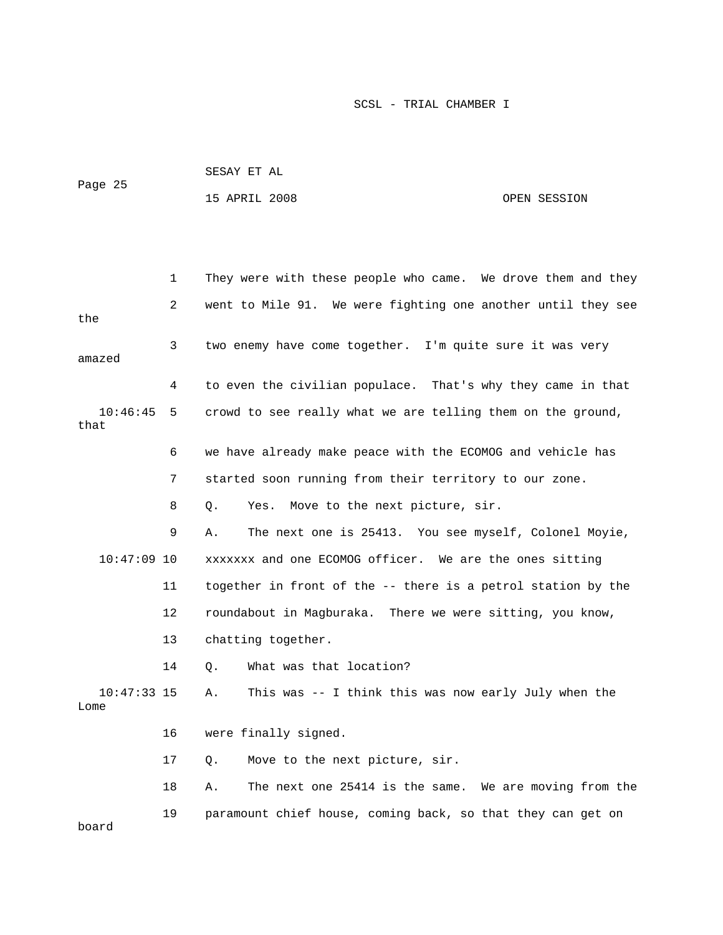| Page 25 | SESAY ET AL   |              |
|---------|---------------|--------------|
|         | 15 APRIL 2008 | OPEN SESSION |

 1 They were with these people who came. We drove them and they 2 went to Mile 91. We were fighting one another until they see 3 two enemy have come together. I'm quite sure it was very amazed 10:46:45 5 crowd to see really what we are telling them on the ground, 6 we have already make peace with the ECOMOG and vehicle has 7 started soon running from their territory to our zone. 10:47:09 10 xxxxxxx and one ECOMOG officer. We are the ones sitting 11 together in front of the -- there is a petrol station by the 12 roundabout in Magburaka. There we were sitting, you know, 13 chatting together. 10:47:33 15 A. This was -- I think this was now early July when the 17 Q. Move to the next picture, sir. 18 A. The next one 25414 is the same. We are moving from the the 4 to even the civilian populace. That's why they came in that that 8 Q. Yes. Move to the next picture, sir. 9 A. The next one is 25413. You see myself, Colonel Moyie, 14 Q. What was that location? Lome 16 were finally signed. 19 paramount chief house, coming back, so that they can get on board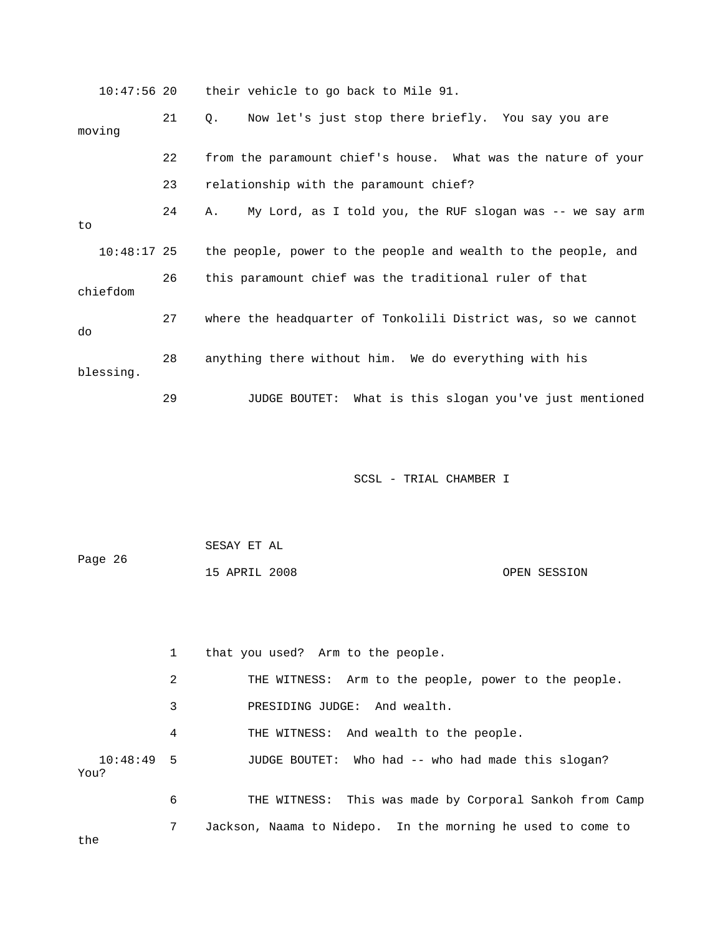10:47:56 20 their vehicle to go back to Mile 91. 21 Q. Now let's just stop there briefly. You say you are 22 from the paramount chief's house. What was the nature of your 23 relationship with the paramount chief? 24 A. My Lord, as I told you, the RUF slogan was -- we say arm the people, power to the people and wealth to the people, and chiefdom 27 where the headquarter of Tonkolili District was, so we cannot 28 anything there without him. We do everything with his 29 JUDGE BOUTET: What is this slogan you've just mentioned moving to  $10:48:17$  25 26 this paramount chief was the traditional ruler of that do blessing. SCSL - TRIAL CHAMBER I

 SESAY ET AL Page 26 15 APRIL 2008 OPEN SESSION

 1 that you used? Arm to the people. 2 THE WITNESS: Arm to the people, power to the people. 4 THE WITNESS: And wealth to the people. 10:48:49 5 JUDGE BOUTET: Who had -- who had made this slogan? p 6 THE WITNESS: This was made by Corporal Sankoh from Cam 7 Jackson, Naama to Nidepo. In the morning he used to come to 3 PRESIDING JUDGE: And wealth. You?

the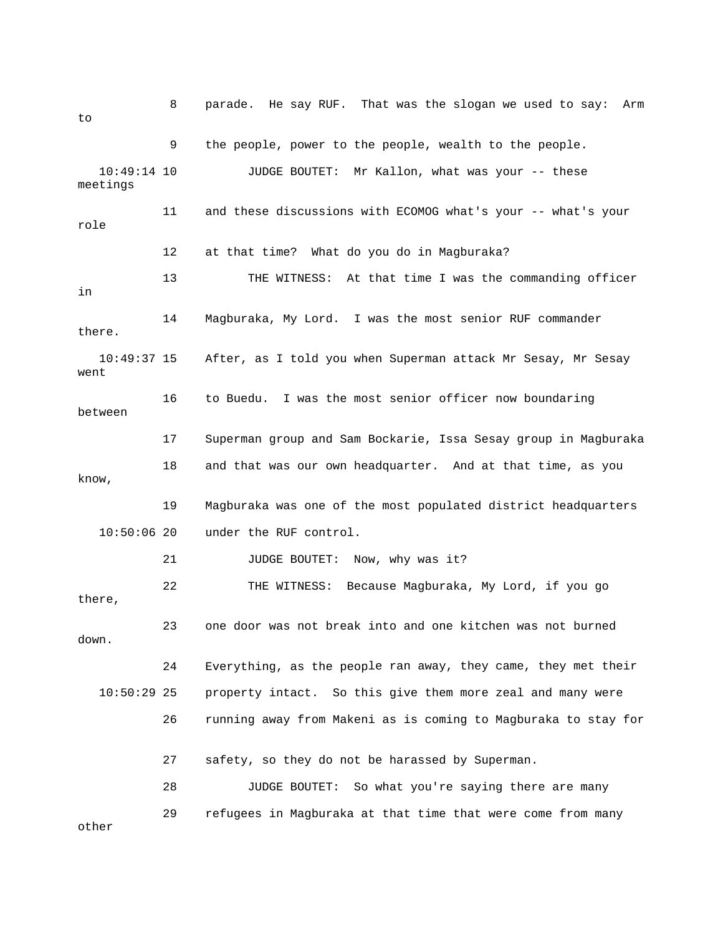8 parade. He say RUF. That was the slogan we used to say: Arm to 10:49:14 10 JUDGE BOUTET: Mr Kallon, what was your -- these 11 and these discussions with ECOMOG what's your -- what's your 12 at that time? What do you do in Magburaka? 13 THE WITNESS: At that time I was the commanding officer 14 Magburaka, My Lord. I was the most senior RUF commander 10:49:37 15 After, as I told you when Superman attack Mr Sesay, Mr Sesay between 17 Superman group and Sam Bockarie, Issa Sesay group in Magburaka 18 and that was our own headquarter. And at that time, as you 19 Magburaka was one of the most populated district headquarters under the RUF control. down. 24 Everything, as the people ran away, they came, they met their 10:50:29 25 property intact. So this give them more zeal and many were 26 running away from Makeni as is coming to Magburaka to stay for 27 safety, so they do not be harassed by Superman. 9 the people, power to the people, wealth to the people. meetings role in there. went 16 to Buedu. I was the most senior officer now boundaring know, 10:50:06 20 21 JUDGE BOUTET: Now, why was it? 22 THE WITNESS: Because Magburaka, My Lord, if you go there, 23 one door was not break into and one kitchen was not burned 28 JUDGE BOUTET: So what you're saying there are many 29 refugees in Magburaka at that time that were come from many other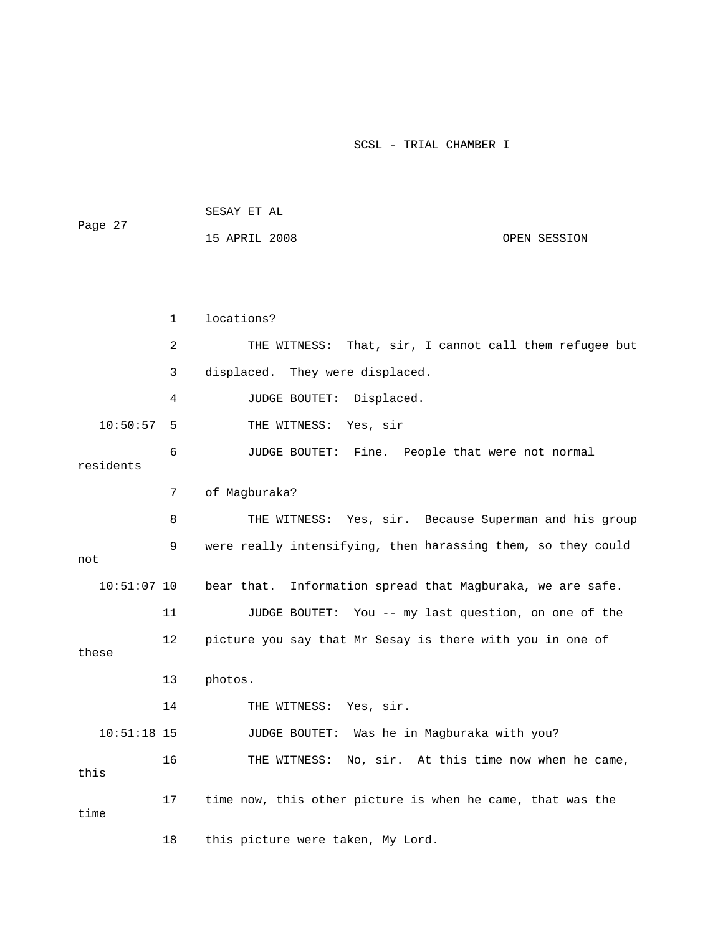| Page 27       |              | SESAY ET AL                                                  |
|---------------|--------------|--------------------------------------------------------------|
|               |              | 15 APRIL 2008<br>OPEN SESSION                                |
|               |              |                                                              |
|               |              |                                                              |
|               | $\mathbf{1}$ | locations?                                                   |
|               | 2            | That, sir, I cannot call them refugee but<br>THE WITNESS:    |
|               | 3            | displaced. They were displaced.                              |
|               | 4            | JUDGE BOUTET:<br>Displaced.                                  |
| 10:50:57      | 5            | THE WITNESS: Yes, sir                                        |
| residents     | 6            | JUDGE BOUTET: Fine. People that were not normal              |
|               | 7            | of Magburaka?                                                |
|               | 8            | THE WITNESS: Yes, sir. Because Superman and his group        |
| not           | 9            | were really intensifying, then harassing them, so they could |
| $10:51:07$ 10 |              | bear that. Information spread that Magburaka, we are safe.   |
|               | 11           |                                                              |
|               |              | JUDGE BOUTET: You -- my last question, on one of the         |
| these         | 12           | picture you say that Mr Sesay is there with you in one of    |
|               | 13           | photos.                                                      |
|               | 14           | THE WITNESS: Yes, sir.                                       |
| $10:51:18$ 15 |              | JUDGE BOUTET: Was he in Magburaka with you?                  |
| this          | 16           | THE WITNESS: No, sir. At this time now when he came,         |
| time          | 17           | time now, this other picture is when he came, that was the   |
|               | 18           | this picture were taken, My Lord.                            |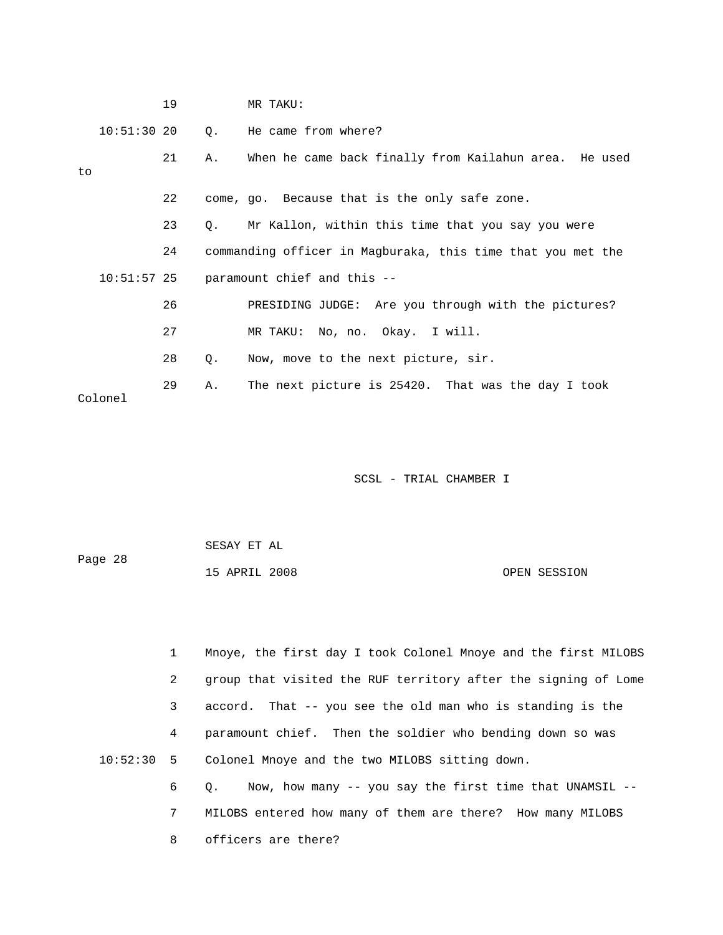|    |               | 19 |           | MR TAKU:                                                    |
|----|---------------|----|-----------|-------------------------------------------------------------|
|    | $10:51:30$ 20 |    |           | 0. He came from where?                                      |
| to |               | 21 | Α.        | When he came back finally from Kailahun area. He used       |
|    |               | 22 |           | come, go. Because that is the only safe zone.               |
|    |               | 23 | $\circ$ . | Mr Kallon, within this time that you say you were           |
|    |               | 24 |           | commanding officer in Magburaka, this time that you met the |
|    | $10:51:57$ 25 |    |           | paramount chief and this --                                 |
|    |               | 26 |           | PRESIDING JUDGE: Are you through with the pictures?         |
|    |               | 27 |           | MR TAKU: No, no. Okay. I will.                              |
|    |               | 28 | Q.        | Now, move to the next picture, sir.                         |
|    | Colonel       | 29 | Α.        | The next picture is 25420. That was the day I took          |

| Page 28 | SESAY ET AL   |  |              |
|---------|---------------|--|--------------|
|         | 15 APRIL 2008 |  | OPEN SESSION |

 1 Mnoye, the first day I took Colonel Mnoye and the first MILOBS 2 group that visited the RUF territory after the signing of Lome 3 accord. That -- you see the old man who is standing is the 4 paramount chief. Then the soldier who bending down so was 10:52:30 5 Colonel Mnoye and the two MILOBS sitting down. 6 Q. Now, how many -- you say the first time that UNAMSIL --

> 7 MILOBS entered how many of them are there? How many MILOBS 8 officers are there?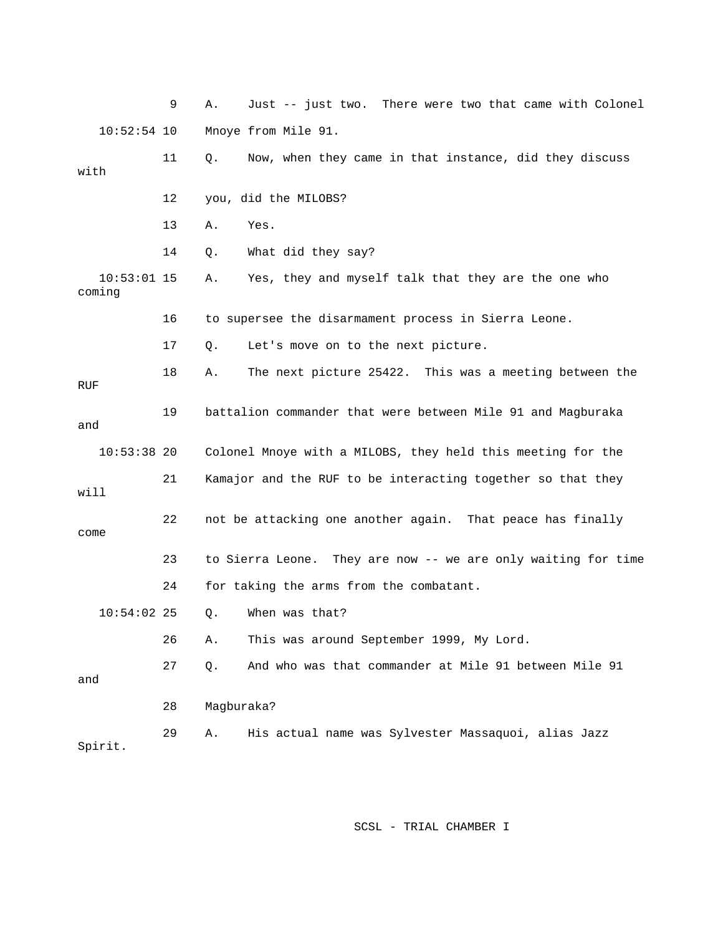9 A. Just -- just two. There were two that ca me with Colonel 10:52:54 10 Mnoye from Mile 91. 11 Q. Now, when they came in that instance, did they discuss 14 Q. What did they say? 16 to supersee the disarmament process in Sierra Leone. 17 Q. Let's move on to the next picture. 18 A. The next picture 25422. This was a meeting between the 19 battalion commander that were between Mile 91 and Magburaka 10:53:38 20 Colonel Mnoye with a MILOBS, they held this meeting for the 21 Kamajor and the RUF to be interacting together so that they 22 not be attacking one another again. That peace has finally 23 to Sierra Leone. They are now -- we are only waiting for time 0. When was that? 27 Q. And who was that commander at Mile 91 between Mile 91 29 A. His actual name was Sylvester Massaquoi, alias Jazz with 12 you, did the MILOBS? 13 A. Yes. 10:53:01 15 A. Yes, they and myself talk that they are the one who coming RUF and will come 24 for taking the arms from the combatant.  $10:54:02$  25 26 A. This was around September 1999, My Lord. and 28 Magburaka? Spirit.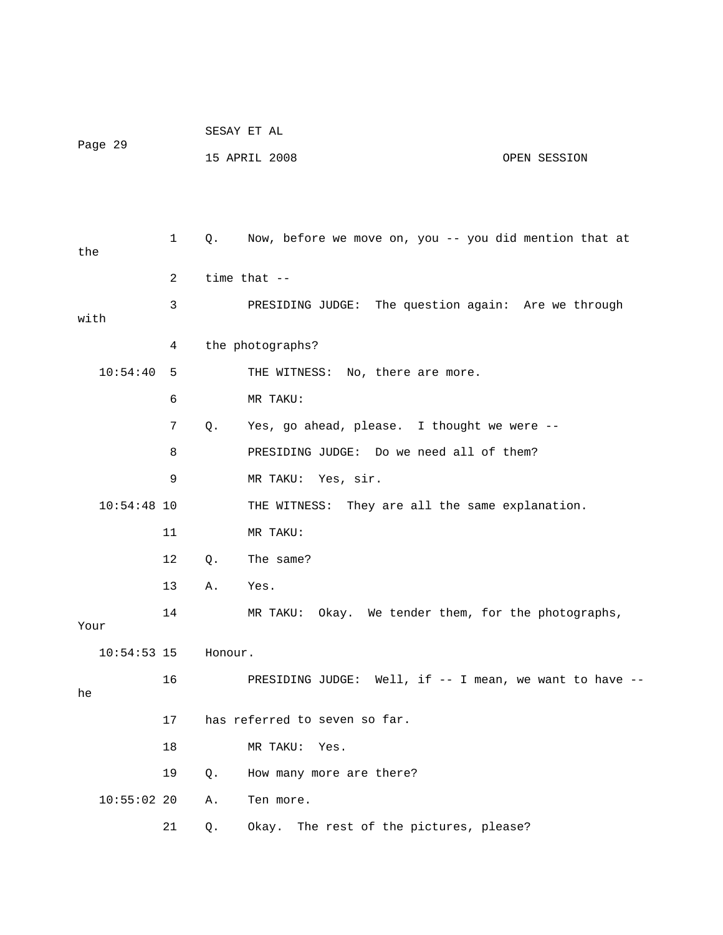|      |               |              | SESAY ET AL |                                                         |              |  |
|------|---------------|--------------|-------------|---------------------------------------------------------|--------------|--|
|      | Page 29       |              |             | 15 APRIL 2008                                           | OPEN SESSION |  |
|      |               |              |             |                                                         |              |  |
|      |               |              |             |                                                         |              |  |
| the  |               | $\mathbf{1}$ | Q.          | Now, before we move on, you -- you did mention that at  |              |  |
|      |               | 2            |             | time that $-$                                           |              |  |
| with |               | 3            |             | PRESIDING JUDGE: The question again: Are we through     |              |  |
|      |               | 4            |             | the photographs?                                        |              |  |
|      | 10:54:40      | 5            |             | THE WITNESS: No, there are more.                        |              |  |
|      |               | 6            |             | MR TAKU:                                                |              |  |
|      |               | 7            | Q.          | Yes, go ahead, please. I thought we were --             |              |  |
|      |               | 8            |             | PRESIDING JUDGE: Do we need all of them?                |              |  |
|      |               | 9            |             | MR TAKU: Yes, sir.                                      |              |  |
|      | $10:54:48$ 10 |              |             | THE WITNESS: They are all the same explanation.         |              |  |
|      |               | 11           |             | MR TAKU:                                                |              |  |
|      |               | 12           | Q.          | The same?                                               |              |  |
|      |               | 13           | Α.          | Yes.                                                    |              |  |
| Your |               | 14           |             | Okay. We tender them, for the photographs,<br>MR TAKU:  |              |  |
|      | $10:54:53$ 15 |              | Honour.     |                                                         |              |  |
| he   |               | 16           |             | PRESIDING JUDGE: Well, if -- I mean, we want to have -- |              |  |
|      |               | 17           |             | has referred to seven so far.                           |              |  |
|      |               | 18           |             | MR TAKU:<br>Yes.                                        |              |  |
|      |               | 19           | Q.          | How many more are there?                                |              |  |
|      | 10:55:0220    |              | Α.          | Ten more.                                               |              |  |
|      |               | 21           | Q.          | Okay. The rest of the pictures, please?                 |              |  |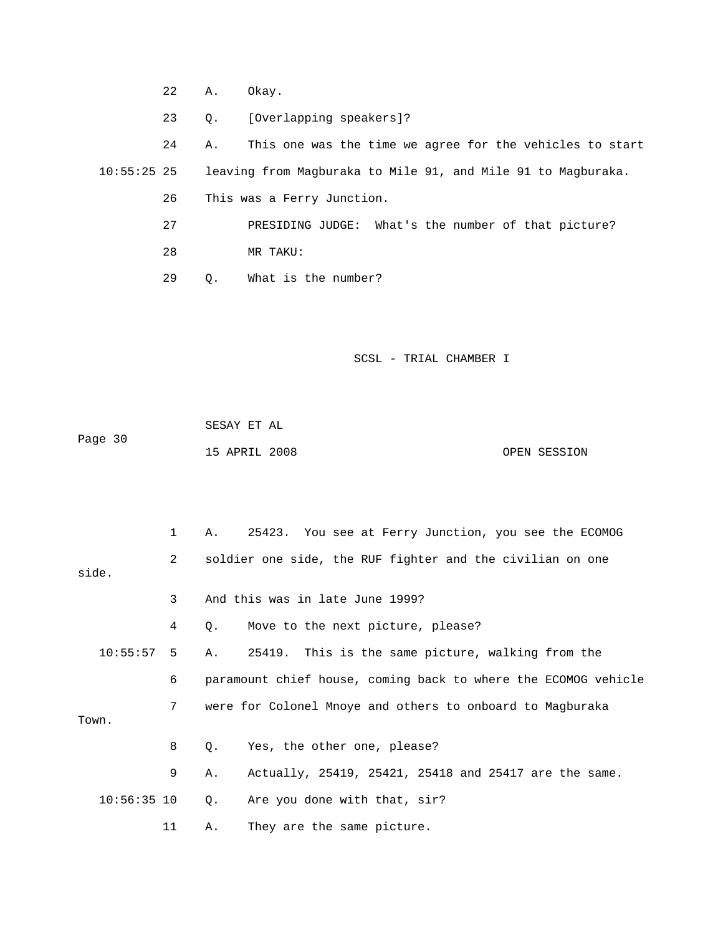22 A. Okay.

23 Q. [Overlapping speakers]?

24 A. This one was the time we agree for the vehicles to start 10:55:25 25 leaving from Magburaka to Mile 91, and Mile 91 to Magburaka. 26 This was a Ferry Junction.

NG JUDGE: What's the number of that picture? 27 PRESIDI 28 MR TAKU:

29 Q. What is the number?

SCSL - TRIAL CHAMBER I

 SESAY ET AL Page 30 15 APRIL 2008 OPEN SESSION

 1 A. 25423. You see at Ferry Junction, you see the ECOMOG 2 soldier one side, the RUF fighter and the civilian on one 4 Q. Move to the next picture, please? 10:55:57 5 A. 25419. This is the same picture, walking from the e 6 paramount chief house, coming back to where the ECOMOG vehicl 9 A. Actually, 25419, 25421, 25418 and 25417 are the same. side. 3 And this was in late June 1999? 7 were for Colonel Mnoye and others to onboard to Magburaka Town. 8 Q. Yes, the other one, please? 10:56:35 10 Q. Are you done with that, sir? 11 A. They are the same picture.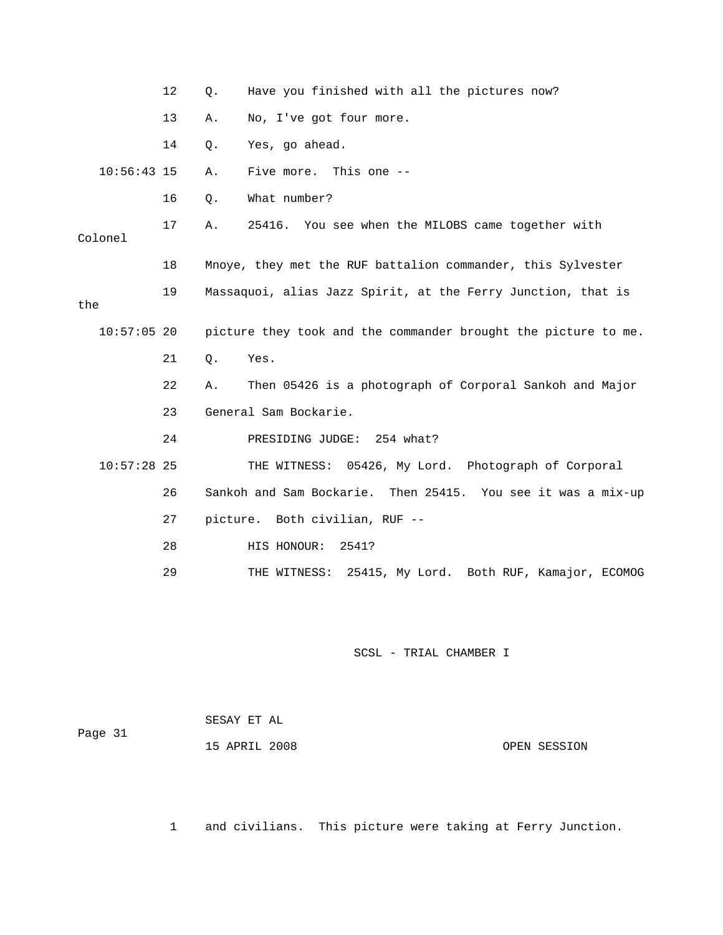|               | 12 | Have you finished with all the pictures now?<br>Q.             |
|---------------|----|----------------------------------------------------------------|
|               | 13 | No, I've got four more.<br>Α.                                  |
|               | 14 | Yes, go ahead.<br>Q.                                           |
| $10:56:43$ 15 |    | Five more. This one --<br>Α.                                   |
|               | 16 | What number?<br>$Q$ .                                          |
| Colonel       | 17 | 25416. You see when the MILOBS came together with<br>Α.        |
|               | 18 | Mnoye, they met the RUF battalion commander, this Sylvester    |
| the           | 19 | Massaquoi, alias Jazz Spirit, at the Ferry Junction, that is   |
| $10:57:05$ 20 |    | picture they took and the commander brought the picture to me. |
|               | 21 | Yes.<br>Q.                                                     |
|               | 22 | Then 05426 is a photograph of Corporal Sankoh and Major<br>Α.  |
|               | 23 | General Sam Bockarie.                                          |
|               | 24 | PRESIDING JUDGE: 254 what?                                     |
| $10:57:28$ 25 |    | THE WITNESS: 05426, My Lord. Photograph of Corporal            |
|               | 26 | Sankoh and Sam Bockarie. Then 25415. You see it was a mix-up   |
|               | 27 | picture. Both civilian, RUF --                                 |
|               | 28 | HIS HONOUR:<br>2541?                                           |
|               | 29 | THE WITNESS:<br>25415, My Lord. Both RUF, Kamajor, ECOMOG      |
|               |    |                                                                |

| Page 31 | SESAY ET AL   |              |
|---------|---------------|--------------|
|         | 15 APRIL 2008 | OPEN SESSION |

1 and civilians. This picture were taking at Ferry Junction.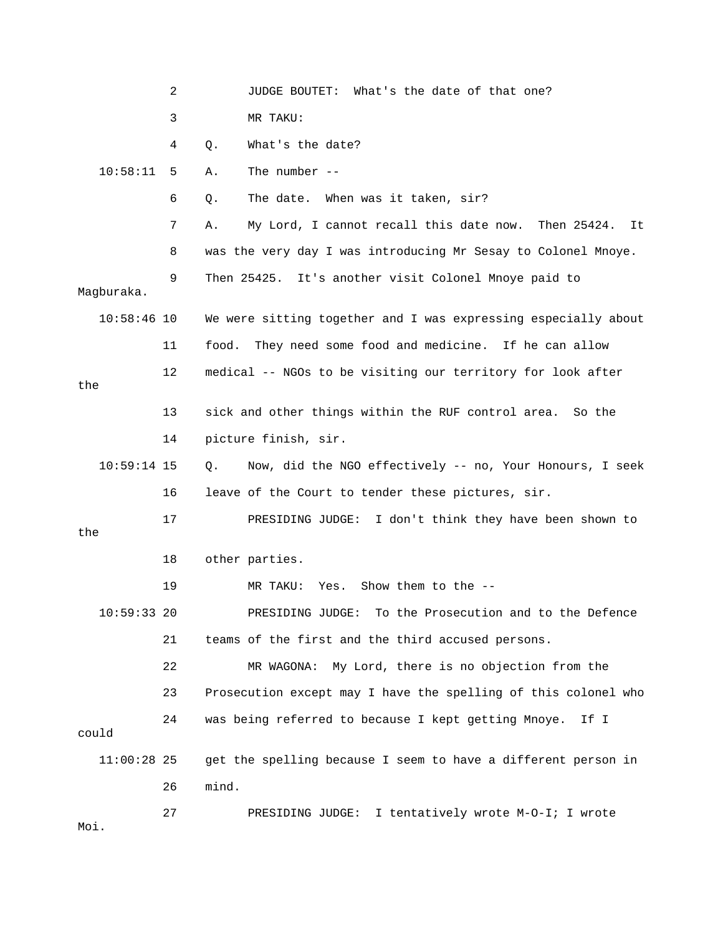2 JUDGE BOUTET: What's the date of that one? 3 MR TAKU: 4 Q. What's the date? 10:58:11 5 A. The number -- 6 Q. The date. When was it taken, sir? 7 A. My Lord, I cannot recall this date now. Then 25424. It 8 was the very day I was introducing Mr Sesay to Colonel Mnoye. 9 Then 25425. It's another visit Colonel Mnoye paid to 10:58:46 10 We were sitting together and I was expressing especially about 11 food. They need some food and medicine. If he can allow 13 sick and other things within the RUF control area. So the 14 picture finish, sir. 19 MR TAKU: Yes. Show them to the -- 23 Prosecution except may I have the spelling of this colonel who 24 was being referred to because I kept getting Mnoye. If I could 11:00:28 25 get the spelling because I seem to have a different person in 27 PRESIDING JUDGE: I tentatively wrote M-O-I; I wrote Magburaka. 12 medical -- NGOs to be visiting our territory for look after the 10:59:14 15 Q. Now, did the NGO effectively -- no, Your Honours, I seek 16 leave of the Court to tender these pictures, sir. 17 PRESIDING JUDGE: I don't think they have been shown to the 18 other parties. 10:59:33 20 PRESIDING JUDGE: To the Prosecution and to the Defence 21 teams of the first and the third accused persons. 22 MR WAGONA: My Lord, there is no objection from the 26 mind. Moi.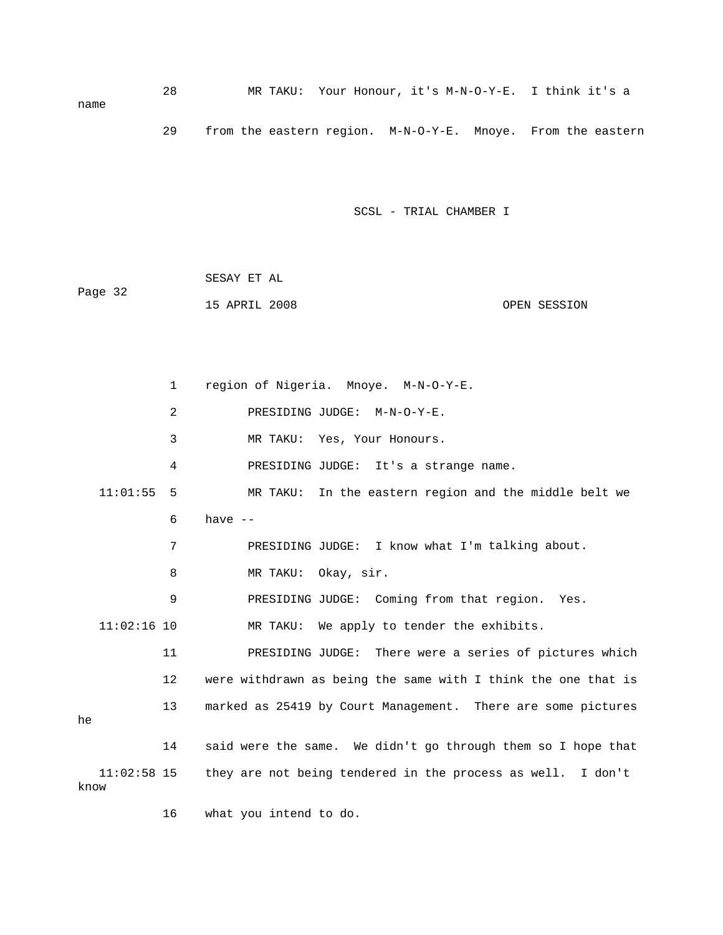28 MR TAKU: Your Honour, it's M-N-O-Y-E. I think it's a name 29 from the eastern region. M-N-O-Y-E. Mnoye. From the eastern

SCSL - TRIAL CHAMBER I

 SESAY ET AL 15 APRIL 2008 OPEN SESSION Page 32

 1 region of Nigeria. Mnoye. M-N-O-Y-E. 2 PRESIDING JUDGE: M-N-O-Y-E. 11:01:55 5 MR TAKU: In the eastern region and the middle belt we 6 have -- 7 PRESIDING JUDGE: I know what I'm talking about. 9 PRESIDING JUDGE: Coming from that region. Yes. 11:02:16 10 MR TAKU: We apply to tender the exhibits. 12 were withdrawn as being the same with I think the one that is 13 marked as 25419 by Court Management. There are some pictures 14 said were the same. We didn't go through them so I hope that 11:02:58 15 they are not being tendered in the process as well. I don't 3 MR TAKU: Yes, Your Honours. 4 PRESIDING JUDGE: It's a strange name. 8 MR TAKU: Okay, sir. 11 PRESIDING JUDGE: There were a series of pictures which he know

16 what you intend to do.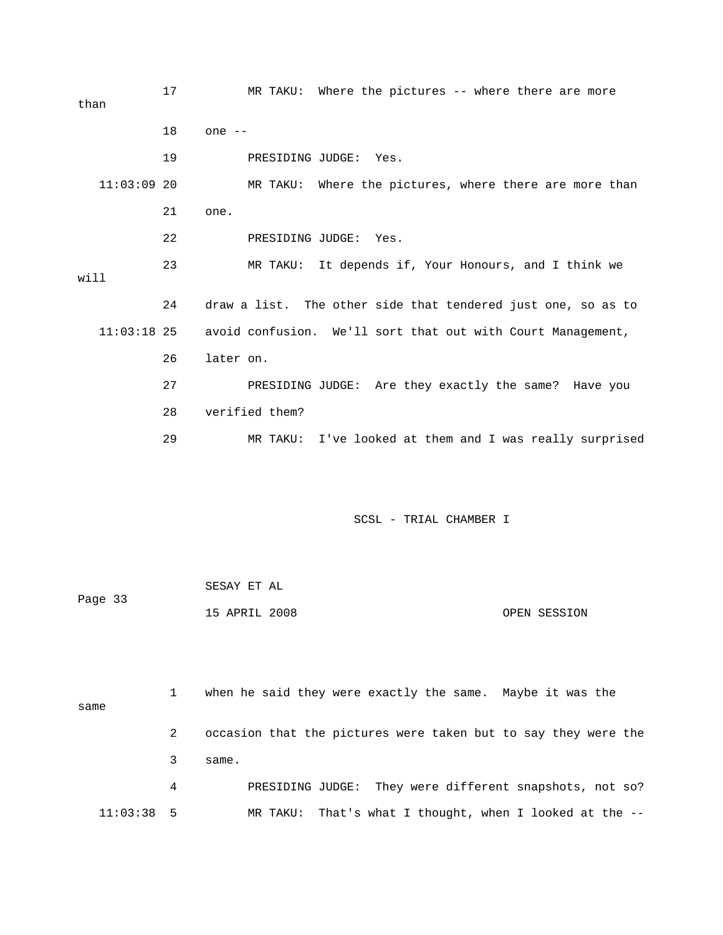17 MR TAKU: Where the pictures -- where there are more 18 one -- 19 PRESIDING JUDGE: Yes. MR TAKU: Where the pictures, where there are more than MR TAKU: It depends if, Your Honours, and I think we 24 draw a list. The other side that tendered just one, so as to 26 later on. ey exactly the same? Have you 27 PRESIDING JUDGE: Are th 29 MR TAKU: I've looked at them and I was really surprised than  $11:03:09$  20 21 one. 22 PRESIDING JUDGE: Yes. 23 M will 11:03:18 25 avoid confusion. We'll sort that out with Court Management, 28 verified them?

## SCSL - TRIAL CHAMBER I

Page 33 15 APRIL 2008 OPEN SESSION SESAY ET AL

 1 when he said they were exactly the same. Maybe it was the same 2 occasion that the pictures were taken but to say they were the 4 PRESIDING JUDGE: They were different snapshots, not so? 11:03:38 5 MR TAKU: That's what I thought, when I looked at the -- 3 same.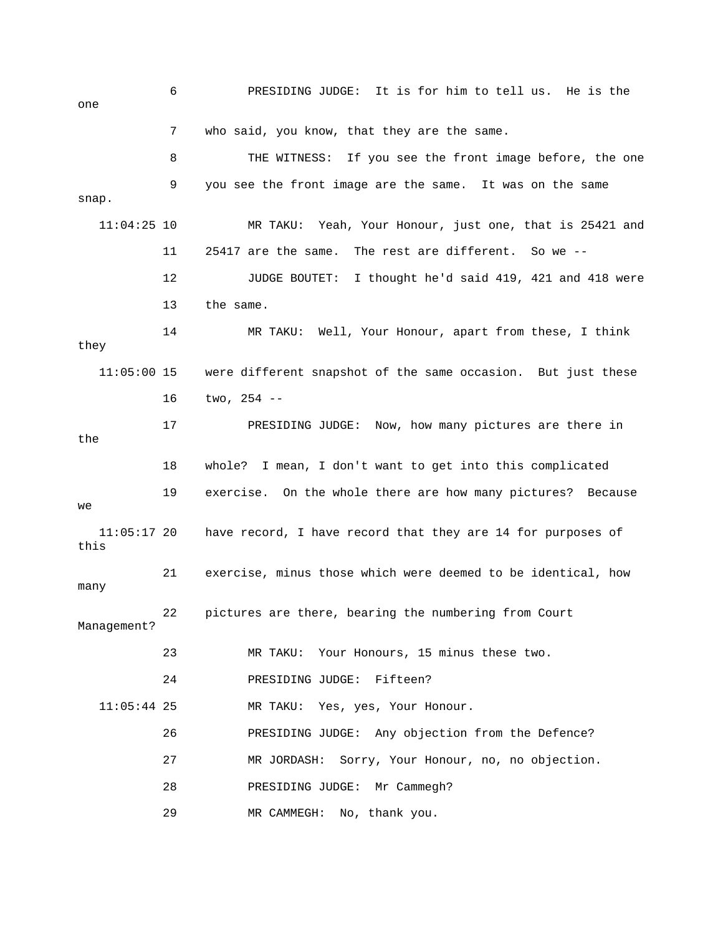6 PRESIDING JUDGE: It is for him to tell us. He is the one THE WITNESS: If you see the front image before, the one  ${\tt snap.}$ d 11:04:25 10 MR TAKU: Yeah, Your Honour, just one, that is 25421 an 11 25417 are the same. The rest are different. So we -- 12 JUDGE BOUTET: I thought he'd said 419, 421 and 418 were 14 MR TAKU: Well, Your Honour, apart from these, I think the 18 whole? I mean, I don't want to get into this complicated 19 exercise. On the whole there are how many pictures? Because 11:05:17 20 have record, I have record that they are 14 for purposes of 23 MR TAKU: Your Honours, 15 minus these two. MR TAKU: Yes, yes, Your Honour. 26 PRESIDING JUDGE: Any objection from the Defence? 27 MR JORDASH: Sorry, Your Honour, no, no objection. 28 PRESIDING JUDGE: Mr Cammegh? 29 MR CAMMEGH: No, thank you. 7 who said, you know, that they are the same. 8 T 9 you see the front image are the same. It was on the same 13 the same. they 11:05:00 15 were different snapshot of the same occasion. But just these 16 two, 254 -- 17 PRESIDING JUDGE: Now, how many pictures are there in we this 21 exercise, minus those which were deemed to be identical, how many 22 pictures are there, bearing the numbering from Court Management? 24 PRESIDING JUDGE: Fifteen?  $11:05:44$  25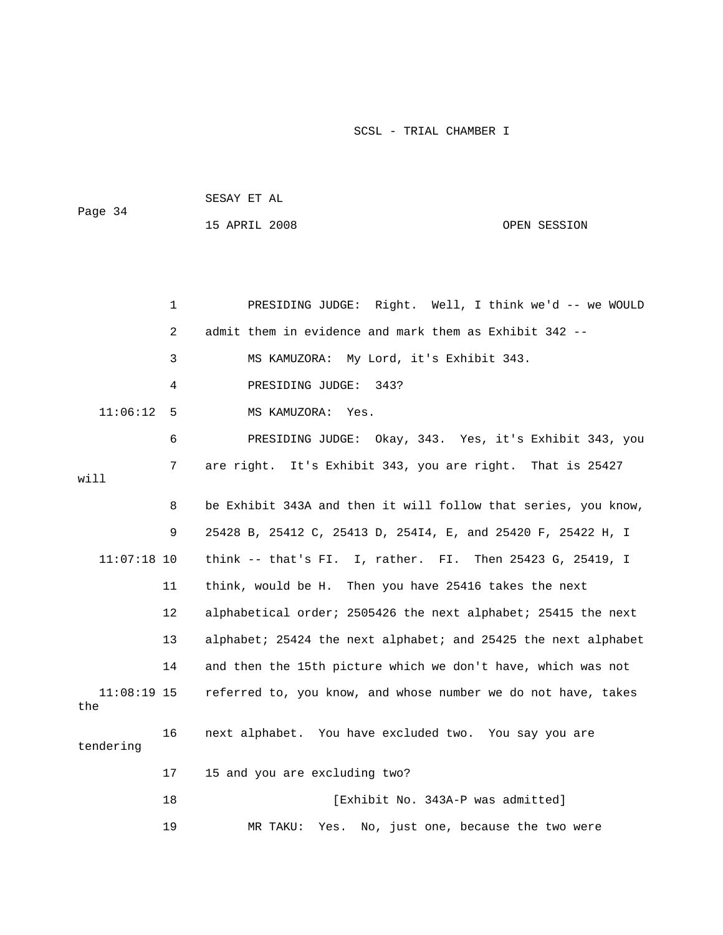```
 SESAY ET AL 
Page 34
           15 APRIL 2008 OPEN SESSION
```

|                      | $\mathbf 1$ | PRESIDING JUDGE: Right. Well, I think we'd -- we WOULD         |
|----------------------|-------------|----------------------------------------------------------------|
|                      | 2           | admit them in evidence and mark them as Exhibit 342 --         |
|                      | 3           | MS KAMUZORA: My Lord, it's Exhibit 343.                        |
|                      | 4           | PRESIDING JUDGE:<br>343?                                       |
| 11:06:12             | 5           | MS KAMUZORA:<br>Yes.                                           |
|                      | 6           | PRESIDING JUDGE: Okay, 343. Yes, it's Exhibit 343, you         |
| will                 | 7           | It's Exhibit 343, you are right. That is 25427<br>are right.   |
|                      | 8           | be Exhibit 343A and then it will follow that series, you know, |
|                      | 9           | 25428 B, 25412 C, 25413 D, 25414, E, and 25420 F, 25422 H, I   |
| $11:07:18$ 10        |             | think -- that's FI. I, rather. FI. Then 25423 G, 25419, I      |
|                      | 11          | think, would be H. Then you have 25416 takes the next          |
|                      | 12          | alphabetical order; 2505426 the next alphabet; 25415 the next  |
|                      | 13          | alphabet; 25424 the next alphabet; and 25425 the next alphabet |
|                      | 14          | and then the 15th picture which we don't have, which was not   |
| $11:08:19$ 15<br>the |             | referred to, you know, and whose number we do not have, takes  |
| tendering            | 16          | next alphabet. You have excluded two. You say you are          |
|                      | 17          | 15 and you are excluding two?                                  |
|                      | 18          | [Exhibit No. 343A-P was admitted]                              |
|                      | 19          | No, just one, because the two were<br>MR TAKU:<br>Yes.         |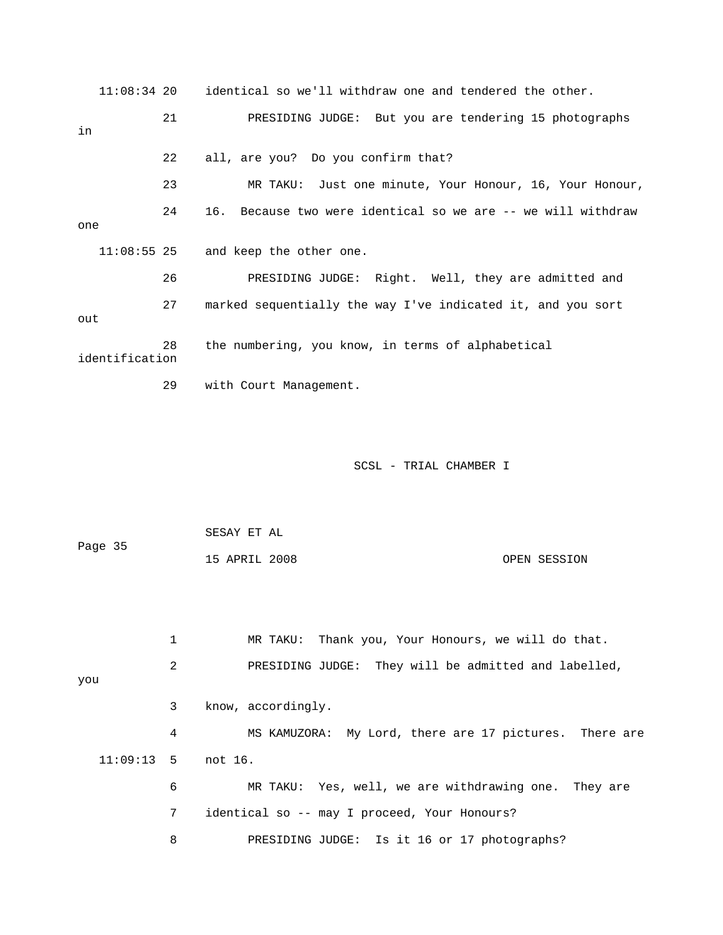11:08:34 20 identical so we'll withdraw one and tendered the other. 21 PRESIDING JUDGE: But you are tendering 15 photographs 22 all, are you? Do you confirm that? ur Honour, 23 MR TAKU: Just one minute, Your Honour, 16, Yo 24 16. Because two were identical so we are -- we will withdraw 27 marked sequentially the way I've indicated it, and you sort identification 29 with Court Management. in one 11:08:55 25 and keep the other one. 26 PRESIDING JUDGE: Right. Well, they are admitted and out 28 the numbering, you know, in terms of alphabetical

SCSL - TRIAL CHAMBER I

 SESAY ET AL 15 APRIL 2008 OPEN SESSION Page 35

 1 MR TAKU: Thank you, Your Honours, we will do that. 2 PRESIDING JUDGE: They will be admitted and labelled, you 4 MS KAMUZORA: My Lord, there are 17 pictures. There are 11:09:13 5 not 16. 6 MR TAKU: Yes, well, we are withdrawing one. They are 7 identical so -- may I proceed, Your Honours? 8 PRESIDING JUDGE: Is it 16 or 17 photographs? 3 know, accordingly.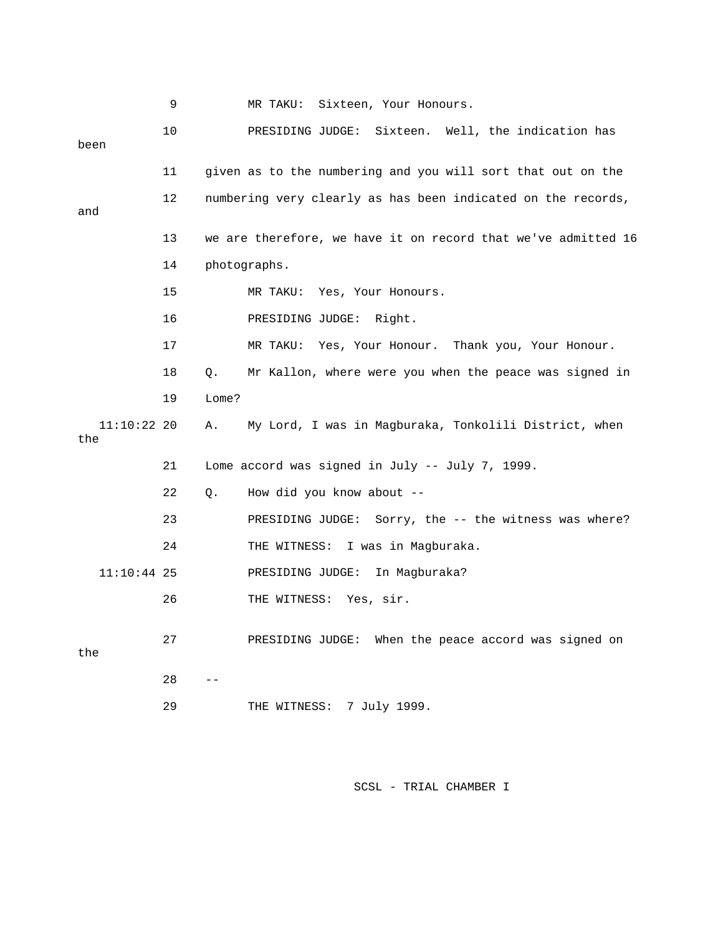|                      | 9  | Sixteen, Your Honours.<br>MR TAKU:                            |
|----------------------|----|---------------------------------------------------------------|
| been                 | 10 | Sixteen. Well, the indication has<br>PRESIDING JUDGE:         |
|                      | 11 | given as to the numbering and you will sort that out on the   |
|                      | 12 | numbering very clearly as has been indicated on the records,  |
| and                  |    |                                                               |
|                      | 13 | we are therefore, we have it on record that we've admitted 16 |
|                      | 14 | photographs.                                                  |
|                      | 15 | MR TAKU:<br>Yes, Your Honours.                                |
|                      | 16 | PRESIDING JUDGE:<br>Right.                                    |
|                      | 17 | MR TAKU: Yes, Your Honour. Thank you, Your Honour.            |
|                      | 18 | Mr Kallon, where were you when the peace was signed in<br>Q.  |
|                      | 19 | Lome?                                                         |
| $11:10:22$ 20<br>the |    | My Lord, I was in Magburaka, Tonkolili District, when<br>Α.   |
|                      | 21 | Lome accord was signed in July -- July 7, 1999.               |
|                      | 22 | How did you know about --<br>Q.                               |
|                      | 23 | PRESIDING JUDGE: Sorry, the -- the witness was where?         |
|                      | 24 | I was in Magburaka.<br>THE WITNESS:                           |
| $11:10:44$ 25        |    | PRESIDING JUDGE:<br>In Magburaka?                             |
|                      | 26 | THE WITNESS: Yes, sir.                                        |
| the                  | 27 | PRESIDING JUDGE: When the peace accord was signed on          |
|                      | 28 |                                                               |
|                      | 29 | 7 July 1999.<br>THE WITNESS:                                  |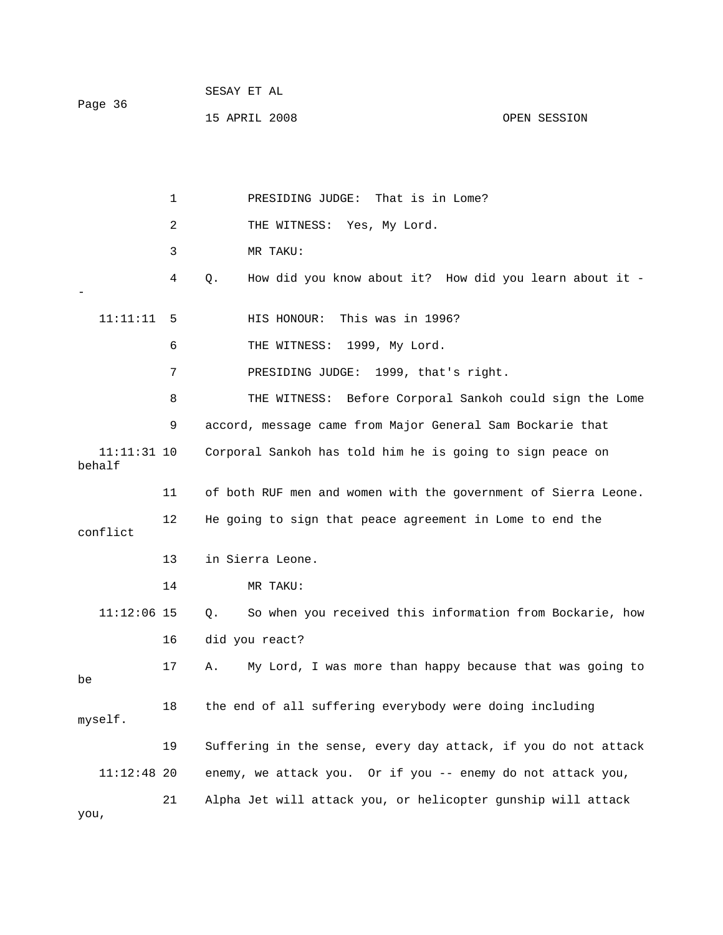| Page 36 | SESAY ET AL   |              |
|---------|---------------|--------------|
|         | 15 APRIL 2008 | OPEN SESSION |

 2 THE WITNESS: Yes, My Lord. 3 MR TAKU: 4 Q. How did you know about it? How did you learn about it - 11:11:11 5 HIS HONOUR: This was in 1996? 6 THE WITNESS: 1999, My Lord. 7 PRESIDING JUDGE: 1999, that's right. 8 THE WITNESS: Before Corporal Sankoh could sign the Lome 9 accord, message came from Major General Sam Bockarie that 11 of both RUF men and women with the government of Sierra Leone. 12 He going to sign that peace agreement in Lome to end the conflict 13 in Sierra Leone. 11:12:06 15 Q. So when you received this information from Bockarie, how 16 did you react? myself. 19 Suffering in the sense, every day attack, if you do not attack 11:12:48 20 enemy, we attack you. Or if you -- enemy do not attack you, 21 Alpha Jet will attack you, or helicopter gunship will attack 1 PRESIDING JUDGE: That is in Lome? - 11:11:31 10 Corporal Sankoh has told him he is going to sign peace on behalf 14 MR TAKU: 17 A. My Lord, I was more than happy because that was going to be 18 the end of all suffering everybody were doing including you,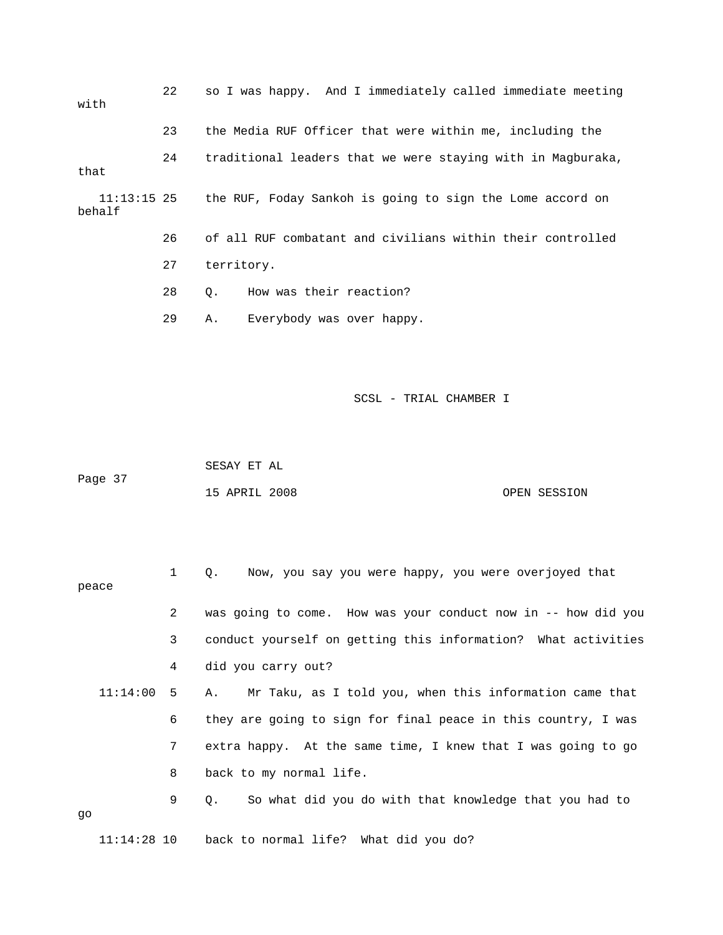| with                    | 22                                                        | so I was happy. And I immediately called immediate meeting  |  |  |
|-------------------------|-----------------------------------------------------------|-------------------------------------------------------------|--|--|
|                         | 23                                                        | the Media RUF Officer that were within me, including the    |  |  |
| that                    | 24                                                        | traditional leaders that we were staying with in Magburaka, |  |  |
| $11:13:15$ 25<br>behalf | the RUF, Foday Sankoh is going to sign the Lome accord on |                                                             |  |  |
|                         | 26                                                        | of all RUF combatant and civilians within their controlled  |  |  |
|                         | 27                                                        | territory.                                                  |  |  |
|                         | 28                                                        | How was their reaction?<br>0.                               |  |  |
|                         | 29                                                        | Everybody was over happy.<br>Α.                             |  |  |
|                         |                                                           |                                                             |  |  |

|         | SESAY ET AL   |  |              |
|---------|---------------|--|--------------|
| Page 37 |               |  |              |
|         | 15 APRIL 2008 |  | OPEN SESSION |

|    |              |   | Now, you say you were happy, you were overjoyed that<br>$\circ$ . |
|----|--------------|---|-------------------------------------------------------------------|
|    | peace        |   |                                                                   |
|    |              | 2 | was going to come. How was your conduct now in -- how did you     |
|    |              | 3 | conduct yourself on getting this information? What activities     |
|    |              | 4 | did you carry out?                                                |
|    | $11:14:00$ 5 |   | Mr Taku, as I told you, when this information came that<br>A.,    |
|    |              | 6 | they are going to sign for final peace in this country, I was     |
|    |              | 7 | extra happy. At the same time, I knew that I was going to go      |
|    |              | 8 | back to my normal life.                                           |
|    |              | 9 | So what did you do with that knowledge that you had to<br>О.      |
| qo |              |   |                                                                   |
|    |              |   | $11:14:28$ 10 back to normal life? What did you do?               |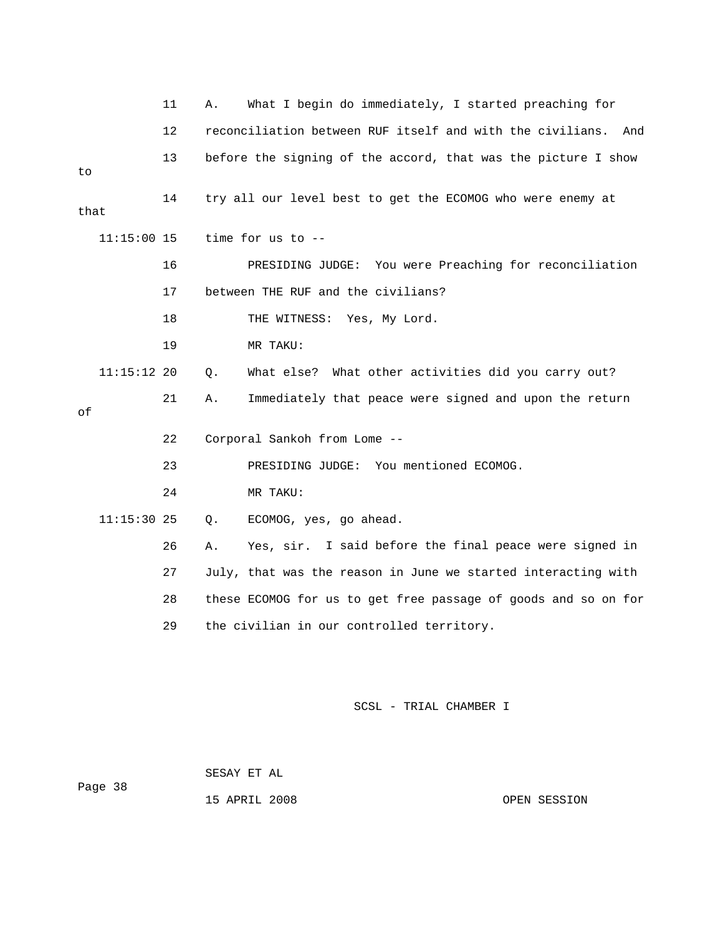|      |               | 11 | Α. | What I begin do immediately, I started preaching for             |
|------|---------------|----|----|------------------------------------------------------------------|
|      |               | 12 |    | reconciliation between RUF itself and with the civilians.<br>And |
| to   |               | 13 |    | before the signing of the accord, that was the picture I show    |
| that |               | 14 |    | try all our level best to get the ECOMOG who were enemy at       |
|      | $11:15:00$ 15 |    |    | time for us to --                                                |
|      |               | 16 |    | PRESIDING JUDGE: You were Preaching for reconciliation           |
|      |               | 17 |    | between THE RUF and the civilians?                               |
|      |               | 18 |    | THE WITNESS: Yes, My Lord.                                       |
|      |               | 19 |    | MR TAKU:                                                         |
|      | $11:15:12$ 20 |    | Q. | What else? What other activities did you carry out?              |
| οf   |               | 21 | Α. | Immediately that peace were signed and upon the return           |
|      |               | 22 |    | Corporal Sankoh from Lome --                                     |
|      |               | 23 |    | PRESIDING JUDGE: You mentioned ECOMOG.                           |
|      |               | 24 |    | MR TAKU:                                                         |
|      | $11:15:30$ 25 |    | О. | ECOMOG, yes, go ahead.                                           |
|      |               | 26 | Α. | Yes, sir. I said before the final peace were signed in           |
|      |               | 27 |    | July, that was the reason in June we started interacting with    |
|      |               | 28 |    | these ECOMOG for us to get free passage of goods and so on for   |
|      |               | 29 |    | the civilian in our controlled territory.                        |
|      |               |    |    |                                                                  |

SESAY ET AL

Page 38

15 APRIL 2008

OPEN SESSION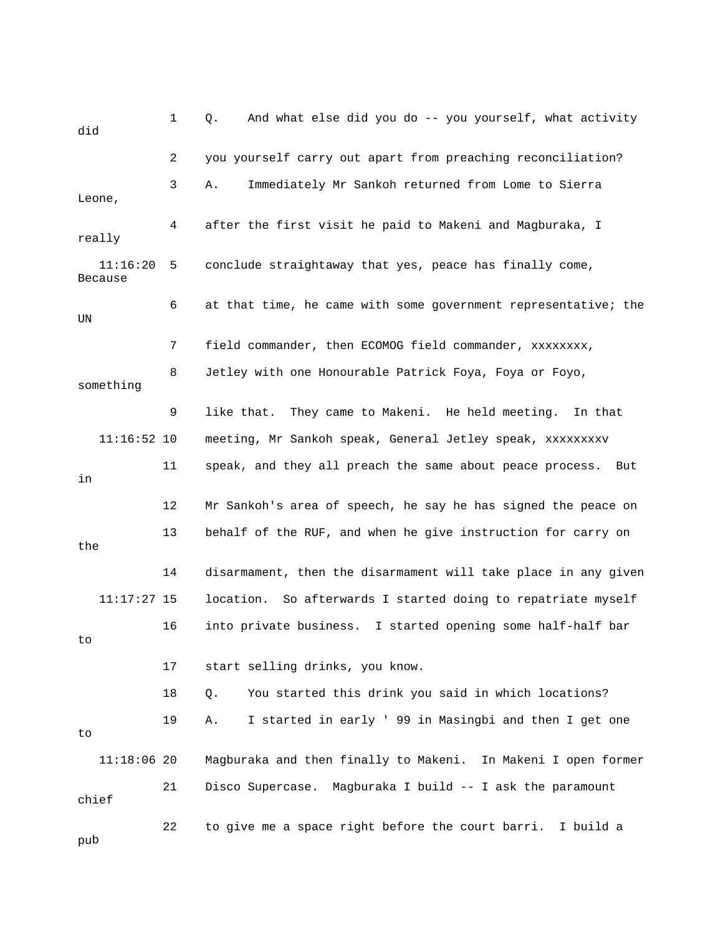1 Q. And what else did you do -- you yourself, what activity 2 you yourself carry out apart from preaching reconciliation? really 11:16:20 5 conclude straightaway that yes, peace has finally come, Because something 9 like that. They came to Makeni. He held meeting. In that 11:16:52 10 meeting, Mr Sankoh speak, General Jetley speak, xxxxxxxxv 11 speak, and they all preach the same about peace process. But 13 behalf of the RUF, and when he give instruction for carry on 14 disarmament, then the disarmament will take place in any given r 16 into private business. I started opening some half-half ba pub did 3 A. Immediately Mr Sankoh returned from Lome to Sierra Leone, 4 after the first visit he paid to Makeni and Magburaka, I 6 at that time, he came with some government representative; the UN 7 field commander, then ECOMOG field commander, xxxxxxxx, 8 Jetley with one Honourable Patrick Foya, Foya or Foyo, in 12 Mr Sankoh's area of speech, he say he has signed the peace on the 11:17:27 15 location. So afterwards I started doing to repatriate myself to 17 start selling drinks, you know. 18 Q. You started this drink you said in which locations? 19 A. I started in early ' 99 in Masingbi and then I get one to 11:18:06 20 Magburaka and then finally to Makeni. In Makeni I open former 21 Disco Supercase. Magburaka I build -- I ask the paramount chief 22 to give me a space right before the court barri. I build a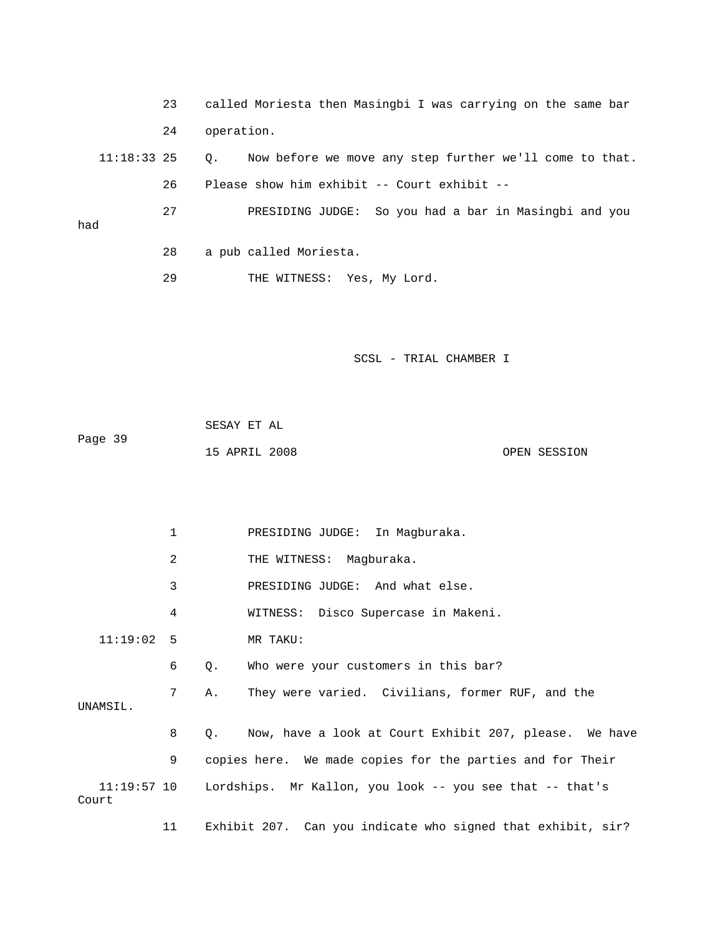- 23 called Moriesta then Masingbi I was carrying on the same b ar 24 operation.
	- Q. Now before we move any step further we'll come to that.  $11:18:33$  25 26 Please show him exhibit -- Court exhibit --

 27 PRESIDING JUDGE: So you had a bar in Masingbi and you had

- 28 a pub called Moriesta.
- 29 THE WITNESS: Yes, My Lord.

SCSL - TRIAL CHAMBER I

|         | SESAY ET AL   |  |              |
|---------|---------------|--|--------------|
| Page 39 |               |  |              |
|         | 15 APRIL 2008 |  | OPEN SESSION |

 1 PRESIDING JUDGE: In Magburaka. 2 THE WITNESS: Magburaka. 3 PRESIDING JUDGE: And what else. 6 Q. Who were your customers in this bar? 7 A. They were varied. Civilians, former RUF, and the UNAMSIL. 8 Q. Now, have a look at Court Exhibit 207, please. We have 9 copies here. We made copies for the parties and for Their 11:19:57 10 Lordships. Mr Kallon, you look -- you see that -- that's 11 Exhibit 207. Can you indicate who signed that exhibit, sir? 4 WITNESS: Disco Supercase in Makeni. 11:19:02 5 MR TAKU: Court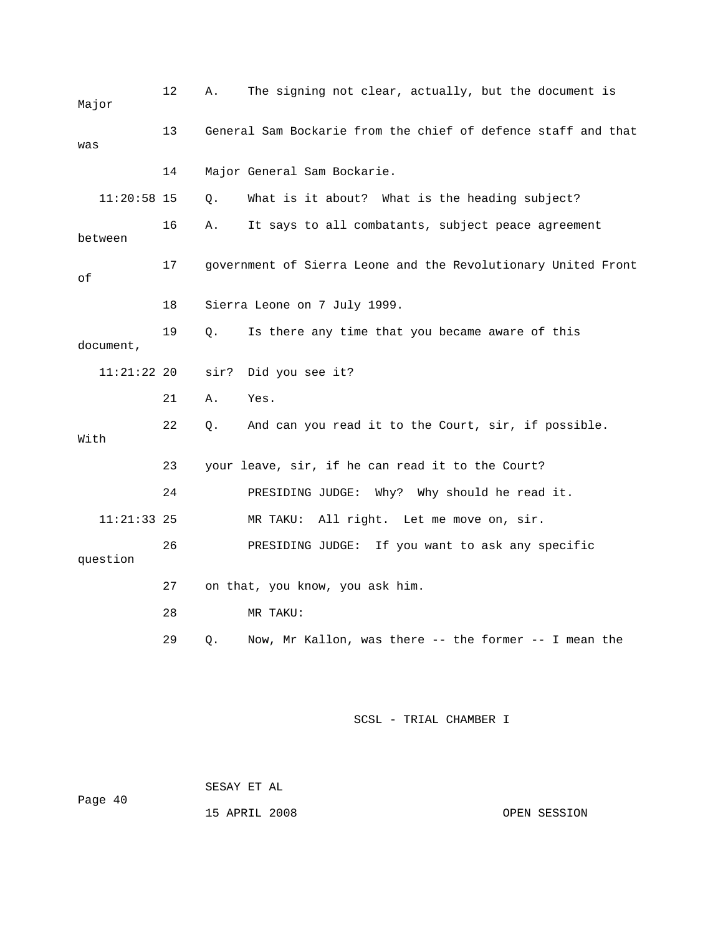| Major         | 12 | Α.   | The signing not clear, actually, but the document is          |
|---------------|----|------|---------------------------------------------------------------|
| was           | 13 |      | General Sam Bockarie from the chief of defence staff and that |
|               | 14 |      | Major General Sam Bockarie.                                   |
| $11:20:58$ 15 |    | Q.   | What is it about? What is the heading subject?                |
| between       | 16 | Α.   | It says to all combatants, subject peace agreement            |
| οf            | 17 |      | government of Sierra Leone and the Revolutionary United Front |
|               | 18 |      | Sierra Leone on 7 July 1999.                                  |
| document,     | 19 | Q.   | Is there any time that you became aware of this               |
| 11:21:22 20   |    | sir? | Did you see it?                                               |
|               | 21 | Α.   | Yes.                                                          |
| With          | 22 | О.   | And can you read it to the Court, sir, if possible.           |
|               | 23 |      | your leave, sir, if he can read it to the Court?              |
|               | 24 |      | PRESIDING JUDGE: Why? Why should he read it.                  |
| $11:21:33$ 25 |    |      | All right. Let me move on, sir.<br>MR TAKU:                   |
| question      | 26 |      | PRESIDING JUDGE: If you want to ask any specific              |
|               | 27 |      | on that, you know, you ask him.                               |
|               | 28 |      | MR TAKU:                                                      |
|               | 29 | Q.   | Now, Mr Kallon, was there -- the former -- I mean the         |

 SESAY ET AL Page 40

15 APRIL 2008 OPEN SESSION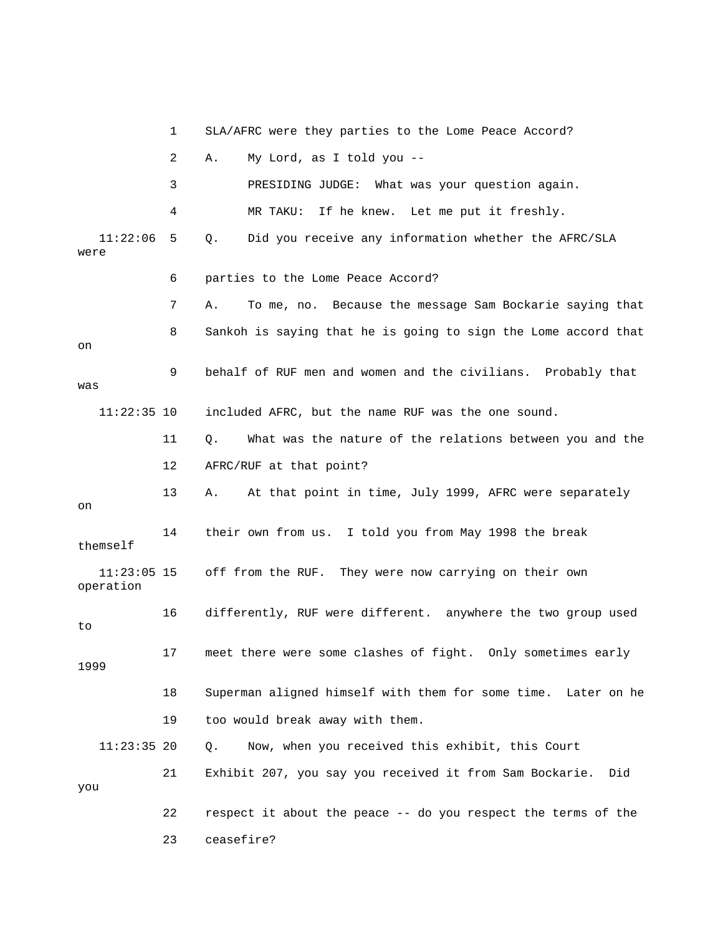|                            | 1  | SLA/AFRC were they parties to the Lome Peace Accord?           |
|----------------------------|----|----------------------------------------------------------------|
|                            | 2  | My Lord, as I told you --<br>Α.                                |
|                            | 3  | PRESIDING JUDGE: What was your question again.                 |
|                            | 4  | If he knew. Let me put it freshly.<br>MR TAKU:                 |
| 11:22:06<br>were           | 5  | Did you receive any information whether the AFRC/SLA<br>Q.     |
|                            | 6  | parties to the Lome Peace Accord?                              |
|                            | 7  | To me, no. Because the message Sam Bockarie saying that<br>Α.  |
| on                         | 8  | Sankoh is saying that he is going to sign the Lome accord that |
| was                        | 9  | behalf of RUF men and women and the civilians. Probably that   |
| $11:22:35$ 10              |    | included AFRC, but the name RUF was the one sound.             |
|                            | 11 | What was the nature of the relations between you and the<br>Q. |
|                            | 12 | AFRC/RUF at that point?                                        |
| on                         | 13 | At that point in time, July 1999, AFRC were separately<br>Α.   |
| themself                   | 14 | their own from us. I told you from May 1998 the break          |
| $11:23:05$ 15<br>operation |    | off from the RUF. They were now carrying on their own          |
| to                         | 16 | differently, RUF were different. anywhere the two group used   |
| 1999                       | 17 | meet there were some clashes of fight. Only sometimes early    |
|                            | 18 | Superman aligned himself with them for some time. Later on he  |
|                            | 19 | too would break away with them.                                |
| $11:23:35$ 20              |    | Now, when you received this exhibit, this Court<br>Q.          |
| you                        | 21 | Exhibit 207, you say you received it from Sam Bockarie.<br>Did |
|                            | 22 | respect it about the peace -- do you respect the terms of the  |
|                            | 23 | ceasefire?                                                     |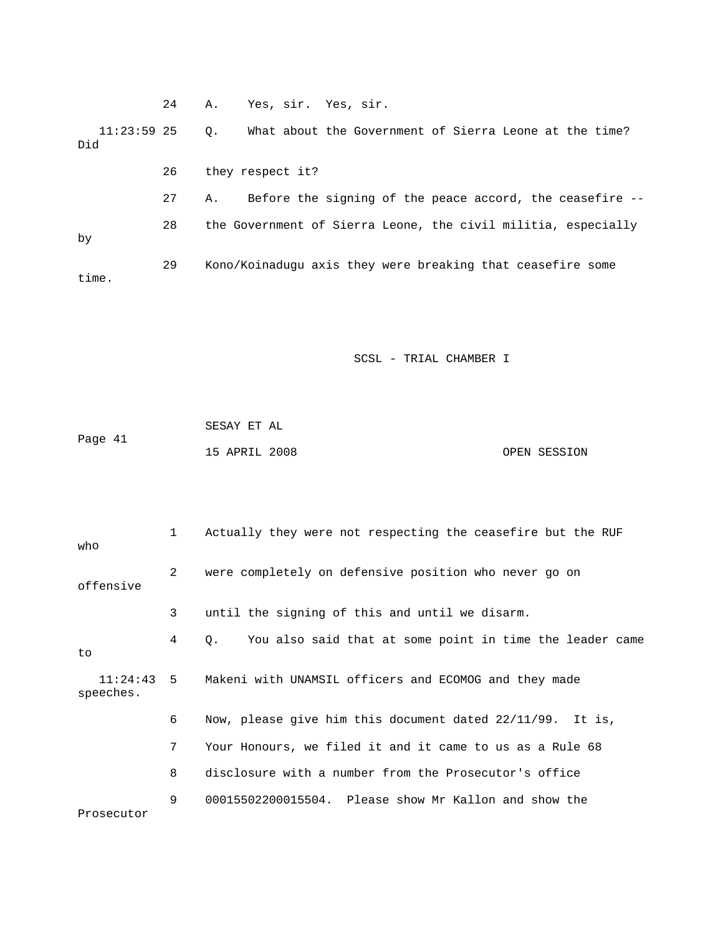24 A. Yes, sir. Yes, sir. 26 they respect it? 27 A. Before the signing of the peace accord, the ceasefire -- 28 the Government of Sierra Leone, the civil militia, especially 29 Kono/Koinadugu axis they were breaking that ceasefire some 11:23:59 25 Q. What about the Government of Sierra Leone at the time? Did by time.

|         | SESAY ET AL   |  |              |
|---------|---------------|--|--------------|
| Page 41 |               |  |              |
|         | 15 APRIL 2008 |  | OPEN SESSION |

| who                   | 1 | Actually they were not respecting the ceasefire but the RUF    |
|-----------------------|---|----------------------------------------------------------------|
| offensive             | 2 | were completely on defensive position who never go on          |
|                       | 3 | until the signing of this and until we disarm.                 |
| to                    | 4 | You also said that at some point in time the leader came<br>О. |
| 11:24:43<br>speeches. |   | 5 Makeni with UNAMSIL officers and ECOMOG and they made        |
|                       | 6 | Now, please give him this document dated 22/11/99. It is,      |
|                       | 7 | Your Honours, we filed it and it came to us as a Rule 68       |
|                       | 8 | disclosure with a number from the Prosecutor's office          |
| Prosecutor            | 9 | 00015502200015504. Please show Mr Kallon and show the          |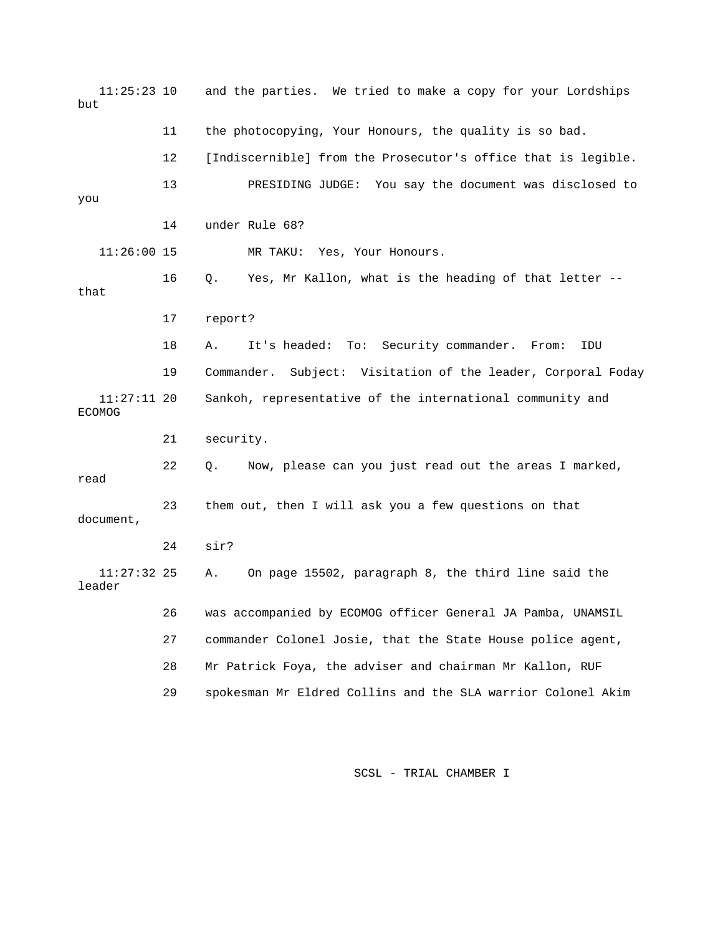11:25:23 10 and the parties. We tried to make a copy for your Lordships but 11 the photocopying, Your Honours, the quality is so bad. 12 [Indiscernible] from the Prosecutor's office that is legible. 13 **EXELL SHOW PRESIDING JUDGE:** You say the document was disclosed to 16 Q. Yes, Mr Kallon, what is the heading of that letter -- 17 report? 19 Commander. Subject: Visitation of the leader, Corporal Foday Sankoh, representative of the international community and ECOMOG 21 security. 22 Q. Now, please can you just read out the areas I marked, 23 them out, then I will ask you a few questions on that 26 was accompanied by ECOMOG officer General JA Pamba, UNAMSIL 27 commander Colonel Josie, that the State House police agent, 29 spokesman Mr Eldred Collins and the SLA warrior Colonel Akim you 14 under Rule 68? 11:26:00 15 MR TAKU: Yes, Your Honours. that 18 A. It's headed: To: Security commander. From: IDU  $11:27:11$  20 read document, 24 sir? 11:27:32 25 A. On page 15502, paragraph 8, the third line said the leader 28 Mr Patrick Foya, the adviser and chairman Mr Kallon, RUF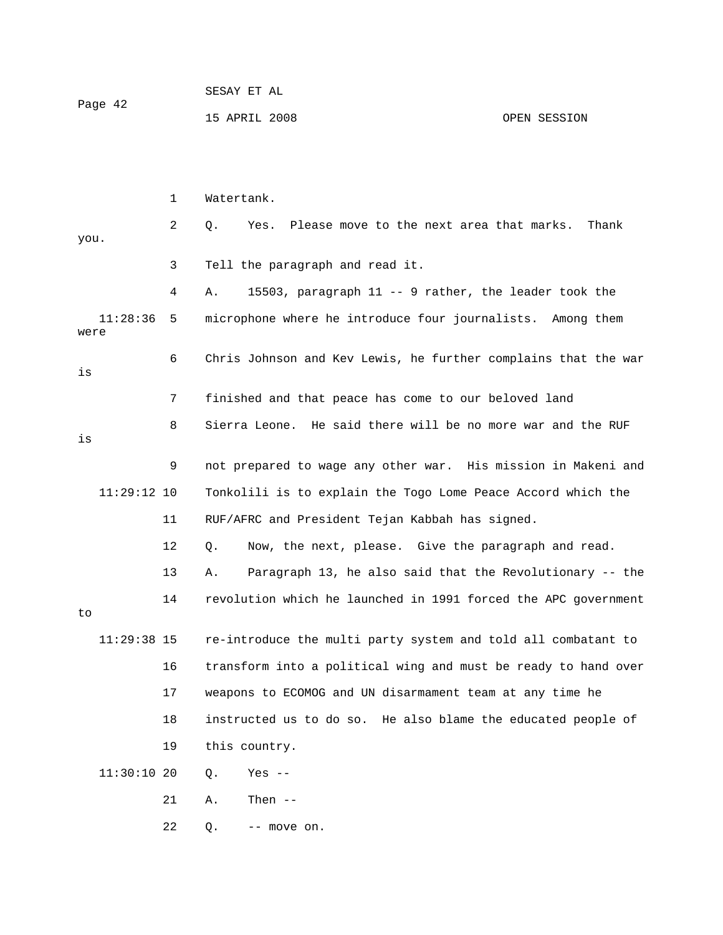| Page 42 | SESAY ET AL   |              |
|---------|---------------|--------------|
|         | 15 APRIL 2008 | OPEN SESSION |

|      |               | 1  | Watertank.                                                         |
|------|---------------|----|--------------------------------------------------------------------|
| you. |               | 2  | $Q$ .<br>Please move to the next area that marks.<br>Thank<br>Yes. |
|      |               | 3  | Tell the paragraph and read it.                                    |
|      |               | 4  | 15503, paragraph 11 -- 9 rather, the leader took the<br>Α.         |
| were | 11:28:36      | 5  | microphone where he introduce four journalists. Among them         |
| is   |               | 6  | Chris Johnson and Kev Lewis, he further complains that the war     |
|      |               | 7  | finished and that peace has come to our beloved land               |
| is   |               | 8  | Sierra Leone. He said there will be no more war and the RUF        |
|      |               | 9  | not prepared to wage any other war. His mission in Makeni and      |
|      | $11:29:12$ 10 |    | Tonkolili is to explain the Togo Lome Peace Accord which the       |
|      |               | 11 | RUF/AFRC and President Tejan Kabbah has signed.                    |
|      |               | 12 | Now, the next, please. Give the paragraph and read.<br>Q.          |
|      |               | 13 | Paragraph 13, he also said that the Revolutionary -- the<br>Α.     |
| to   |               | 14 | revolution which he launched in 1991 forced the APC government     |
|      | $11:29:38$ 15 |    | re-introduce the multi party system and told all combatant to      |
|      |               | 16 | transform into a political wing and must be ready to hand over     |
|      |               | 17 | weapons to ECOMOG and UN disarmament team at any time he           |
|      |               | 18 | instructed us to do so. He also blame the educated people of       |
|      |               | 19 | this country.                                                      |
|      | 11:30:1020    |    | Q.<br>Yes $--$                                                     |
|      |               | 21 | Then $--$<br>Α.                                                    |
|      |               | 22 | Q.<br>-- move on.                                                  |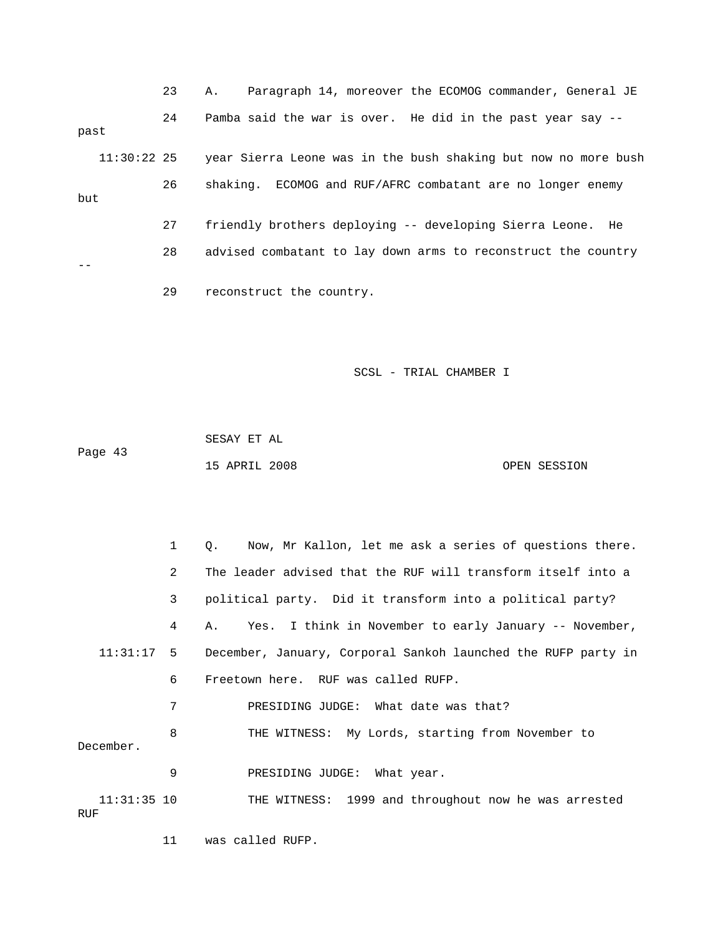23 A. Paragraph 14, moreover the ECOMOG commander, General JE 24 Pamba said the war is over. He did in the past year say - past 11:30:22 25 year Sierra Leone was in the bush shaking but now no more bush 26 shaking. ECOMOG and RUF/AFRC combatant are no longer enemy 27 friendly brothers deploying -- developing Sierra Leone. He 28 advised combatant to lay down arms to reconstruct the country 29 reconstruct the country. but --

SCSL - TRIAL CHAMBER I

 43 Page 15 APRIL 2008 OPEN SESSION SESAY ET AL

 1 Q. Now, Mr Kallon, let me ask a series of questions there. 2 The leader advised that the RUF will transform itself into a 3 political party. Did it transform into a political party? 11:31:17 5 December, January, Corporal Sankoh launched the RUFP party in 6 Freetown here. RUF was called RUFP. 7 PRESIDING JUDGE: What date was that? 9 PRESIDING JUDGE: What year. 4 A. Yes. I think in November to early January -- November, 8 THE WITNESS: My Lords, starting from November to December. 11:31:35 10 THE WITNESS: 1999 and throughout now he was arrested RUF

11 was called RUFP.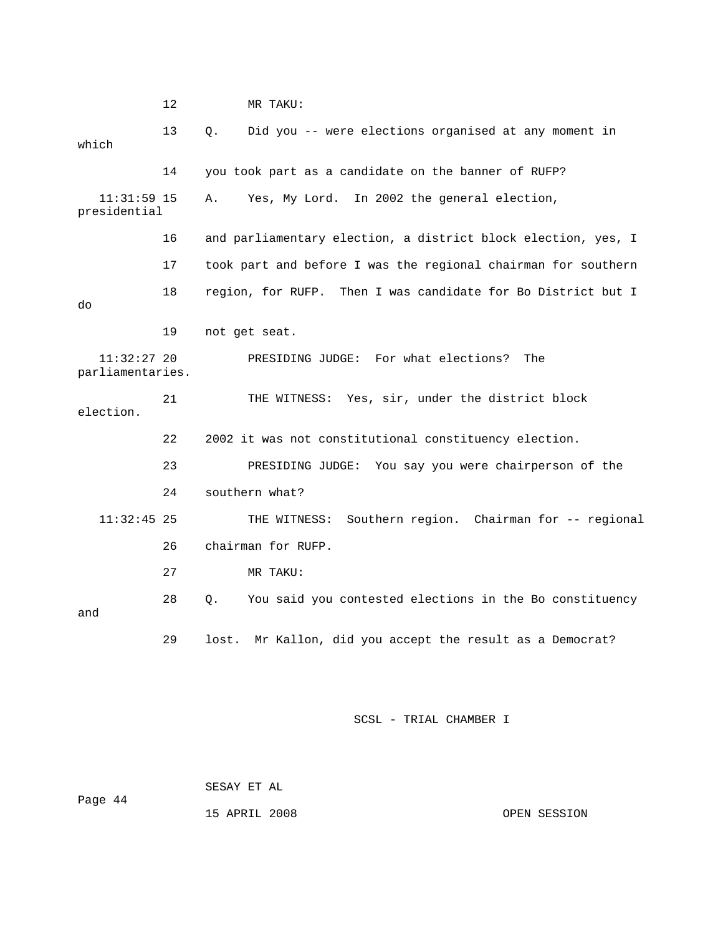12 MR TAKU: 13 Q. Did you -- were elections organised at any moment in 14 you took part as a candidate on the banner of RUFP? 11:31:59 15 A. Yes, My Lord. In 2002 the general election, presidential 16 and parliamentary election, a district block election, yes, I 17 took part and before I was the regional chairman for southern 18 region, for RUFP. Then I was candidate for Bo District but I 19 not get seat. parliamentaries. THE WITNESS: Yes, sir, under the district block election. 22 2002 it was not constitutional constituency election. 24 southern what? THE WITNESS: Southern region. Chairman for -- regional 27 MR TAKU: 28 Q. You said you contested elections in the Bo constituency and 29 lost. Mr Kallon, did you accept the result as a Democrat? which do 11:32:27 20 PRESIDING JUDGE: For what elections? The 21 23 PRESIDING JUDGE: You say you were chairperson of the  $11:32:45$  25 26 chairman for RUFP.

SCSL - TRIAL CHAMBER I

44 Page SESAY ET AL

15 APRIL 2008 OPEN SESSION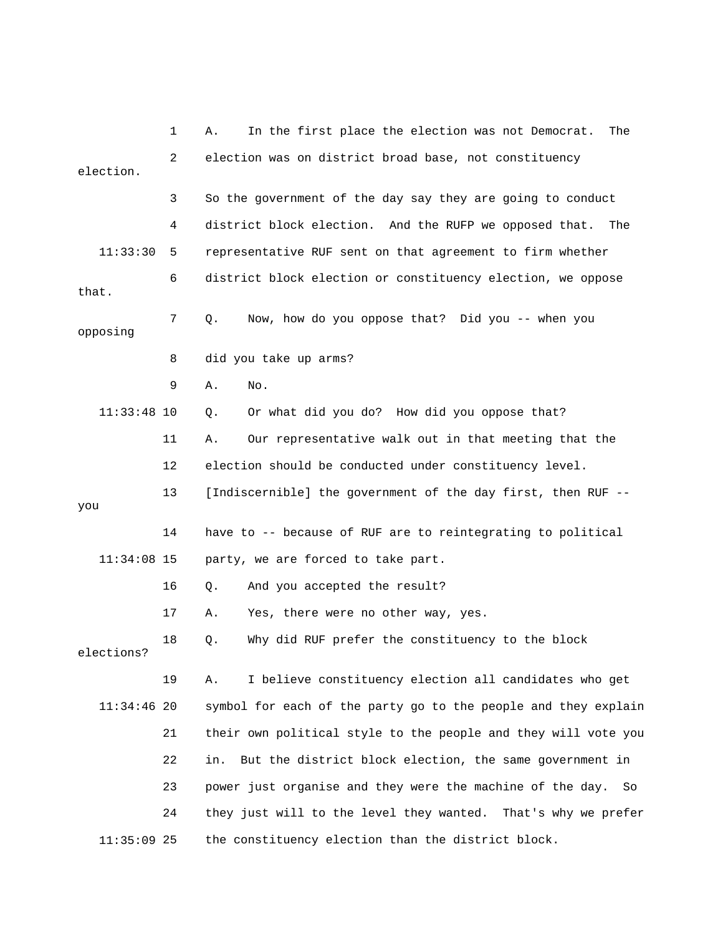|               | 1  | In the first place the election was not Democrat.<br>Α.<br>The  |
|---------------|----|-----------------------------------------------------------------|
| election.     | 2  | election was on district broad base, not constituency           |
|               | 3  | So the government of the day say they are going to conduct      |
|               | 4  | district block election. And the RUFP we opposed that. The      |
| 11:33:30      | 5  | representative RUF sent on that agreement to firm whether       |
| that.         | 6  | district block election or constituency election, we oppose     |
| opposing      | 7  | Now, how do you oppose that? Did you -- when you<br>Q.          |
|               | 8  | did you take up arms?                                           |
|               | 9  | Α.<br>No.                                                       |
| $11:33:48$ 10 |    | Or what did you do? How did you oppose that?<br>$Q$ .           |
|               | 11 | Our representative walk out in that meeting that the<br>Α.      |
|               | 12 | election should be conducted under constituency level.          |
| you           | 13 | [Indiscernible] the government of the day first, then RUF --    |
|               | 14 | have to -- because of RUF are to reintegrating to political     |
| $11:34:08$ 15 |    | party, we are forced to take part.                              |
|               | 16 | And you accepted the result?<br>О.                              |
|               | 17 | Yes, there were no other way, yes.<br>Α.                        |
| elections?    | 18 | Why did RUF prefer the constituency to the block<br>Q.          |
|               | 19 | I believe constituency election all candidates who get<br>Α.    |
| $11:34:46$ 20 |    | symbol for each of the party go to the people and they explain  |
|               | 21 | their own political style to the people and they will vote you  |
|               | 22 | But the district block election, the same government in<br>in.  |
|               | 23 | power just organise and they were the machine of the day.<br>So |
|               | 24 | they just will to the level they wanted. That's why we prefer   |
| $11:35:09$ 25 |    | the constituency election than the district block.              |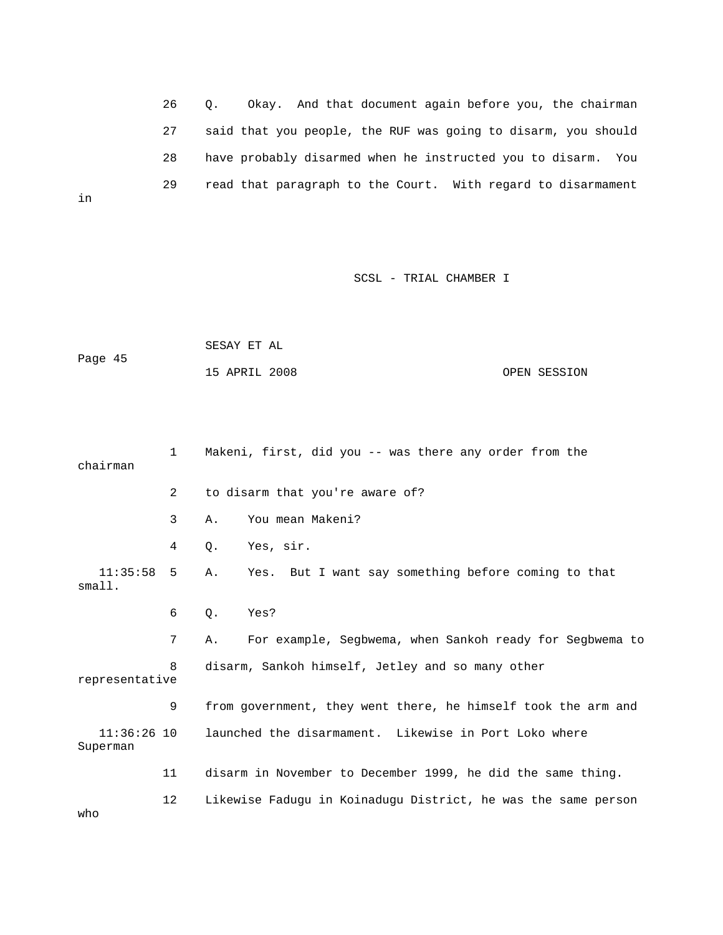26 Q. Okay. And that document again before you, the chairman 27 said that you people, the RUF was going to disarm, you should 28 have probably disarmed when he instructed you to disarm. You 29 read that paragraph to the Court. With regard to disarmament

in

SCSL - TRIAL CHAMBER I

|         | SESAY ET AL   |  |              |
|---------|---------------|--|--------------|
| Page 45 |               |  |              |
|         | 15 APRIL 2008 |  | OPEN SESSION |

| chairman                  | $\mathbf{1}$ | Makeni, first, did you -- was there any order from the         |
|---------------------------|--------------|----------------------------------------------------------------|
|                           | 2            | to disarm that you're aware of?                                |
|                           | 3            | You mean Makeni?<br>Α.                                         |
|                           | 4            | Yes, sir.<br>О.                                                |
| $11:35:58$ 5<br>small.    |              | Yes. But I want say something before coming to that<br>Α.      |
|                           | 6            | Q.<br>Yes?                                                     |
|                           | 7            | For example, Segbwema, when Sankoh ready for Segbwema to<br>Α. |
| representative            | 8            | disarm, Sankoh himself, Jetley and so many other               |
|                           | 9            | from government, they went there, he himself took the arm and  |
| $11:36:26$ 10<br>Superman |              | launched the disarmament. Likewise in Port Loko where          |
|                           | 11           | disarm in November to December 1999, he did the same thing.    |
|                           | 12           | Likewise Faduqu in Koinaduqu District, he was the same person  |

o wh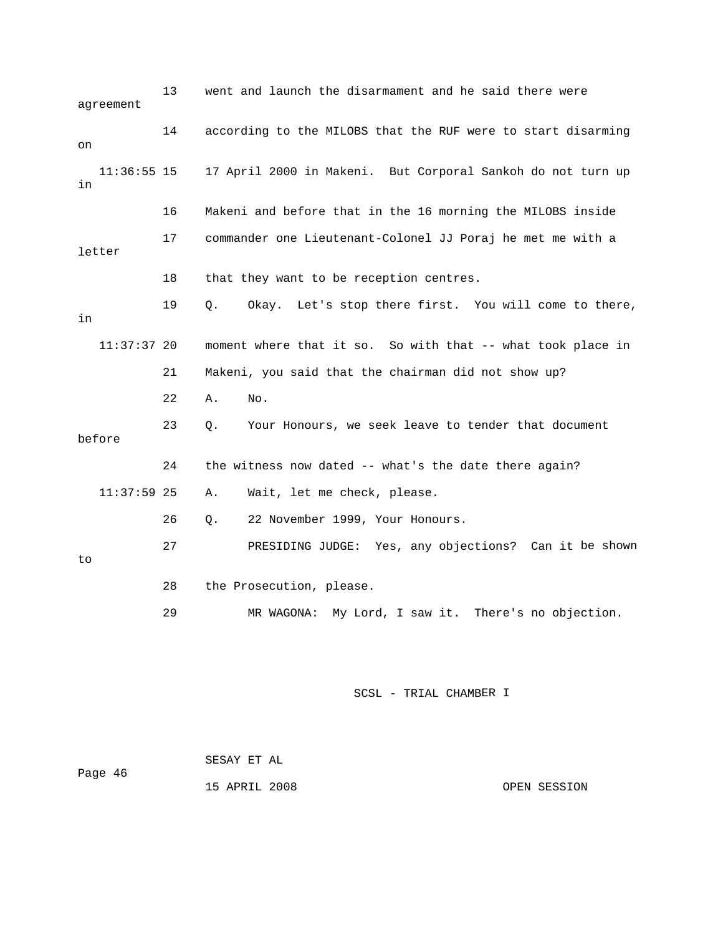| aqreement           | 13 | went and launch the disarmament and he said there were       |
|---------------------|----|--------------------------------------------------------------|
| on                  | 14 | according to the MILOBS that the RUF were to start disarming |
| $11:36:55$ 15<br>in |    | 17 April 2000 in Makeni. But Corporal Sankoh do not turn up  |
|                     | 16 | Makeni and before that in the 16 morning the MILOBS inside   |
| letter              | 17 | commander one Lieutenant-Colonel JJ Poraj he met me with a   |
|                     | 18 | that they want to be reception centres.                      |
| in                  | 19 | Okay. Let's stop there first. You will come to there,<br>Q.  |
| $11:37:37$ 20       |    | moment where that it so. So with that -- what took place in  |
|                     | 21 | Makeni, you said that the chairman did not show up?          |
|                     | 22 | Α.<br>No.                                                    |
| before              | 23 | Your Honours, we seek leave to tender that document<br>Q.    |
|                     |    |                                                              |
|                     | 24 | the witness now dated -- what's the date there again?        |
| $11:37:59$ 25       |    | Wait, let me check, please.<br>Α.                            |
|                     | 26 | 22 November 1999, Your Honours.<br>О.                        |
| to                  | 27 | PRESIDING JUDGE: Yes, any objections? Can it be shown        |
|                     | 28 | the Prosecution, please.                                     |

| Page 46 | SESAY ET AL   |              |
|---------|---------------|--------------|
|         | 15 APRIL 2008 | OPEN SESSION |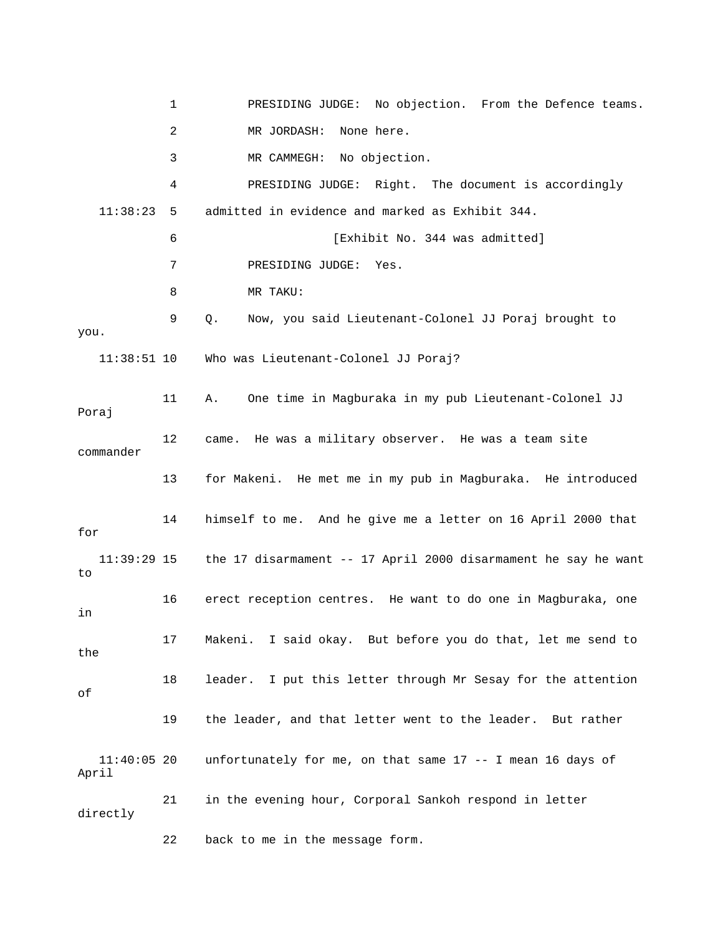|                        | 1  | PRESIDING JUDGE: No objection. From the Defence teams.         |
|------------------------|----|----------------------------------------------------------------|
|                        | 2  | None here.<br>MR JORDASH:                                      |
|                        | 3  | MR CAMMEGH: No objection.                                      |
|                        | 4  | PRESIDING JUDGE: Right. The document is accordingly            |
| 11:38:23               | 5  | admitted in evidence and marked as Exhibit 344.                |
|                        | 6  | [Exhibit No. 344 was admitted]                                 |
|                        | 7  | PRESIDING JUDGE:<br>Yes.                                       |
|                        | 8  | MR TAKU:                                                       |
| you.                   | 9  | Q.<br>Now, you said Lieutenant-Colonel JJ Poraj brought to     |
| $11:38:51$ 10          |    | Who was Lieutenant-Colonel JJ Poraj?                           |
| Poraj                  | 11 | One time in Magburaka in my pub Lieutenant-Colonel JJ<br>Α.    |
| commander              | 12 | came. He was a military observer. He was a team site           |
|                        | 13 | for Makeni. He met me in my pub in Magburaka. He introduced    |
| for                    | 14 | himself to me. And he give me a letter on 16 April 2000 that   |
| 11:39:29 15<br>to      |    | the 17 disarmament -- 17 April 2000 disarmament he say he want |
| in                     | 16 | erect reception centres. He want to do one in Magburaka, one   |
| the                    | 17 | Makeni.<br>I said okay. But before you do that, let me send to |
| оf                     | 18 | leader. I put this letter through Mr Sesay for the attention   |
|                        | 19 | the leader, and that letter went to the leader. But rather     |
| $11:40:05$ 20<br>April |    | unfortunately for me, on that same 17 -- I mean 16 days of     |
| directly               | 21 | in the evening hour, Corporal Sankoh respond in letter         |
|                        | 22 | back to me in the message form.                                |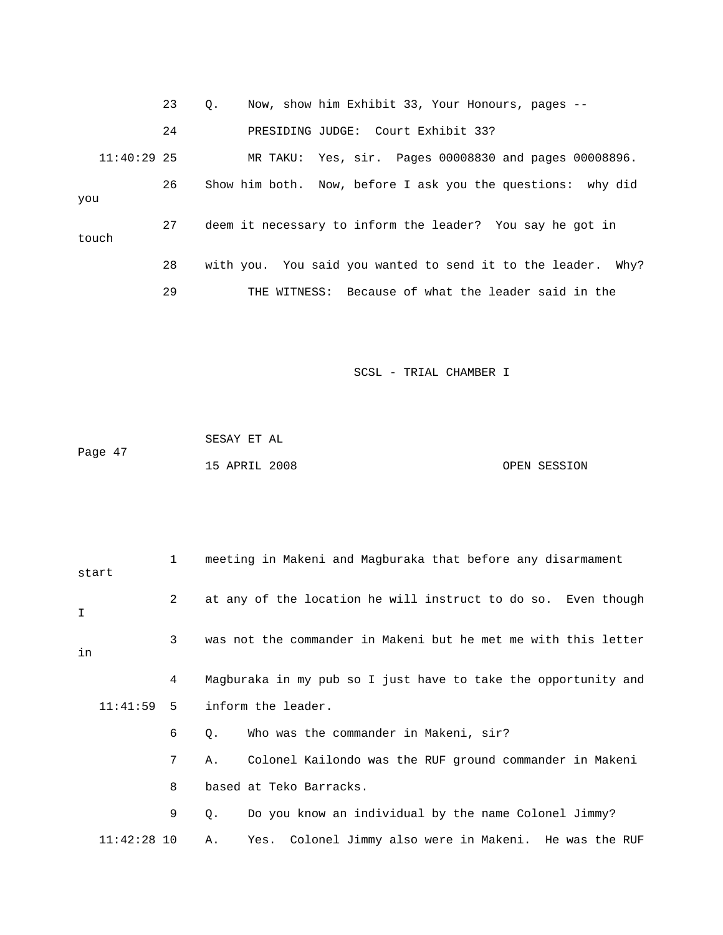|               | 23 | Now, show him Exhibit 33, Your Honours, pages --<br>$\circ$ .   |
|---------------|----|-----------------------------------------------------------------|
|               | 24 | PRESIDING JUDGE: Court Exhibit 33?                              |
| $11:40:29$ 25 |    | MR TAKU: Yes, sir. Pages 00008830 and pages 00008896.           |
| you           | 26 | Show him both. Now, before I ask you the questions: why did     |
| touch         | 27 | deem it necessary to inform the leader? You say he got in       |
|               | 28 | with you. You said you wanted to send it to the leader.<br>Why? |
|               | 29 | THE WITNESS: Because of what the leader said in the             |

|         | SESAY ET AL   |  |              |
|---------|---------------|--|--------------|
| Page 47 |               |  |              |
|         | 15 APRIL 2008 |  | OPEN SESSION |

| start         | $\mathbf{1}$ | meeting in Makeni and Magburaka that before any disarmament    |
|---------------|--------------|----------------------------------------------------------------|
| I             | 2            | at any of the location he will instruct to do so. Even though  |
| in            | 3            | was not the commander in Makeni but he met me with this letter |
|               | 4            | Magburaka in my pub so I just have to take the opportunity and |
| $11:41:59$ 5  |              | inform the leader.                                             |
|               | 6            | Who was the commander in Makeni, sir?<br>Q.                    |
|               | 7            | Colonel Kailondo was the RUF ground commander in Makeni<br>Α.  |
|               | 8            | based at Teko Barracks.                                        |
|               | 9            | Do you know an individual by the name Colonel Jimmy?<br>Q.     |
| $11:42:28$ 10 |              | Yes. Colonel Jimmy also were in Makeni. He was the RUF<br>Α.   |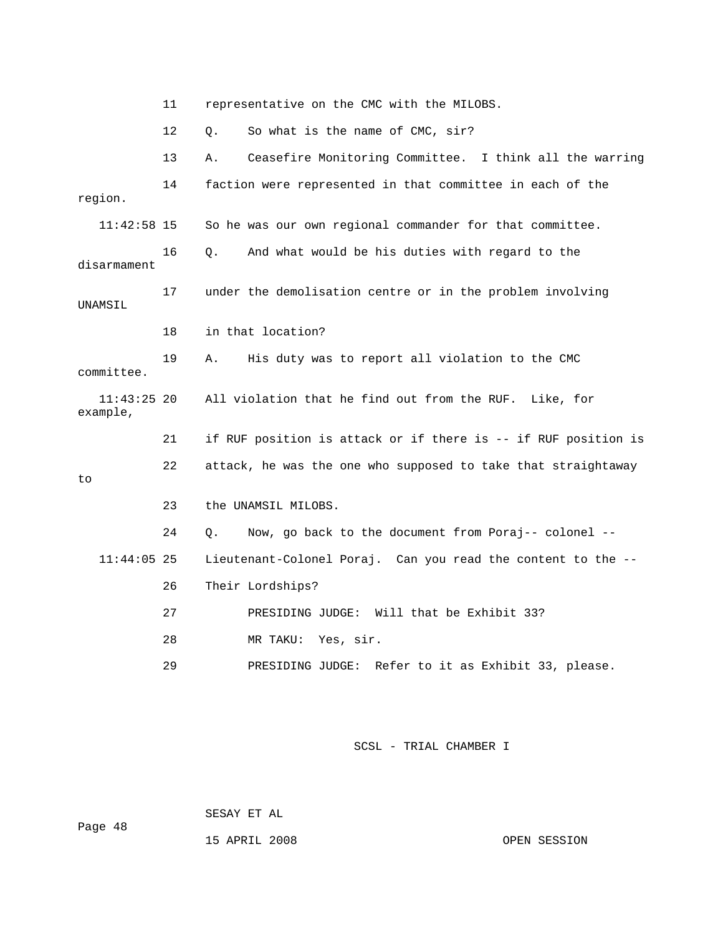11 representative on t he CMC with the MILOBS. 12 Q. So what is th e name of CMC, sir? 13 A. Ceasefire Monitoring Committee. I think all the warring 14 faction were represented in that committee in each of the 17 under the demolisation centre or in the problem involving . committee example, 1 if RUF position is attack or if there is -- if RUF position is 22 attack, he was the one who supposed to take that straightaway 24 Q. Now, go back to the document from Poraj-- colonel -- 11:44:05 25 Lieutenant-Colonel Poraj. Can you read the content to the -- 29 PRESIDING JUDGE: Refer to it as Exhibit 33, please. region. 11:42:58 15 So he was our own regional commander for that committee. 16 Q. And what would be his duties with regard to the disarmament UNAMSIL 18 in that location? 19 A. His duty was to report all violation to the CMC 11:43:25 20 All violation that he find out from the RUF. Like, for 2 to 23 the UNAMSIL MILOBS. 26 Their Lordships? 27 PRESIDING JUDGE: Will that be Exhibit 33? 28 MR TAKU: Yes, sir.

SCSL - TRIAL CHAMBER I

SESAY ET AL

15 APRIL 2008 OPEN SESSION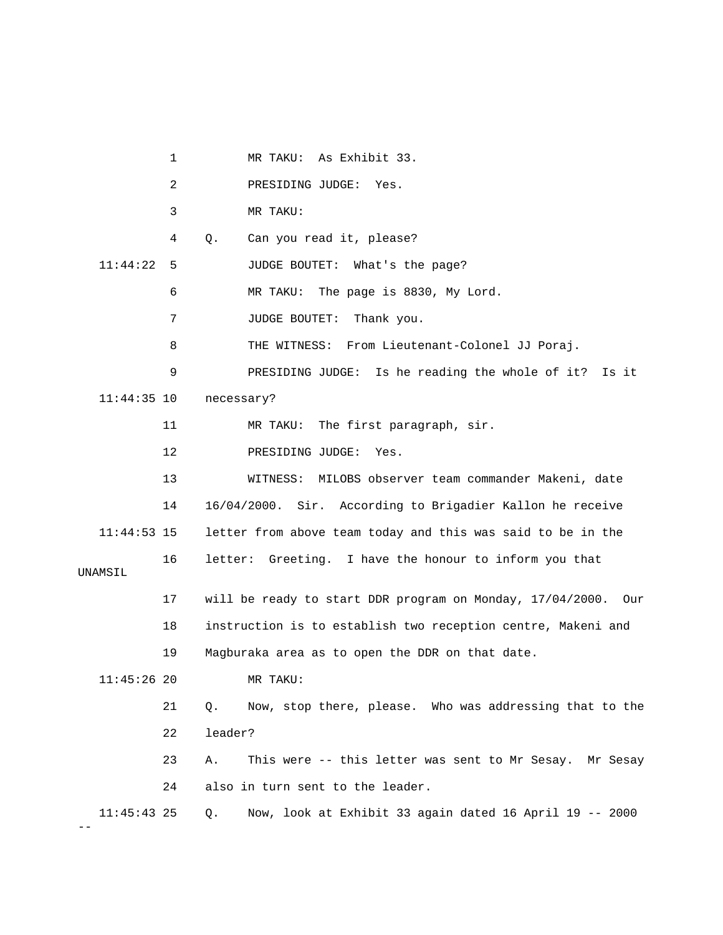1 MR TAKU: As Exhibit 33. 2 PRESIDING JUDGE: Yes. 3 MR TAKU: 4 Q. Can you read it, please? 11:44:22 5 JUDGE BOUTET: What's the page? 6 MR TAKU: The page is 8830, My Lord. 7 JUDGE BOUTET: Thank you. 8 THE WITNESS: From Lieutenant-Colonel JJ Poraj. 9 PRESIDING JUDGE: Is he reading the whole of it? Is it 11:44:35 10 necessary? 11 MR TAKU: The first paragraph, sir. 12 PRESIDING JUDGE: Yes. 13 WITNESS: MILOBS observer team commander Makeni, date 14 16/04/2000. Sir. According to Brigadier Kallon he receive 11:44:53 15 letter from above team today and this was said to be in the 16 letter: Greeting. I have the honour to inform you that 17 will be ready to start DDR program on Monday, 17/04/2000. Our 18 instruction is to establish two reception centre, Makeni and 21 Q. Now, stop there, please. Who was addressing that to the 23 A. This were -- this letter was sent to Mr Sesay. Mr Sesay 11:45:43 25 Q. Now, look at Exhibit 33 again dated 16 April 19 -- 2000 UNAMSIL 19 Magburaka area as to open the DDR on that date. 11:45:26 20 MR TAKU: 22 leader? 24 also in turn sent to the leader.

--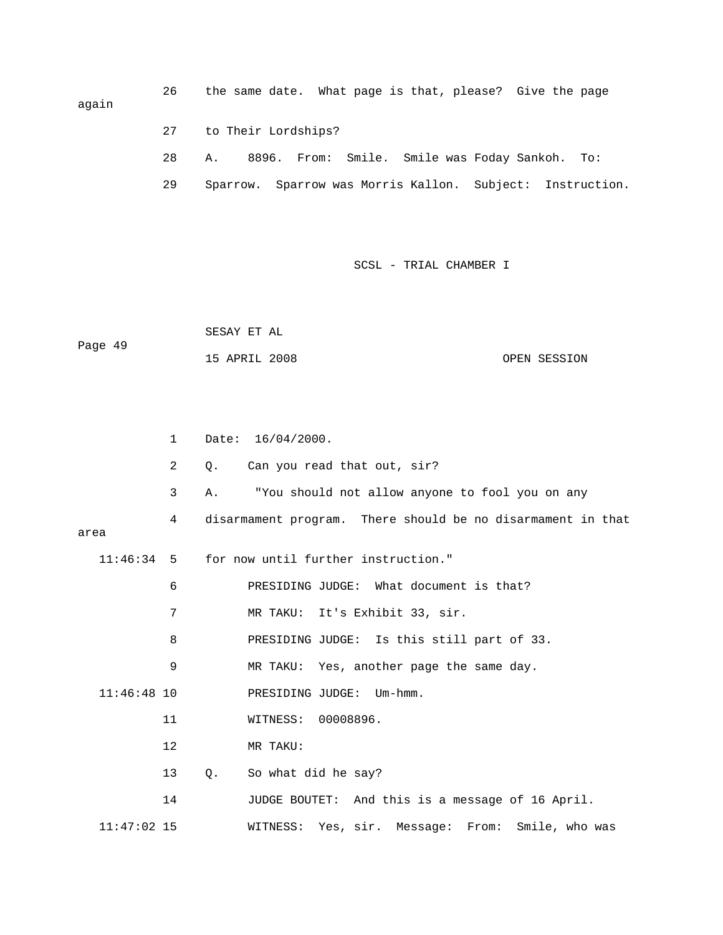26 the same date. What page is that, please? Give the page again 27 to Their Lordships?

- 28 A. 8896. From: Smile. Smile was Foday Sankoh. To:
- 29 Sparrow. Sparrow was Morris Kallon. Subject: Instruction.

SCSL - TRIAL CHAMBER I

 SESAY ET AL Page 49 15 APRIL 2008 OPEN SESSION

|               | $\mathbf{1}$   | Date: $16/04/2000$ .                                        |
|---------------|----------------|-------------------------------------------------------------|
|               | $\overline{2}$ | Can you read that out, sir?<br>Q.                           |
|               | 3              | "You should not allow anyone to fool you on any<br>Α.       |
|               | 4              | disarmament program. There should be no disarmament in that |
| area          |                |                                                             |
| $11:46:34$ 5  |                | for now until further instruction."                         |
|               | 6              | PRESIDING JUDGE: What document is that?                     |
|               | 7              | MR TAKU: It's Exhibit 33, sir.                              |
|               | 8              | PRESIDING JUDGE: Is this still part of 33.                  |
|               | 9              | MR TAKU: Yes, another page the same day.                    |
| $11:46:48$ 10 |                | PRESIDING JUDGE: Um-hmm.                                    |
|               | 11             | WITNESS: 00008896.                                          |
|               | 12             | MR TAKU:                                                    |
|               | 13             | So what did he say?<br>Q.                                   |
|               | 14             | JUDGE BOUTET: And this is a message of 16 April.            |
| $11:47:02$ 15 |                | WITNESS: Yes, sir. Message: From:<br>Smile, who was         |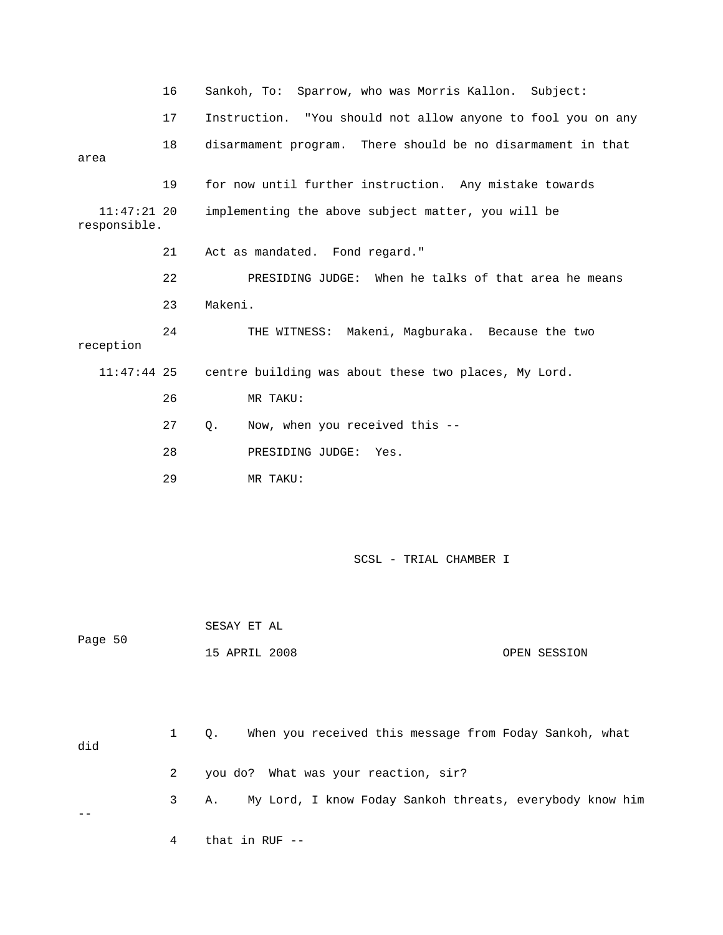|                               | 16 | Sankoh, To: Sparrow, who was Morris Kallon. Subject:         |
|-------------------------------|----|--------------------------------------------------------------|
|                               | 17 | Instruction. "You should not allow anyone to fool you on any |
| area                          | 18 | disarmament program. There should be no disarmament in that  |
|                               | 19 | for now until further instruction. Any mistake towards       |
| $11:47:21$ 20<br>responsible. |    | implementing the above subject matter, you will be           |
|                               | 21 | Act as mandated. Fond regard."                               |
|                               | 22 | PRESIDING JUDGE: When he talks of that area he means         |
|                               | 23 | Makeni.                                                      |
| reception                     | 24 | THE WITNESS: Makeni, Magburaka. Because the two              |
| $11:47:44$ 25                 |    | centre building was about these two places, My Lord.         |
|                               | 26 | MR TAKU:                                                     |
|                               | 27 | Now, when you received this --<br>$Q$ .                      |
|                               | 28 | PRESIDING JUDGE:<br>Yes.                                     |
|                               | 29 | MR TAKU:                                                     |
|                               |    |                                                              |
|                               |    |                                                              |

 15 APRIL 2008 OPEN SESSION SESAY ET AL Page 50

| did | $\mathbf{1}$ | When you received this message from Foday Sankoh, what<br>$\circ$ . |
|-----|--------------|---------------------------------------------------------------------|
|     |              | 2 you do? What was your reaction, sir?                              |
|     |              | 3 A. My Lord, I know Foday Sankoh threats, everybody know him       |
|     |              |                                                                     |

4 that in RUF --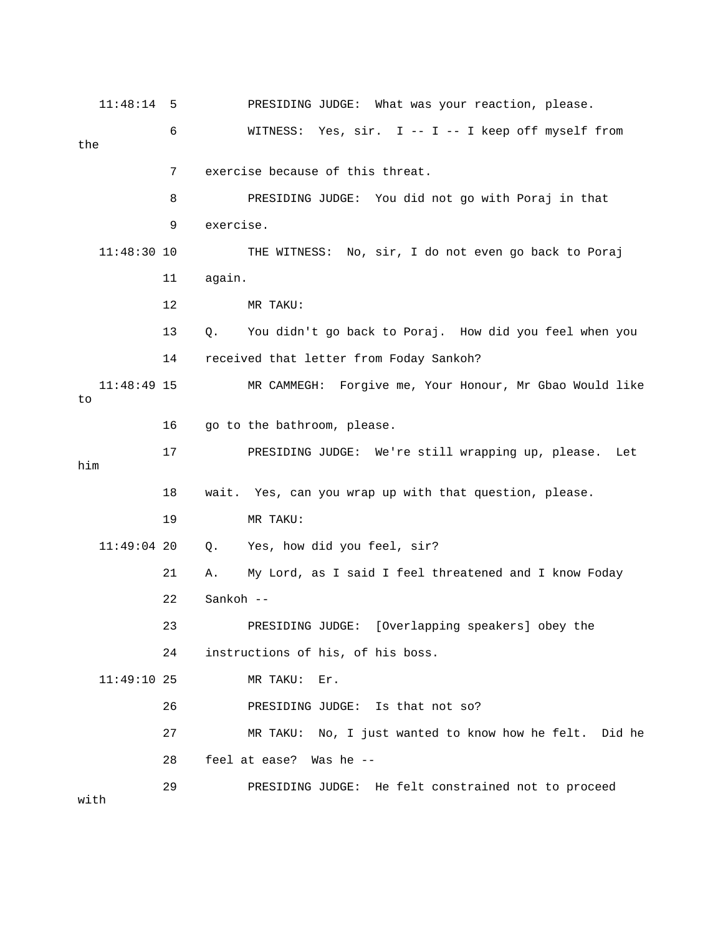11:48:14 5 PRESIDING JUDGE: What was your reaction, please. 6 WITNESS: Yes, sir. I -- I -- I keep off myself from 7 exercise because of this threat. 8 BRESIDING JUDGE: You did not go with Poraj in that 11:48:30 10 THE WITNESS: No, sir, I do not even go back to Poraj 11 again. 13 Q. You didn't go back to Poraj. How did you feel when you 14 received that letter from Foday Sankoh? 11:48:49 15 MR CAMMEGH: Forgive me, Your Honour, Mr Gbao Would like 17 PRESIDING JUDGE: We're still wrapping up, please. Let 18 wait. Yes, can you wrap up with that question, please. 22 Sankoh -- 23 PRESIDING JUDGE: [Overlapping speakers] obey the 24 instructions of his, of his boss. 26 PRESIDING JUDGE: Is that not so? 27 MR TAKU: No, I just wanted to know how he felt. Did he 29 PRESIDING JUDGE: He felt constrained not to proceed the 9 exercise. 12 MR TAKU: to 16 go to the bathroom, please. him 19 MR TAKU: 11:49:04 20 Q. Yes, how did you feel, sir? 21 A. My Lord, as I said I feel threatened and I know Foday 11:49:10 25 MR TAKU: Er. 28 feel at ease? Was he - with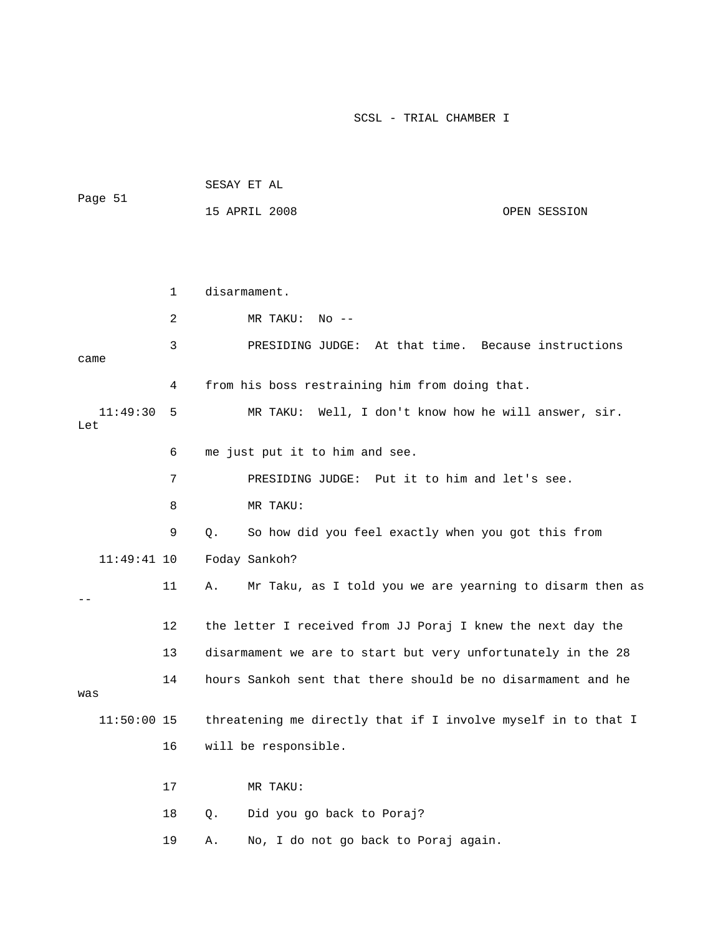|         | SESAY ET AL   |  |              |
|---------|---------------|--|--------------|
| Page 51 |               |  |              |
|         | 15 APRIL 2008 |  | OPEN SESSION |

|                 | 1       | disarmament.                                                   |
|-----------------|---------|----------------------------------------------------------------|
|                 | 2       | MR TAKU:<br>$No$ --                                            |
| came            | 3       | At that time. Because instructions<br>PRESIDING JUDGE:         |
|                 | 4       | from his boss restraining him from doing that.                 |
| 11:49:30<br>Let | 5       | Well, I don't know how he will answer, sir.<br>MR TAKU:        |
|                 | 6       | me just put it to him and see.                                 |
|                 | 7       | PRESIDING JUDGE: Put it to him and let's see.                  |
|                 | 8       | MR TAKU:                                                       |
|                 | 9       | So how did you feel exactly when you got this from<br>Q.       |
| $11:49:41$ 10   |         | Foday Sankoh?                                                  |
|                 | 11      | Mr Taku, as I told you we are yearning to disarm then as<br>Α. |
|                 | $12 \,$ | the letter I received from JJ Poraj I knew the next day the    |
|                 | 13      | disarmament we are to start but very unfortunately in the 28   |
| was             | 14      | hours Sankoh sent that there should be no disarmament and he   |
| $11:50:00$ 15   |         | threatening me directly that if I involve myself in to that I  |
|                 | 16      | will be responsible.                                           |
|                 | 17      | MR TAKU:                                                       |
|                 | 18      | Did you go back to Poraj?<br>Q.                                |
|                 | 19      | No, I do not go back to Poraj again.<br>Α.                     |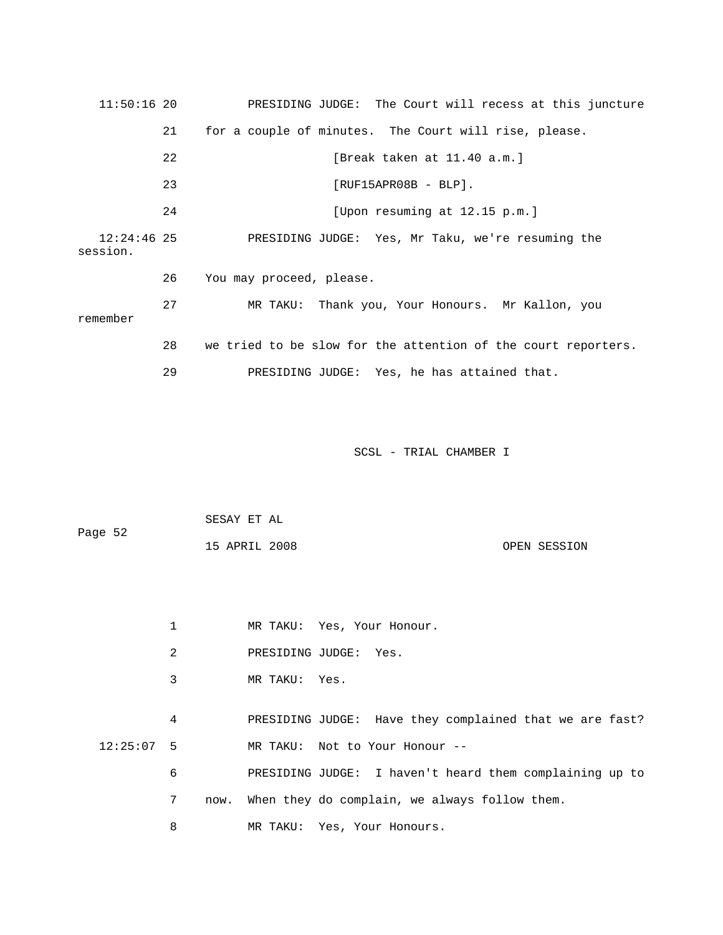11:50:16 20 PRESIDING JUDGE: The Court will recess at this juncture 21 for a couple of minutes. The Court will rise, please. 22 [Break taken at 11.40 a.m.] 23 [RUF15APR08B - BLP]. [Upon resuming at 12.15 p.m.] 12:24:46 25 PRESIDING JUDGE: Yes, Mr Taku, we're resuming the session. 26 You may proceed, please. u 27 MR TAKU: Thank you, Your Honours. Mr Kallon, yo 28 we tried to be slow for the attention of the court reporters. 29 PRESIDING JUDGE: Yes, he has attained that. 24 remember

SCSL - TRIAL CHAMBER I

|         | SESAY ET AL   |  |              |
|---------|---------------|--|--------------|
| Page 52 |               |  |              |
|         | 15 APRIL 2008 |  | OPEN SESSION |

|  |  | MR TAKU: |  |  | Yes, Your Honour. |  |
|--|--|----------|--|--|-------------------|--|
|--|--|----------|--|--|-------------------|--|

- 2 PRESIDING JUDGE: Yes.
- 3 MR TAKU: Yes.

 4 PRESIDING JUDGE: Have they complained that we are fast? 12:25:07 5 MR TAKU: Not to Your Honour --

|  | PRESIDING JUDGE: I haven't heard them complaining up to |  |
|--|---------------------------------------------------------|--|
|  | now. When they do complain, we always follow them.      |  |
|  | MR TAKU: Yes, Your Honours.                             |  |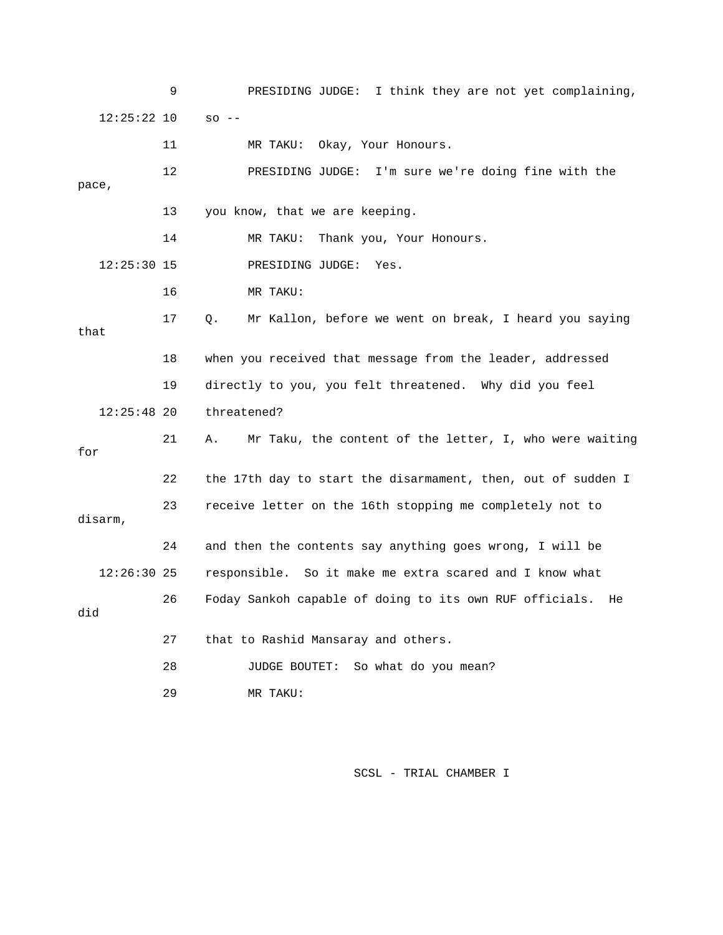9 PRESIDING JUDGE: I think they are not yet complaining, 12:25:22 10 so -- 12 PRESIDING JUDGE: I'm sure we're doing fine with the 13 you know, that we are keeping. 14 MR TAKU: Thank you, Your Honours. 16 MR TAKU: 17 Q. Mr Kallon, before we went on break, I heard you saying 19 directly to you, you felt threatened. Why did you feel 12:25:48 20 threatened? 21 A. Mr Taku, the content of the letter, I, who were waiting 22 the 17th day to start the disarmament, then, out of sudden I , disarm 26 Foday Sankoh capable of doing to its own RUF officials. He did 27 that to Rashid Mansaray and others. 11 MR TAKU: Okay, Your Honours. pace, 12:25:30 15 PRESIDING JUDGE: Yes. that 18 when you received that message from the leader, addressed for 23 receive letter on the 16th stopping me completely not to 24 and then the contents say anything goes wrong, I will be 12:26:30 25 responsible. So it make me extra scared and I know what 28 JUDGE BOUTET: So what do you mean? 29 MR TAKU: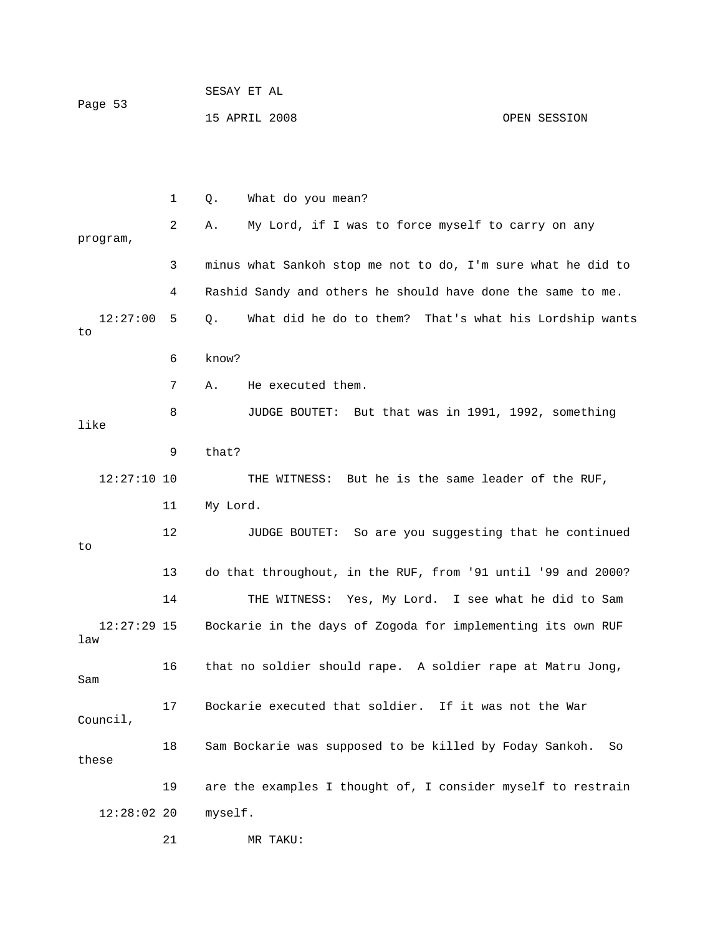| Page 53 | SESAY ET AL   |              |
|---------|---------------|--------------|
|         | 15 APRIL 2008 | OPEN SESSION |

|                      | 1  | What do you mean?<br>Q.                                       |
|----------------------|----|---------------------------------------------------------------|
| program,             | 2  | My Lord, if I was to force myself to carry on any<br>Α.       |
|                      | 3  | minus what Sankoh stop me not to do, I'm sure what he did to  |
|                      | 4  | Rashid Sandy and others he should have done the same to me.   |
| 12:27:00<br>to       | 5. | What did he do to them? That's what his Lordship wants<br>Q.  |
|                      | 6  | know?                                                         |
|                      | 7  | He executed them.<br>Α.                                       |
| like                 | 8  | JUDGE BOUTET: But that was in 1991, 1992, something           |
|                      | 9  | that?                                                         |
| $12:27:10$ 10        |    | THE WITNESS: But he is the same leader of the RUF,            |
|                      | 11 | My Lord.                                                      |
| to                   | 12 | JUDGE BOUTET: So are you suggesting that he continued         |
|                      | 13 | do that throughout, in the RUF, from '91 until '99 and 2000?  |
|                      | 14 | THE WITNESS: Yes, My Lord. I see what he did to Sam           |
| $12:27:29$ 15<br>law |    | Bockarie in the days of Zogoda for implementing its own RUF   |
| Sam                  | 16 | that no soldier should rape. A soldier rape at Matru Jong,    |
| Council,             | 17 | Bockarie executed that soldier. If it was not the War         |
| these                | 18 | Sam Bockarie was supposed to be killed by Foday Sankoh.<br>So |
|                      | 19 | are the examples I thought of, I consider myself to restrain  |
| 12:28:0220           |    | myself.                                                       |
|                      | 21 | MR TAKU:                                                      |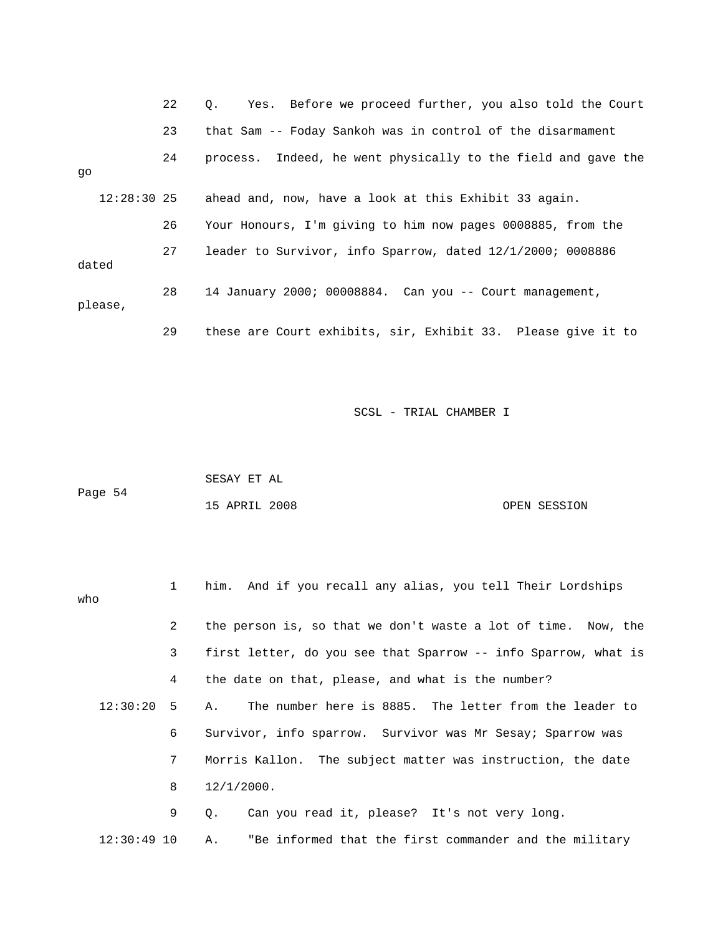|         |               | 22 | Yes. Before we proceed further, you also told the Court<br>0. |
|---------|---------------|----|---------------------------------------------------------------|
|         |               | 23 | that Sam -- Foday Sankoh was in control of the disarmament    |
| qo      |               | 24 | process. Indeed, he went physically to the field and gave the |
|         | $12:28:30$ 25 |    | ahead and, now, have a look at this Exhibit 33 again.         |
|         |               | 26 | Your Honours, I'm giving to him now pages 0008885, from the   |
| dated   |               | 27 | leader to Survivor, info Sparrow, dated 12/1/2000; 0008886    |
| please, |               | 28 | 14 January 2000; 00008884. Can you -- Court management,       |
|         |               | 29 | these are Court exhibits, sir, Exhibit 33. Please give it to  |

|         | SESAY ET AL   |  |              |
|---------|---------------|--|--------------|
| Page 54 |               |  |              |
|         | 15 APRIL 2008 |  | OPEN SESSION |

| who           | $1 \quad$      | him. And if you recall any alias, you tell Their Lordships     |
|---------------|----------------|----------------------------------------------------------------|
|               | $\overline{2}$ | the person is, so that we don't waste a lot of time. Now, the  |
|               | 3              | first letter, do you see that Sparrow -- info Sparrow, what is |
|               | 4              | the date on that, please, and what is the number?              |
| $12:30:20$ 5  |                | The number here is 8885. The letter from the leader to<br>A.   |
|               | 6              | Survivor, info sparrow. Survivor was Mr Sesay; Sparrow was     |
|               | 7              | Morris Kallon. The subject matter was instruction, the date    |
|               | 8              | 12/1/2000.                                                     |
|               | 9              | Can you read it, please? It's not very long.<br>$\circ$ .      |
| $12:30:49$ 10 |                | "Be informed that the first commander and the military<br>Α.   |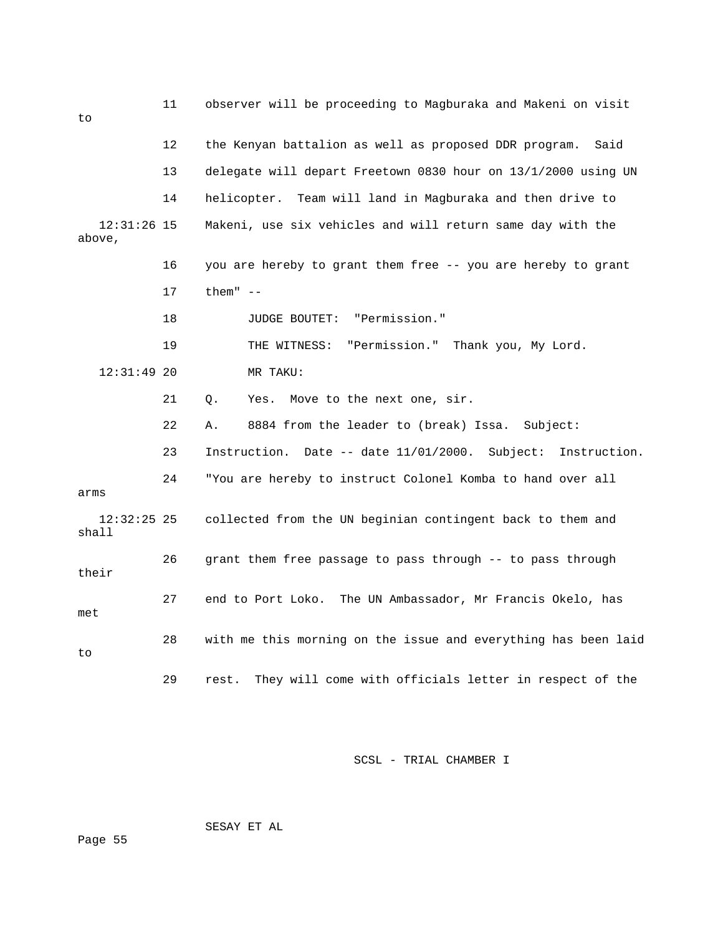| to                      | 11 | observer will be proceeding to Magburaka and Makeni on visit      |
|-------------------------|----|-------------------------------------------------------------------|
|                         | 12 | the Kenyan battalion as well as proposed DDR program.<br>Said     |
|                         | 13 | delegate will depart Freetown 0830 hour on 13/1/2000 using UN     |
|                         | 14 | helicopter. Team will land in Magburaka and then drive to         |
| $12:31:26$ 15<br>above, |    | Makeni, use six vehicles and will return same day with the        |
|                         | 16 | you are hereby to grant them free -- you are hereby to grant      |
|                         | 17 | them" $--$                                                        |
|                         | 18 | JUDGE BOUTET: "Permission."                                       |
|                         | 19 | "Permission." Thank you, My Lord.<br>THE WITNESS:                 |
| $12:31:49$ 20           |    | MR TAKU:                                                          |
|                         | 21 | Move to the next one, sir.<br>Q.<br>Yes.                          |
|                         | 22 | 8884 from the leader to (break) Issa. Subject:<br>Α.              |
|                         | 23 | Instruction. Date -- date 11/01/2000.<br>Subject:<br>Instruction. |
| arms                    | 24 | "You are hereby to instruct Colonel Komba to hand over all        |
| $12:32:25$ 25<br>shall  |    | collected from the UN beginian contingent back to them and        |
| their                   | 26 | grant them free passage to pass through -- to pass through        |
| met                     | 27 | The UN Ambassador, Mr Francis Okelo, has<br>end to Port Loko.     |
| to                      | 28 | with me this morning on the issue and everything has been laid    |
|                         | 29 | They will come with officials letter in respect of the<br>rest.   |

SESAY ET AL

Page 55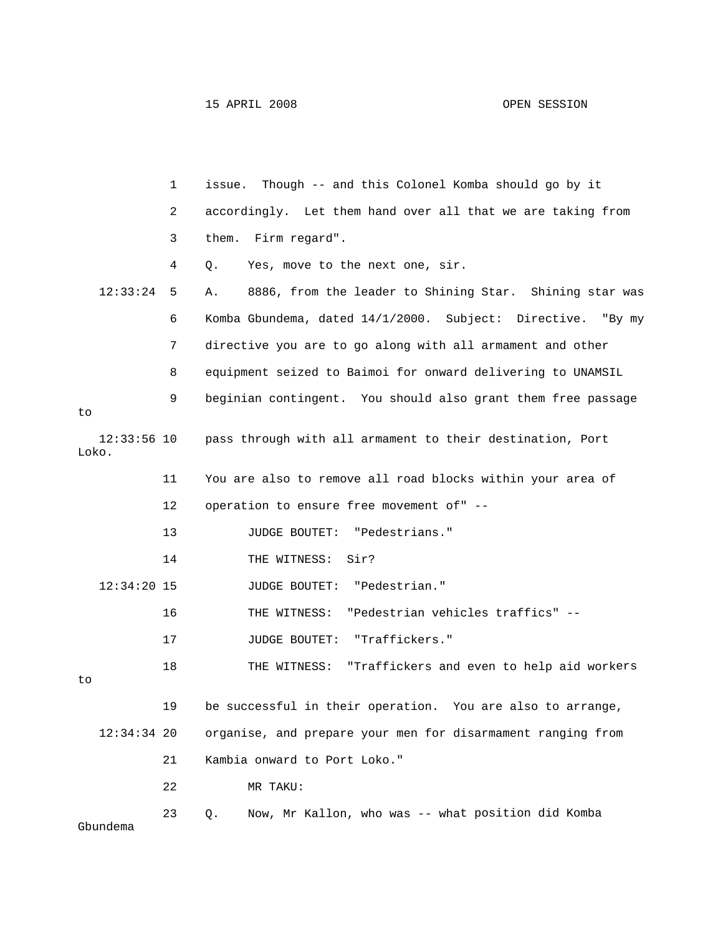15 APRIL 2008 OPEN SESSION

|                        | $\mathbf 1$ | Though -- and this Colonel Komba should go by it<br>issue.     |
|------------------------|-------------|----------------------------------------------------------------|
|                        | 2           | accordingly. Let them hand over all that we are taking from    |
|                        | 3           | them. Firm regard".                                            |
|                        | 4           | Yes, move to the next one, sir.<br>Q.                          |
| 12:33:24               | 5           | 8886, from the leader to Shining Star. Shining star was<br>Α.  |
|                        | 6           | Komba Gbundema, dated 14/1/2000. Subject: Directive.<br>"By my |
|                        | 7           | directive you are to go along with all armament and other      |
|                        | 8           | equipment seized to Baimoi for onward delivering to UNAMSIL    |
| to                     | 9           | beginian contingent. You should also grant them free passage   |
| $12:33:56$ 10<br>Loko. |             | pass through with all armament to their destination, Port      |
|                        | 11          | You are also to remove all road blocks within your area of     |
|                        | 12          | operation to ensure free movement of" --                       |
|                        | 13          | <b>JUDGE BOUTET:</b><br>"Pedestrians."                         |
|                        | 14          | THE WITNESS:<br>Sir?                                           |
| $12:34:20$ 15          |             | "Pedestrian."<br><b>JUDGE BOUTET:</b>                          |
|                        | 16          | "Pedestrian vehicles traffics" --<br>THE WITNESS:              |
|                        | 17          | "Traffickers."<br>JUDGE BOUTET:                                |
| to                     | 18          | "Traffickers and even to help aid workers<br>THE WITNESS:      |
|                        | 19          | be successful in their operation. You are also to arrange,     |
| $12:34:34$ 20          |             | organise, and prepare your men for disarmament ranging from    |
|                        | 21          | Kambia onward to Port Loko."                                   |
|                        | 22          | MR TAKU:                                                       |
|                        | 23          | Now, Mr Kallon, who was -- what position did Komba<br>Q.       |

Gbundema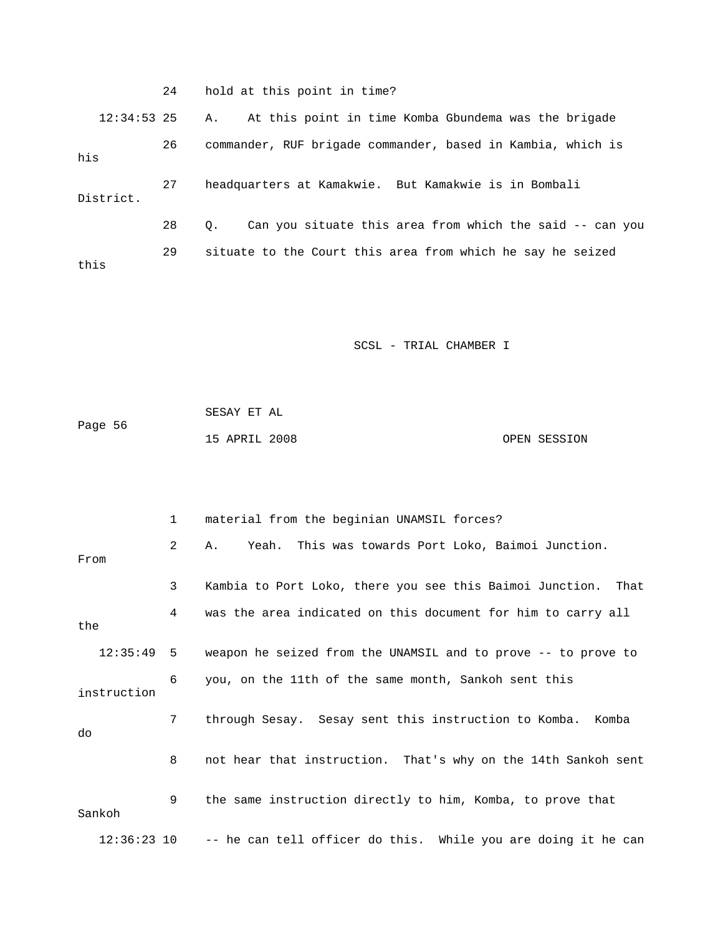|               | 24 | hold at this point in time?                                    |
|---------------|----|----------------------------------------------------------------|
| $12:34:53$ 25 |    | At this point in time Komba Gbundema was the brigade<br>Α.     |
| his           | 26 | commander, RUF brigade commander, based in Kambia, which is    |
| District.     | 27 | headquarters at Kamakwie. But Kamakwie is in Bombali           |
|               | 28 | Can you situate this area from which the said -- can you<br>О. |
| this          | 29 | situate to the Court this area from which he say he seized     |

| Page 56 | SESAY ET AL   |  |              |
|---------|---------------|--|--------------|
|         | 15 APRIL 2008 |  | OPEN SESSION |

|             |               | $\mathbf{1}$ | material from the beginian UNAMSIL forces?                    |
|-------------|---------------|--------------|---------------------------------------------------------------|
| From        |               | 2            | Yeah. This was towards Port Loko, Baimoi Junction.<br>Α.      |
|             |               | 3            | Kambia to Port Loko, there you see this Baimoi Junction. That |
| the         |               | 4            | was the area indicated on this document for him to carry all  |
|             | $12:35:49$ 5  |              | weapon he seized from the UNAMSIL and to prove -- to prove to |
| instruction |               | 6            | you, on the 11th of the same month, Sankoh sent this          |
| do          |               | 7            | through Sesay. Sesay sent this instruction to Komba. Komba    |
|             |               | 8            | not hear that instruction. That's why on the 14th Sankoh sent |
| Sankoh      |               | 9            | the same instruction directly to him, Komba, to prove that    |
|             | $12:36:23$ 10 |              | -- he can tell officer do this. While you are doing it he can |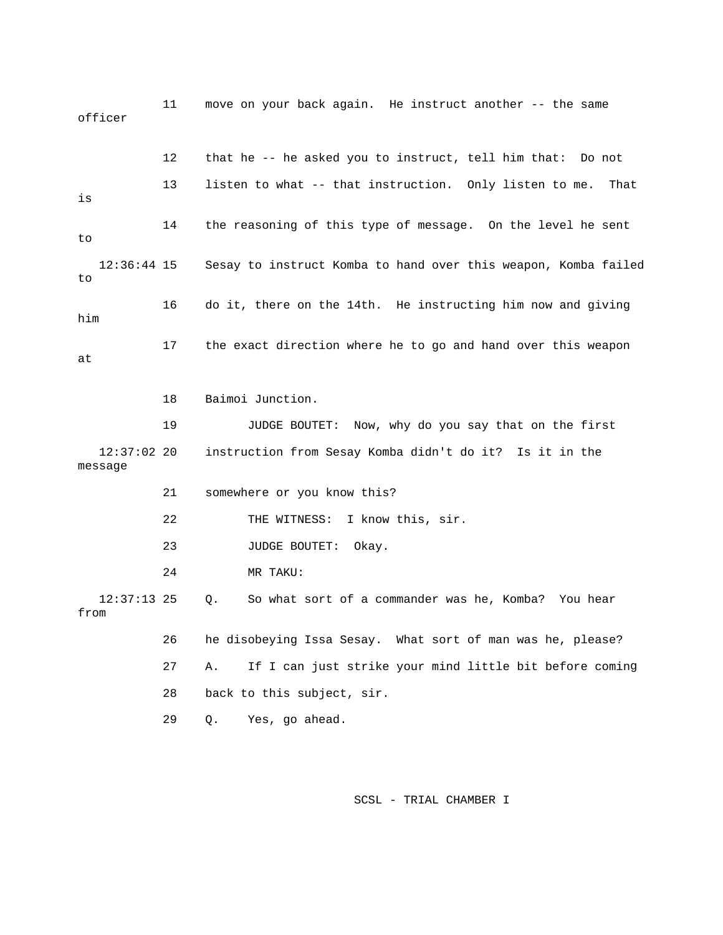11 move on your back again. He instruct another -- the same officer 12 that he -- he asked you to instruct, tell him that: Do not 12:36:44 15 Sesay to instruct Komba to hand over this weapon, Komba failed 17 the exact direction where he to go and hand over this weapon 12:37:02 20 instruction from Sesay Komba didn't do it? Is it in the 21 somewhere or you know this? 22 THE WITNESS: I know this, sir. 24 MR TAKU: Q. So what sort of a commander was he, Komba? You hear from 26 he disobeying Issa Sesay. What sort of man was he, please? 27 A. If I can just strike your mind little bit before coming 29 Q. Yes, go ahead. 13 listen to what -- that instruction. Only listen to me. That is 14 the reasoning of this type of message. On the level he sent to to 16 do it, there on the 14th. He instructing him now and giving him at 18 Baimoi Junction. 19 JUDGE BOUTET: Now, why do you say that on the first message 23 JUDGE BOUTET: Okay.  $12:37:13$  25 28 back to this subject, sir.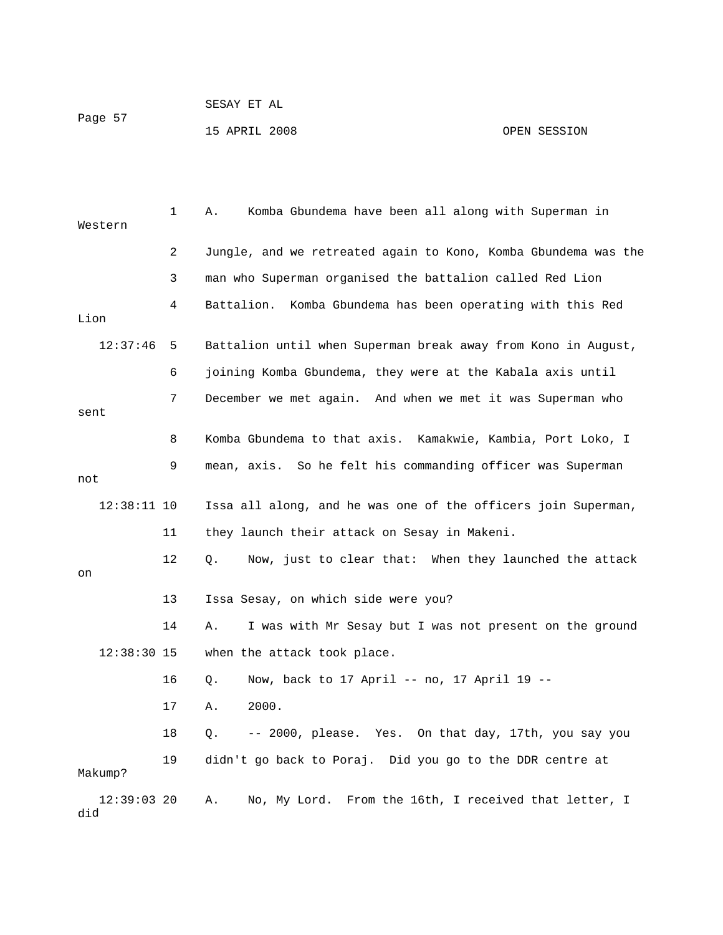| Page 57 | SESAY ET AL   |              |
|---------|---------------|--------------|
|         | 15 APRIL 2008 | OPEN SESSION |

| Western              | 1  | Komba Gbundema have been all along with Superman in<br>Α.           |
|----------------------|----|---------------------------------------------------------------------|
|                      | 2  | Jungle, and we retreated again to Kono, Komba Gbundema was the      |
|                      | 3  | man who Superman organised the battalion called Red Lion            |
| Lion                 | 4  | Komba Gbundema has been operating with this Red<br>Battalion.       |
|                      |    |                                                                     |
| 12:37:46             | 5  | Battalion until when Superman break away from Kono in August,       |
|                      | 6  | joining Komba Gbundema, they were at the Kabala axis until          |
| sent                 | 7  | December we met again. And when we met it was Superman who          |
|                      | 8  | Komba Gbundema to that axis. Kamakwie, Kambia, Port Loko, I         |
| not                  | 9  | mean, axis. So he felt his commanding officer was Superman          |
| $12:38:11$ 10        |    | Issa all along, and he was one of the officers join Superman,       |
|                      | 11 | they launch their attack on Sesay in Makeni.                        |
| on                   | 12 | Now, just to clear that: When they launched the attack<br>$\circ$ . |
|                      | 13 | Issa Sesay, on which side were you?                                 |
|                      | 14 | I was with Mr Sesay but I was not present on the ground<br>Α.       |
| $12:38:30$ 15        |    | when the attack took place.                                         |
|                      | 16 | Now, back to 17 April -- no, 17 April 19 --<br>Q.                   |
|                      | 17 | 2000.<br>Α.                                                         |
|                      | 18 | -- 2000, please. Yes. On that day, 17th, you say you<br>Q.          |
| Makump?              | 19 | didn't go back to Poraj. Did you go to the DDR centre at            |
| $12:39:03$ 20<br>did |    | No, My Lord. From the 16th, I received that letter, I<br>Α.         |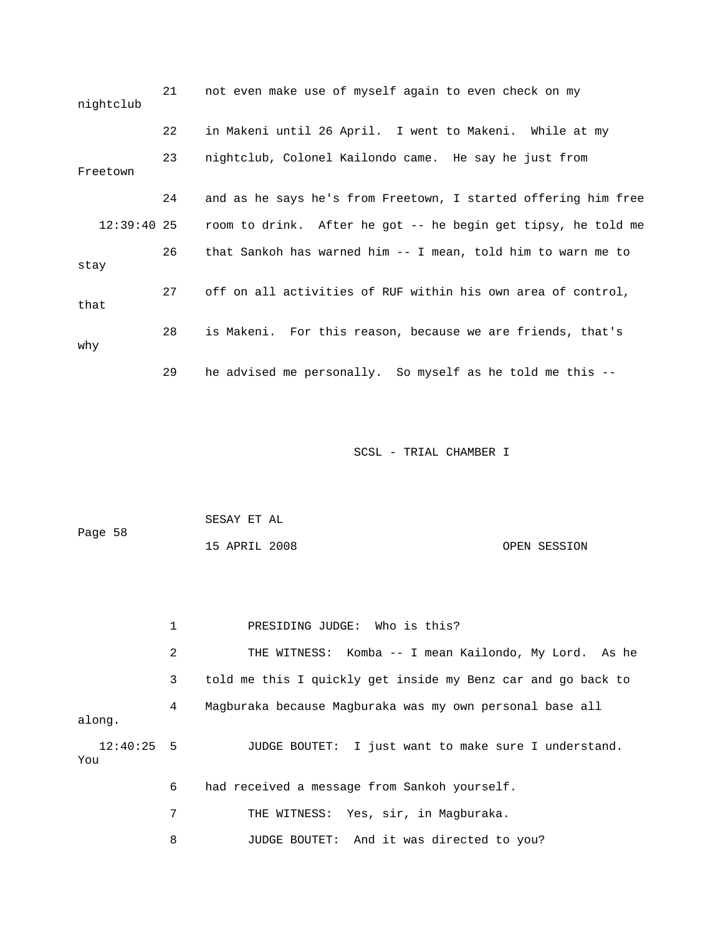| nightclub     | 21 | not even make use of myself again to even check on my          |
|---------------|----|----------------------------------------------------------------|
|               | 22 | in Makeni until 26 April. I went to Makeni. While at my        |
| Freetown      | 23 | nightclub, Colonel Kailondo came. He say he just from          |
|               | 24 | and as he says he's from Freetown, I started offering him free |
| $12:39:40$ 25 |    | room to drink. After he got -- he begin get tipsy, he told me  |
| stay          | 26 | that Sankoh has warned him -- I mean, told him to warn me to   |
| that          | 27 | off on all activities of RUF within his own area of control,   |
| why           | 28 | is Makeni. For this reason, because we are friends, that's     |
|               | 29 | he advised me personally. So myself as he told me this --      |

| Page 58 | SESAY ET AL   |              |
|---------|---------------|--------------|
|         | 15 APRIL 2008 | OPEN SESSION |

|                     | 1 | PRESIDING JUDGE: Who is this?                                |
|---------------------|---|--------------------------------------------------------------|
|                     | 2 | THE WITNESS: Komba -- I mean Kailondo, My Lord. As he        |
|                     | 3 | told me this I quickly get inside my Benz car and go back to |
| along.              | 4 | Magburaka because Magburaka was my own personal base all     |
| $12:40:25$ 5<br>You |   | JUDGE BOUTET: I just want to make sure I understand.         |
|                     | 6 | had received a message from Sankoh yourself.                 |
|                     | 7 | THE WITNESS: Yes, sir, in Magburaka.                         |
|                     | 8 | JUDGE BOUTET: And it was directed to you?                    |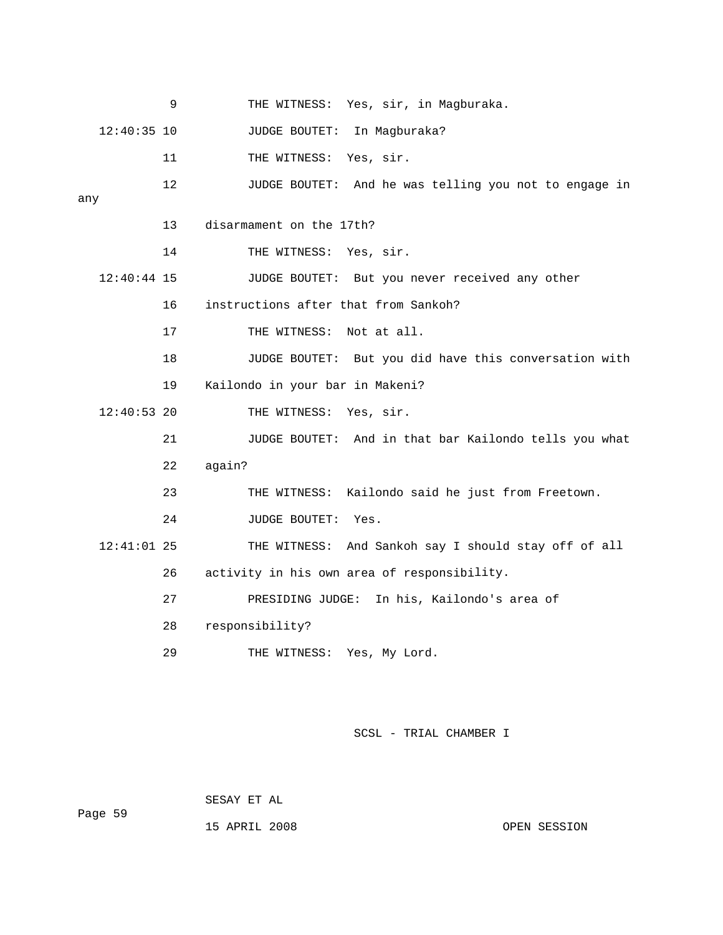|               | 9  | THE WITNESS: Yes, sir, in Magburaka.                  |
|---------------|----|-------------------------------------------------------|
| $12:40:35$ 10 |    | In Magburaka?<br>JUDGE BOUTET:                        |
|               | 11 | THE WITNESS:<br>Yes, sir.                             |
|               | 12 | JUDGE BOUTET: And he was telling you not to engage in |
| any           |    |                                                       |
|               | 13 | disarmament on the 17th?                              |
|               | 14 | THE WITNESS: Yes, sir.                                |
| $12:40:44$ 15 |    | JUDGE BOUTET: But you never received any other        |
|               | 16 | instructions after that from Sankoh?                  |
|               | 17 | THE WITNESS: Not at all.                              |
|               | 18 | JUDGE BOUTET: But you did have this conversation with |
|               | 19 | Kailondo in your bar in Makeni?                       |
| $12:40:53$ 20 |    | THE WITNESS: Yes, sir.                                |
|               | 21 | JUDGE BOUTET: And in that bar Kailondo tells you what |
|               | 22 | again?                                                |
|               | 23 | Kailondo said he just from Freetown.<br>THE WITNESS:  |
|               | 24 | JUDGE BOUTET:<br>Yes.                                 |
| $12:41:01$ 25 |    | THE WITNESS: And Sankoh say I should stay off of all  |
|               | 26 | activity in his own area of responsibility.           |
|               | 27 | PRESIDING JUDGE: In his, Kailondo's area of           |
|               | 28 | responsibility?                                       |
|               | 29 | THE WITNESS:<br>Yes, My Lord.                         |

 SESAY ET AL Page 59

15 APRIL 2008 CPEN SESSION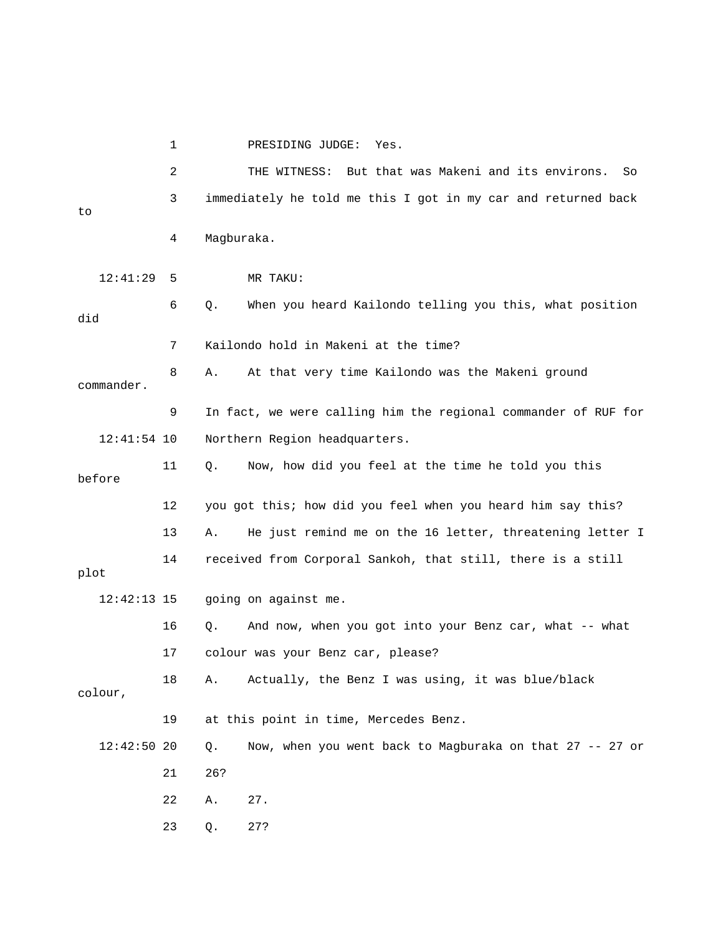|               | 1  | PRESIDING JUDGE:<br>Yes.                                       |
|---------------|----|----------------------------------------------------------------|
|               | 2  | But that was Makeni and its environs.<br>THE WITNESS:<br>So    |
| to            | 3  | immediately he told me this I got in my car and returned back  |
|               | 4  | Magburaka.                                                     |
| 12:41:29      | 5  | MR TAKU:                                                       |
| did           | 6  | When you heard Kailondo telling you this, what position<br>Q.  |
|               | 7  | Kailondo hold in Makeni at the time?                           |
| commander.    | 8  | At that very time Kailondo was the Makeni ground<br>Α.         |
|               | 9  | In fact, we were calling him the regional commander of RUF for |
| $12:41:54$ 10 |    | Northern Region headquarters.                                  |
| before        | 11 | Now, how did you feel at the time he told you this<br>$Q$ .    |
|               | 12 | you got this; how did you feel when you heard him say this?    |
|               | 13 | He just remind me on the 16 letter, threatening letter I<br>Α. |
| plot          | 14 | received from Corporal Sankoh, that still, there is a still    |
| $12:42:13$ 15 |    | going on against me.                                           |
|               | 16 | And now, when you got into your Benz car, what -- what<br>Q.   |
|               | 17 | colour was your Benz car, please?                              |
| colour,       | 18 | Actually, the Benz I was using, it was blue/black<br>Α.        |
|               | 19 | at this point in time, Mercedes Benz.                          |
| $12:42:50$ 20 |    | Now, when you went back to Magburaka on that 27 -- 27 or<br>Q. |
|               | 21 | 26?                                                            |
|               | 22 | 27.<br>Α.                                                      |
|               | 23 | 27?<br>Q.                                                      |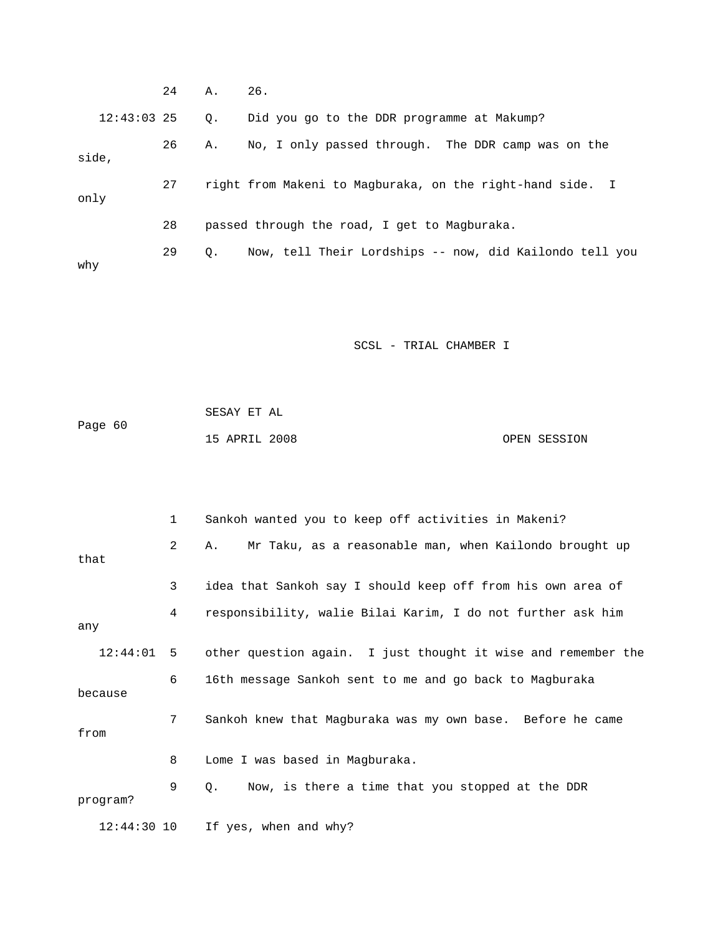|               | 24 | Α.        | 26.                                                       |
|---------------|----|-----------|-----------------------------------------------------------|
| $12:43:03$ 25 |    | $\circ$ . | Did you go to the DDR programme at Makump?                |
| side,         | 26 | А.        | No, I only passed through. The DDR camp was on the        |
| only          | 27 |           | right from Makeni to Magburaka, on the right-hand side. I |
|               | 28 |           | passed through the road, I get to Magburaka.              |
| why           | 29 | $\circ$ . | Now, tell Their Lordships -- now, did Kailondo tell you   |

| Page 60 | SESAY ET AL   |  |              |
|---------|---------------|--|--------------|
|         | 15 APRIL 2008 |  | OPEN SESSION |

|              | $\mathbf{1}$   | Sankoh wanted you to keep off activities in Makeni?           |
|--------------|----------------|---------------------------------------------------------------|
| that         | $\overline{a}$ | Mr Taku, as a reasonable man, when Kailondo brought up<br>Α.  |
|              | 3              | idea that Sankoh say I should keep off from his own area of   |
| any          | 4              | responsibility, walie Bilai Karim, I do not further ask him   |
| $12:44:01$ 5 |                | other question again. I just thought it wise and remember the |
| because      | 6              | 16th message Sankoh sent to me and go back to Magburaka       |
| from         | $7^{\circ}$    | Sankoh knew that Magburaka was my own base. Before he came    |
|              | 8              | Lome I was based in Magburaka.                                |
| program?     | 9              | Now, is there a time that you stopped at the DDR<br>О.        |
|              |                | 12:44:30 10 If yes, when and why?                             |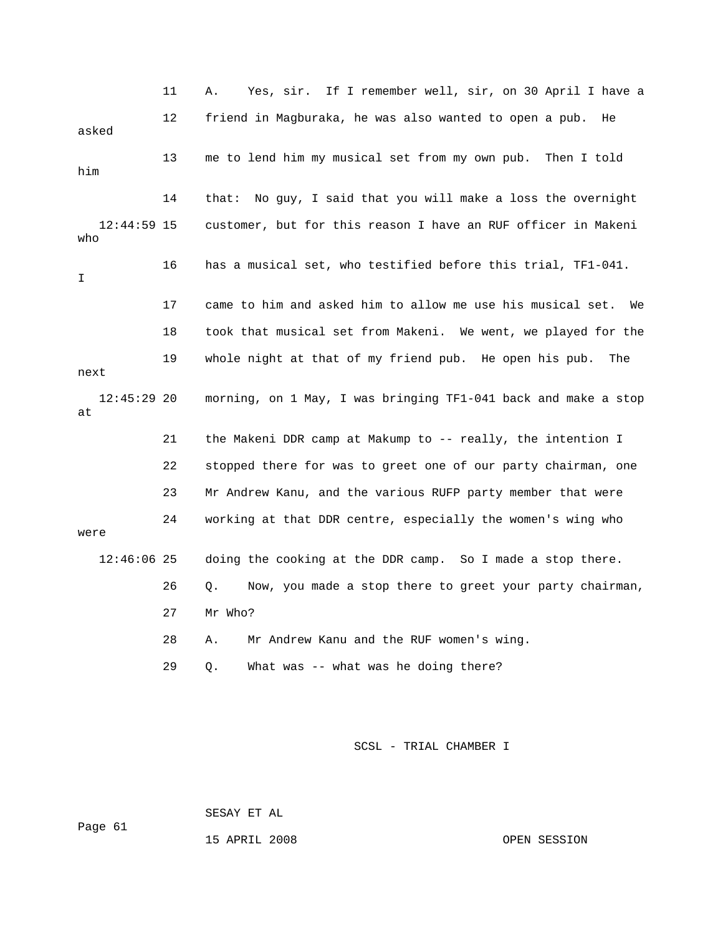|                      | 11 | Yes, sir. If I remember well, sir, on 30 April I have a<br>Α.    |
|----------------------|----|------------------------------------------------------------------|
| asked                | 12 | friend in Magburaka, he was also wanted to open a pub.<br>He     |
| him                  | 13 | me to lend him my musical set from my own pub.<br>Then I told    |
|                      | 14 | No guy, I said that you will make a loss the overnight<br>that:  |
| $12:44:59$ 15<br>who |    | customer, but for this reason I have an RUF officer in Makeni    |
| I                    | 16 | has a musical set, who testified before this trial, TF1-041.     |
|                      | 17 | came to him and asked him to allow me use his musical set.<br>We |
|                      | 18 | took that musical set from Makeni. We went, we played for the    |
| next                 | 19 | whole night at that of my friend pub. He open his pub.<br>The    |
| $12:45:29$ 20<br>at  |    | morning, on 1 May, I was bringing TF1-041 back and make a stop   |
|                      | 21 | the Makeni DDR camp at Makump to -- really, the intention I      |
|                      | 22 | stopped there for was to greet one of our party chairman, one    |
|                      | 23 | Mr Andrew Kanu, and the various RUFP party member that were      |
| were                 | 24 | working at that DDR centre, especially the women's wing who      |
| $12:46:06$ 25        |    | doing the cooking at the DDR camp. So I made a stop there.       |
|                      | 26 | Now, you made a stop there to greet your party chairman,<br>Q.   |
|                      | 27 | Mr Who?                                                          |
|                      | 28 | Mr Andrew Kanu and the RUF women's wing.<br>Α.                   |
|                      | 29 | What was -- what was he doing there?<br>Q.                       |

SESAY ET AL

Page 61

15 APRIL 2008 OPEN SESSION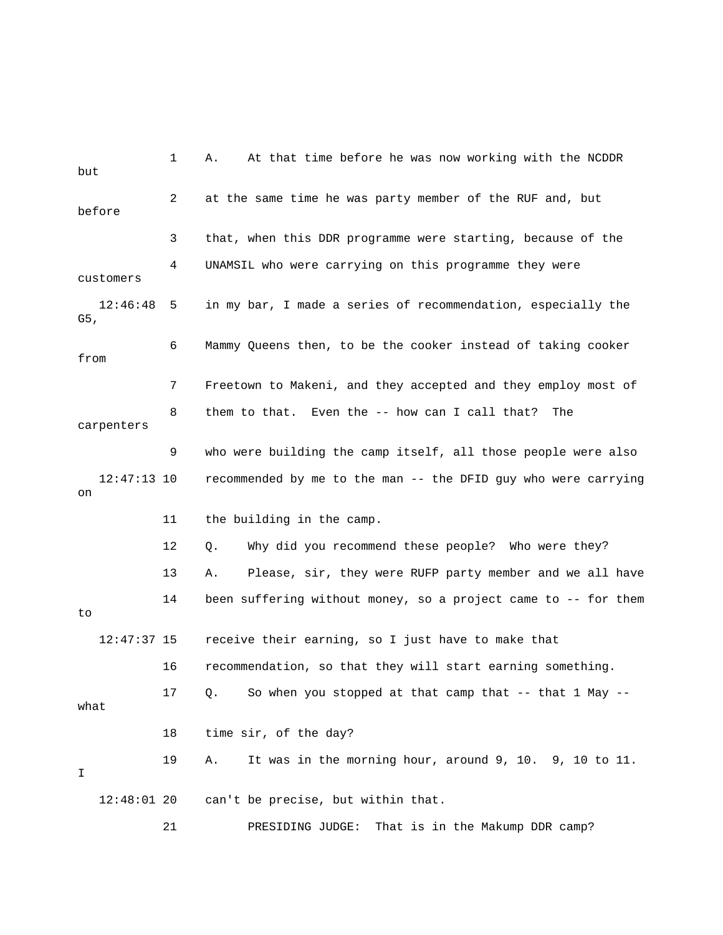1 A. At that time before he was now working with the NCDDR 2 at the same time he was party member of the RUF and, but before 3 that, when this DDR programme were starting, because of the 4 UNAMSIL who were carrying on this programme they were customers 6 Mammy Queens then, to be the cooker instead of taking cooker from 7 Freetown to Makeni, and they accepted and they employ most of 8 them to that. Even the -- how can I call that? The 9 who were building the camp itself, all those people were also recommended by me to the man -- the DFID guy who were carrying 11 the building in the camp. 12 Q. Why did you recommend these people? Who were they? 14 been suffering without money, so a project came to -- for them 12:47:37 15 receive their earning, so I just have to make that 17 Q. So when you stopped at that camp that -- that 1 May -- 18 time sir, of the day? 19 A. It was in the morning hour, around 9, 10. 9, 10 to 11. but 12:46:48 5 in my bar, I made a series of recommendation, especially the G5, carpenters 12:47:13 10 on 13 A. Please, sir, they were RUFP party member and we all have to 16 recommendation, so that they will start earning something. what I 12:48:01 20 can't be precise, but within that. 21 PRESIDING JUDGE: That is in the Makump DDR camp?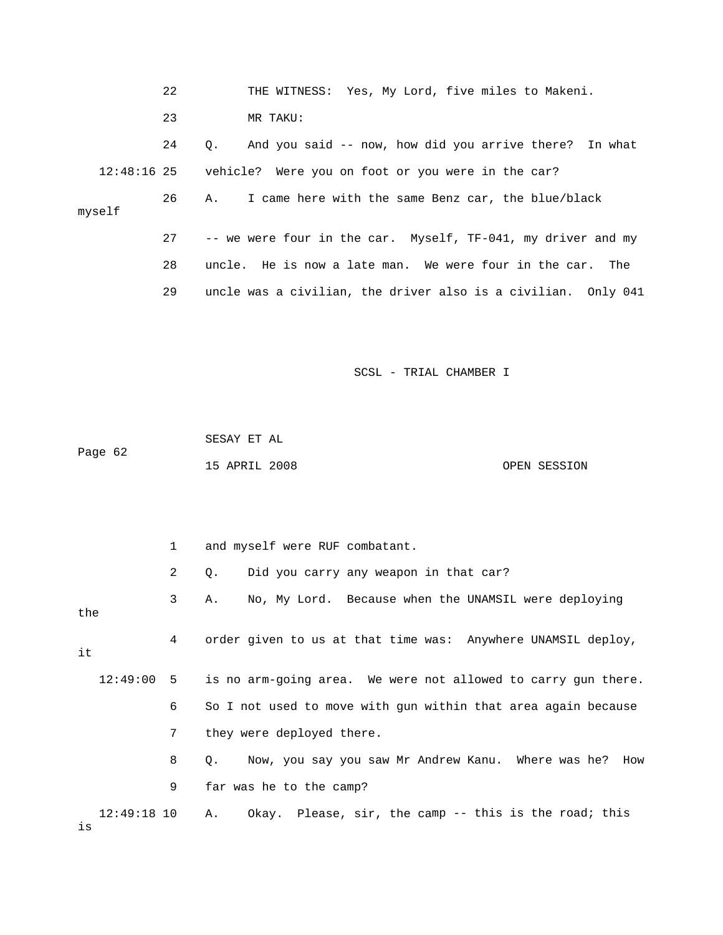|               | 22 | THE WITNESS: Yes, My Lord, five miles to Makeni.                    |
|---------------|----|---------------------------------------------------------------------|
|               | 23 | MR TAKU:                                                            |
|               | 24 | And you said -- now, how did you arrive there? In what<br>$\circ$ . |
| $12:48:16$ 25 |    | vehicle? Were you on foot or you were in the car?                   |
| myself        | 26 | I came here with the same Benz car, the blue/black<br>Α.            |
|               | 27 | -- we were four in the car. Myself, TF-041, my driver and my        |
|               | 28 | uncle. He is now a late man. We were four in the car. The           |
|               | 29 | uncle was a civilian, the driver also is a civilian. Only 041       |

Page 62 SESAY ET AL 15 APRIL 2008 OPEN SESSION

 2 Q. Did you carry any weapon in that car? 3 A. No, My Lord. Because when the UNAMSIL were deploying the 4 order given to us at that time was: Anywhere UNAMSIL deploy, 12:49:00 5 is no arm-going area. We were not allowed to carry gun there. 8 Q. Now, you say you saw Mr Andrew Kanu. Where was he? How 9 far was he to the camp? 12:49:18 10 A. Okay. Please, sir, the camp -- this is the road; this 1 and myself were RUF combatant. it 6 So I not used to move with gun within that area again because 7 they were deployed there. is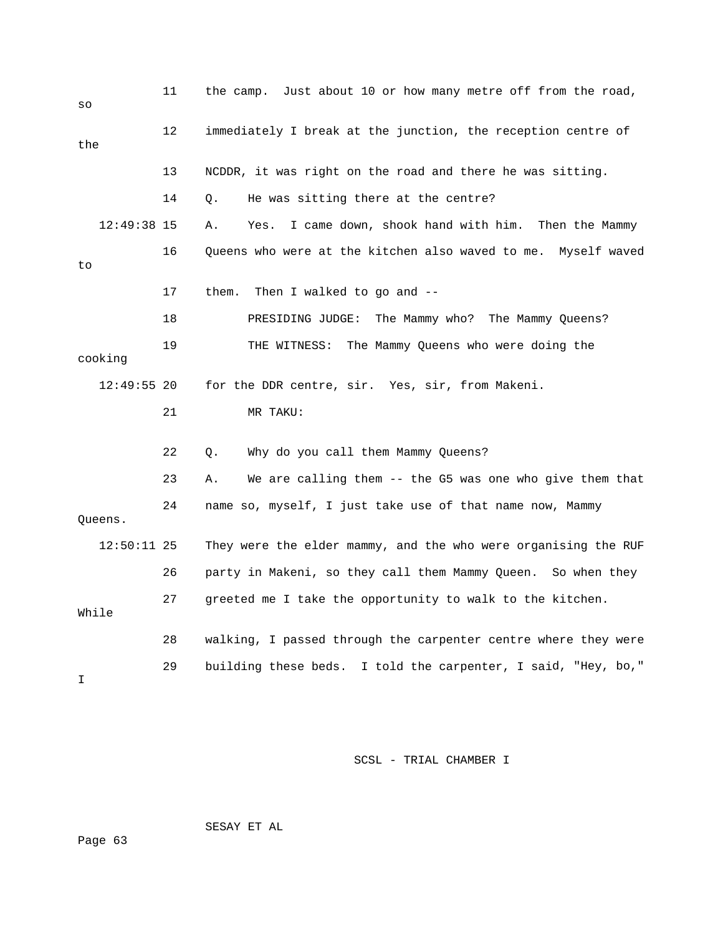| SO  |               | 11 | the camp. Just about 10 or how many metre off from the road,   |
|-----|---------------|----|----------------------------------------------------------------|
| the |               | 12 | immediately I break at the junction, the reception centre of   |
|     |               | 13 | NCDDR, it was right on the road and there he was sitting.      |
|     |               | 14 | He was sitting there at the centre?<br>О.                      |
|     | 12:49:38 15   |    | I came down, shook hand with him. Then the Mammy<br>Α.<br>Yes. |
| to  |               | 16 | Queens who were at the kitchen also waved to me. Myself waved  |
|     |               | 17 | Then I walked to go and $-$ -<br>them.                         |
|     |               | 18 | PRESIDING JUDGE:<br>The Mammy who? The Mammy Queens?           |
|     | cooking       | 19 | The Mammy Queens who were doing the<br>THE WITNESS:            |
|     | $12:49:55$ 20 |    | for the DDR centre, sir. Yes, sir, from Makeni.                |
|     |               | 21 | MR TAKU:                                                       |
|     |               | 22 | Why do you call them Mammy Queens?<br>Q.                       |
|     |               | 23 | We are calling them -- the G5 was one who give them that<br>Α. |
|     | Queens.       | 24 | name so, myself, I just take use of that name now, Mammy       |
|     | $12:50:11$ 25 |    | They were the elder mammy, and the who were organising the RUF |
|     |               | 26 | party in Makeni, so they call them Mammy Queen. So when they   |
|     | While         | 27 | greeted me I take the opportunity to walk to the kitchen.      |
|     |               | 28 | walking, I passed through the carpenter centre where they were |
| I   |               | 29 | building these beds. I told the carpenter, I said, "Hey, bo,"  |

SESAY ET AL

Page 63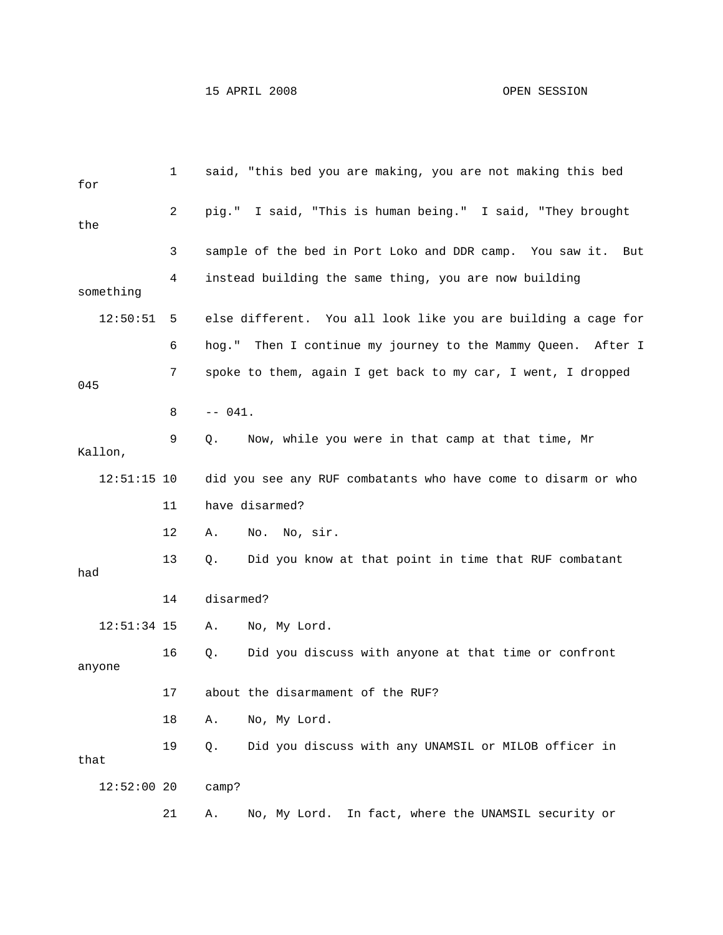| for           | 1  | said, "this bed you are making, you are not making this bed     |
|---------------|----|-----------------------------------------------------------------|
| the           | 2  | pig." I said, "This is human being." I said, "They brought      |
|               | 3  | sample of the bed in Port Loko and DDR camp. You saw it.<br>But |
| something     | 4  | instead building the same thing, you are now building           |
| 12:50:51      | 5  | else different. You all look like you are building a cage for   |
|               | 6  | hog." Then I continue my journey to the Mammy Queen.<br>After I |
| 045           | 7  | spoke to them, again I get back to my car, I went, I dropped    |
|               | 8  | $-- 041.$                                                       |
| Kallon,       | 9  | Now, while you were in that camp at that time, Mr<br>Q.         |
| $12:51:15$ 10 |    | did you see any RUF combatants who have come to disarm or who   |
|               | 11 | have disarmed?                                                  |
|               | 12 | No. No, sir.<br>Α.                                              |
| had           | 13 | Did you know at that point in time that RUF combatant<br>Q.     |
|               | 14 | disarmed?                                                       |
| $12:51:34$ 15 |    | No, My Lord.<br>Α.                                              |
| anyone        | 16 | Did you discuss with anyone at that time or confront<br>Q.      |
|               | 17 | about the disarmament of the RUF?                               |
|               | 18 | No, My Lord.<br>Α.                                              |
| that          | 19 | Did you discuss with any UNAMSIL or MILOB officer in<br>$Q$ .   |
| $12:52:00$ 20 |    | camp?                                                           |
|               | 21 | In fact, where the UNAMSIL security or<br>No, My Lord.<br>Α.    |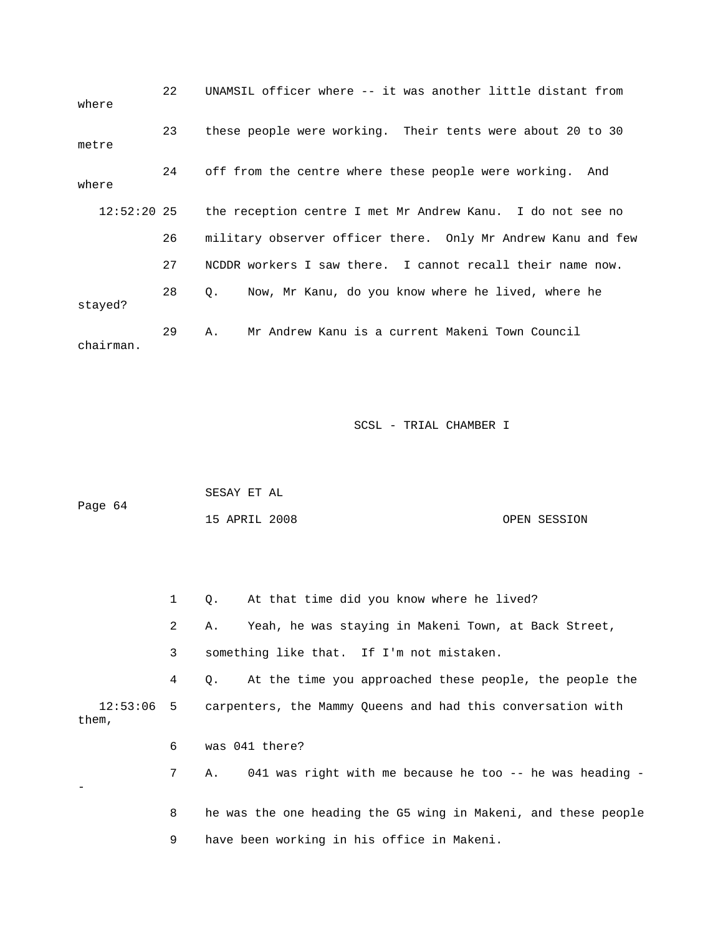| where       | 22 | UNAMSIL officer where -- it was another little distant from     |
|-------------|----|-----------------------------------------------------------------|
| metre       | 23 | these people were working. Their tents were about 20 to 30      |
| where       | 24 | off from the centre where these people were working. And        |
| 12:52:20 25 |    | the reception centre I met Mr Andrew Kanu. I do not see no      |
|             | 26 | military observer officer there. Only Mr Andrew Kanu and few    |
|             | 27 | NCDDR workers I saw there. I cannot recall their name now.      |
| stayed?     | 28 | Now, Mr Kanu, do you know where he lived, where he<br>$\circ$ . |
| chairman.   | 29 | Mr Andrew Kanu is a current Makeni Town Council<br>Α.           |

|         | SESAY ET AL   |  |              |
|---------|---------------|--|--------------|
| Page 64 |               |  |              |
|         | 15 APRIL 2008 |  | OPEN SESSION |

 1 Q. At that time did you know where he lived? 2 A. Yeah, he was staying in Makeni Town, at Back Street, 3 something like that. If I'm not mistaken. 4 Q. At the time you approached these people, the people the 12:53:06 5 carpenters, the Mammy Queens and had this conversation with them, 7 A. 041 was right with me because he too -- he was heading - 8 he was the one heading the G5 wing in Makeni, and these people 9 have been working in his office in Makeni. 6 was 041 there? -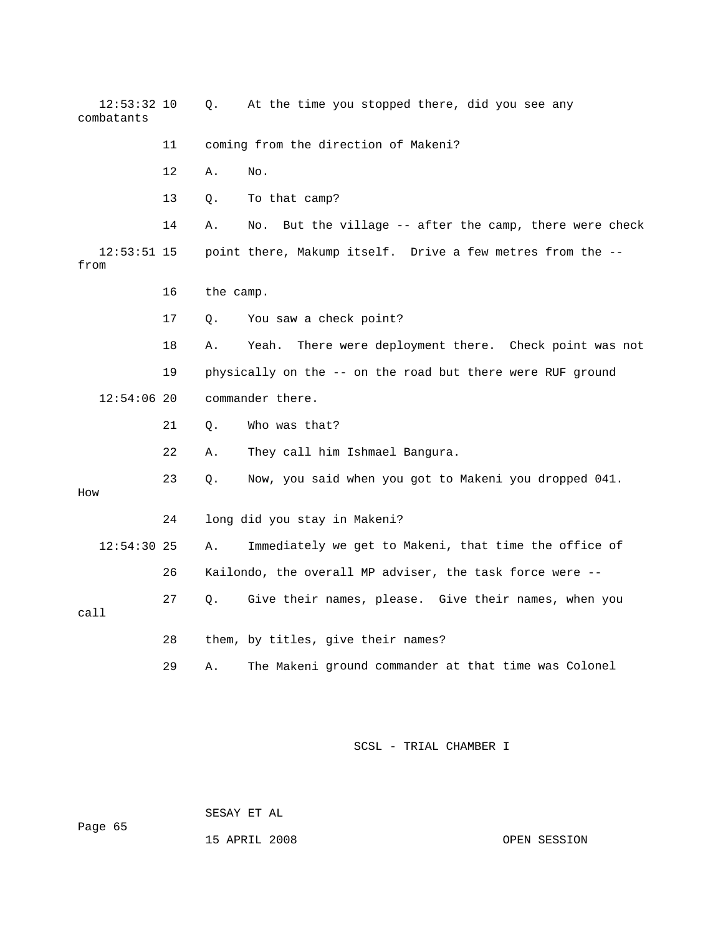| $12:53:32$ 10<br>combatants |    | Q.        | At the time you stopped there, did you see any             |  |  |
|-----------------------------|----|-----------|------------------------------------------------------------|--|--|
|                             | 11 |           | coming from the direction of Makeni?                       |  |  |
|                             | 12 | Α.        | No.                                                        |  |  |
|                             | 13 | Q.        | To that camp?                                              |  |  |
|                             | 14 | Α.        | But the village -- after the camp, there were check<br>No. |  |  |
| $12:53:51$ 15<br>from       |    |           | point there, Makump itself. Drive a few metres from the -- |  |  |
|                             | 16 | the camp. |                                                            |  |  |
|                             | 17 | Q.        | You saw a check point?                                     |  |  |
|                             | 18 | Α.        | Yeah.<br>There were deployment there. Check point was not  |  |  |
|                             | 19 |           | physically on the -- on the road but there were RUF ground |  |  |
| $12:54:06$ 20               |    |           | commander there.                                           |  |  |
|                             | 21 | Q.        | Who was that?                                              |  |  |
|                             | 22 | Α.        | They call him Ishmael Bangura.                             |  |  |
| How                         | 23 | О.        | Now, you said when you got to Makeni you dropped 041.      |  |  |
|                             | 24 |           | long did you stay in Makeni?                               |  |  |
| $12:54:30$ 25               |    | Α.        | Immediately we get to Makeni, that time the office of      |  |  |
|                             | 26 |           | Kailondo, the overall MP adviser, the task force were --   |  |  |
| call                        | 27 | О.        | Give their names, please. Give their names, when you       |  |  |
|                             | 28 |           | them, by titles, give their names?                         |  |  |
|                             | 29 | Α.        | The Makeni ground commander at that time was Colonel       |  |  |

SESAY ET AL

15 APRIL 2008 OPEN SESSION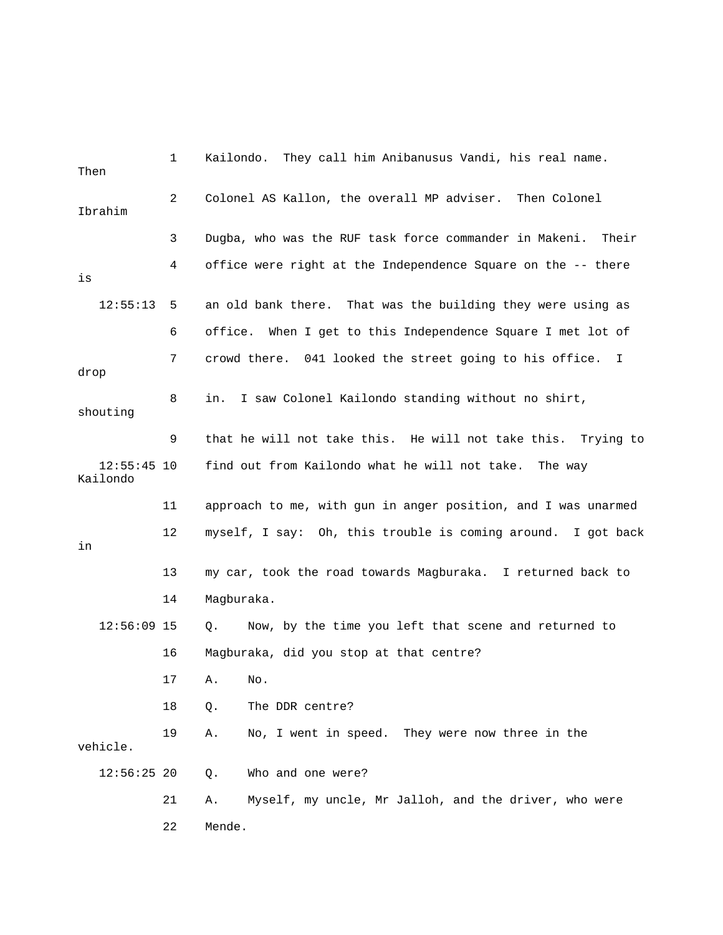| Then                      | 1  | Kailondo. They call him Anibanusus Vandi, his real name.                |
|---------------------------|----|-------------------------------------------------------------------------|
| Ibrahim                   | 2  | Colonel AS Kallon, the overall MP adviser. Then Colonel                 |
|                           | 3  | Dugba, who was the RUF task force commander in Makeni.<br>Their         |
| is                        | 4  | office were right at the Independence Square on the -- there            |
| 12:55:13                  | 5  | an old bank there. That was the building they were using as             |
|                           | 6  | When I get to this Independence Square I met lot of<br>office.          |
| drop                      | 7  | crowd there. 041 looked the street going to his office.<br>$\mathbf{I}$ |
| shouting                  | 8  | I saw Colonel Kailondo standing without no shirt,<br>in.                |
|                           | 9  | that he will not take this. He will not take this.<br>Trying to         |
| $12:55:45$ 10<br>Kailondo |    | find out from Kailondo what he will not take. The way                   |
|                           | 11 | approach to me, with gun in anger position, and I was unarmed           |
|                           |    | myself, I say: Oh, this trouble is coming around. I got back            |
| in                        | 12 |                                                                         |
|                           | 13 | my car, took the road towards Magburaka. I returned back to             |
|                           | 14 | Magburaka.                                                              |
| $12:56:09$ 15             |    | Now, by the time you left that scene and returned to<br>Q.              |
|                           | 16 | Magburaka, did you stop at that centre?                                 |
|                           | 17 | No.<br>А.                                                               |
|                           | 18 | The DDR centre?<br>Q.                                                   |
| vehicle.                  | 19 | No, I went in speed. They were now three in the<br>Α.                   |
| $12:56:25$ 20             |    | Who and one were?<br>Q.                                                 |
|                           | 21 | Myself, my uncle, Mr Jalloh, and the driver, who were<br>Α.             |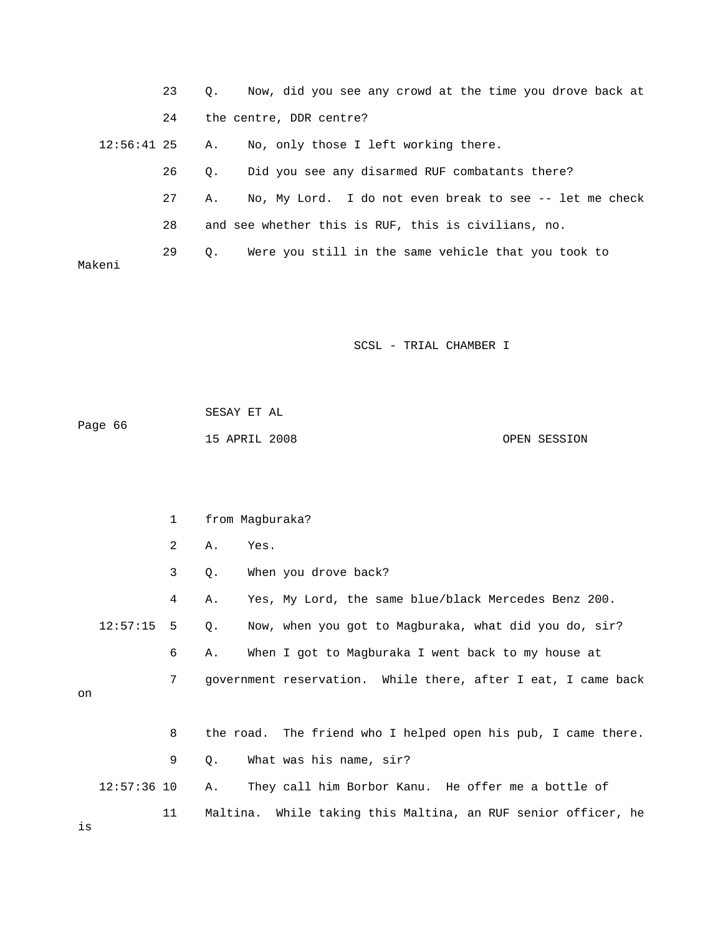|             | 23 | Now, did you see any crowd at the time you drove back at<br>$\circ$ . |
|-------------|----|-----------------------------------------------------------------------|
|             | 24 | the centre, DDR centre?                                               |
| 12:56:41 25 |    | No, only those I left working there.<br>А.                            |
|             | 26 | Did you see any disarmed RUF combatants there?<br>$\circ$ .           |
|             | 27 | No, My Lord. I do not even break to see -- let me check<br>Α.         |
|             | 28 | and see whether this is RUF, this is civilians, no.                   |
| Makeni      | 29 | Were you still in the same vehicle that you took to<br>$\circ$ .      |

| Paqe 66 | SESAY ET AL   |  |              |
|---------|---------------|--|--------------|
|         | 15 APRIL 2008 |  | OPEN SESSION |

|    |               | 1              | from Magburaka? |                                                               |  |
|----|---------------|----------------|-----------------|---------------------------------------------------------------|--|
|    |               | 2 <sup>0</sup> | Α.              | Yes.                                                          |  |
|    |               | 3              | Q.              | When you drove back?                                          |  |
|    |               | 4              | Α.              | Yes, My Lord, the same blue/black Mercedes Benz 200.          |  |
|    | 12:57:15      | 5              | Q.              | Now, when you got to Magburaka, what did you do, sir?         |  |
|    |               | 6              | Α.              | When I got to Magburaka I went back to my house at            |  |
|    |               | 7              |                 | government reservation. While there, after I eat, I came back |  |
| on |               |                |                 |                                                               |  |
|    |               | 8              |                 | the road. The friend who I helped open his pub, I came there. |  |
|    |               | 9              | Q.              | What was his name, sir?                                       |  |
|    | $12:57:36$ 10 |                | Α.              | They call him Borbor Kanu. He offer me a bottle of            |  |
|    |               | 11             |                 | Maltina. While taking this Maltina, an RUF senior officer, he |  |

is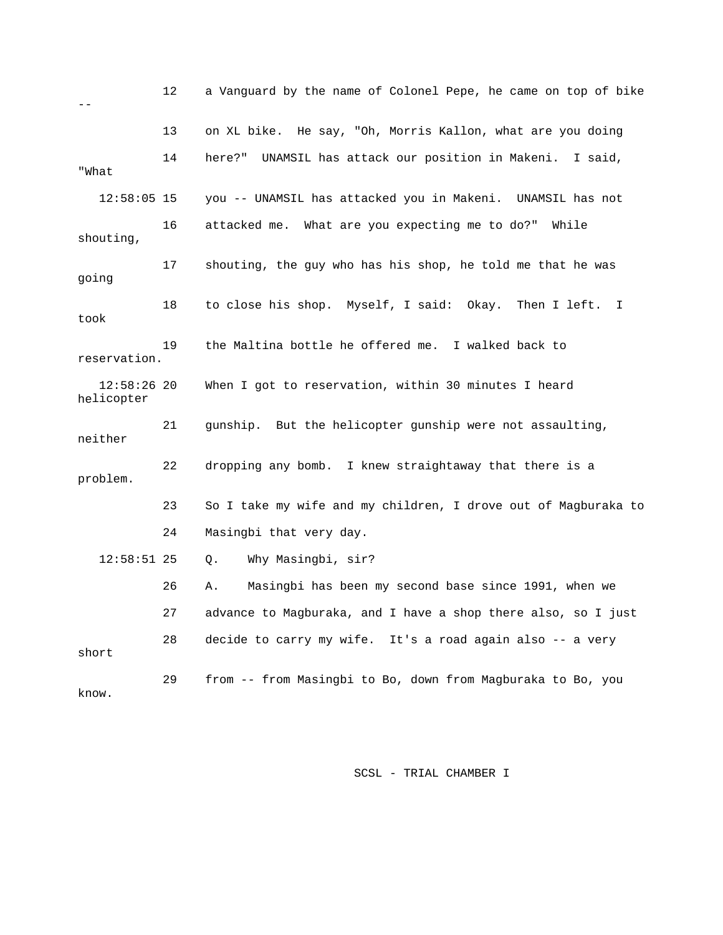|                             | 12 | a Vanguard by the name of Colonel Pepe, he came on top of bike   |
|-----------------------------|----|------------------------------------------------------------------|
|                             | 13 | on XL bike. He say, "Oh, Morris Kallon, what are you doing       |
| "What                       | 14 | UNAMSIL has attack our position in Makeni. I said,<br>here?"     |
| $12:58:05$ 15               |    | you -- UNAMSIL has attacked you in Makeni. UNAMSIL has not       |
| shouting,                   | 16 | attacked me. What are you expecting me to do?"<br>While          |
| going                       | 17 | shouting, the guy who has his shop, he told me that he was       |
| took                        | 18 | to close his shop. Myself, I said: Okay. Then I left.<br>$\perp$ |
| reservation.                | 19 | the Maltina bottle he offered me. I walked back to               |
| $12:58:26$ 20<br>helicopter |    | When I got to reservation, within 30 minutes I heard             |
| neither                     | 21 | gunship. But the helicopter gunship were not assaulting,         |
| problem.                    | 22 | dropping any bomb. I knew straightaway that there is a           |
|                             | 23 | So I take my wife and my children, I drove out of Magburaka to   |
|                             | 24 | Masingbi that very day.                                          |
| $12:58:51$ 25               |    | Why Masingbi, sir?<br>Q.                                         |
|                             | 26 | Masingbi has been my second base since 1991, when we<br>Α.       |
|                             | 27 | advance to Magburaka, and I have a shop there also, so I just    |
| short                       | 28 | decide to carry my wife. It's a road again also -- a very        |
| know.                       | 29 | from -- from Masingbi to Bo, down from Magburaka to Bo, you      |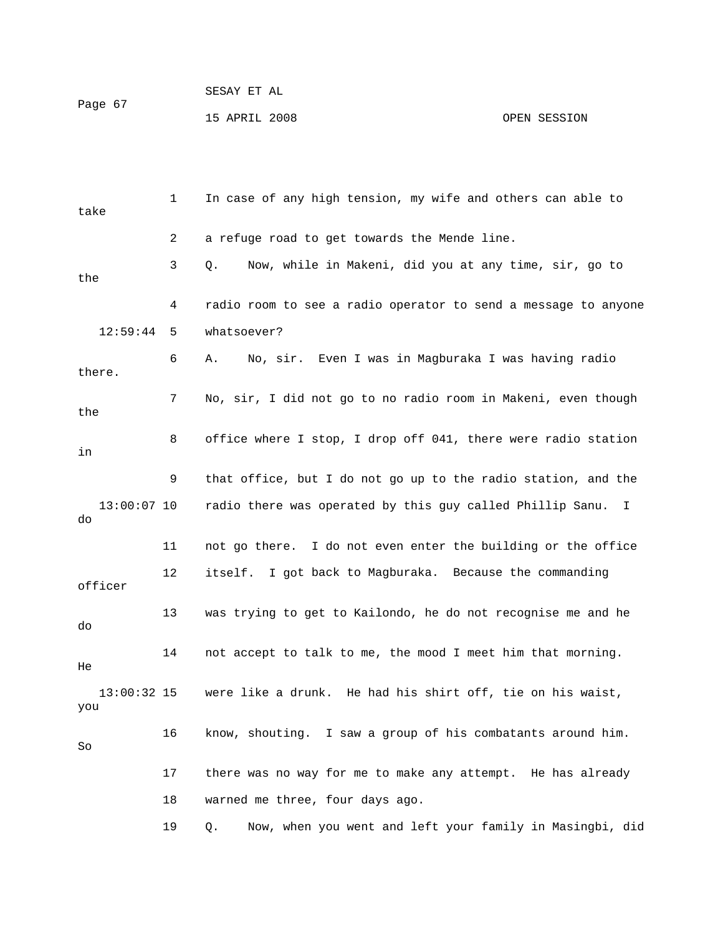|         | SESAY ET AL   |
|---------|---------------|
| Paqe 67 |               |
|         | 15 APRIL 2008 |

| take                | 1  | In case of any high tension, my wife and others can able to    |
|---------------------|----|----------------------------------------------------------------|
|                     | 2  | a refuge road to get towards the Mende line.                   |
| the                 | 3  | Now, while in Makeni, did you at any time, sir, go to<br>Q.    |
|                     | 4  | radio room to see a radio operator to send a message to anyone |
| 12:59:44            | 5  | whatsoever?                                                    |
| there.              | 6  | No, sir. Even I was in Magburaka I was having radio<br>Α.      |
| the                 | 7  | No, sir, I did not go to no radio room in Makeni, even though  |
| in                  | 8  | office where I stop, I drop off 041, there were radio station  |
|                     | 9  | that office, but I do not go up to the radio station, and the  |
| $13:00:07$ 10<br>do |    | radio there was operated by this guy called Phillip Sanu. I    |
|                     | 11 | not go there. I do not even enter the building or the office   |
| officer             | 12 | itself. I got back to Magburaka. Because the commanding        |
| do                  | 13 | was trying to get to Kailondo, he do not recognise me and he   |
| He                  | 14 | not accept to talk to me, the mood I meet him that morning.    |
| 13:00:32 15<br>you  |    | were like a drunk. He had his shirt off, tie on his waist,     |
| So                  | 16 | know, shouting. I saw a group of his combatants around him.    |
|                     | 17 | there was no way for me to make any attempt. He has already    |
|                     | 18 | warned me three, four days ago.                                |
|                     | 19 | Now, when you went and left your family in Masingbi, did<br>Q. |

OPEN SESSION

 $P\epsilon$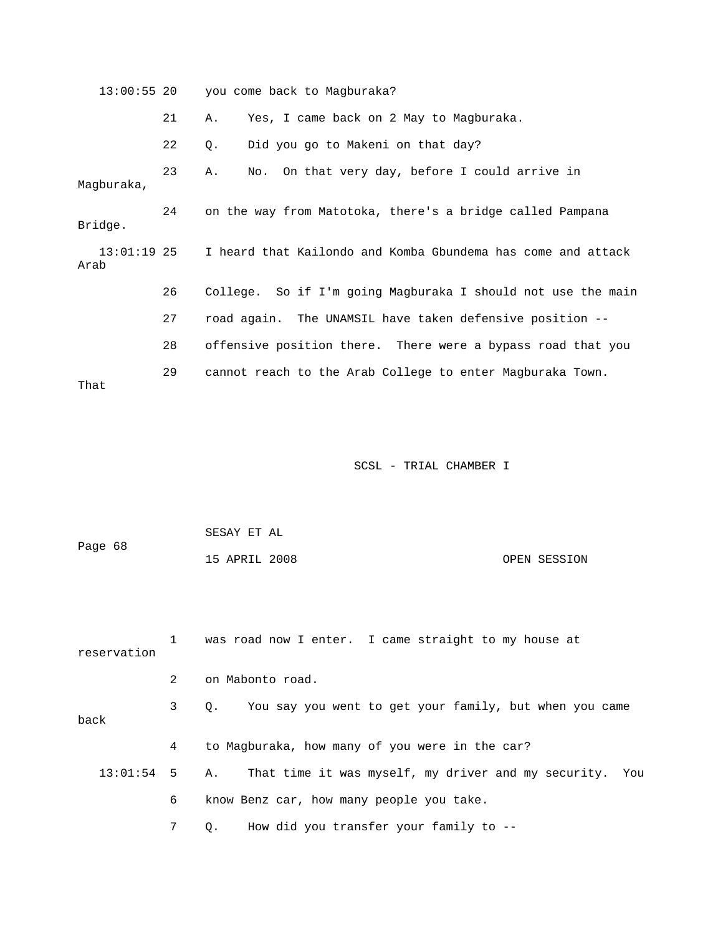13:00:55 20 you come back to Magburaka? 21 A. Yes, I came back on 2 May to Magburaka. 22 Q. Did you go to Makeni on that day? Magburaka, Bridge. 26 College. So if I'm going Magburaka I should not use the main 27 road again. The UNAMSIL have taken defensive position -- 28 offensive position there. There were a bypass road that you 29 cannot reach to the Arab College to enter Magburaka Town. 23 A. No. On that very day, before I could arrive in 24 on the way from Matotoka, there's a bridge called Pampana 13:01:19 25 I heard that Kailondo and Komba Gbundema has come and attack Arab That

| Page 68 | SESAY ET AL   |              |
|---------|---------------|--------------|
|         | 15 APRIL 2008 | OPEN SESSION |

| reservation     |   | was road now I enter. I came straight to my house at      |
|-----------------|---|-----------------------------------------------------------|
|                 | 2 | on Mabonto road.                                          |
| back            | 3 | Q. You say you went to get your family, but when you came |
|                 | 4 | to Magburaka, how many of you were in the car?            |
| $13:01:54$ 5 A. |   | That time it was myself, my driver and my security. You   |
|                 | 6 | know Benz car, how many people you take.                  |
|                 |   | How did you transfer your family to --<br>Q.              |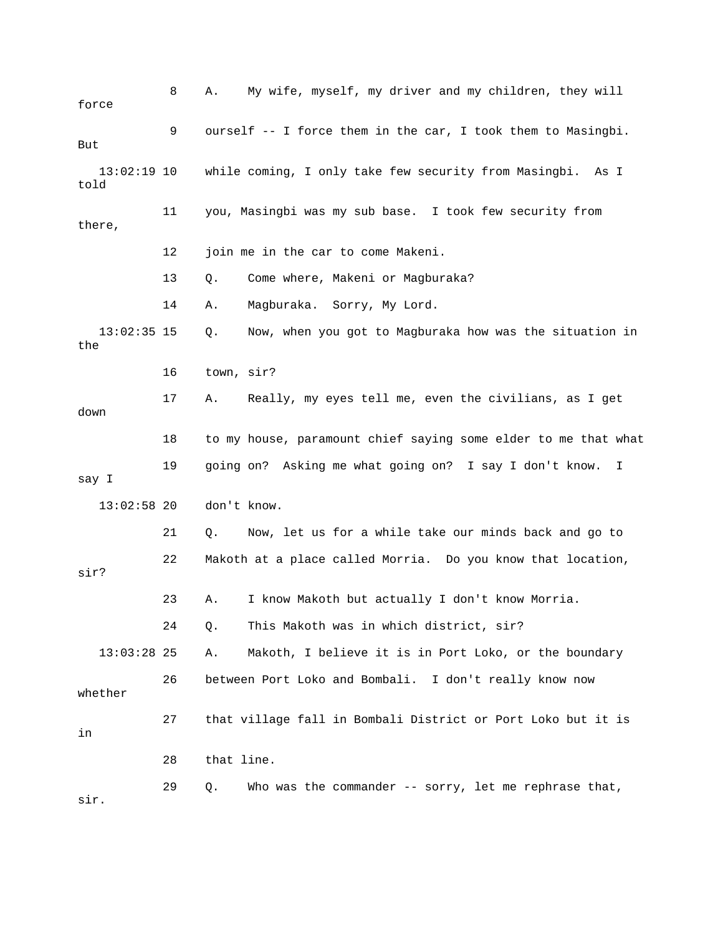8 A. My wife, myself, my driver and my children, they will force 9 ourself -- I force them in the car, I took them to Masingbi. 13:02:19 10 while coming, I only take few security from Masingbi. As I 11 you, Masingbi was my sub base. I took few security from 12 join me in the car to come Makeni. 13 Q. Come where, Makeni or Magburaka? 13:02:35 15 Q. Now, when you got to Magburaka how was the situation in 16 town, sir? 17 A. Really, my eyes tell me, even the civilians, as I get down 18 to my house, paramount chief saying some elder to me that what 19 going on? Asking me what going on? I say I don't know. I 21 Q. Now, let us for a while take our minds back and go to 22 Makoth at a place called Morria. Do you know that location, sir? 23 A. I know Makoth but actually I don't know Morria. 24 Q. This Makoth was in which district, sir? 26 between Port Loko and Bombali. I don't really know now 27 that village fall in Bombali District or Port Loko but it is 28 that line. 29 Q. Who was the commander -- sorry, let me rephrase that, But told there, 14 A. Magburaka. Sorry, My Lord. the say I 13:02:58 20 don't know. 13:03:28 25 A. Makoth, I believe it is in Port Loko, or the boundary whether in sir.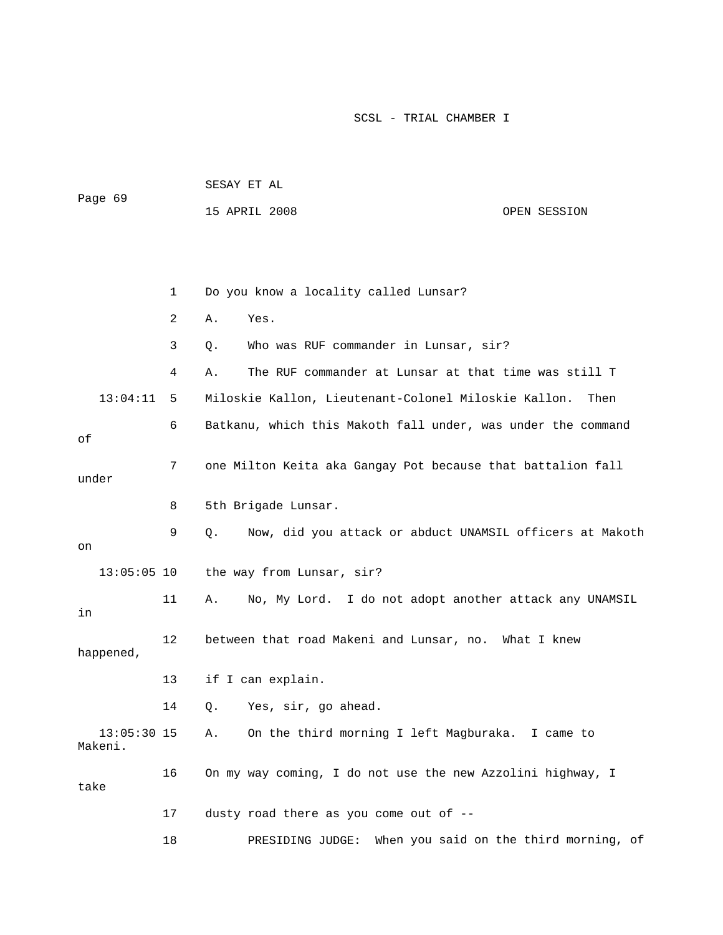| Page 69                  |    | SESAY ET AL                                                       |                                        |
|--------------------------|----|-------------------------------------------------------------------|----------------------------------------|
|                          |    | 15 APRIL 2008                                                     | OPEN SESSION                           |
|                          |    |                                                                   |                                        |
|                          |    |                                                                   |                                        |
|                          | 1  | Do you know a locality called Lunsar?                             |                                        |
|                          | 2  | Yes.<br>Α.                                                        |                                        |
|                          | 3  | Who was RUF commander in Lunsar, sir?<br>Q.                       |                                        |
|                          | 4  | The RUF commander at Lunsar at that time was still T<br>Α.        |                                        |
| 13:04:11                 | 5  | Miloskie Kallon, Lieutenant-Colonel Miloskie Kallon.              | Then                                   |
| οf                       | 6  | Batkanu, which this Makoth fall under, was under the command      |                                        |
| under                    | 7  | one Milton Keita aka Gangay Pot because that battalion fall       |                                        |
|                          | 8  | 5th Brigade Lunsar.                                               |                                        |
| on                       | 9  | Now, did you attack or abduct UNAMSIL officers at Makoth<br>$Q$ . |                                        |
| $13:05:05$ 10            |    | the way from Lunsar, sir?                                         |                                        |
| in                       | 11 | No, My Lord. I do not adopt another attack any UNAMSIL<br>Α.      |                                        |
| happened,                | 12 | between that road Makeni and Lunsar, no. What I knew              |                                        |
|                          | 13 | if I can explain.                                                 |                                        |
|                          | 14 | Q. Yes, sir, go ahead.                                            |                                        |
| $13:05:30$ 15<br>Makeni. |    | On the third morning I left Magburaka. I came to<br>Α.            |                                        |
| take                     | 16 | On my way coming, I do not use the new Azzolini highway, I        |                                        |
|                          | 17 | dusty road there as you come out of --                            |                                        |
|                          | 18 | PRESIDING JUDGE:                                                  | When you said on the third morning, of |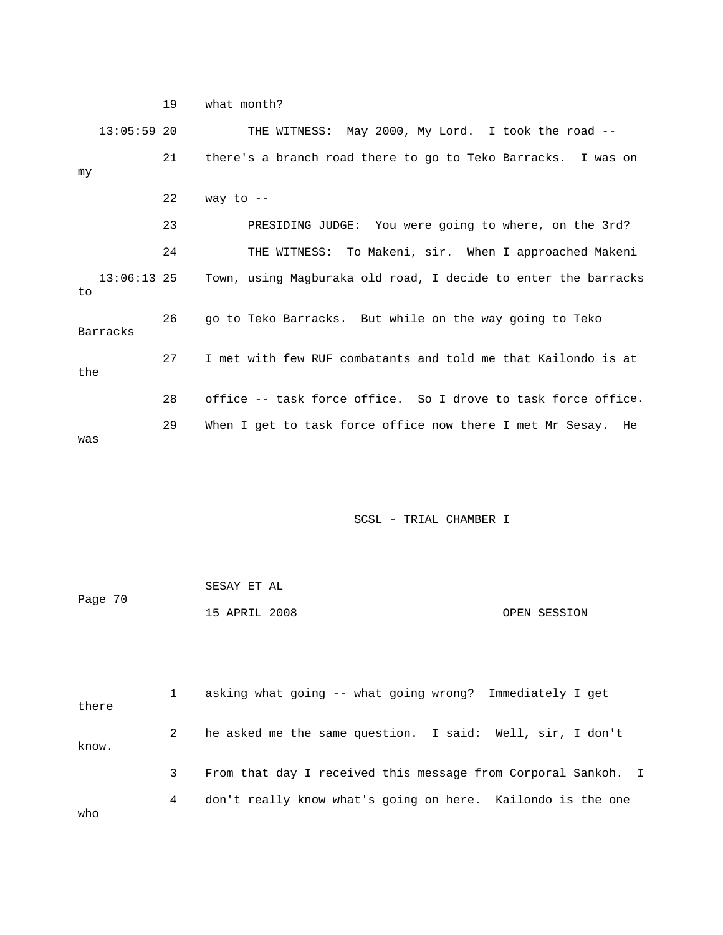19 what month? 13:05:59 20 THE WITNESS: May 2000, My Lord. I took the road -- 21 there's a branch road there to go to Teko Barracks. I was on  $22$  way to  $-$ 3rd? 23 PRESIDING JUDGE: You were going to where, on the 24 THE WITNESS: To Makeni, sir. When I approached Makeni 13:06:13 25 Town, using Magburaka old road, I decide to enter the barracks 26 yo to Teko Barracks. But while on the way going to Teko Barracks 27 I met with few RUF combatants and told me that Kailondo is at 28 office -- task force office. So I drove to task force office. my to the 29 When I get to task force office now there I met Mr Sesay. He was

## SCSL - TRIAL CHAMBER I

| Page 70 | SESAY ET AL   |  |              |
|---------|---------------|--|--------------|
|         | 15 APRIL 2008 |  | OPEN SESSION |

 2 he asked me the same question. I said: Well, sir, I don't know. 3 From that day I received this message from Corporal Sankoh. I 4 don't really know what's going on here. Kailondo is the one o wh 1 asking what going -- what going wrong? Immediately I get there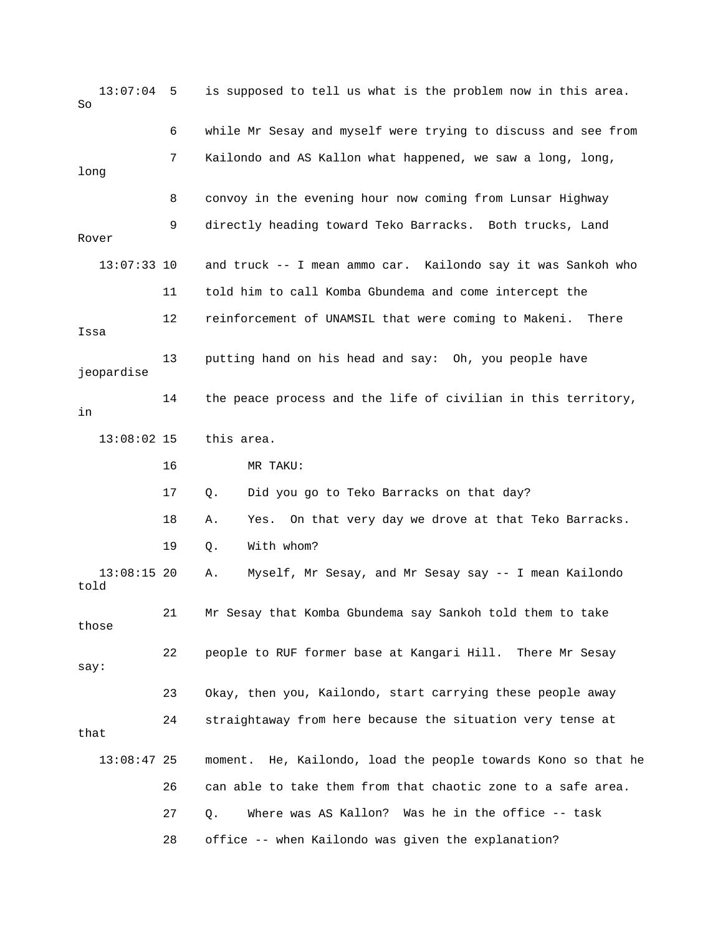13:07:04 5 is supposed to tell us what is the problem now in this area. So 6 while Mr Sesay and myself were trying to discuss and see from 7 Kailondo and AS Kallon what happened, we saw a long, long, long 11 told him to call Komba Gbundema and come intercept the 12 reinforcement of UNAMSIL that were coming to Makeni. There Issa 13 putting hand on his head and say: Oh, you people have jeopardise 14 the peace process and the life of civilian in this territory, 13:08:02 15 this area. 17 Q. Did you go to Teko Barracks on that day? e 21 Mr Sesay that Komba Gbundema say Sankoh told them to tak 23 Okay, then you, Kailondo, start carrying these people away 24 straightaway from here because the situation very tense at that 13:08:47 25 moment. He, Kailondo, load the people towards Kono so that he 27 Q. Where was AS Kallon? Was he in the office -- task 28 office -- when Kailondo was given the explanation? 8 convoy in the evening hour now coming from Lunsar Highway 9 directly heading toward Teko Barracks. Both trucks, Land Rover 13:07:33 10 and truck -- I mean ammo car. Kailondo say it was Sankoh who in 16 MR TAKU: 18 A. Yes. On that very day we drove at that Teko Barracks. 19 Q. With whom? 13:08:15 20 A. Myself, Mr Sesay, and Mr Sesay say -- I mean Kailondo told those 22 people to RUF former base at Kangari Hill. There Mr Sesay say: 26 can able to take them from that chaotic zone to a safe area.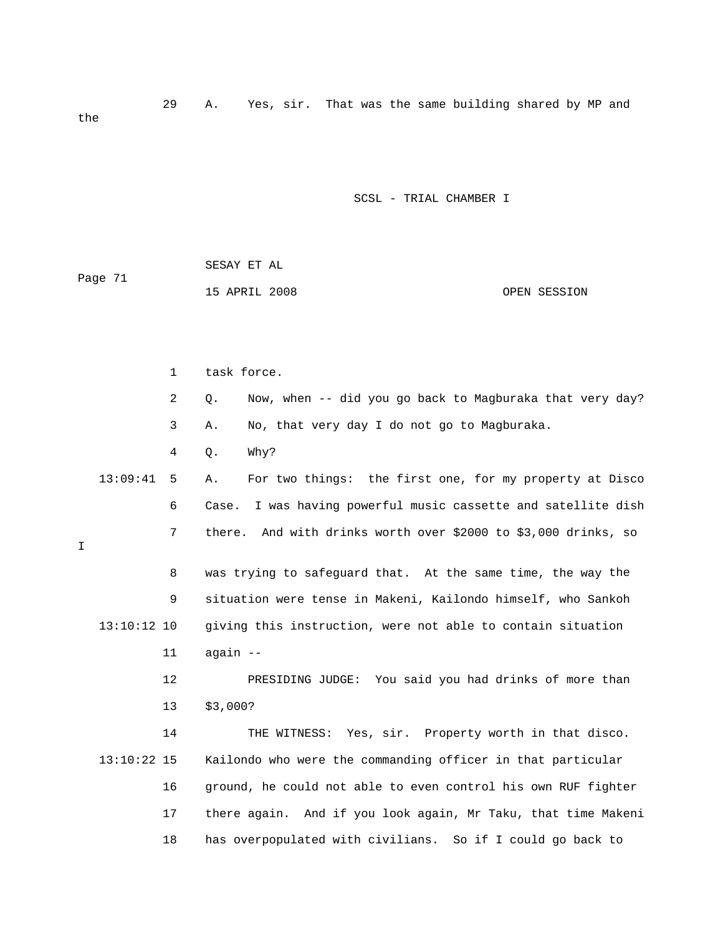29 A. Yes, sir. That was the same building shared by MP and the

| Page 71 | SESAY ET AL   |              |
|---------|---------------|--------------|
|         | 15 APRIL 2008 | OPEN SESSION |

|   |               | $\mathbf 1$    | task force.                                                       |
|---|---------------|----------------|-------------------------------------------------------------------|
|   |               | $\overline{a}$ | Now, when -- did you go back to Magburaka that very day?<br>Q.    |
|   |               | 3              | No, that very day I do not go to Magburaka.<br>Α.                 |
|   |               | $\overline{4}$ | Why?<br>Q.                                                        |
|   | 13:09:41      | 5              | For two things: the first one, for my property at Disco<br>Α.     |
|   |               | 6              | I was having powerful music cassette and satellite dish<br>Case.  |
| Ι |               | 7              | And with drinks worth over \$2000 to \$3,000 drinks, so<br>there. |
|   |               | 8              | was trying to safeguard that. At the same time, the way the       |
|   |               | 9              | situation were tense in Makeni, Kailondo himself, who Sankoh      |
|   | 13:10:12 10   |                | giving this instruction, were not able to contain situation       |
|   |               | 11             | again --                                                          |
|   |               | 12             | PRESIDING JUDGE: You said you had drinks of more than             |
|   |               | 13             | \$3,000?                                                          |
|   |               | 14             | THE WITNESS: Yes, sir. Property worth in that disco.              |
|   | $13:10:22$ 15 |                | Kailondo who were the commanding officer in that particular       |
|   |               | 16             | ground, he could not able to even control his own RUF fighter     |
|   |               | 17             | there again. And if you look again, Mr Taku, that time Makeni     |
|   |               | 18             | has overpopulated with civilians. So if I could go back to        |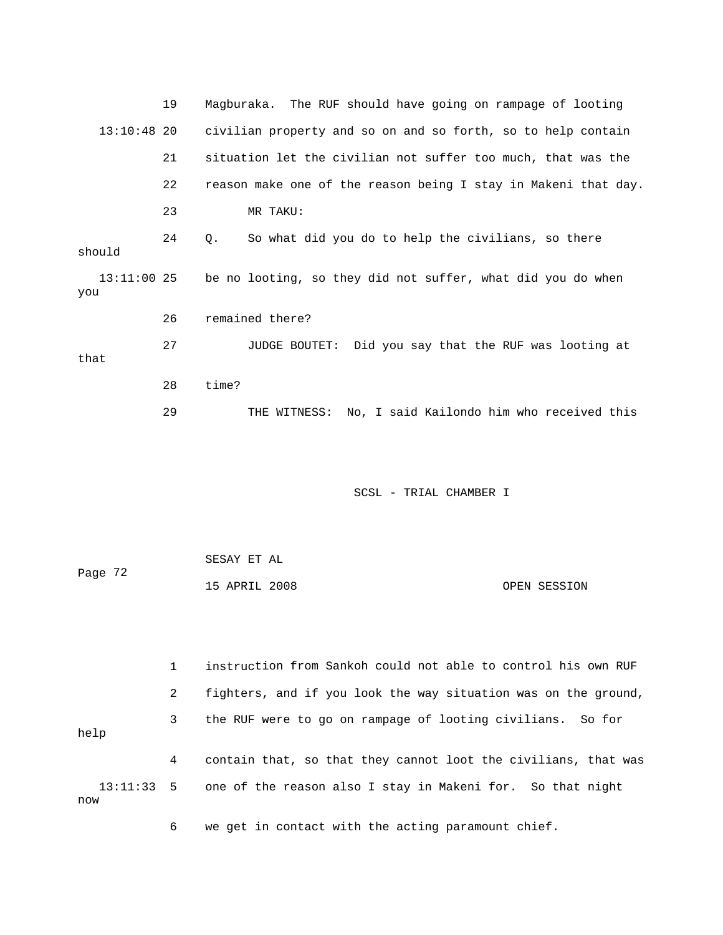|                      | 19 | Magburaka. The RUF should have going on rampage of looting     |
|----------------------|----|----------------------------------------------------------------|
| $13:10:48$ 20        |    | civilian property and so on and so forth, so to help contain   |
|                      | 21 | situation let the civilian not suffer too much, that was the   |
|                      | 22 | reason make one of the reason being I stay in Makeni that day. |
|                      | 23 | MR TAKU:                                                       |
| should               | 24 | So what did you do to help the civilians, so there<br>Q.       |
| $13:11:00$ 25<br>you |    | be no looting, so they did not suffer, what did you do when    |
|                      | 26 | remained there?                                                |
| that                 | 27 | JUDGE BOUTET: Did you say that the RUF was looting at          |
|                      | 28 | time?                                                          |
|                      | 29 | No, I said Kailondo him who received this<br>THE WITNESS:      |

| Page 72 | SESAY ET AL   |              |  |
|---------|---------------|--------------|--|
|         | 15 APRIL 2008 | OPEN SESSION |  |

1 instruction from Sankoh could not able to control his own RUF 3 the RUF were to go on rampage of looting civilians. So for help 4 contain that, so that they cannot loot the civilians, that was 13:11:33 5 one of the reason also I stay in Makeni for. So that night w no 2 fighters, and if you look the way situation was on the ground,

6 we get in contact with the acting paramount chief.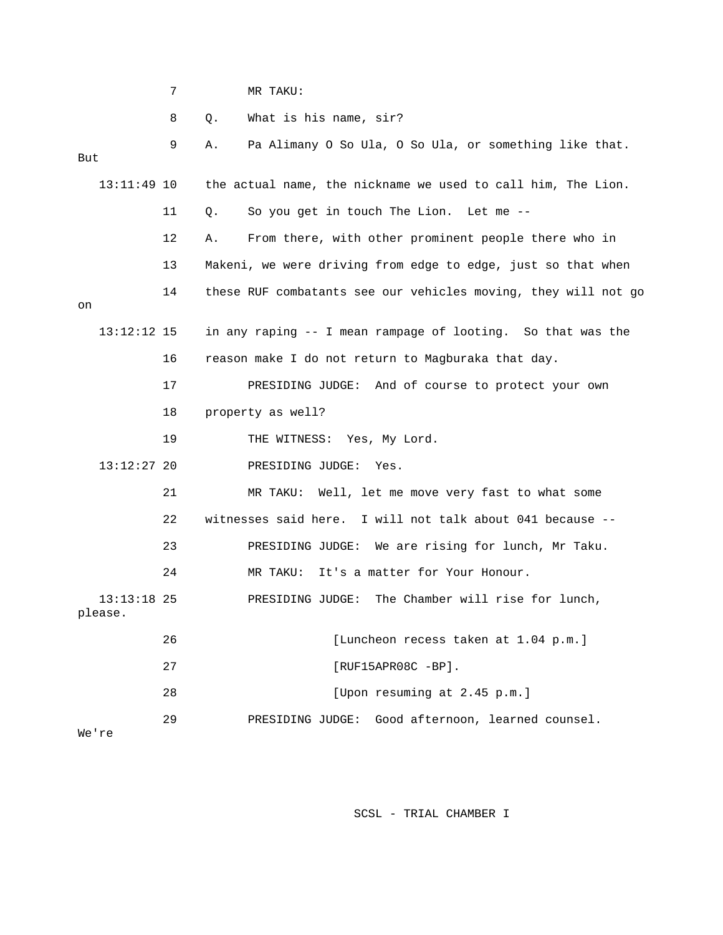| <b>-</b> | MR | TAKU: |
|----------|----|-------|
|          |    |       |

8 Q. What is his name, sir?

| But                        |                          | 9  | Pa Alimany O So Ula, O So Ula, or something like that.<br>Α.   |  |  |
|----------------------------|--------------------------|----|----------------------------------------------------------------|--|--|
|                            | 13:11:49 10              |    | the actual name, the nickname we used to call him, The Lion.   |  |  |
|                            |                          | 11 | So you get in touch The Lion. Let me --<br>О.                  |  |  |
|                            |                          | 12 | From there, with other prominent people there who in<br>Α.     |  |  |
|                            |                          | 13 | Makeni, we were driving from edge to edge, just so that when   |  |  |
| on                         |                          | 14 | these RUF combatants see our vehicles moving, they will not go |  |  |
|                            | $13:12:12$ 15            |    | in any raping -- I mean rampage of looting. So that was the    |  |  |
|                            |                          | 16 | reason make I do not return to Magburaka that day.             |  |  |
|                            |                          | 17 | PRESIDING JUDGE: And of course to protect your own             |  |  |
|                            |                          | 18 | property as well?                                              |  |  |
|                            |                          | 19 | THE WITNESS: Yes, My Lord.                                     |  |  |
|                            | $13:12:27$ 20            |    | PRESIDING JUDGE:<br>Yes.                                       |  |  |
|                            |                          | 21 | Well, let me move very fast to what some<br>MR TAKU:           |  |  |
|                            |                          | 22 | witnesses said here. I will not talk about 041 because --      |  |  |
|                            |                          | 23 | PRESIDING JUDGE: We are rising for lunch, Mr Taku.             |  |  |
|                            |                          | 24 | It's a matter for Your Honour.<br>MR TAKU:                     |  |  |
|                            | $13:13:18$ 25<br>please. |    | The Chamber will rise for lunch,<br>PRESIDING JUDGE:           |  |  |
|                            |                          | 26 | [Luncheon recess taken at 1.04 p.m.]                           |  |  |
| 27<br>$[RUF15APR08C -BP].$ |                          |    |                                                                |  |  |
|                            |                          | 28 | [Upon resuming at 2.45 p.m.]                                   |  |  |
| We're                      |                          | 29 | Good afternoon, learned counsel.<br>PRESIDING JUDGE:           |  |  |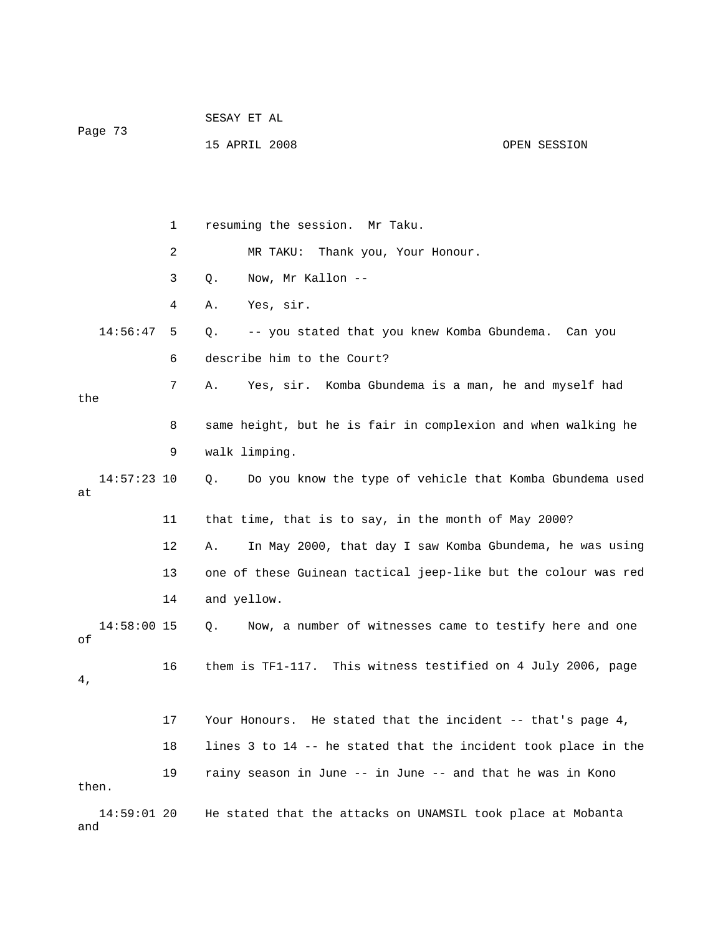| Page 73            |    | DEDAI EI AU                                                    |              |
|--------------------|----|----------------------------------------------------------------|--------------|
|                    |    | 15 APRIL 2008                                                  | OPEN SESSION |
|                    |    |                                                                |              |
|                    |    |                                                                |              |
|                    |    |                                                                |              |
|                    | 1  | resuming the session. Mr Taku.                                 |              |
|                    | 2  | Thank you, Your Honour.<br>MR TAKU:                            |              |
|                    | 3  | Q.<br>Now, Mr Kallon --                                        |              |
|                    | 4  | Yes, sir.<br>Α.                                                |              |
| 14:56:47           | 5  | -- you stated that you knew Komba Gbundema. Can you<br>Q.      |              |
|                    | 6  | describe him to the Court?                                     |              |
|                    | 7  | Yes, sir. Komba Gbundema is a man, he and myself had<br>Α.     |              |
| the                |    |                                                                |              |
|                    | 8  | same height, but he is fair in complexion and when walking he  |              |
|                    | 9  | walk limping.                                                  |              |
| 14:57:23 10<br>at  |    | Do you know the type of vehicle that Komba Gbundema used<br>Q. |              |
|                    | 11 | that time, that is to say, in the month of May 2000?           |              |
|                    | 12 | Α.<br>In May 2000, that day I saw Komba Gbundema, he was using |              |
|                    | 13 | one of these Guinean tactical jeep-like but the colour was red |              |
|                    | 14 | and yellow.                                                    |              |
| 14:58:00 15<br>оf  |    | Now, a number of witnesses came to testify here and one<br>Q.  |              |
|                    | 16 | them is TF1-117. This witness testified on 4 July 2006, page   |              |
| 4,                 |    |                                                                |              |
|                    | 17 | Your Honours. He stated that the incident -- that's page 4,    |              |
|                    | 18 | lines 3 to 14 -- he stated that the incident took place in the |              |
|                    | 19 | rainy season in June -- in June -- and that he was in Kono     |              |
| then.              |    |                                                                |              |
| 14:59:01 20<br>and |    | He stated that the attacks on UNAMSIL took place at Mobanta    |              |

SESAY ET AL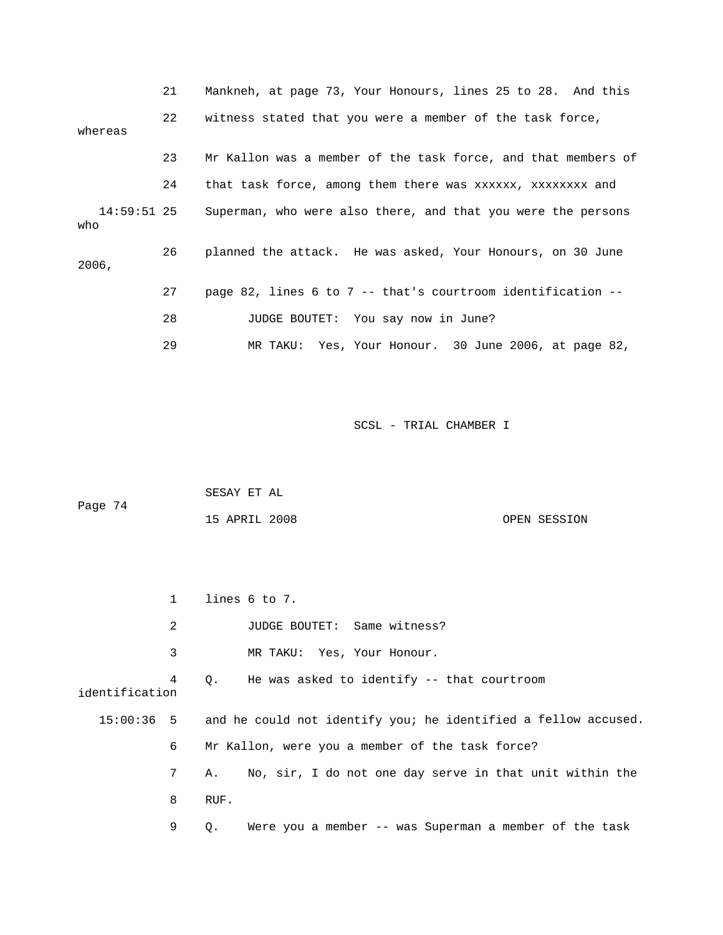|                    | 21 | Mankneh, at page 73, Your Honours, lines 25 to 28. And this   |
|--------------------|----|---------------------------------------------------------------|
| whereas            | 22 | witness stated that you were a member of the task force,      |
|                    | 23 | Mr Kallon was a member of the task force, and that members of |
|                    | 24 | that task force, among them there was xxxxxx, xxxxxxxx and    |
| 14:59:51 25<br>who |    | Superman, who were also there, and that you were the persons  |
| 2006,              | 26 | planned the attack. He was asked, Your Honours, on 30 June    |
|                    | 27 | page 82, lines 6 to 7 -- that's courtroom identification --   |
|                    | 28 | JUDGE BOUTET: You say now in June?                            |
|                    | 29 | MR TAKU: Yes, Your Honour. 30 June 2006, at page 82,          |

|         | SESAY ET AL   |              |
|---------|---------------|--------------|
| Page 74 |               |              |
|         | 15 APRIL 2008 | OPEN SESSION |

|                | $\mathbf{1}$ | lines 6 to 7.                                                             |
|----------------|--------------|---------------------------------------------------------------------------|
|                | 2            | JUDGE BOUTET: Same witness?                                               |
|                | 3            | MR TAKU: Yes, Your Honour.                                                |
| identification | 4            | He was asked to identify -- that courtroom<br>0.                          |
|                |              | 15:00:36 5 and he could not identify you; he identified a fellow accused. |
|                | 6            | Mr Kallon, were you a member of the task force?                           |
|                | 7            | No, sir, I do not one day serve in that unit within the<br>Α.             |
|                | 8            | RUF.                                                                      |
|                | 9            | Were you a member -- was Superman a member of the task<br>О.              |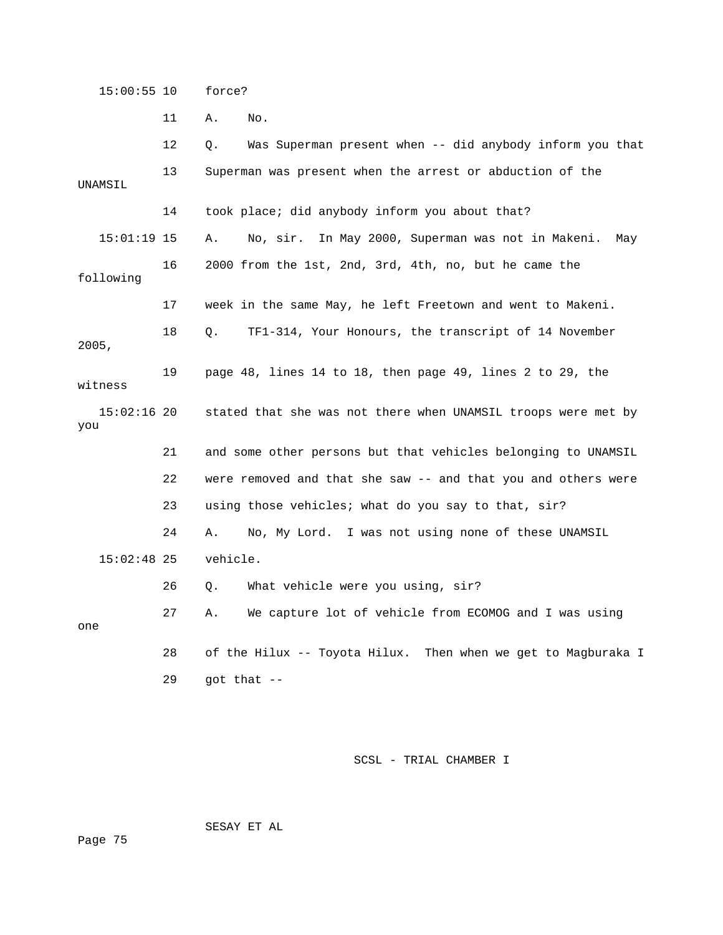15:00:55 10 force?

11 A. No.

12 Q. Was Superman present when -- did anybody inform you that 13 Superman was present when the arrest or abduction of the 15:01:19 15 A. No, sir. In May 2000, Superman was not in Makeni. May 16 2000 from the 1st, 2nd, 3rd, 4th, no, but he came the TF1-314, Your Honours, the transcript of 14 November 19 page 48, lines 14 to 18, then page 49, lines 2 to 29, the 15:02:16 20 stated that she was not there when UNAMSIL troops were met by 21 and some other persons but that vehicles belonging to UNAMSIL 22 were removed and that she saw -- and that you and others were 23 using those vehicles; what do you say to that, sir? 26 Q. What vehicle were you using, sir? 27 A. We capture lot of vehicle from ECOMOG and I was using 28 of the Hilux -- Toyota Hilux. Then when we get to Magburaka I  $29$  got that  $-$ UNAMSIL 14 took place; did anybody inform you about that? following 17 week in the same May, he left Freetown and went to Makeni. 18 Q. 2005, witness you 24 A. No, My Lord. I was not using none of these UNAMSIL 15:02:48 25 vehicle. one

SCSL - TRIAL CHAMBER I

SESAY ET AL

Page 75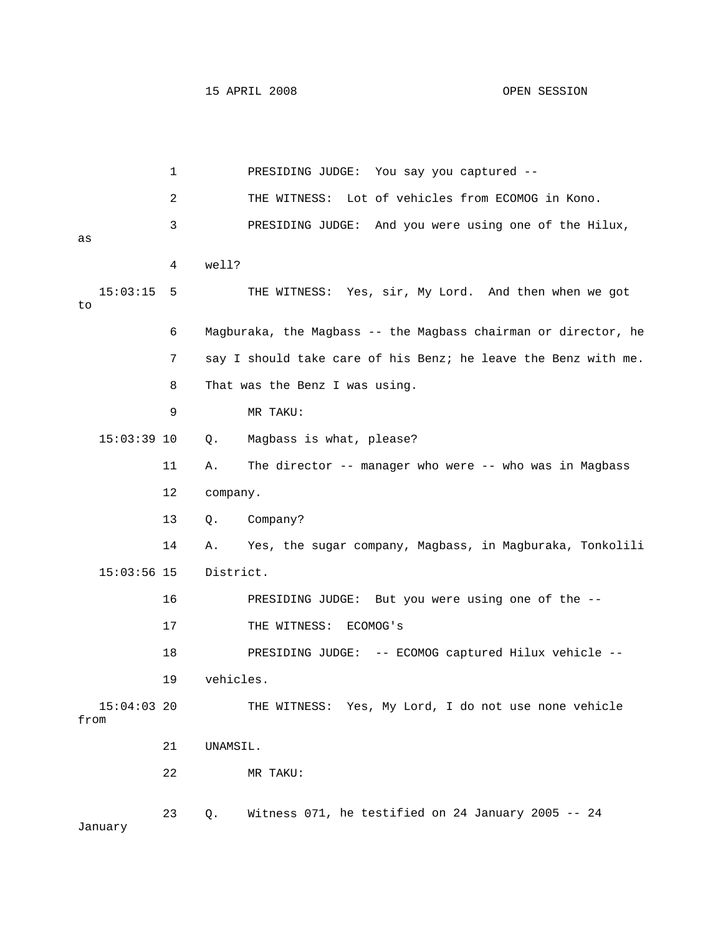1 PRESIDING JUDGE: You say you captured -- 2 THE WITNESS: Lot of vehicles from ECOMOG in Kono. 3 PRESIDING JUDGE: And you were using one of the Hilux, 4 well? 15:03:15 5 THE WITNESS: Yes, sir, My Lord. And then when we got 6 Magburaka, the Magbass -- the Magbass chairman or director, he . 7 say I should take care of his Benz; he leave the Benz with me 9 MR TAKU: 15:03:39 10 Q. Magbass is what, please? 11 A. The director -- manager who were -- who was in Magbass 14 A. Yes, the sugar company, Magbass, in Magburaka, Tonkolili 15:03:56 15 District. 16 PRESIDING JUDGE: But you were using one of the -- THE WITNESS: Yes, My Lord, I do not use none vehicle from 22 MR TAKU: 23 Q. Witness 071, he testified on 24 January 2005 -- 24 as to 8 That was the Benz I was using. 12 company. 13 Q. Company? 17 THE WITNESS: ECOMOG'S 18 PRESIDING JUDGE: -- ECOMOG captured Hilux vehicle -- 19 vehicles.  $15:04:03$  20 21 UNAMSIL. January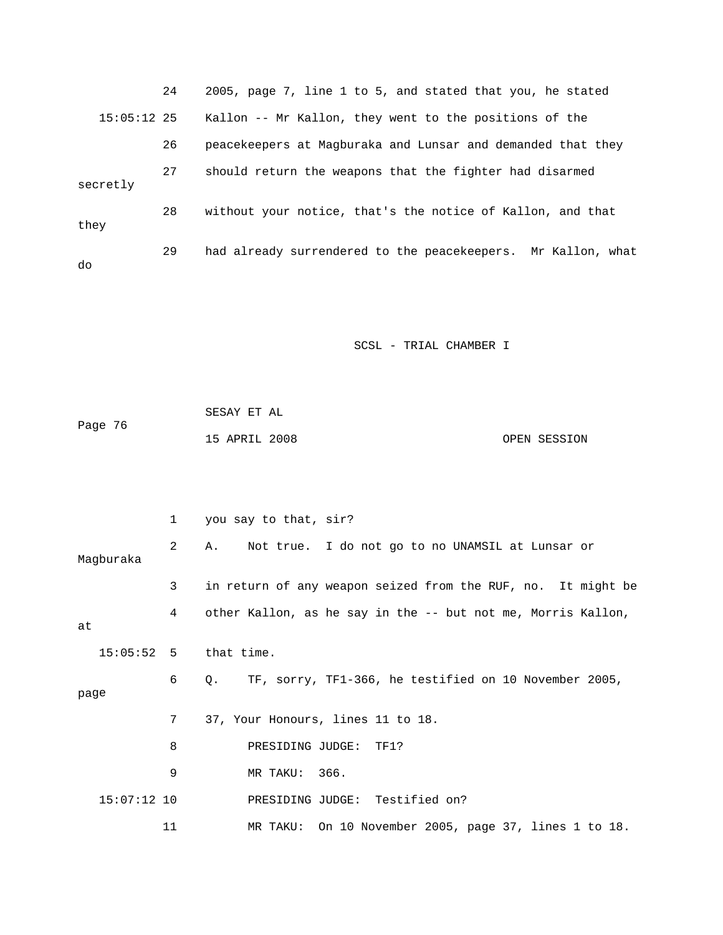| 24            | 2005, page 7, line 1 to 5, and stated that you, he stated    |
|---------------|--------------------------------------------------------------|
| $15:05:12$ 25 | Kallon -- Mr Kallon, they went to the positions of the       |
| 26            | peacekeepers at Magburaka and Lunsar and demanded that they  |
| 27            | should return the weapons that the fighter had disarmed      |
| 28            | without your notice, that's the notice of Kallon, and that   |
| 29            | had already surrendered to the peacekeepers. Mr Kallon, what |
|               |                                                              |

| Page 76 | SESAY ET AL   |  |              |
|---------|---------------|--|--------------|
|         | 15 APRIL 2008 |  | OPEN SESSION |

|               | $\mathbf{1}$   | you say to that, sir?                                              |
|---------------|----------------|--------------------------------------------------------------------|
| Maqburaka     | 2              | A. Not true. I do not go to no UNAMSIL at Lunsar or                |
|               | 3              | in return of any weapon seized from the RUF, no. It might be       |
| at            | $4\phantom{0}$ | other Kallon, as he say in the -- but not me, Morris Kallon,       |
|               |                | $15:05:52$ 5 that time.                                            |
| page          | 6              | TF, sorry, TF1-366, he testified on 10 November 2005,<br>$\circ$ . |
|               | 7              | 37, Your Honours, lines 11 to 18.                                  |
|               | 8              | PRESIDING JUDGE: TF1?                                              |
|               | 9              | MR TAKU: 366.                                                      |
| $15:07:12$ 10 |                | PRESIDING JUDGE: Testified on?                                     |
|               | 11             | MR TAKU: On 10 November 2005, page 37, lines 1 to 18.              |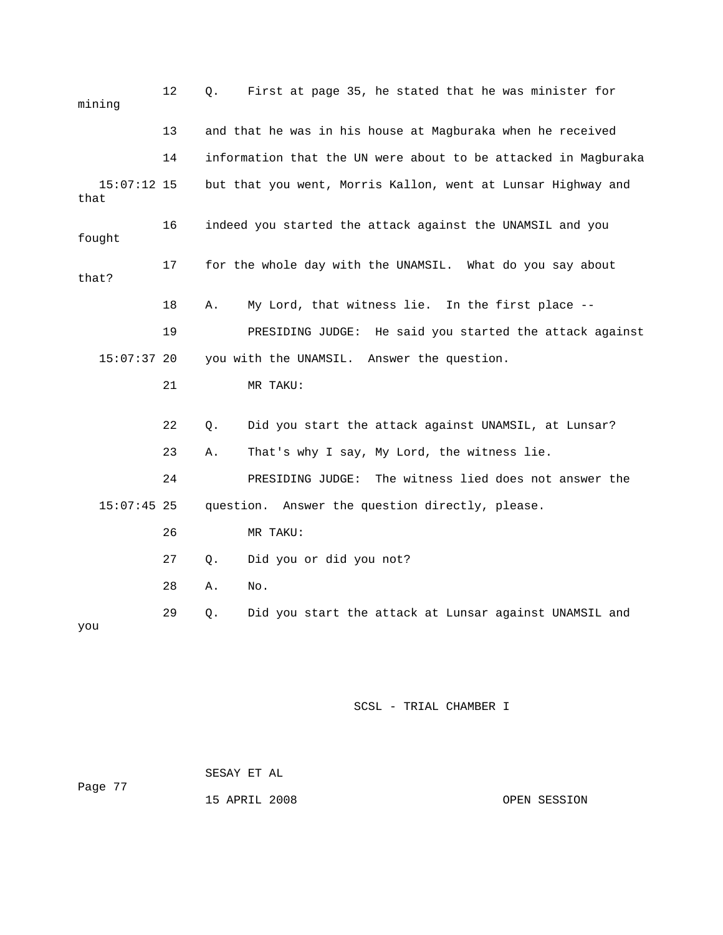| mining                | 12 | Q.    | First at page 35, he stated that he was minister for           |
|-----------------------|----|-------|----------------------------------------------------------------|
|                       | 13 |       | and that he was in his house at Magburaka when he received     |
|                       | 14 |       | information that the UN were about to be attacked in Magburaka |
| $15:07:12$ 15<br>that |    |       | but that you went, Morris Kallon, went at Lunsar Highway and   |
| fought                | 16 |       | indeed you started the attack against the UNAMSIL and you      |
| that?                 | 17 |       | for the whole day with the UNAMSIL. What do you say about      |
|                       | 18 | Α.    | My Lord, that witness lie. In the first place --               |
|                       | 19 |       | PRESIDING JUDGE: He said you started the attack against        |
| $15:07:37$ 20         |    |       | you with the UNAMSIL. Answer the question.                     |
|                       | 21 |       | MR TAKU:                                                       |
|                       | 22 | $Q$ . | Did you start the attack against UNAMSIL, at Lunsar?           |
|                       | 23 | Α.    | That's why I say, My Lord, the witness lie.                    |
|                       | 24 |       | The witness lied does not answer the<br>PRESIDING JUDGE:       |
| $15:07:45$ 25         |    |       | question. Answer the question directly, please.                |
|                       | 26 |       | MR TAKU:                                                       |
|                       | 27 | $Q$ . | Did you or did you not?                                        |
|                       | 28 | Α.    | No.                                                            |
| you                   | 29 | Q.    | Did you start the attack at Lunsar against UNAMSIL and         |

#### SESAY ET AL Page 77

15 APRIL 2008

OPEN SESSION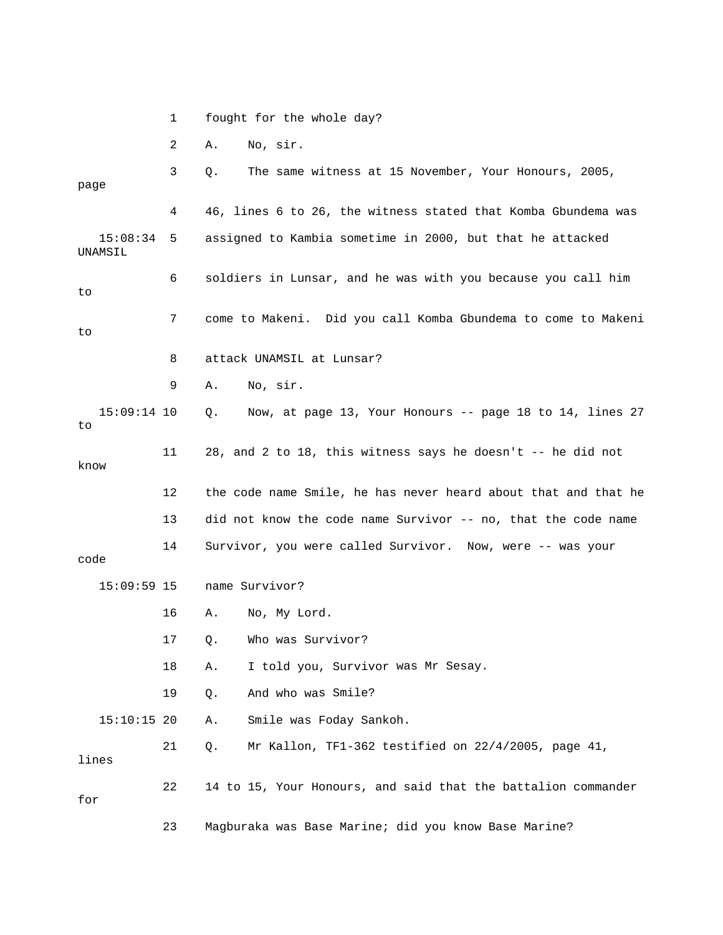|                     | 1    | fought for the whole day?                                      |
|---------------------|------|----------------------------------------------------------------|
|                     | 2    | No, sir.<br>Α.                                                 |
| page                | 3    | The same witness at 15 November, Your Honours, 2005,<br>Q.     |
|                     | 4    | 46, lines 6 to 26, the witness stated that Komba Gbundema was  |
| 15:08:34<br>UNAMSIL | 5    | assigned to Kambia sometime in 2000, but that he attacked      |
| to                  | 6    | soldiers in Lunsar, and he was with you because you call him   |
| to                  | 7    | come to Makeni. Did you call Komba Gbundema to come to Makeni  |
|                     | 8    | attack UNAMSIL at Lunsar?                                      |
|                     | 9    | No, sir.<br>Α.                                                 |
| $15:09:14$ 10<br>to |      | Now, at page 13, Your Honours -- page 18 to 14, lines 27<br>Q. |
| know                | 11   | 28, and 2 to 18, this witness says he doesn't -- he did not    |
|                     | 12   | the code name Smile, he has never heard about that and that he |
|                     | 13   | did not know the code name Survivor -- no, that the code name  |
| code                | 14   | Survivor, you were called Survivor. Now, were -- was your      |
| $15:09:59$ 15       |      | name Survivor?                                                 |
|                     | 16   | No, My Lord.<br>Α.                                             |
|                     | $17$ | Who was Survivor?<br>Q.                                        |
|                     | 18   | I told you, Survivor was Mr Sesay.<br>Α.                       |
|                     | 19   | And who was Smile?<br>Q.                                       |
| $15:10:15$ 20       |      | Smile was Foday Sankoh.<br>Α.                                  |
| lines               | 21   | Mr Kallon, TF1-362 testified on 22/4/2005, page 41,<br>Q.      |
| for                 | 22   | 14 to 15, Your Honours, and said that the battalion commander  |
|                     | 23   | Magburaka was Base Marine; did you know Base Marine?           |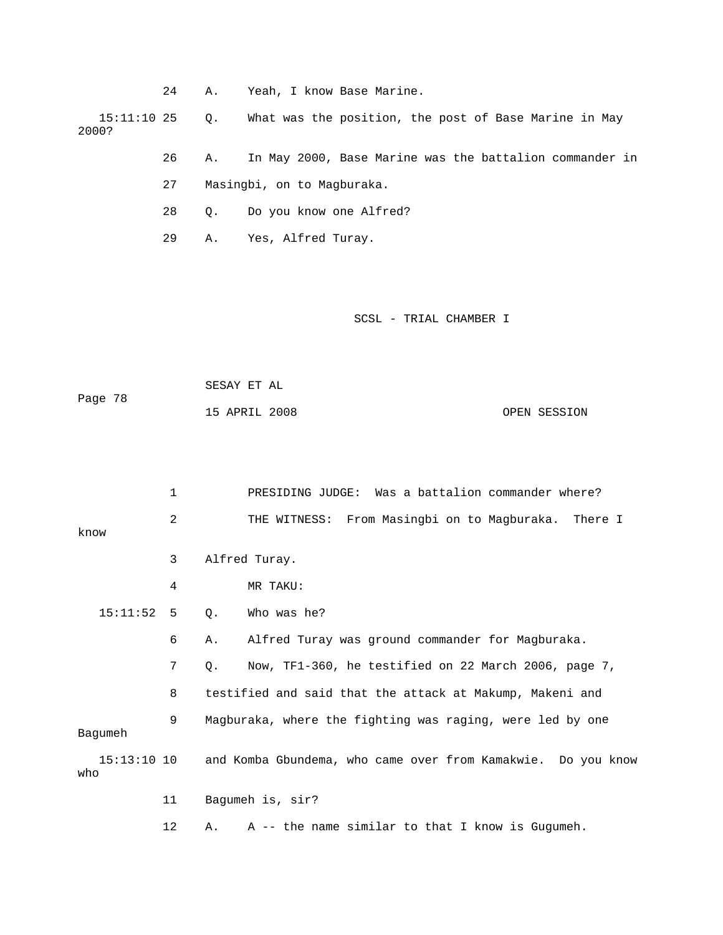|       | 24 | Α. | Yeah, I know Base Marine.                                            |
|-------|----|----|----------------------------------------------------------------------|
| 2000? |    |    | 15:11:10 25 0. What was the position, the post of Base Marine in May |
|       | 26 |    | A. In May 2000, Base Marine was the battalion commander in           |
|       | 27 |    | Masingbi, on to Magburaka.                                           |

28 Q. Do you know one Alfred?

29 A. Yes, Alfred Turay.

SCSL - TRIAL CHAMBER I

| Page 78 | SESAY ET AL   |  |              |
|---------|---------------|--|--------------|
|         | 15 APRIL 2008 |  | OPEN SESSION |

|                      | 1  |    | PRESIDING JUDGE: Was a battalion commander where?            |
|----------------------|----|----|--------------------------------------------------------------|
| know                 | 2  |    | THE WITNESS: From Masingbi on to Magburaka. There I          |
|                      | 3  |    | Alfred Turay.                                                |
|                      | 4  |    | MR TAKU:                                                     |
| 15:11:52 5           |    | Q. | Who was he?                                                  |
|                      | 6  | Α. | Alfred Turay was ground commander for Magburaka.             |
|                      | 7  | 0. | Now, TF1-360, he testified on 22 March 2006, page 7,         |
|                      | 8  |    | testified and said that the attack at Makump, Makeni and     |
| Baqumeh              | 9  |    | Magburaka, where the fighting was raging, were led by one    |
| $15:13:10$ 10<br>who |    |    | and Komba Gbundema, who came over from Kamakwie. Do you know |
|                      | 11 |    | Bagumeh is, sir?                                             |

12 A. A -- the name similar to that I know is Gugumeh.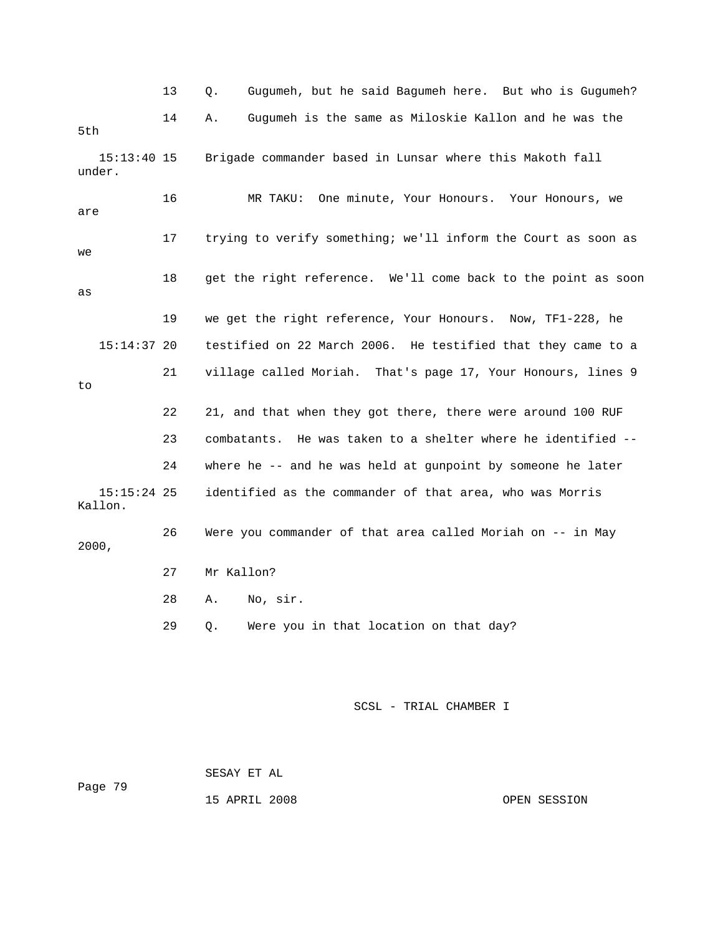13 Q. Gugumeh, but he said Bagumeh here. But who is Gugumeh? 14 A. Gugumeh is the same as Miloskie Kallon and he was the 15:13:40 15 Brigade commander based in Lunsar where this Makoth fall under. 16 MR TAKU: One minute, Your Honours. Your Honours, we 17 trying to verify something; we'll inform the Court as soon as 18 get the right reference. We'll come back to the point as soon 19 we get the right reference, Your Honours. Now, TF1-228, he  $15:14:37$  20 testified on 22 March 2006. He testified that they came to a 21 village called Moriah. That's page 17, Your Honours, lines 9 22 21, and that when they got there, there were around 100 RUF 23 combatants. He was taken to a shelter where he identified -- 24 where he -- and he was held at gunpoint by someone he later 15:15:24 25 identified as the commander of that area, who was Morris 26 Were you commander of that area called Moriah on -- in May 27 Mr Kallon? 28 A. No, sir. 5th are we as to Kallon. 2000, 29 Q. Were you in that location on that day?

SCSL - TRIAL CHAMBER I

 SESAY ET AL Page 79

15 APRIL 2008 OPEN SESSION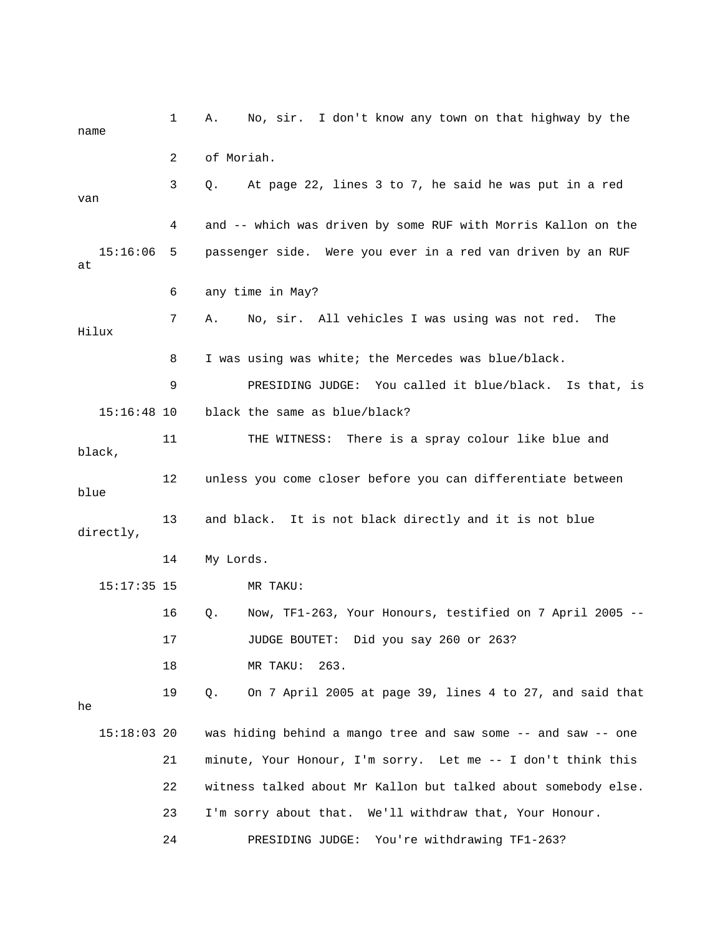1 A. No, sir. I don't know any town on that highway by the 3 Q. At page 22, lines 3 to 7, he said he was put in a red van 4 and -- which was driven by some RUF with Morris Kallon on the 15:16:06 5 passenger side. Were you ever in a red van driven by an RUF 6 any time in May? 7 A. No, sir. All vehicles I was using was not red. The 9 PRESIDING JUDGE: You called it blue/black. Is that, is 15:16:48 10 black the same as blue/black? 12 unless you come closer before you can differentiate between blue 13 and black. It is not black directly and it is not blue directly, 14 My Lords. 16 Q. Now, TF1-263, Your Honours, testified on 7 April 2005 -- 18 MR TAKU: 263. 19 Q. On 7 April 2005 at page 39, lines 4 to 27, and said that  $15:18:03$  20 was hiding behind a mango tree and saw some  $-$  and saw  $-$  one 21 minute, Your Honour, I'm sorry. Let me -- I don't think this 22 witness talked about Mr Kallon but talked about somebody else. 23 I'm sorry about that. We'll withdraw that, Your Honour. 24 PRESIDING JUDGE: You're withdrawing TF1-263? name 2 of Moriah. at Hilux 8 I was using was white; the Mercedes was blue/black. 11 THE WITNESS: There is a spray colour like blue and black, 15:17:35 15 MR TAKU: 17 JUDGE BOUTET: Did you say 260 or 263? he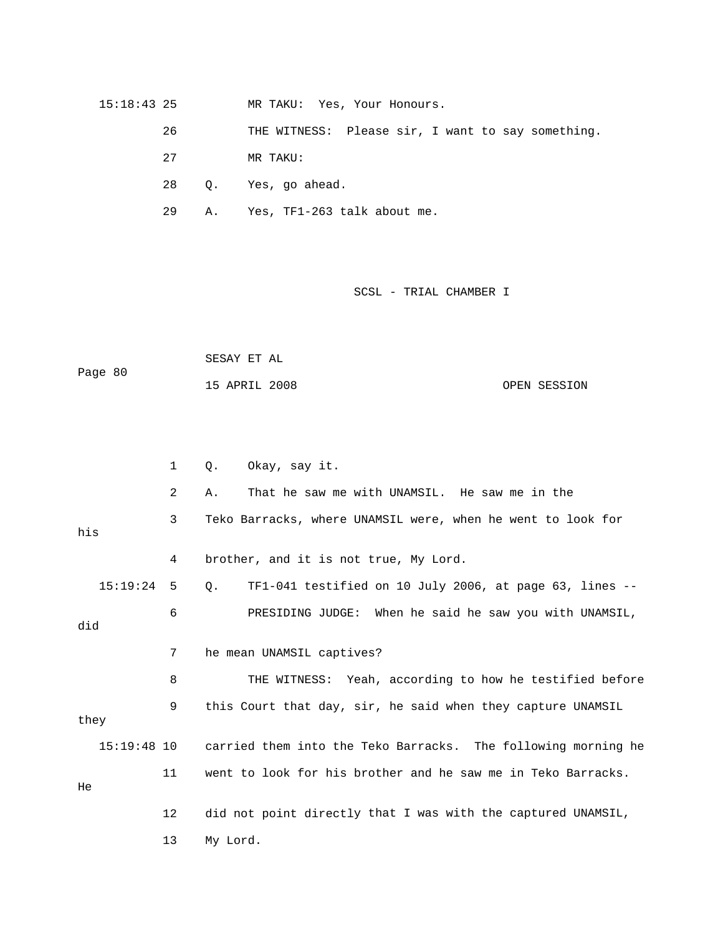15:18:43 25 MR TAKU: Yes, Your Honours.

26 THE WITNESS: Please sir, I want to say something.

27 MR TAKU:

28 Q. Yes, go ahead.

29 A. Yes, TF1-263 talk about me.

SCSL - TRIAL CHAMBER I

Page 80 SESAY ET AL 15 APRIL 2008 OPEN SESSION

 2 A. That he saw me with UNAMSIL. He saw me in the 3 Teko Barracks, where UNAMSIL were, when he went to look for 4 brother, and it is not true, My Lord. 15:19:24 5 Q. TF1-041 testified on 10 July 2006, at page 63, lines -- 6 PRESIDING JUDGE: When he said he saw you with UNAMSIL, did 7 he mean UNAMSIL captives? 8 THE WITNESS: Yeah, according to how he testified before 15:19:48 10 carried them into the Teko Barracks. The following morning he 11 went to look for his brother and he saw me in Teko Barracks. 12 did not point directly that I was with the captured UNAMSIL, 1 Q. Okay, say it. his 9 this Court that day, sir, he said when they capture UNAMSIL they He 13 My Lord.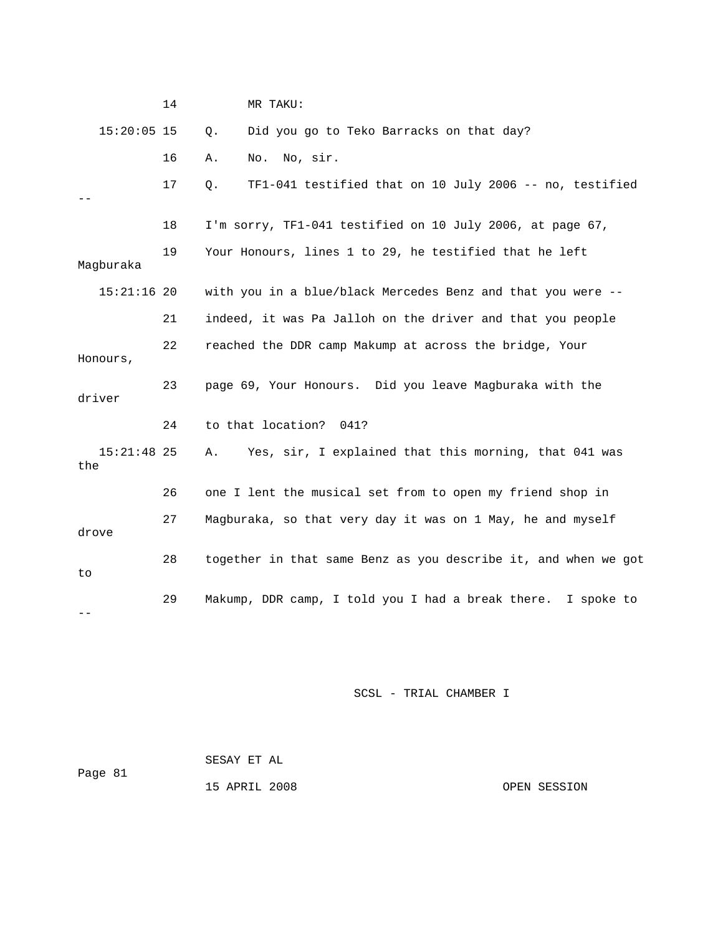|                      | 14 | MR TAKU:                                                       |
|----------------------|----|----------------------------------------------------------------|
| $15:20:05$ 15        |    | Did you go to Teko Barracks on that day?<br>Q.                 |
|                      | 16 | No, sir.<br>No.<br>Α.                                          |
|                      | 17 | TF1-041 testified that on 10 July 2006 -- no, testified<br>Q.  |
|                      | 18 | I'm sorry, TF1-041 testified on 10 July 2006, at page 67,      |
| Magburaka            | 19 | Your Honours, lines 1 to 29, he testified that he left         |
| $15:21:16$ 20        |    | with you in a blue/black Mercedes Benz and that you were --    |
|                      | 21 | indeed, it was Pa Jalloh on the driver and that you people     |
| Honours,             | 22 | reached the DDR camp Makump at across the bridge, Your         |
| driver               | 23 | page 69, Your Honours. Did you leave Magburaka with the        |
|                      | 24 | to that location?<br>041?                                      |
| $15:21:48$ 25<br>the |    | Yes, sir, I explained that this morning, that 041 was<br>Α.    |
|                      | 26 | one I lent the musical set from to open my friend shop in      |
| drove                | 27 | Magburaka, so that very day it was on 1 May, he and myself     |
| to                   | 28 | together in that same Benz as you describe it, and when we got |
|                      | 29 | Makump, DDR camp, I told you I had a break there. I spoke to   |

| Page 81 | SESAY ET AL   |              |
|---------|---------------|--------------|
|         | 15 APRIL 2008 | OPEN SESSION |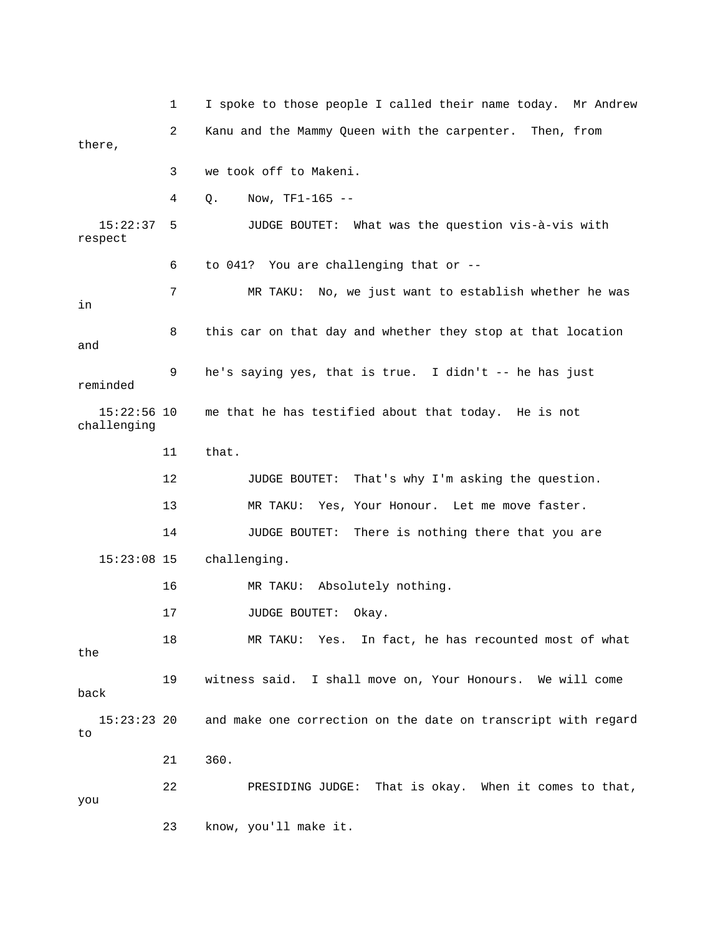1 I spoke to those people I called their name today. Mr Andre w 2 Kanu and the Mammy Queen with the carpenter. Then, from 3 we took off to Makeni. 4 Q. Now, TF1-165 -- 15:22:37 5 JUDGE BOUTET: What was the question vis-à-vis with respect 7 MR TAKU: No, we just want to establish whether he was 8 this car on that day and whether they stop at that location reminded 15:22:56 10 me that he has testified about that today. He is not challenging 13 MR TAKU: Yes, Your Honour. Let me move faster. 14 JUDGE BOUTET: There is nothing there that you are 15:23:08 15 challenging. 15:23:23 20 and make one correction on the date on transcript with regard 22 PRESIDING JUDGE: That is okay. When it comes to that, there, 6 to 041? You are challenging that or - in and 9 he's saying yes, that is true. I didn't -- he has just 11 that. 12 JUDGE BOUTET: That's why I'm asking the question. 16 MR TAKU: Absolutely nothing. 17 JUDGE BOUTET: Okay. 18 MR TAKU: Yes. In fact, he has recounted most of what the 19 witness said. I shall move on, Your Honours. We will come back to 21 360. you 23 know, you'll make it.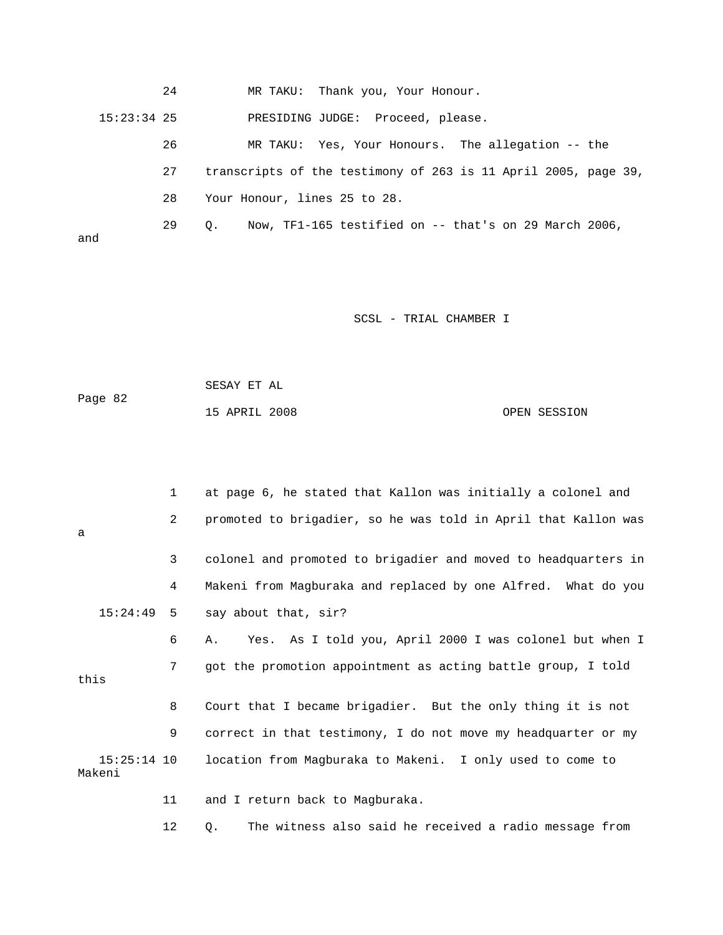|     | 24            | MR TAKU: Thank you, Your Honour.                                    |
|-----|---------------|---------------------------------------------------------------------|
|     | $15:23:34$ 25 | PRESIDING JUDGE: Proceed, please.                                   |
|     | 26            | MR TAKU: Yes, Your Honours. The allegation -- the                   |
|     | 27            | transcripts of the testimony of 263 is 11 April 2005, page 39,      |
|     | 28            | Your Honour, lines 25 to 28.                                        |
| and | 29            | Now, TF1-165 testified on $-$ that's on 29 March 2006,<br>$\circ$ . |

| Page 82 | SESAY ET AL   |  |              |
|---------|---------------|--|--------------|
|         | 15 APRIL 2008 |  | OPEN SESSION |

|      |                       | 1              | at page 6, he stated that Kallon was initially a colonel and   |
|------|-----------------------|----------------|----------------------------------------------------------------|
| a    |                       | $\overline{a}$ | promoted to brigadier, so he was told in April that Kallon was |
|      |                       | 3              | colonel and promoted to brigadier and moved to headquarters in |
|      |                       | 4              | Makeni from Magburaka and replaced by one Alfred. What do you  |
|      | 15:24:49              | 5              | say about that, sir?                                           |
|      |                       | 6              | Yes. As I told you, April 2000 I was colonel but when I<br>Α.  |
| this |                       | 7              | got the promotion appointment as acting battle group, I told   |
|      |                       | 8              | Court that I became brigadier. But the only thing it is not    |
|      |                       | 9              | correct in that testimony, I do not move my headquarter or my  |
|      | 15:25:14 10<br>Makeni |                | location from Magburaka to Makeni. I only used to come to      |
|      |                       | 11             | and I return back to Magburaka.                                |
|      |                       | 12             | The witness also said he received a radio message from<br>Q.   |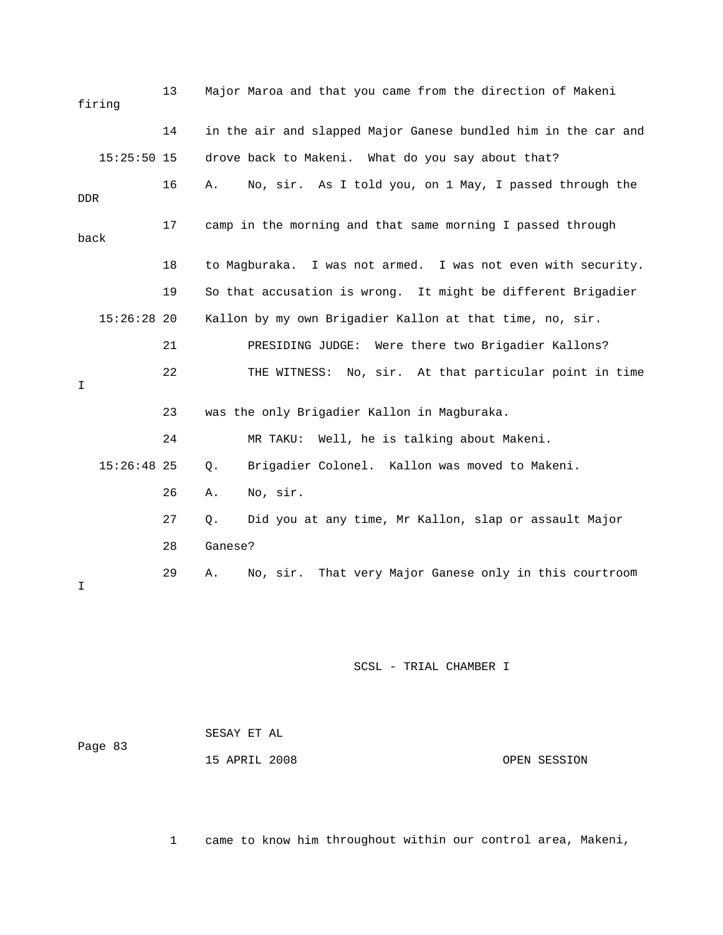| firing      |               | 13 |         | Major Maroa and that you came from the direction of Makeni     |
|-------------|---------------|----|---------|----------------------------------------------------------------|
|             |               | 14 |         | in the air and slapped Major Ganese bundled him in the car and |
|             | $15:25:50$ 15 |    |         | drove back to Makeni. What do you say about that?              |
| DDR         |               | 16 | Α.      | No, sir. As I told you, on 1 May, I passed through the         |
| back        |               | 17 |         | camp in the morning and that same morning I passed through     |
|             |               | 18 |         | to Magburaka. I was not armed. I was not even with security.   |
|             |               | 19 |         | So that accusation is wrong. It might be different Brigadier   |
|             | $15:26:28$ 20 |    |         | Kallon by my own Brigadier Kallon at that time, no, sir.       |
|             |               | 21 |         | PRESIDING JUDGE: Were there two Brigadier Kallons?             |
| $\mathbf I$ |               | 22 |         | No, sir. At that particular point in time<br>THE WITNESS:      |
|             |               | 23 |         | was the only Brigadier Kallon in Magburaka.                    |
|             |               | 24 |         | MR TAKU: Well, he is talking about Makeni.                     |
|             | $15:26:48$ 25 |    | $Q$ .   | Brigadier Colonel. Kallon was moved to Makeni.                 |
|             |               | 26 | Α.      | No, sir.                                                       |
|             |               | 27 | Q.      | Did you at any time, Mr Kallon, slap or assault Major          |
|             |               | 28 | Ganese? |                                                                |
| I           |               | 29 | Α.      | That very Major Ganese only in this courtroom<br>No, sir.      |

 SESAY ET AL Page 83 OPEN SESSION 15 APRIL 2008

1 came to know him throughout within our control area, Makeni,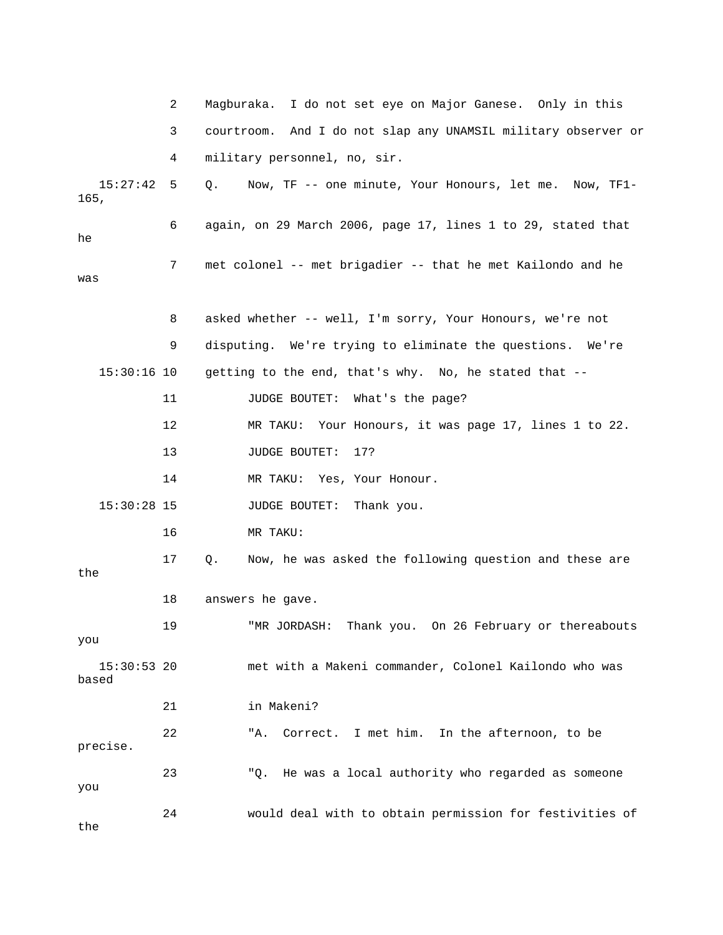|                        | 2  | I do not set eye on Major Ganese. Only in this<br>Maqburaka.     |
|------------------------|----|------------------------------------------------------------------|
|                        | 3  | And I do not slap any UNAMSIL military observer or<br>courtroom. |
|                        | 4  | military personnel, no, sir.                                     |
| 15:27:42<br>165,       | 5  | Now, TF -- one minute, Your Honours, let me. Now, TF1-<br>Q.     |
| he                     | 6  | again, on 29 March 2006, page 17, lines 1 to 29, stated that     |
| was                    | 7  | met colonel -- met brigadier -- that he met Kailondo and he      |
|                        | 8  | asked whether -- well, I'm sorry, Your Honours, we're not        |
|                        | 9  | disputing. We're trying to eliminate the questions. We're        |
| $15:30:16$ 10          |    | getting to the end, that's why. No, he stated that --            |
|                        | 11 | JUDGE BOUTET: What's the page?                                   |
|                        | 12 | Your Honours, it was page 17, lines 1 to 22.<br>MR TAKU:         |
|                        | 13 | <b>JUDGE BOUTET:</b><br>17?                                      |
|                        | 14 | Yes, Your Honour.<br>MR TAKU:                                    |
| $15:30:28$ 15          |    | JUDGE BOUTET: Thank you.                                         |
|                        | 16 | MR TAKU:                                                         |
| the                    | 17 | Now, he was asked the following question and these are<br>Q.     |
|                        | 18 | answers he gave.                                                 |
| you                    | 19 | "MR JORDASH: Thank you. On 26 February or thereabouts            |
| $15:30:53$ 20<br>based |    | met with a Makeni commander, Colonel Kailondo who was            |
|                        | 21 | in Makeni?                                                       |
| precise.               | 22 | Correct. I met him. In the afternoon, to be<br>"A.               |
| you                    | 23 | He was a local authority who regarded as someone<br>"Q.          |
| the                    | 24 | would deal with to obtain permission for festivities of          |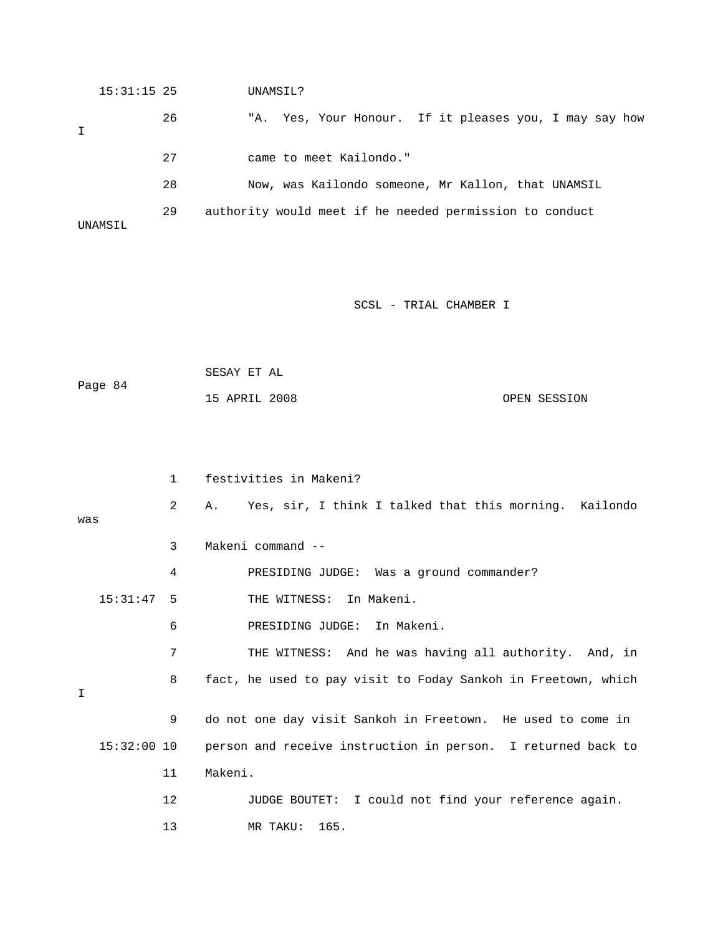| $15:31:15$ 25 |    | UNAMSIL?                                                  |
|---------------|----|-----------------------------------------------------------|
|               | 26 | Yes, Your Honour. If it pleases you, I may say how<br>"A. |
|               | 27 | came to meet Kailondo."                                   |
|               | 28 | Now, was Kailondo someone, Mr Kallon, that UNAMSIL        |
| UNAMSIL       | 29 | authority would meet if he needed permission to conduct   |

|         | SESAY ET AL   |  |              |
|---------|---------------|--|--------------|
| Page 84 |               |  |              |
|         | 15 APRIL 2008 |  | OPEN SESSION |

|     |               | $\mathbf{1}$ | festivities in Makeni?                                        |
|-----|---------------|--------------|---------------------------------------------------------------|
| was |               | 2            | Yes, sir, I think I talked that this morning. Kailondo<br>A.  |
|     |               | 3            | Makeni command --                                             |
|     |               | 4            | PRESIDING JUDGE: Was a ground commander?                      |
|     | $15:31:47$ 5  |              | THE WITNESS: In Makeni.                                       |
|     |               | 6            | PRESIDING JUDGE: In Makeni.                                   |
|     |               | 7            | THE WITNESS: And he was having all authority. And, in         |
| I   |               | 8            | fact, he used to pay visit to Foday Sankoh in Freetown, which |
|     |               | 9            | do not one day visit Sankoh in Freetown. He used to come in   |
|     | $15:32:00$ 10 |              | person and receive instruction in person. I returned back to  |
|     |               | 11           | Makeni.                                                       |
|     |               | 12           | JUDGE BOUTET: I could not find your reference again.          |
|     |               | 13           | MR TAKU: 165.                                                 |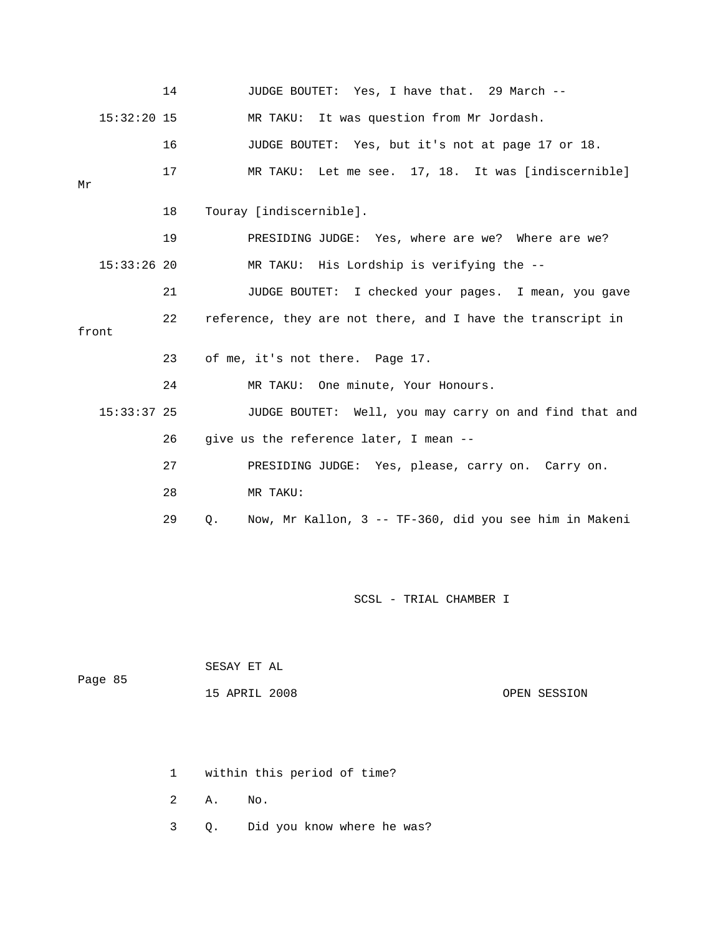|    |               | 14 | JUDGE BOUTET: Yes, I have that. 29 March --                  |
|----|---------------|----|--------------------------------------------------------------|
|    | $15:32:20$ 15 |    | MR TAKU: It was question from Mr Jordash.                    |
|    |               | 16 | JUDGE BOUTET: Yes, but it's not at page 17 or 18.            |
| Μr |               | 17 | MR TAKU: Let me see. 17, 18. It was [indiscernible]          |
|    |               | 18 | Touray [indiscernible].                                      |
|    |               | 19 | PRESIDING JUDGE: Yes, where are we? Where are we?            |
|    | $15:33:26$ 20 |    | MR TAKU: His Lordship is verifying the --                    |
|    |               | 21 | JUDGE BOUTET: I checked your pages. I mean, you gave         |
|    | front         | 22 | reference, they are not there, and I have the transcript in  |
|    |               | 23 | of me, it's not there. Page 17.                              |
|    |               | 24 | MR TAKU: One minute, Your Honours.                           |
|    | $15:33:37$ 25 |    | JUDGE BOUTET: Well, you may carry on and find that and       |
|    |               | 26 | give us the reference later, I mean --                       |
|    |               | 27 | PRESIDING JUDGE: Yes, please, carry on. Carry on.            |
|    |               | 28 | MR TAKU:                                                     |
|    |               | 29 | Now, Mr Kallon, 3 -- TF-360, did you see him in Makeni<br>О. |

| Page 85 | SESAY ET AL   |              |
|---------|---------------|--------------|
|         | 15 APRIL 2008 | OPEN SESSION |

1 within this period of time?

2 A. No.

3 Q. Did you know where he was?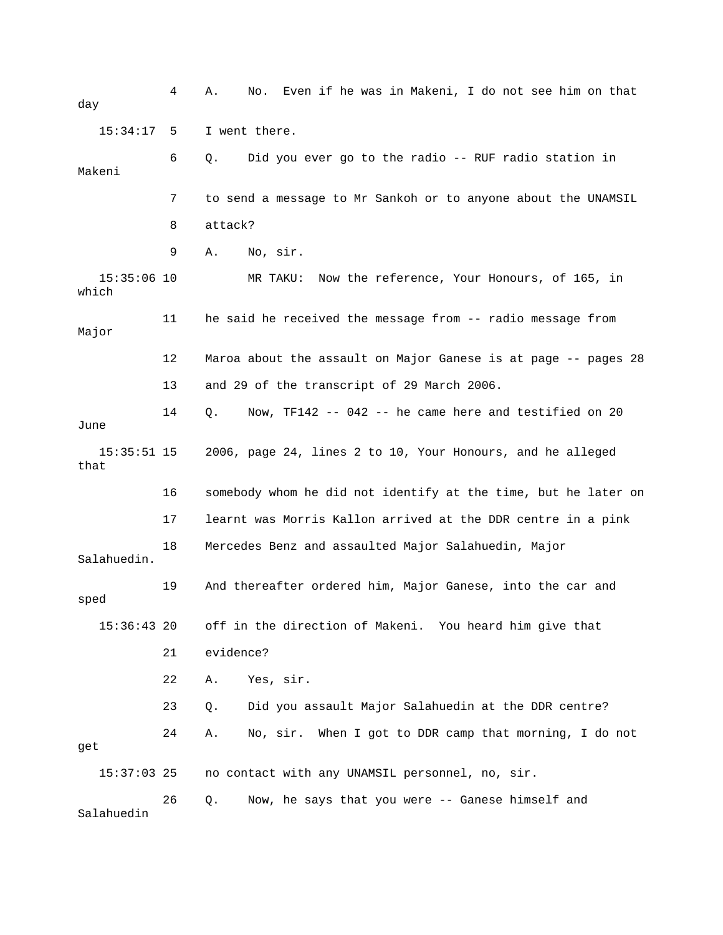4 A. No. Even if he was in Makeni, I do not see him on that 6 Q. Did you ever go to the radio -- RUF radio station in Makeni 7 to send a message to Mr Sankoh or to anyone about the UNAMSIL 8 attack? 9 A. No, sir. 11 he said he received the message from -- radio message from Major 12 Maroa about the assault on Major Ganese is at page -- pages 28 13 and 29 of the transcript of 29 March 2006. 14 Q. Now, TF142 -- 042 -- he came here and testified on 20 15:35:51 15 2006, page 24, lines 2 to 10, Your Honours, and he alleged 16 somebody whom he did not identify at the time, but he later on 17 learnt was Morris Kallon arrived at the DDR centre in a pink Salahuedin. 15:36:43 20 off in the direction of Makeni. You heard him give that 22 A. Yes, sir. 15:37:03 25 no contact with any UNAMSIL personnel, no, sir. 26 Q. Now, he says that you were -- Ganese himself and Salahuedin day 15:34:17 5 I went there. 15:35:06 10 MR TAKU: Now the reference, Your Honours, of 165, in which June that 18 Mercedes Benz and assaulted Major Salahuedin, Major 19 And thereafter ordered him, Major Ganese, into the car and sped 21 evidence? 23 Q. Did you assault Major Salahuedin at the DDR centre? 24 A. No, sir. When I got to DDR camp that morning, I do not get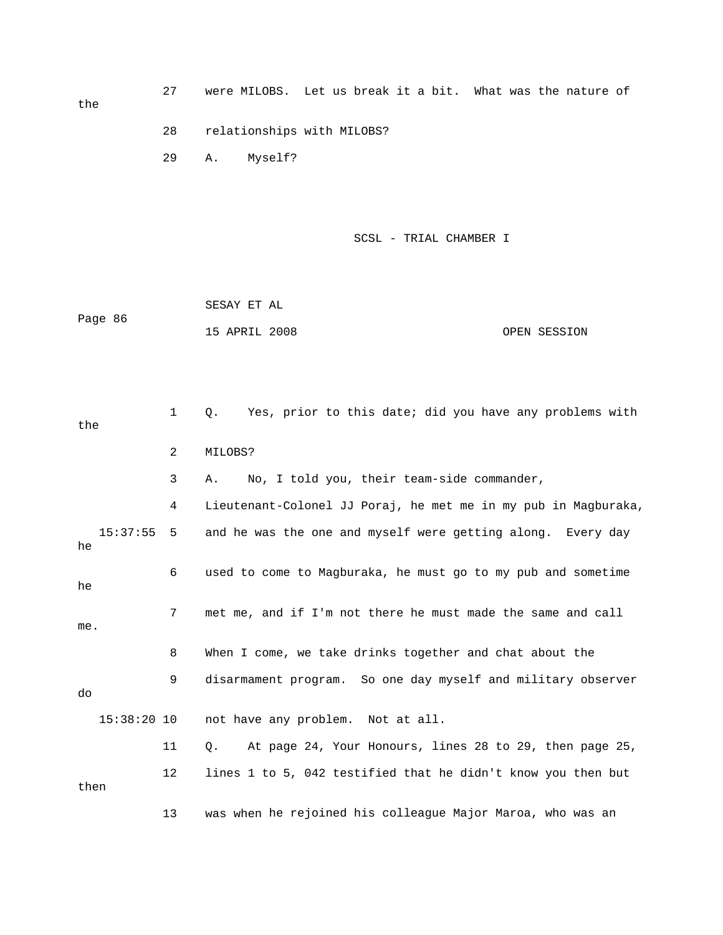the

 27 were MILOBS. Let us break it a bit. What was the nature of 28 relationships with MILOBS?

SCSL - TRIAL CHAMBER I

 15 APRIL 2008 OPEN SESSION SESAY ET AL Page 86

29 A. Myself?

1 Q. Yes, prior to this date; did you have any problems with 3 A. No, I told you, their team-side commander, 4 Lieutenant-Colonel JJ Poraj, he met me in my pub in Magburaka, 15:37:55 5 and he was the one and myself were getting along. Every day 6 used to come to Magburaka, he must go to my pub and sometime 7 met me, and if I'm not there he must made the same and call . me 8 When I come, we take drinks together and chat about the 9 disarmament program. So one day myself and military observer 15:38:20 10 not have any problem. Not at all. 11 Q. At page 24, Your Honours, lines 28 to 29, then page 25, 13 was when he rejoined his colleague Major Maroa, who was an the 2 MILOBS? he he do 12 lines 1 to 5, 042 testified that he didn't know you then but then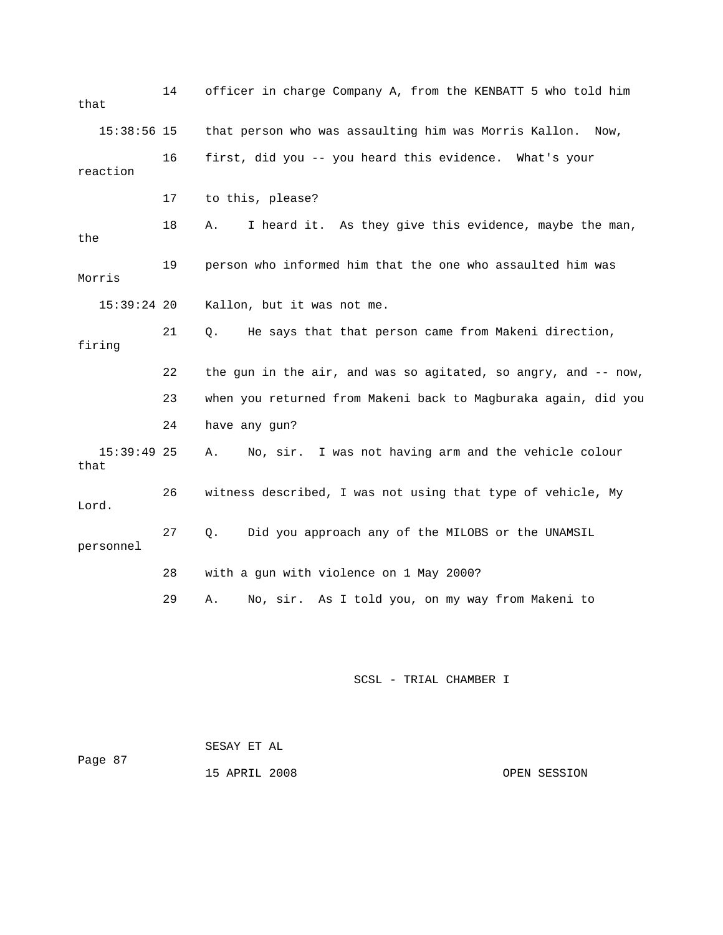| that      | 14            | officer in charge Company A, from the KENBATT 5 who told him   |
|-----------|---------------|----------------------------------------------------------------|
|           | $15:38:56$ 15 | that person who was assaulting him was Morris Kallon. Now,     |
| reaction  | 16            | first, did you -- you heard this evidence. What's your         |
|           | 17            | to this, please?                                               |
| the       | 18            | I heard it. As they give this evidence, maybe the man,<br>Α.   |
| Morris    | 19            | person who informed him that the one who assaulted him was     |
|           | $15:39:24$ 20 | Kallon, but it was not me.                                     |
| firing    | 21            | He says that that person came from Makeni direction,<br>Q.     |
|           |               |                                                                |
|           | 22            | the gun in the air, and was so agitated, so angry, and -- now, |
|           | 23            | when you returned from Makeni back to Magburaka again, did you |
|           | 24            | have any gun?                                                  |
| that      | $15:39:49$ 25 | No, sir. I was not having arm and the vehicle colour<br>Α.     |
| Lord.     | 26            | witness described, I was not using that type of vehicle, My    |
| personnel | 27            | Q.<br>Did you approach any of the MILOBS or the UNAMSIL        |
|           | 28            | with a gun with violence on 1 May 2000?                        |

| Page 87 | SESAY ET AL   |              |
|---------|---------------|--------------|
|         | 15 APRIL 2008 | OPEN SESSION |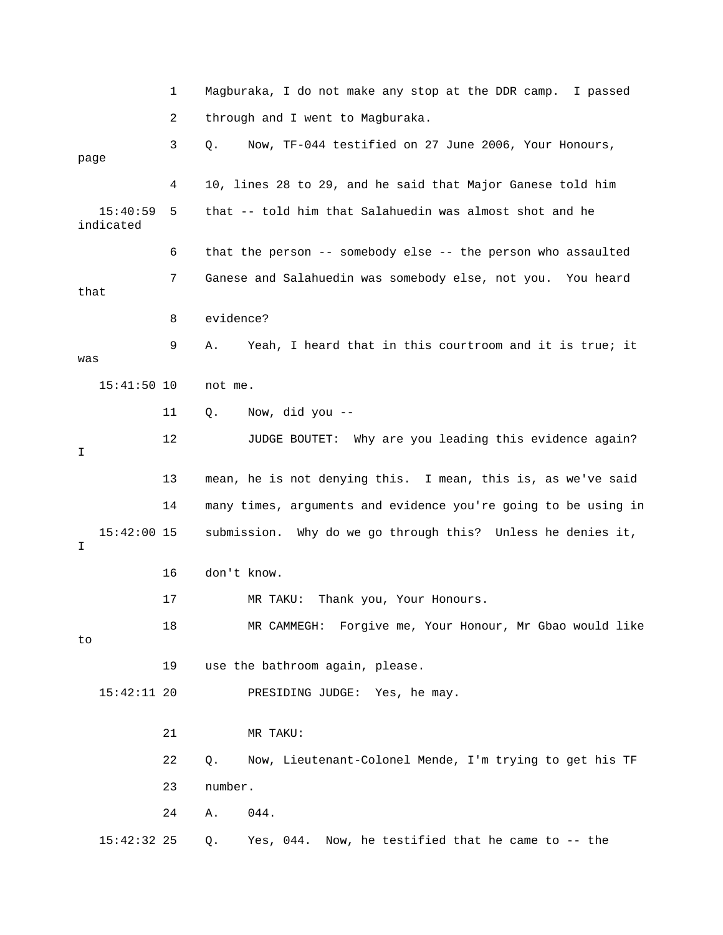|                       | 1  | Magburaka, I do not make any stop at the DDR camp. I passed        |
|-----------------------|----|--------------------------------------------------------------------|
|                       | 2  | through and I went to Magburaka.                                   |
| page                  | 3  | Now, TF-044 testified on 27 June 2006, Your Honours,<br>Q.         |
|                       | 4  | 10, lines 28 to 29, and he said that Major Ganese told him         |
| 15:40:59<br>indicated | 5  | that -- told him that Salahuedin was almost shot and he            |
|                       | 6  | that the person $-$ - somebody else $-$ - the person who assaulted |
| that                  | 7  | Ganese and Salahuedin was somebody else, not you. You heard        |
|                       | 8  | evidence?                                                          |
| was                   | 9  | Yeah, I heard that in this courtroom and it is true; it<br>Α.      |
| $15:41:50$ 10         |    | not me.                                                            |
|                       | 11 | Q.<br>Now, did you --                                              |
| I                     | 12 | JUDGE BOUTET: Why are you leading this evidence again?             |
|                       | 13 | mean, he is not denying this. I mean, this is, as we've said       |
|                       | 14 | many times, arguments and evidence you're going to be using in     |
| $15:42:00$ 15<br>I    |    | submission. Why do we go through this? Unless he denies it,        |
|                       | 16 | don't know.                                                        |
|                       | 17 | Thank you, Your Honours.<br>MR TAKU:                               |
| to                    | 18 | MR CAMMEGH: Forgive me, Your Honour, Mr Gbao would like            |
|                       | 19 | use the bathroom again, please.                                    |
| $15:42:11$ 20         |    | PRESIDING JUDGE: Yes, he may.                                      |
|                       | 21 | MR TAKU:                                                           |
|                       | 22 | Now, Lieutenant-Colonel Mende, I'm trying to get his TF<br>$Q$ .   |
|                       | 23 | number.                                                            |
|                       | 24 | 044.<br>Α.                                                         |
| $15:42:32$ 25         |    | Now, he testified that he came to -- the<br>Yes, 044.<br>Q.        |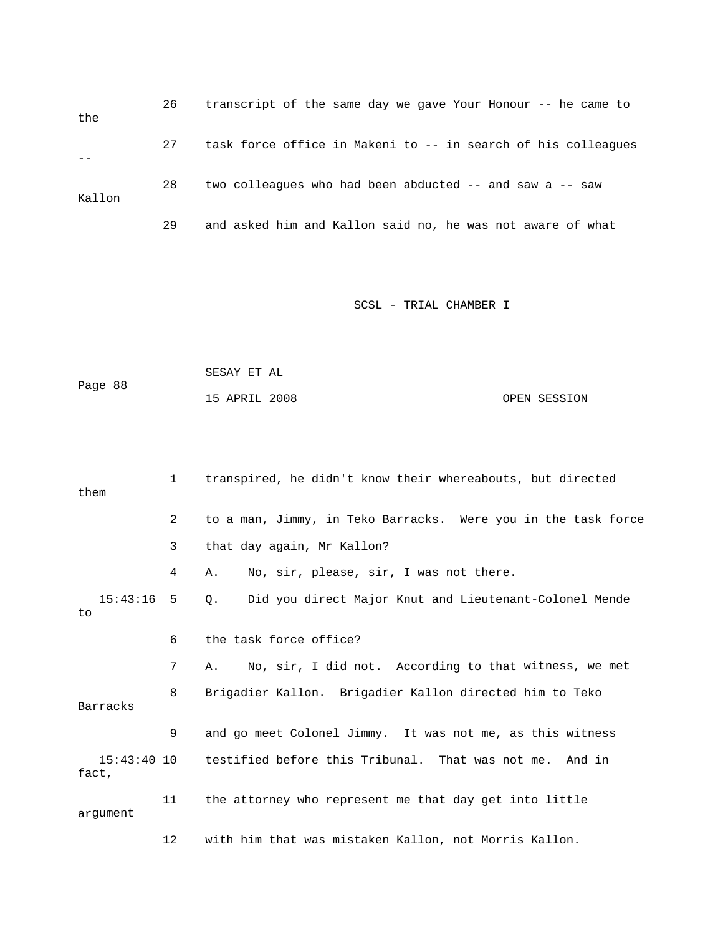| the    | 26 | transcript of the same day we gave Your Honour -- he came to  |
|--------|----|---------------------------------------------------------------|
|        | 27 | task force office in Makeni to -- in search of his colleagues |
| Kallon | 28 | two colleagues who had been abducted -- and saw a -- saw      |
|        | 29 | and asked him and Kallon said no, he was not aware of what    |

|         | SESAY ET AL   |  |              |
|---------|---------------|--|--------------|
| Page 88 |               |  |              |
|         | 15 APRIL 2008 |  | OPEN SESSION |

| them           | $1 \quad$ | transpired, he didn't know their whereabouts, but directed          |
|----------------|-----------|---------------------------------------------------------------------|
|                | 2         | to a man, Jimmy, in Teko Barracks. Were you in the task force       |
|                | 3         | that day again, Mr Kallon?                                          |
|                | 4         | No, sir, please, sir, I was not there.<br>Α.                        |
| 15:43:16<br>to | 5         | Did you direct Major Knut and Lieutenant-Colonel Mende<br>$\circ$ . |
|                | 6         | the task force office?                                              |
|                | 7         | No, sir, I did not. According to that witness, we met<br>A.         |
| Barracks       | 8         | Brigadier Kallon. Brigadier Kallon directed him to Teko             |
|                | 9         | and go meet Colonel Jimmy. It was not me, as this witness           |
| fact,          |           | 15:43:40 10 testified before this Tribunal. That was not me. And in |
| arqument       | 11        | the attorney who represent me that day get into little              |
|                | 12        | with him that was mistaken Kallon, not Morris Kallon.               |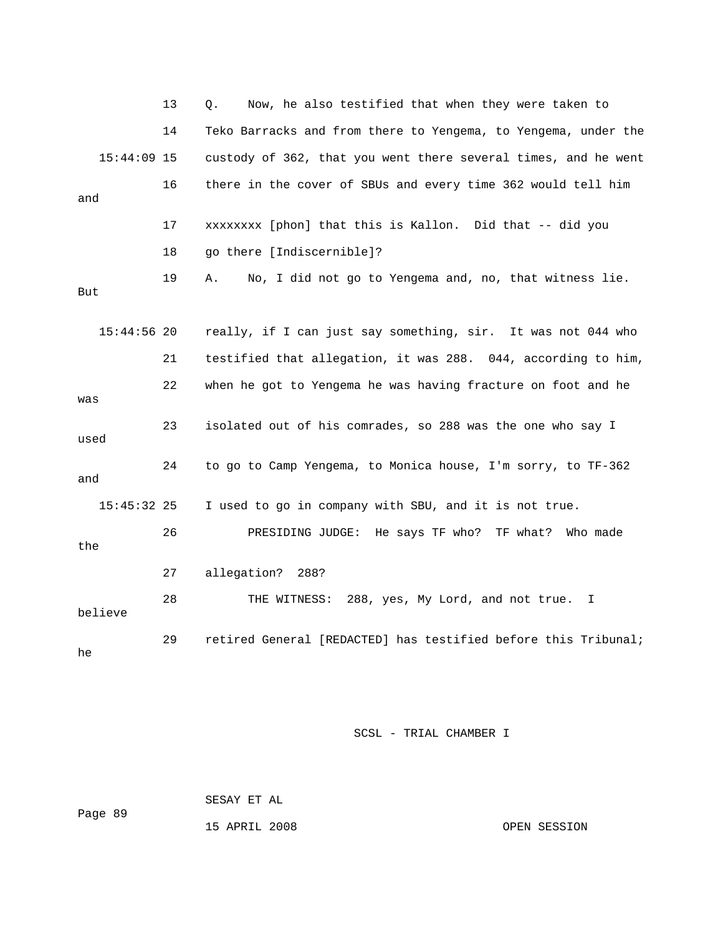|               | 13 | Now, he also testified that when they were taken to<br>О.      |
|---------------|----|----------------------------------------------------------------|
|               | 14 | Teko Barracks and from there to Yengema, to Yengema, under the |
| $15:44:09$ 15 |    | custody of 362, that you went there several times, and he went |
| and           | 16 | there in the cover of SBUs and every time 362 would tell him   |
|               | 17 | xxxxxxxx [phon] that this is Kallon. Did that -- did you       |
|               | 18 | go there [Indiscernible]?                                      |
| But           | 19 | No, I did not go to Yengema and, no, that witness lie.<br>Α.   |
| $15:44:56$ 20 |    | really, if I can just say something, sir. It was not 044 who   |
|               | 21 | testified that allegation, it was 288. 044, according to him,  |
| was           | 22 | when he got to Yengema he was having fracture on foot and he   |
| used          | 23 | isolated out of his comrades, so 288 was the one who say I     |
| and           | 24 | to go to Camp Yengema, to Monica house, I'm sorry, to TF-362   |
| $15:45:32$ 25 |    | I used to go in company with SBU, and it is not true.          |
| the           | 26 | PRESIDING JUDGE: He says TF who? TF what? Who made             |
|               | 27 | allegation? 288?                                               |
| believe       | 28 | THE WITNESS: 288, yes, My Lord, and not true.<br>Ι.            |
| he            | 29 | retired General [REDACTED] has testified before this Tribunal; |

89 SESAY ET AL Page

15 APRIL 2008 OPEN SESSION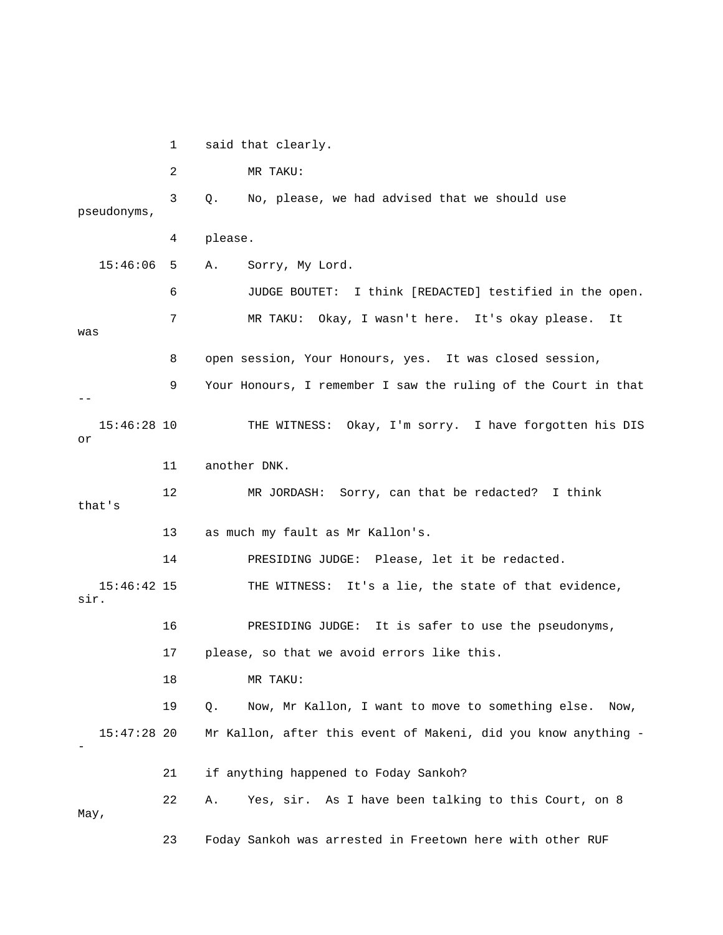1 said that clearly. pseudonyms, 6 JUDGE BOUTET: I think [REDACTED] testified in the open. 7 MR TAKU: Okay, I wasn't here. It's okay please. It was 8 open session, Your Honours, yes. It was closed session, 9 Your Honours, I remember I saw the ruling of the Court in that 15:46:28 10 THE WITNESS: Okay, I'm sorry. I have forgotten his DIS 13 as much my fault as Mr Kallon's. 14 PRESIDING JUDGE: Please, let it be redacted. 15:46:42 15 THE WITNESS: It's a lie, the state of that evidence, 16 PRESIDING JUDGE: It is safer to use the pseudonyms, 17 please, so that we avoid errors like this. 18 MR TAKU: 19 Q. Now, Mr Kallon, I want to move to something else. Now, 15:47:28 20 Mr Kallon, after this event of Makeni, did you know anything - 21 if anything happened to Foday Sankoh? 22 A. Yes, sir. As I have been talking to this Court, on 8 May, 23 Foday Sankoh was arrested in Freetown here with other RUF 2 MR TAKU: 3 Q. No, please, we had advised that we should use 4 please. 15:46:06 5 A. Sorry, My Lord. - or 11 another DNK. 12 MR JORDASH: Sorry, can that be redacted? I think that's sir. -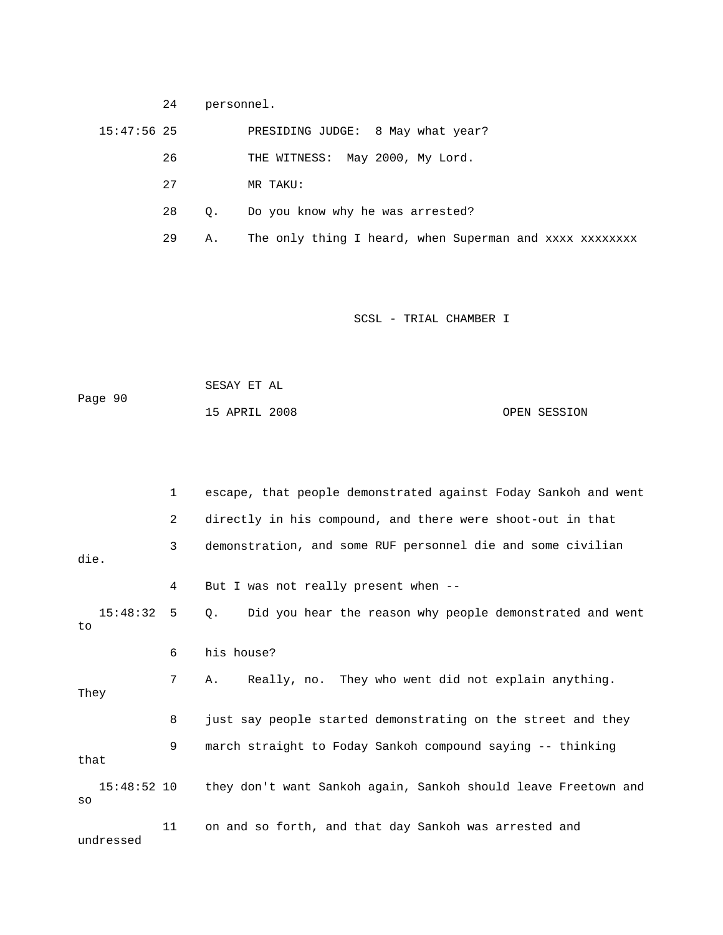24 personnel.

15:47:56 25 PRESIDING JUDGE: 8 May what year?

26 THE WITNESS: May 2000, My Lord.

- 27 MR TAKU:
- 28 Q. Do you know why he was arrested?
- 29 A. The only thing I heard, when Superman and xxxx xxxxxxxx

| Page 90 | SESAY ET AL   |  |              |
|---------|---------------|--|--------------|
|         | 15 APRIL 2008 |  | OPEN SESSION |

|                   | $\mathbf{1}$   | escape, that people demonstrated against Foday Sankoh and went        |
|-------------------|----------------|-----------------------------------------------------------------------|
|                   | $\overline{2}$ | directly in his compound, and there were shoot-out in that            |
| die.              | 3              | demonstration, and some RUF personnel die and some civilian           |
|                   | 4              | But I was not really present when --                                  |
| 15:48:32:5<br>to  |                | Did you hear the reason why people demonstrated and went<br>$\circ$ . |
|                   | 6              | his house?                                                            |
| They              | 7              | A. Really, no. They who went did not explain anything.                |
|                   | 8              | just say people started demonstrating on the street and they          |
| that              | 9              | march straight to Foday Sankoh compound saying -- thinking            |
| 15:48:52 10<br>SO |                | they don't want Sankoh again, Sankoh should leave Freetown and        |
| undressed         | 11             | on and so forth, and that day Sankoh was arrested and                 |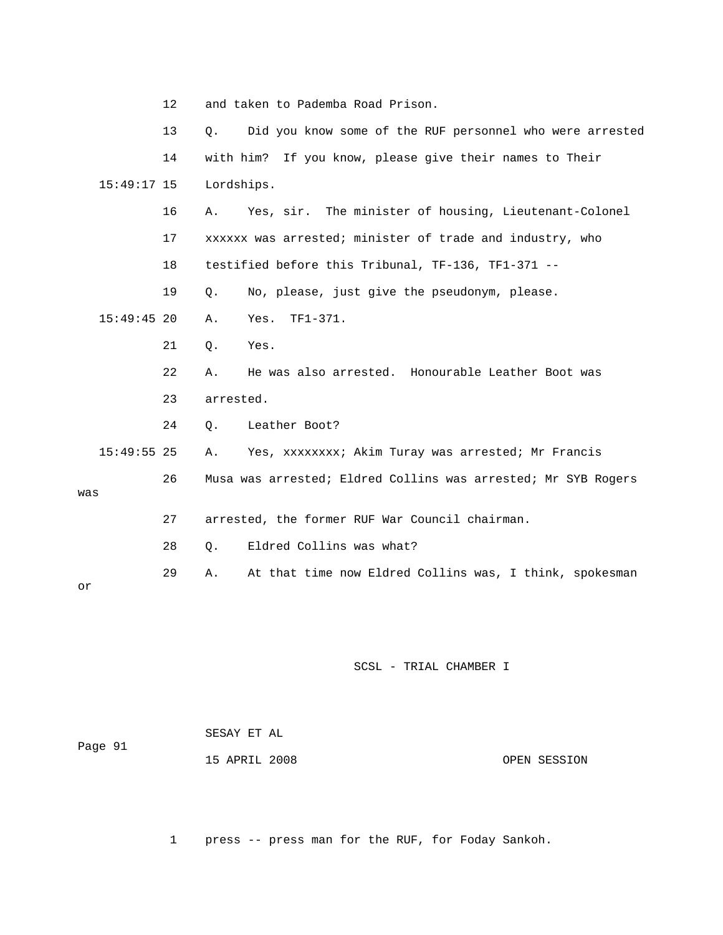|     |               | 12 |            | and taken to Pademba Road Prison.                             |
|-----|---------------|----|------------|---------------------------------------------------------------|
|     |               | 13 | Ο.         | Did you know some of the RUF personnel who were arrested      |
|     |               | 14 |            | with him? If you know, please give their names to Their       |
|     | 15:49:17 15   |    | Lordships. |                                                               |
|     |               | 16 | Α.         | Yes, sir. The minister of housing, Lieutenant-Colonel         |
|     |               | 17 |            | xxxxxx was arrested; minister of trade and industry, who      |
|     |               | 18 |            | testified before this Tribunal, TF-136, TF1-371 --            |
|     |               | 19 | $Q$ .      | No, please, just give the pseudonym, please.                  |
|     | $15:49:45$ 20 |    | Α.         | $TF1-371.$<br>Yes.                                            |
|     |               | 21 | Q.         | Yes.                                                          |
|     |               | 22 | Α.         | He was also arrested. Honourable Leather Boot was             |
|     |               | 23 | arrested.  |                                                               |
|     |               | 24 | Q.         | Leather Boot?                                                 |
|     | $15:49:55$ 25 |    | Α.         | Yes, XXXXXXXX; Akim Turay was arrested; Mr Francis            |
|     |               | 26 |            | Musa was arrested; Eldred Collins was arrested; Mr SYB Rogers |
| was |               |    |            |                                                               |
|     |               | 27 |            | arrested, the former RUF War Council chairman.                |
|     |               | 28 | О.         | Eldred Collins was what?                                      |
|     |               | 29 | Α.         | At that time now Eldred Collins was, I think, spokesman       |
| or  |               |    |            |                                                               |

| Page 91 | SESAY ET AL   |              |
|---------|---------------|--------------|
|         | 15 APRIL 2008 | OPEN SESSION |

1 press -- press man for the RUF, for Foday Sankoh.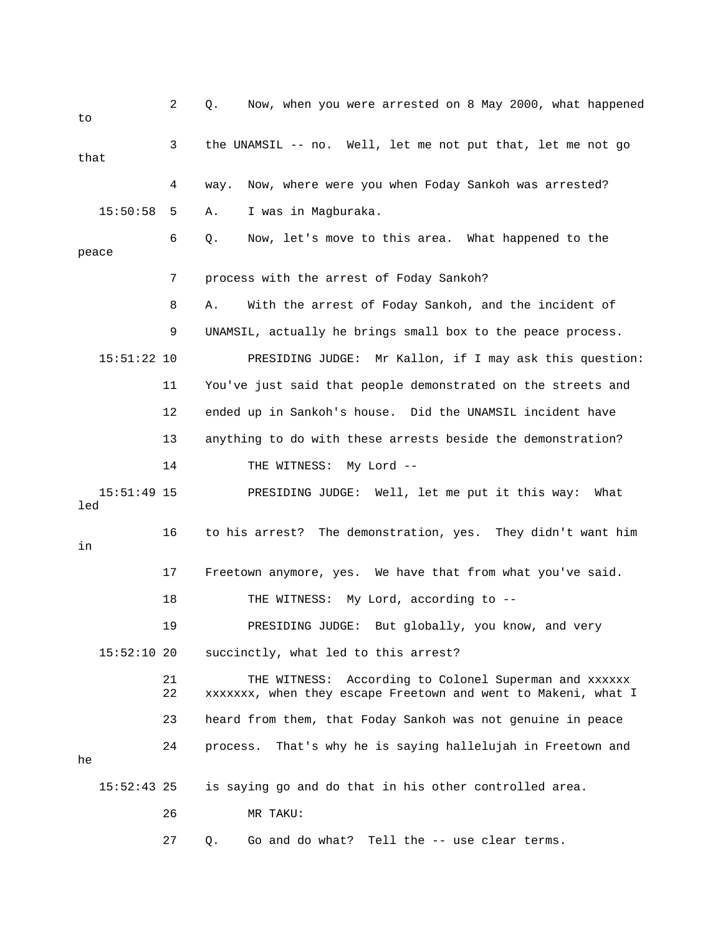2 Q. Now, when you were arrested on 8 May 2000, what happened to 3 the UNAMSIL -- no. Well, let me not put that, let me not go that 4 way. Now, where were you when Foday Sankoh was arrested? 6 Q. Now, let's move to this area. What happened to the peace 7 process with the arrest of Foday Sankoh? 8 A. With the arrest of Foday Sankoh, and the incident of 9 UNAMSIL, actually he brings small box to the peace process. 15:51:22 10 PRESIDING JUDGE: Mr Kallon, if I may ask this question: 11 You've just said that people demonstrated on the streets and 12 ended up in Sankoh's house. Did the UNAMSIL incident have 13 anything to do with these arrests beside the demonstration? 15:51:49 15 PRESIDING JUDGE: Well, let me put it this way: What led 16 to his arrest? The demonstration, yes. They didn't want him 17 Freetown anymore, yes. We have that from what you've said. 19 PRESIDING JUDGE: But globally, you know, and very 15:52:10 20 succinctly, what led to this arrest? 21 THE WITNESS: According to Colonel Superman and xxxxxx 22 xxxxxxx, when they escape Freetown and went to Makeni, what I 23 heard from them, that Foday Sankoh was not genuine in peace 24 process. That's why he is saying hallelujah in Freetown and 15:50:58 5 A. I was in Magburaka. 14 THE WITNESS: My Lord -in 18 THE WITNESS: My Lord, according to -he 15:52:43 25 is saying go and do that in his other controlled area. 26 MR TAKU: 27 Q. Go and do what? Tell the -- use clear terms.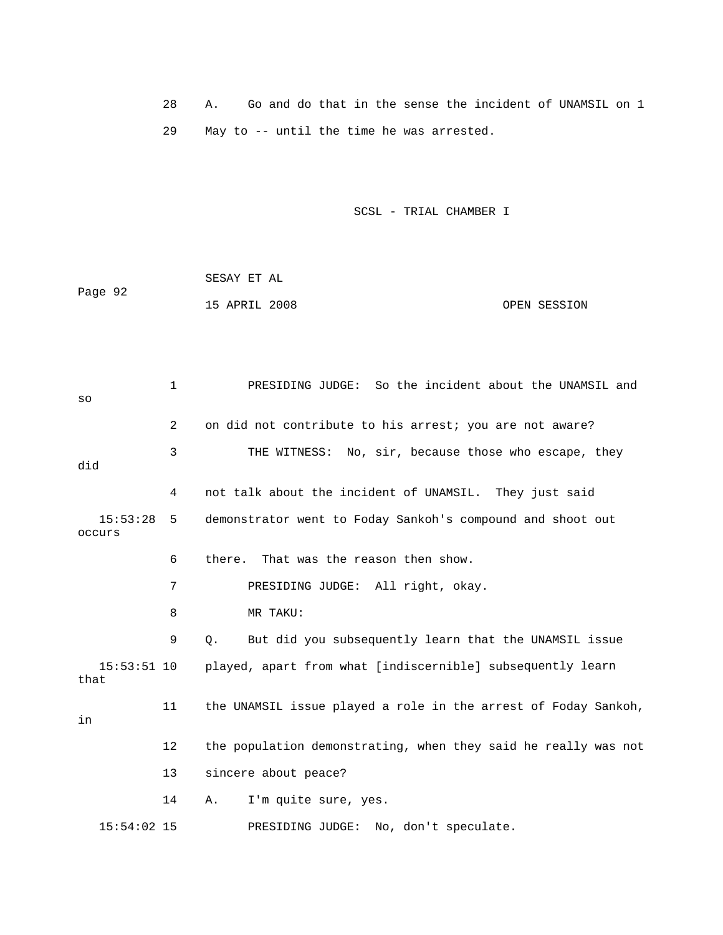28 A. Go and do that in the sense the incident of UNAMSIL on 1 29 May to -- until the time he was arrested.

SCSL - TRIAL CHAMBER I

 SESAY ET AL Page 92 15 APRIL 2008 OPEN SESSION

 3 THE WITNESS: No, sir, because those who escape, they 4 not talk about the incident of UNAMSIL. They just said 15:53:28 5 demonstrator went to Foday Sankoh's compound and shoot out 8 MR TAKU: 9 Q. But did you subsequently learn that the UNAMSIL issue 15:53:51 10 played, apart from what [indiscernible] subsequently learn that 11 the UNAMSIL issue played a role in the arrest of Foday Sankoh, 12 the population demonstrating, when they said he really was not 13 sincere about peace? 14 A. I'm quite sure, yes. 15:54:02 15 PRESIDING JUDGE: No, don't speculate. 1 PRESIDING JUDGE: So the incident about the UNAMSIL and so 2 on did not contribute to his arrest; you are not aware? did occurs 6 there. That was the reason then show. 7 PRESIDING JUDGE: All right, okay. in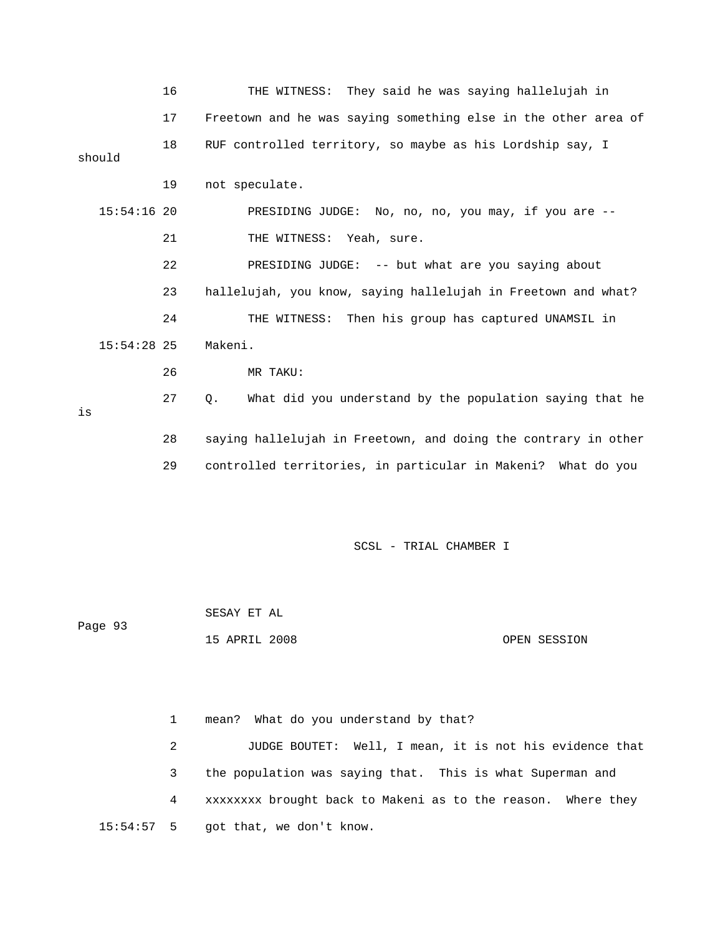|    |               | 16 | THE WITNESS: They said he was saying hallelujah in                    |
|----|---------------|----|-----------------------------------------------------------------------|
|    |               | 17 | Freetown and he was saying something else in the other area of        |
|    | should        | 18 | RUF controlled territory, so maybe as his Lordship say, I             |
|    |               | 19 | not speculate.                                                        |
|    | $15:54:16$ 20 |    | PRESIDING JUDGE: No, no, no, you may, if you are --                   |
|    |               | 21 | THE WITNESS: Yeah, sure.                                              |
|    |               | 22 | PRESIDING JUDGE: -- but what are you saying about                     |
|    |               | 23 | hallelujah, you know, saying hallelujah in Freetown and what?         |
|    |               | 24 | THE WITNESS: Then his group has captured UNAMSIL in                   |
|    | $15:54:28$ 25 |    | Makeni.                                                               |
|    |               | 26 | MR TAKU:                                                              |
| is |               | 27 | $\circ$ .<br>What did you understand by the population saying that he |
|    |               | 28 | saying hallelujah in Freetown, and doing the contrary in other        |
|    |               | 29 | controlled territories, in particular in Makeni? What do you          |
|    |               |    |                                                                       |

| Page 93 | SESAY ET AL   |  |              |
|---------|---------------|--|--------------|
|         | 15 APRIL 2008 |  | OPEN SESSION |

 1 mean? What do you understand by that? 2 JUDGE BOUTET: Well, I mean, it is not his evidence that 3 the population was saying that. This is what Superman and 4 xxxxxxxx brought back to Makeni as to the reason. Where they 15:54:57 5 got that, we don't know.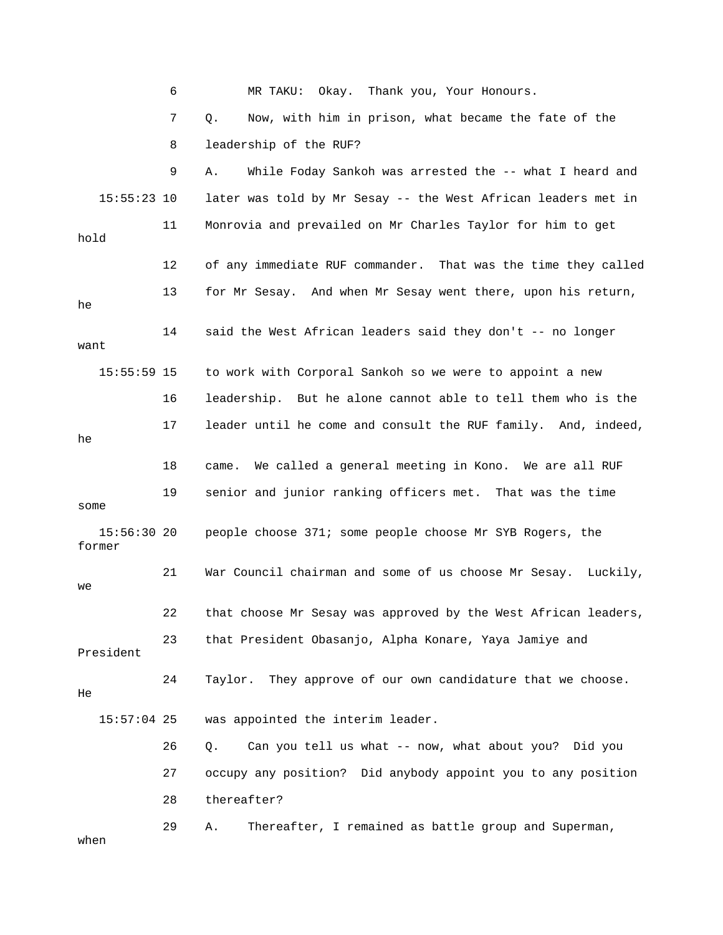6 MR TAKU: Okay. Thank you, Your Honours. 7 Q. Now, with him in prison, what became the fate of the 15:55:23 10 later was told by Mr Sesay -- the West African leaders met in 11 Monrovia and prevailed on Mr Charles Taylor for him to get hold 12 of any immediate RUF commander. That was the time they called 13 for Mr Sesay. And when Mr Sesay went there, upon his return, 14 said the West African leaders said they don't -- no longer 15:55:59 15 to work with Corporal Sankoh so we were to appoint a new 16 leadership. But he alone cannot able to tell them who is the 17 leader until he come and consult the RUF family. And, indeed, 19 senior and junior ranking officers met. That was the time 15:56:30 20 people choose 371; some people choose Mr SYB Rogers, the 21 War Council chairman and some of us choose Mr Sesay. Luckily, 22 that choose Mr Sesay was approved by the West African leaders, President 24 Taylor. They approve of our own candidature that we choose. 15:57:04 25 was appointed the interim leader. 27 occupy any position? Did anybody appoint you to any position 29 A. Thereafter, I remained as battle group and Superman, 8 leadership of the RUF? 9 A. While Foday Sankoh was arrested the -- what I heard and he want he 18 came. We called a general meeting in Kono. We are all RUF some former we 23 that President Obasanjo, Alpha Konare, Yaya Jamiye and He 26 Q. Can you tell us what -- now, what about you? Did you 28 thereafter? when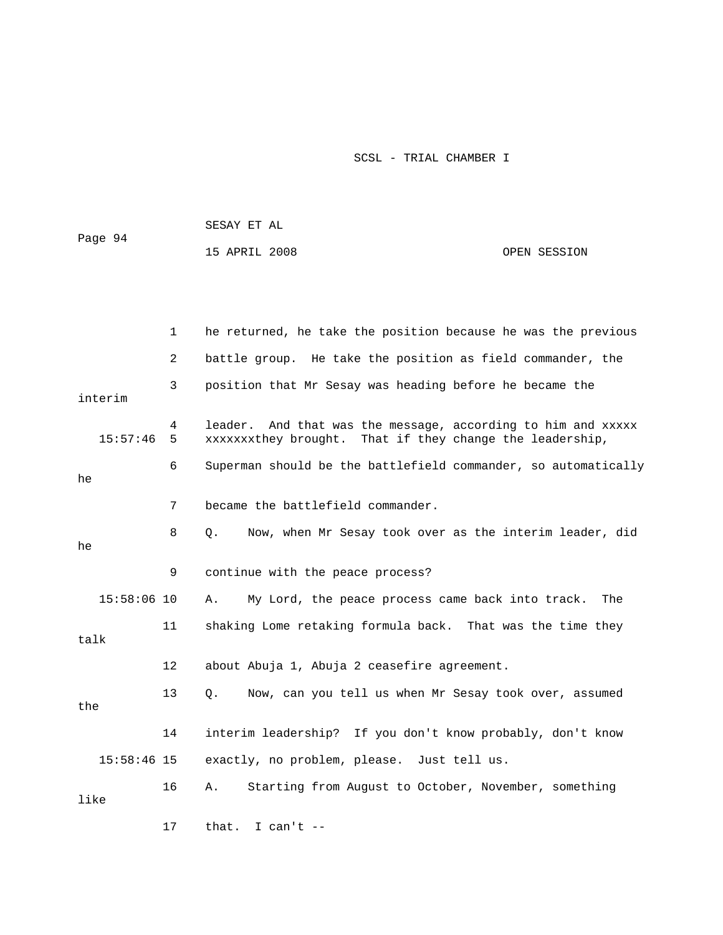| Page 94       |        | SESAY ET AL                                                                                                                 |              |
|---------------|--------|-----------------------------------------------------------------------------------------------------------------------------|--------------|
|               |        | 15 APRIL 2008                                                                                                               | OPEN SESSION |
|               |        |                                                                                                                             |              |
|               |        |                                                                                                                             |              |
|               | 1      | he returned, he take the position because he was the previous                                                               |              |
|               | 2      | battle group. He take the position as field commander, the                                                                  |              |
| interim       | 3      | position that Mr Sesay was heading before he became the                                                                     |              |
| 15:57:46      | 4<br>5 | And that was the message, according to him and xxxxx<br>leader.<br>xxxxxxxthey brought. That if they change the leadership, |              |
| he            | 6      | Superman should be the battlefield commander, so automatically                                                              |              |
|               | 7      | became the battlefield commander.                                                                                           |              |
| he            | 8      | Now, when Mr Sesay took over as the interim leader, did<br>О.                                                               |              |
|               | 9      | continue with the peace process?                                                                                            |              |
| $15:58:06$ 10 |        | Α.<br>My Lord, the peace process came back into track.                                                                      | The          |
| talk          | 11     | shaking Lome retaking formula back. That was the time they                                                                  |              |
|               | 12     | about Abuja 1, Abuja 2 ceasefire agreement.                                                                                 |              |
| the           | 13     | Q.<br>Now, can you tell us when Mr Sesay took over, assumed                                                                 |              |
|               | 14     | interim leadership? If you don't know probably, don't know                                                                  |              |
| $15:58:46$ 15 |        | exactly, no problem, please. Just tell us.                                                                                  |              |

 16 A. Starting from August to October, November, something like

17 that. I can't --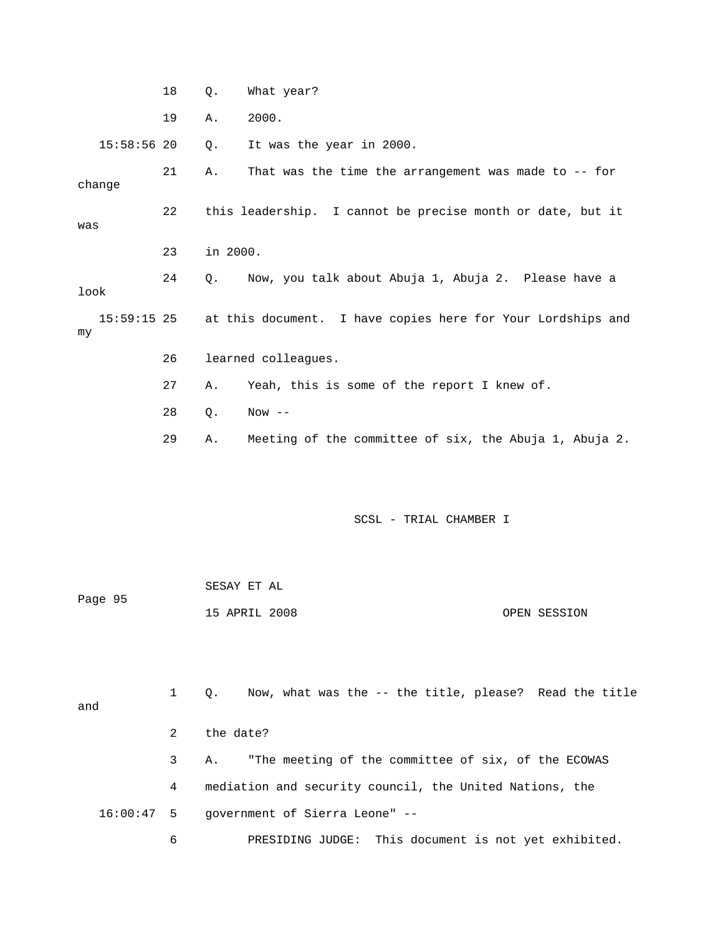|                     | 18 | $Q$ .    | What year?                                                  |
|---------------------|----|----------|-------------------------------------------------------------|
|                     | 19 | Α.       | 2000.                                                       |
| $15:58:56$ 20       |    | Q.       | It was the year in 2000.                                    |
| change              | 21 | Α.       | That was the time the arrangement was made to $-$ - for     |
| was                 | 22 |          | this leadership. I cannot be precise month or date, but it  |
|                     | 23 | in 2000. |                                                             |
| look                | 24 | Q.       | Now, you talk about Abuja 1, Abuja 2. Please have a         |
| $15:59:15$ 25<br>my |    |          | at this document. I have copies here for Your Lordships and |
|                     | 26 |          | learned colleagues.                                         |
|                     | 27 | Α.       | Yeah, this is some of the report I knew of.                 |
|                     | 28 | $Q$ .    | $Now --$                                                    |
|                     | 29 | Α.       | Meeting of the committee of six, the Abuja 1, Abuja 2.      |

|         | SESAY ET AL   |  |              |
|---------|---------------|--|--------------|
| Page 95 |               |  |              |
|         | 15 APRIL 2008 |  | OPEN SESSION |

| and | 1             | Now, what was the -- the title, please? Read the title<br>$\circ$ . |
|-----|---------------|---------------------------------------------------------------------|
|     | $\mathcal{L}$ | the date?                                                           |
|     | $\mathbf{3}$  | "The meeting of the committee of six, of the ECOWAS<br>А.           |
|     | 4             | mediation and security council, the United Nations, the             |
|     |               | $16:00:47$ 5 government of Sierra Leone" --                         |
|     | 6             | PRESIDING JUDGE: This document is not yet exhibited.                |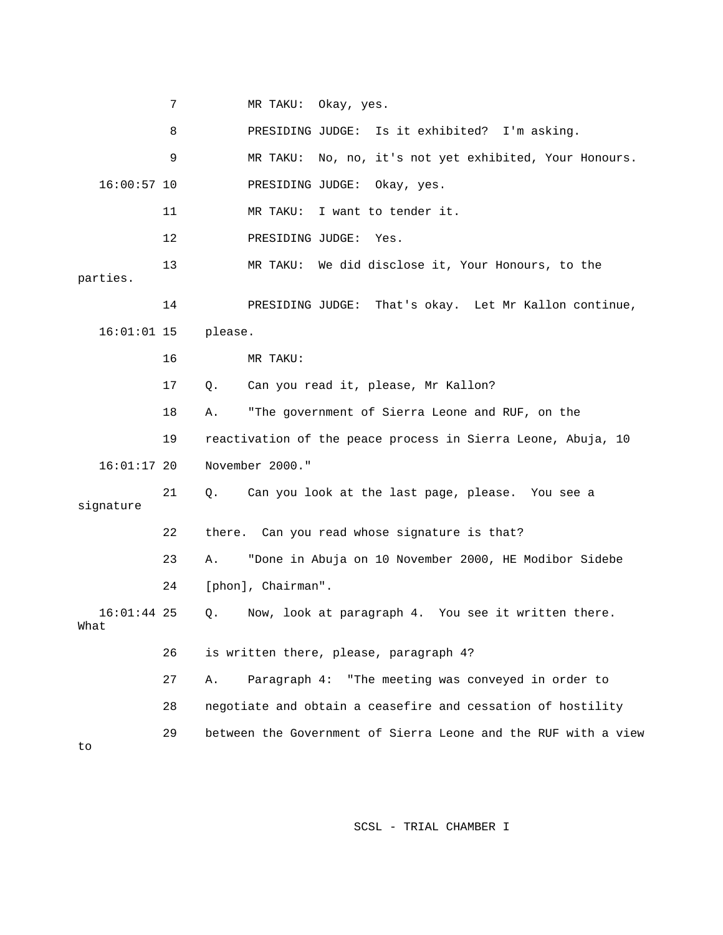7 MR TAKU : Okay, yes. 8 PRESIDI NG JUDGE: Is it exhibited? I'm asking. 9 MR TAKU: No, no, it's not yet exhibited, Your Honours. 16:00:57 10 PRESIDING JUDGE: Okay, yes. 11 MR TAKU: I want to tender it. 12 PRESIDING JUDGE: Yes. 13 MR TAKU: We did disclose it, Your Honours, to the parties. 14 PRESIDING JUDGE: That's okay. Let Mr Kallon continue, 16:01:01 15 please. 16 MR TAKU: 18 A. "The government of Sierra Leone and RUF, on the 19 reactivation of the peace process in Sierra Leone, Abuja, 10 22 there. Can you read whose signature is that? 23 A. "Done in Abuja on 10 November 2000, HE Modibor Sidebe 16:01:44 25 Q. Now, look at paragraph 4. You see it written there. 4? 26 is written there, please, paragraph 27 A. Paragraph 4: "The meeting was conveyed in order to re and cessation of hostility 28 negotiate and obtain a ceasefi 29 between the Government of Sierra Leone and the RUF with a view 17 Q. Can you read it, please, Mr Kallon? 16:01:17 20 November 2000." 21 Q. Can you look at the last page, please. You see a signature 24 [phon], Chairman". What to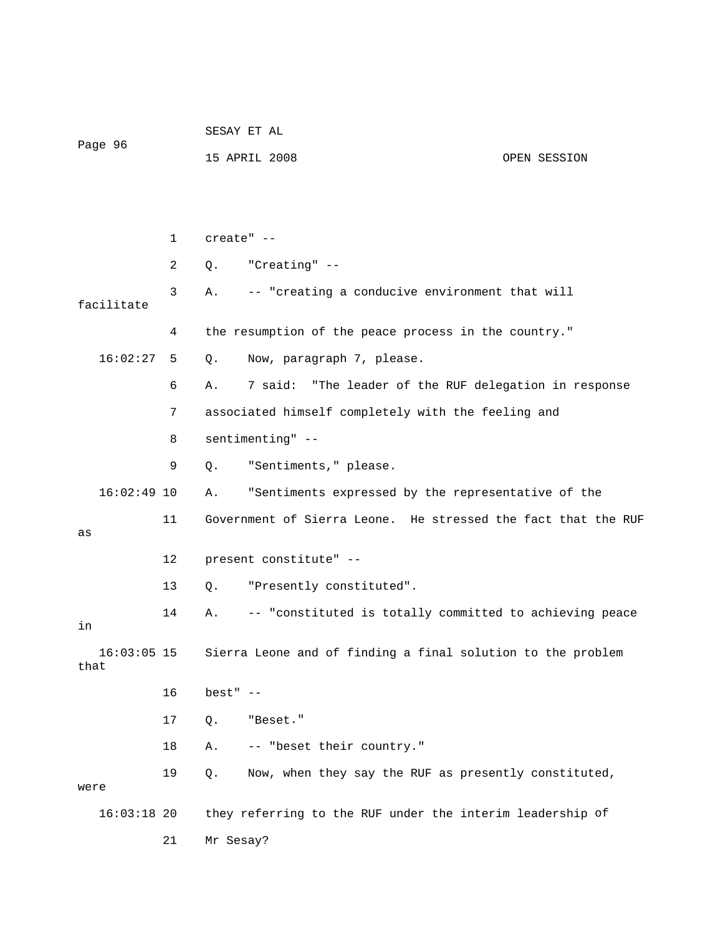|                       |             | SESAY ET AL            |                                                               |              |  |
|-----------------------|-------------|------------------------|---------------------------------------------------------------|--------------|--|
| Page 96               |             |                        | 15 APRIL 2008                                                 | OPEN SESSION |  |
|                       |             |                        |                                                               |              |  |
|                       |             |                        |                                                               |              |  |
|                       | $\mathbf 1$ | create" --             |                                                               |              |  |
|                       | 2           | Q.                     | "Creating" --                                                 |              |  |
| facilitate            | 3           | Α.                     | -- "creating a conducive environment that will                |              |  |
|                       | 4           |                        | the resumption of the peace process in the country."          |              |  |
| 16:02:27              | 5           | Q.                     | Now, paragraph 7, please.                                     |              |  |
|                       | 6           | Α.                     | 7 said:<br>"The leader of the RUF delegation in response      |              |  |
|                       | 7           |                        | associated himself completely with the feeling and            |              |  |
|                       | 8           |                        | sentimenting" --                                              |              |  |
|                       | 9           | Q.                     | "Sentiments," please.                                         |              |  |
| $16:02:49$ 10         |             | Α.                     | "Sentiments expressed by the representative of the            |              |  |
| as                    | 11          |                        | Government of Sierra Leone. He stressed the fact that the RUF |              |  |
|                       | 12          | present constitute" -- |                                                               |              |  |
|                       | 13          | Q.                     | "Presently constituted".                                      |              |  |
| in                    | 14          | Α.                     | -- "constituted is totally committed to achieving peace       |              |  |
| $16:03:05$ 15<br>that |             |                        | Sierra Leone and of finding a final solution to the problem   |              |  |
|                       | 16          | $best"$ --             |                                                               |              |  |
|                       | 17          | $Q$ .                  | "Beset."                                                      |              |  |
|                       | 18          | Α.                     | -- "beset their country."                                     |              |  |
| were                  | 19          | Q.                     | Now, when they say the RUF as presently constituted,          |              |  |
| $16:03:18$ 20         |             |                        | they referring to the RUF under the interim leadership of     |              |  |
|                       | 21          | Mr Sesay?              |                                                               |              |  |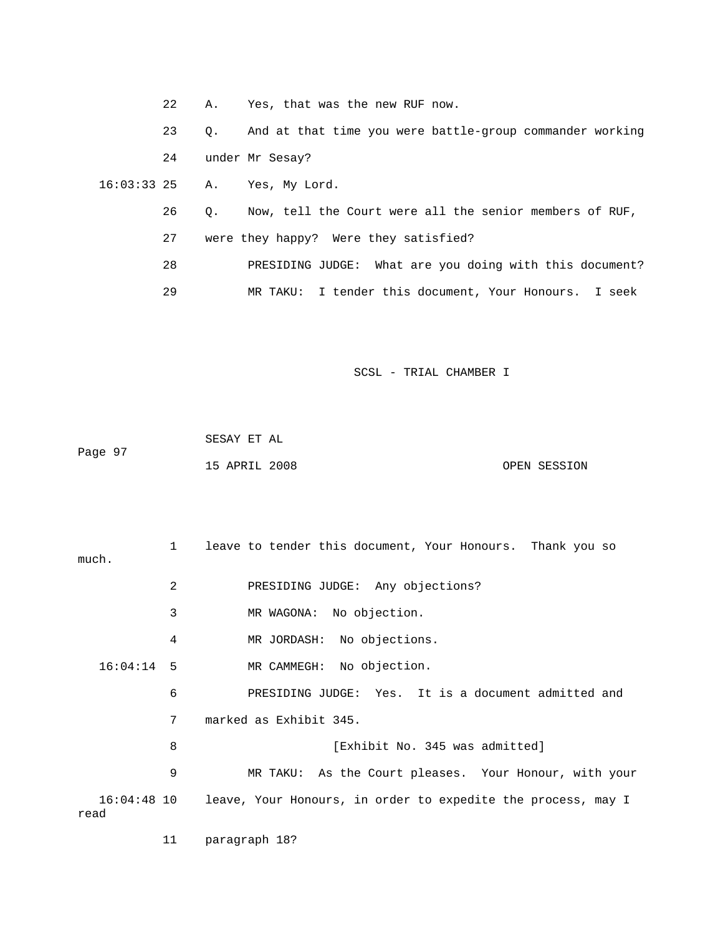|                  | 22 | Α.        | Yes, that was the new RUF now.                             |
|------------------|----|-----------|------------------------------------------------------------|
|                  | 23 | 0.        | And at that time you were battle-group commander working   |
|                  | 24 |           | under Mr Sesay?                                            |
| $16:03:33$ 25 A. |    |           | Yes, My Lord.                                              |
|                  | 26 | $\circ$ . | Now, tell the Court were all the senior members of RUF,    |
|                  | 27 |           | were they happy? Were they satisfied?                      |
|                  | 28 |           | What are you doing with this document?<br>PRESIDING JUDGE: |
|                  | 29 |           | MR TAKU: I tender this document, Your Honours. I seek      |

|         | SESAY ET AL   |  |              |
|---------|---------------|--|--------------|
| Page 97 |               |  |              |
|         | 15 APRIL 2008 |  | OPEN SESSION |

| much.        | $\mathbf{1}$ | leave to tender this document, Your Honours. Thank you so                |
|--------------|--------------|--------------------------------------------------------------------------|
|              | 2            | PRESIDING JUDGE: Any objections?                                         |
| $16:04:14$ 5 | 3            | MR WAGONA: No objection.                                                 |
|              | 4            | MR JORDASH: No objections.                                               |
|              |              | MR CAMMEGH: No objection.                                                |
|              | 6            | PRESIDING JUDGE: Yes. It is a document admitted and                      |
|              | 7            | marked as Exhibit 345.                                                   |
|              | 8            | [Exhibit No. 345 was admitted]                                           |
|              | 9            | MR TAKU: As the Court pleases. Your Honour, with your                    |
| read         |              | 16:04:48 10 leave, Your Honours, in order to expedite the process, may I |

11 paragraph 18?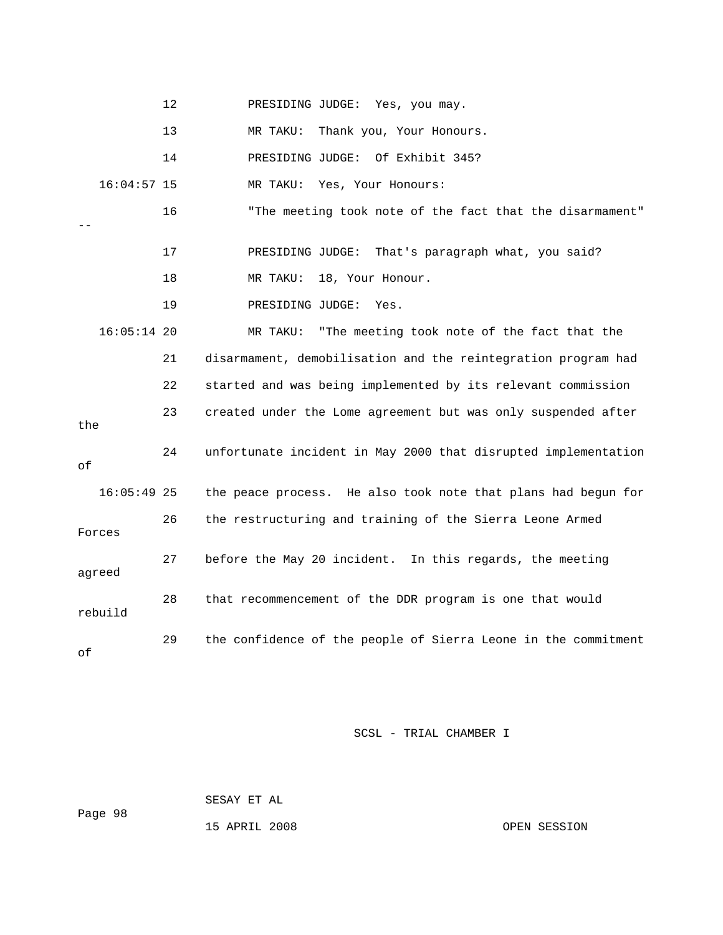|  | PRESIDING JUDGE: Yes, you may. |  |
|--|--------------------------------|--|
|--|--------------------------------|--|

13 MR TAKU: Thank you, Your Honours.

14 PRESIDING JUDGE: Of Exhibit 345?

16:04:57 15 MR TAKU: Yes, Your Honours:

 16 "The meeting took note of the fact that the disarmament" --

17 PRESIDING JUDGE: That's paragraph what, you said?

18 MR TAKU: 18, Your Honour.

19 PRESIDING JUDGE: Yes.

16:05:14 20 MR TAKU: "The meeting took note of the fact that the 21 disarmament, demobilisation and the reintegration program had 22 started and was being implemented by its relevant commission 24 unfortunate incident in May 2000 that disrupted implementation 27 before the May 20 incident. In this regards, the meeting agreed 28 that recommencement of the DDR program is one that would 29 the confidence of the people of Sierra Leone in the commitment 23 created under the Lome agreement but was only suspended after the of 16:05:49 25 the peace process. He also took note that plans had begun for 26 the restructuring and training of the Sierra Leone Armed Forces rebuild of

SCSL - TRIAL CHAMBER I

 SESAY ET AL Page 98

15 APRIL 2008 OPEN SESSION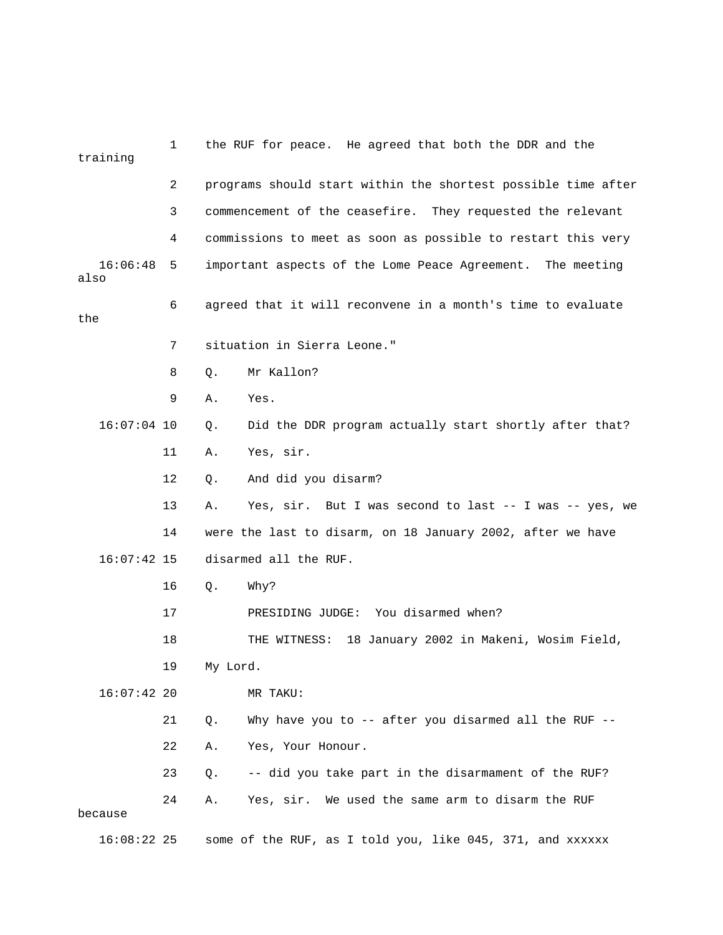| training                               | 1  |                                                               | the RUF for peace. He agreed that both the DDR and the      |  |
|----------------------------------------|----|---------------------------------------------------------------|-------------------------------------------------------------|--|
|                                        | 2  | programs should start within the shortest possible time after |                                                             |  |
|                                        | 3  |                                                               | commencement of the ceasefire. They requested the relevant  |  |
|                                        | 4  | commissions to meet as soon as possible to restart this very  |                                                             |  |
| 16:06:48<br>also                       | 5  |                                                               | important aspects of the Lome Peace Agreement. The meeting  |  |
| 6<br>the                               |    |                                                               | agreed that it will reconvene in a month's time to evaluate |  |
|                                        | 7  |                                                               | situation in Sierra Leone."                                 |  |
|                                        | 8  | $Q$ .                                                         | Mr Kallon?                                                  |  |
|                                        | 9  | Α.                                                            | Yes.                                                        |  |
| $16:07:04$ 10                          |    | Q.                                                            | Did the DDR program actually start shortly after that?      |  |
|                                        | 11 | Α.                                                            | Yes, sir.                                                   |  |
|                                        | 12 | Q.                                                            | And did you disarm?                                         |  |
|                                        | 13 | Α.                                                            | Yes, sir. But I was second to last -- I was -- yes, we      |  |
|                                        | 14 |                                                               | were the last to disarm, on 18 January 2002, after we have  |  |
| disarmed all the RUF.<br>$16:07:42$ 15 |    |                                                               |                                                             |  |
|                                        | 16 | Q.                                                            | Why?                                                        |  |
|                                        | 17 |                                                               | PRESIDING JUDGE: You disarmed when?                         |  |
|                                        | 18 |                                                               | 18 January 2002 in Makeni, Wosim Field,<br>THE WITNESS:     |  |
|                                        | 19 | My Lord.                                                      |                                                             |  |
| $16:07:42$ 20                          |    |                                                               | MR TAKU:                                                    |  |
|                                        | 21 | Q.                                                            | Why have you to -- after you disarmed all the RUF --        |  |
|                                        | 22 | Α.                                                            | Yes, Your Honour.                                           |  |
|                                        | 23 | Q.                                                            | -- did you take part in the disarmament of the RUF?         |  |
| because                                | 24 | Α.                                                            | Yes, sir. We used the same arm to disarm the RUF            |  |
| $16:08:22$ 25                          |    |                                                               | some of the RUF, as I told you, like 045, 371, and xxxxxx   |  |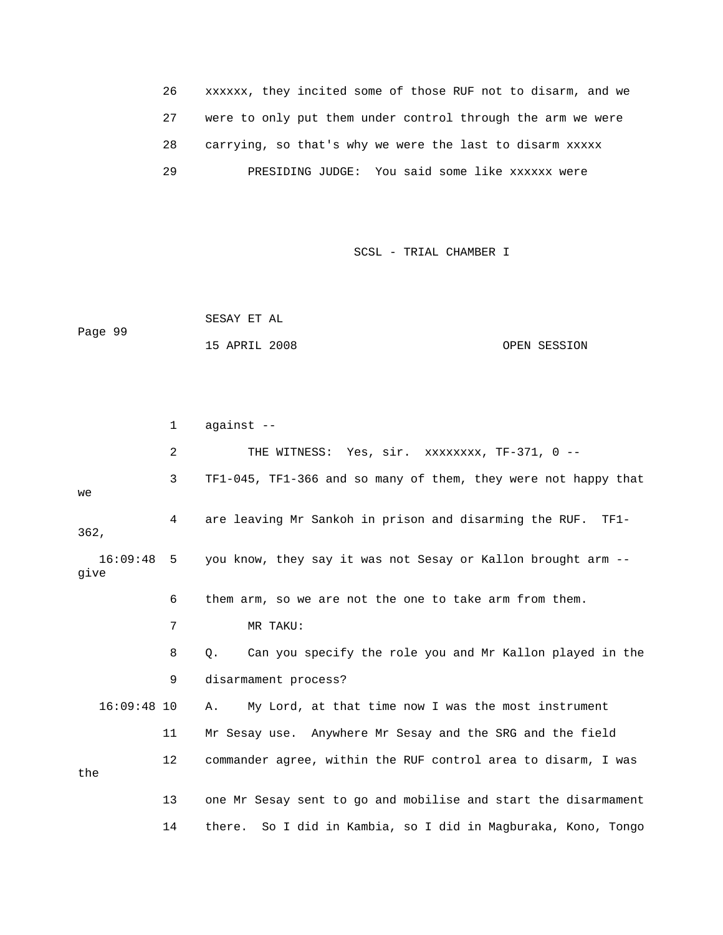| 26 | xxxxxx, they incited some of those RUF not to disarm, and we |
|----|--------------------------------------------------------------|
|    | were to only put them under control through the arm we were  |
| 28 | carrying, so that's why we were the last to disarm xxxxx     |
| 29 | PRESIDING JUDGE: You said some like xxxxxx were              |

 SESAY ET AL Page 99 15 APRIL 2008 OPEN SESSION

 2 THE WITNESS: Yes, sir. xxxxxxxx, TF-371, 0 -- 3 TF1-045, TF1-366 and so many of them, they were not happy that 4 are leaving Mr Sankoh in prison and disarming the RUF. TF1-16:09:48 5 you know, they say it was not Sesay or Kallon brought arm --8 Q. Can you specify the role you and Mr Kallon played in the 9 disarmament process? 16:09:48 10 A. My Lord, at that time now I was the most instrument 11 Mr Sesay use. Anywhere Mr Sesay and the SRG and the field 12 commander agree, within the RUF control area to disarm, I was the 13 one Mr Sesay sent to go and mobilise and start the disarmament 14 there. So I did in Kambia, so I did in Magburaka, Kono, Tongo 1 against - we 362, give 6 them arm, so we are not the one to take arm from them. 7 MR TAKU: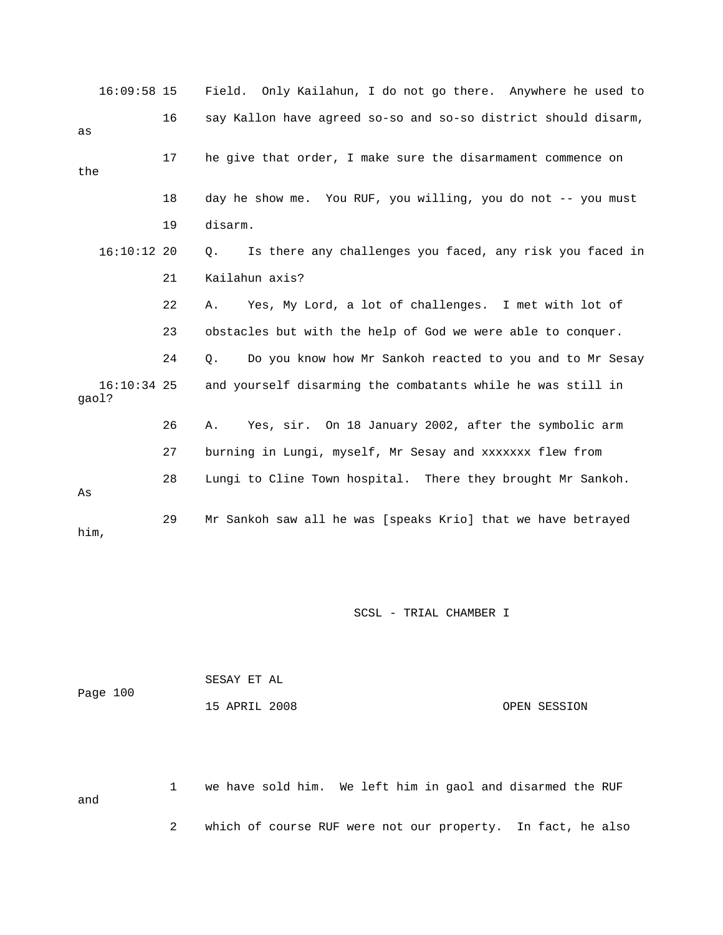| $16:09:58$ 15          |    | Field. Only Kailahun, I do not go there. Anywhere he used to   |
|------------------------|----|----------------------------------------------------------------|
| as                     | 16 | say Kallon have agreed so-so and so-so district should disarm, |
| the                    | 17 | he give that order, I make sure the disarmament commence on    |
|                        | 18 | day he show me. You RUF, you willing, you do not -- you must   |
|                        | 19 | disarm.                                                        |
| $16:10:12$ 20          |    | Is there any challenges you faced, any risk you faced in<br>Q. |
|                        | 21 | Kailahun axis?                                                 |
|                        | 22 | Yes, My Lord, a lot of challenges. I met with lot of<br>Α.     |
|                        | 23 | obstacles but with the help of God we were able to conquer.    |
|                        | 24 | Do you know how Mr Sankoh reacted to you and to Mr Sesay<br>Q. |
| $16:10:34$ 25<br>qaol? |    | and yourself disarming the combatants while he was still in    |
|                        | 26 | Yes, sir. On 18 January 2002, after the symbolic arm<br>Α.     |
|                        | 27 | burning in Lungi, myself, Mr Sesay and xxxxxxx flew from       |
| As                     | 28 | Lungi to Cline Town hospital. There they brought Mr Sankoh.    |
| him,                   | 29 | Mr Sankoh saw all he was [speaks Krio] that we have betrayed   |

| Page 100 | SESAY ET AL   |              |
|----------|---------------|--------------|
|          | 15 APRIL 2008 | OPEN SESSION |

 1 we have sold him. We left him in gaol and disarmed the RUF and 2 which of course RUF were not our property. In fact, he also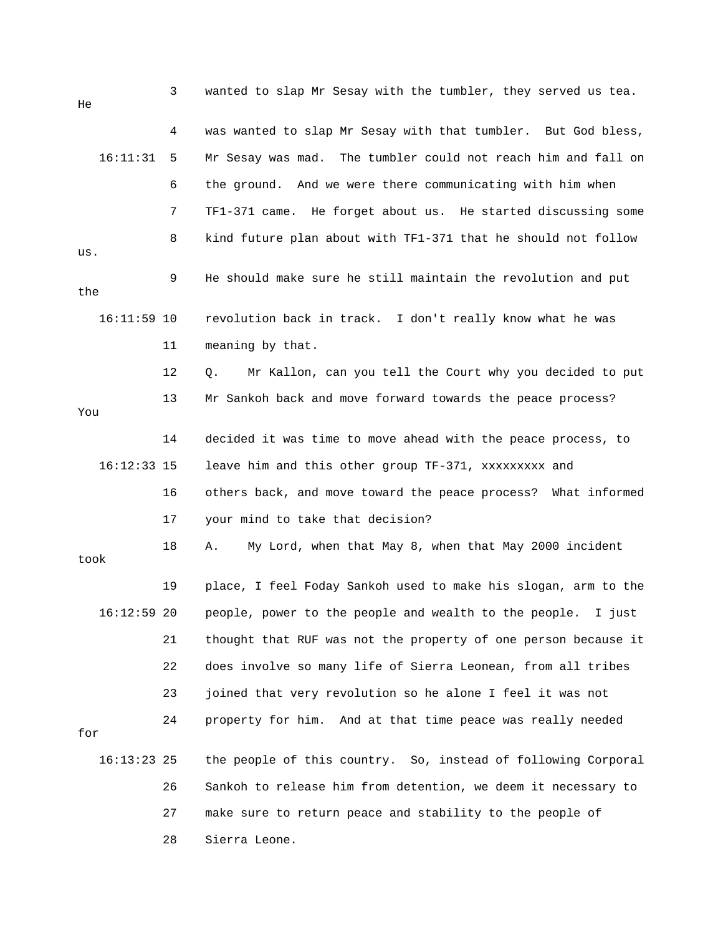3 wanted to slap Mr Sesay with the tumbler, they served us tea. 4 was wanted to slap Mr Sesay with that tumbler. But God bless, 16:11:31 5 Mr Sesay was mad. The tumbler could not reach him and fall on 7 TF1-371 came. He forget about us. He started discussing some 9 He should make sure he still maintain the revolution and put the 16:11:59 10 revolution back in track. I don't really know what he was 11 meaning by that. 12 Q. Mr Kallon, can you tell the Court why you decided to put 14 decided it was time to move ahead with the peace process, to 16:12:33 15 leave him and this other group TF-371, xxxxxxxxx and 16 others back, and move toward the peace process? What informed 17 your mind to take that decision? took 26 Sankoh to release him from detention, we deem it necessary to 27 make sure to return peace and stability to the people of 28 Sierra Leone. He 6 the ground. And we were there communicating with him when 8 kind future plan about with TF1-371 that he should not follow us. 13 Mr Sankoh back and move forward towards the peace process? You 18 A. My Lord, when that May 8, when that May 2000 incident 19 place, I feel Foday Sankoh used to make his slogan, arm to the 16:12:59 20 people, power to the people and wealth to the people. I just 21 thought that RUF was not the property of one person because it 22 does involve so many life of Sierra Leonean, from all tribes 23 joined that very revolution so he alone I feel it was not 24 property for him. And at that time peace was really needed for 16:13:23 25 the people of this country. So, instead of following Corporal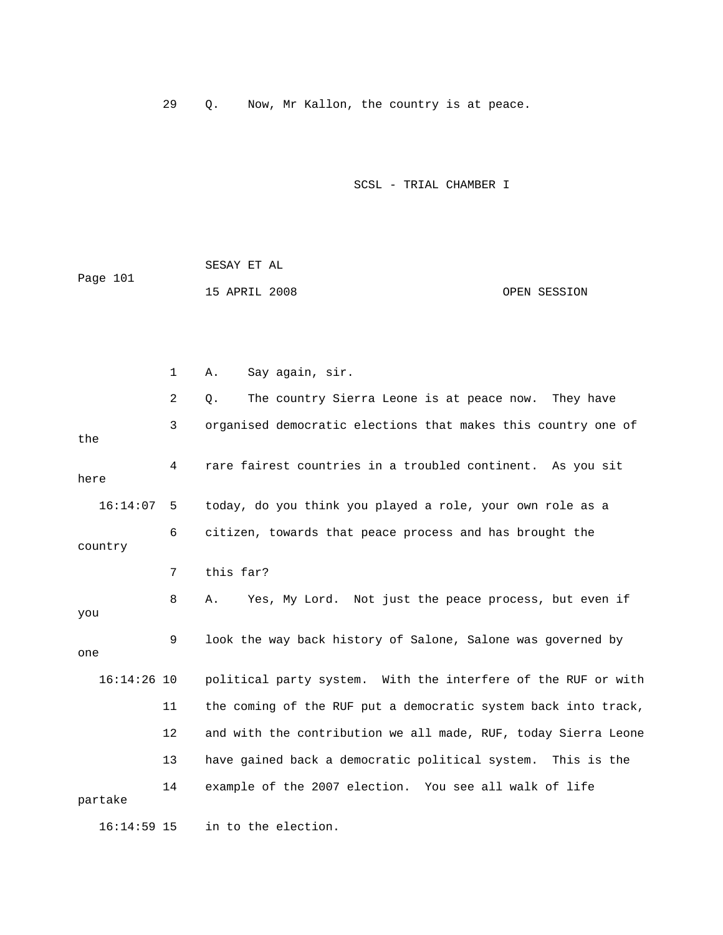29 Q. Now, Mr Kallon, the country is at peace.

SCSL - TRIAL CHAMBER I

|          | SESAY ET AL   |  |              |
|----------|---------------|--|--------------|
| Page 101 |               |  |              |
|          | 15 APRIL 2008 |  | OPEN SESSION |

 1 A. Say again, sir. 2 Q. The country Sierra Leone is at peace now. They have 3 organised democratic elections that makes this country one of 4 rare fairest countries in a troubled continent. As you sit 7 this far? 8 A. Yes, My Lord. Not just the peace process, but even if you 9 look the way back history of Salone, Salone was governed by one 16:14:26 10 political party system. With the interfere of the RUF or with 11 the coming of the RUF put a democratic system back into track, 12 and with the contribution we all made, RUF, today Sierra Leone 13 have gained back a democratic political system. This is the partake 16:14:59 15 in to the election. the here 16:14:07 5 today, do you think you played a role, your own role as a 6 citizen, towards that peace process and has brought the country 14 example of the 2007 election. You see all walk of life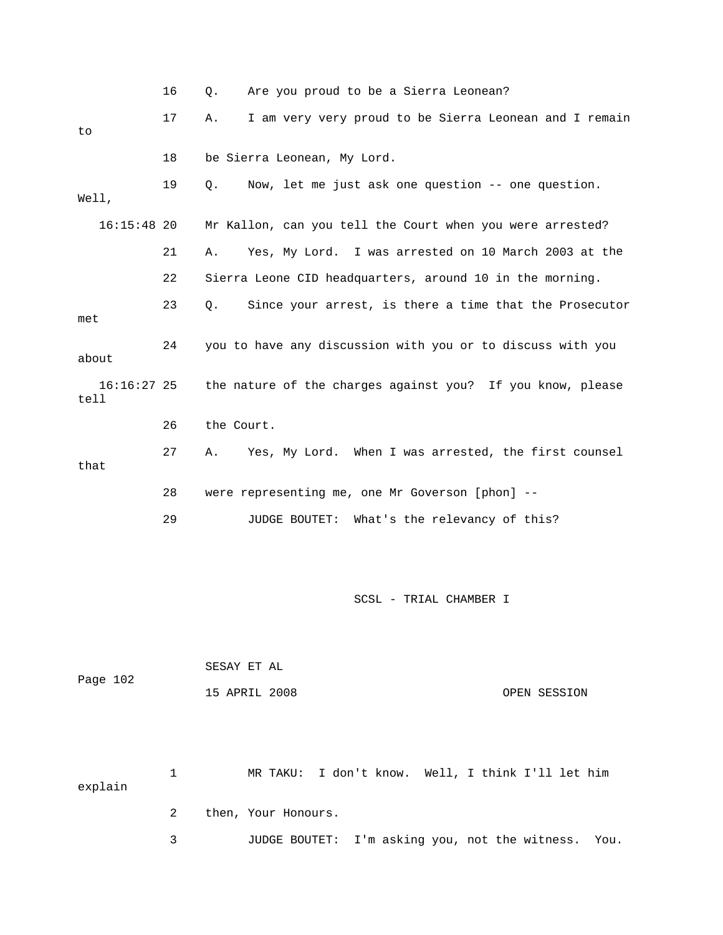|                       | 16 | Are you proud to be a Sierra Leonean?<br>Q.                  |
|-----------------------|----|--------------------------------------------------------------|
| to                    | 17 | I am very very proud to be Sierra Leonean and I remain<br>Α. |
|                       | 18 | be Sierra Leonean, My Lord.                                  |
| Well,                 | 19 | Now, let me just ask one question -- one question.<br>Q.     |
| $16:15:48$ 20         |    | Mr Kallon, can you tell the Court when you were arrested?    |
|                       | 21 | Yes, My Lord. I was arrested on 10 March 2003 at the<br>Α.   |
|                       | 22 | Sierra Leone CID headquarters, around 10 in the morning.     |
| met                   | 23 | Since your arrest, is there a time that the Prosecutor<br>О. |
| about                 | 24 | you to have any discussion with you or to discuss with you   |
| $16:16:27$ 25<br>tell |    | the nature of the charges against you? If you know, please   |
|                       | 26 | the Court.                                                   |
| that                  | 27 | Yes, My Lord. When I was arrested, the first counsel<br>A.   |
|                       | 28 | were representing me, one Mr Goverson [phon] --              |
|                       | 29 | What's the relevancy of this?<br><b>JUDGE BOUTET:</b>        |

| Page 102 |              | SESAY ET AL |                     |  |                                                   |
|----------|--------------|-------------|---------------------|--|---------------------------------------------------|
|          |              |             | 15 APRIL 2008       |  | OPEN SESSION                                      |
|          |              |             |                     |  |                                                   |
|          |              |             |                     |  |                                                   |
| explain  | $\mathbf{1}$ |             |                     |  | MR TAKU: I don't know. Well, I think I'll let him |
|          | 2            |             | then, Your Honours. |  |                                                   |

3 JUDGE BOUTET: I'm asking you, not the witness. You.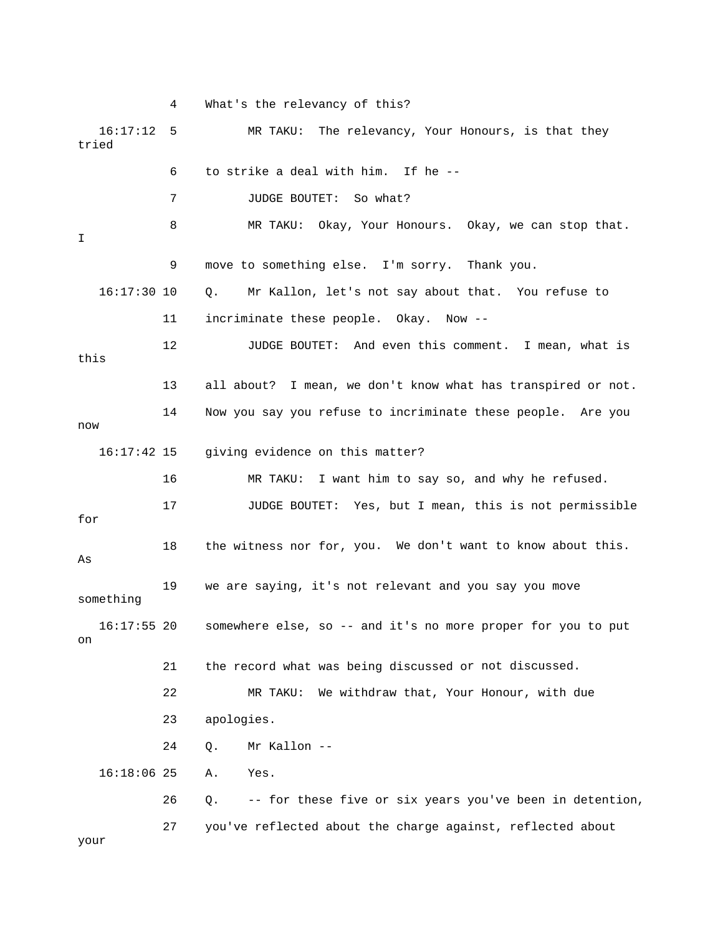4 What's the relevancy of this? 16:17:12 5 MR TAKU: The relevancy, Your Honours, is that they 7 JUDGE BOUTET: So what? 8 MR TAKU: Okay, Your Honours. Okay, we can stop that. 9 move to something else. I'm sorry. Thank you. 16:17:30 10 Q. Mr Kallon, let's not say about that. You refuse to 12 JUDGE BOUTET: And even this comment. I mean, what is this . 13 all about? I mean, we don't know what has transpired or not 14 Now you say you refuse to incriminate these people. Are you w no 16:17:42 15 giving evidence on this matter? 16 MR TAKU: I want him to say so, and why he refused. 17 JUDGE BOUTET: Yes, but I mean, this is not permissible for 18 the witness nor for, you. We don't want to know about this. 19 we are saying, it's not relevant and you say you move something 16:17:55 20 somewhere else, so -- and it's no more proper for you to put 21 the record what was being discussed or not discussed. 22 MR TAKU: We withdraw that, Your Honour, with due 23 apologies. 26 Q. -- for these five or six years you've been in detention, tried 6 to strike a deal with him. If he -- I 11 incriminate these people. Okay. Now -- As on 24 Q. Mr Kallon -- 16:18:06 25 A. Yes. 27 you've reflected about the charge against, reflected about your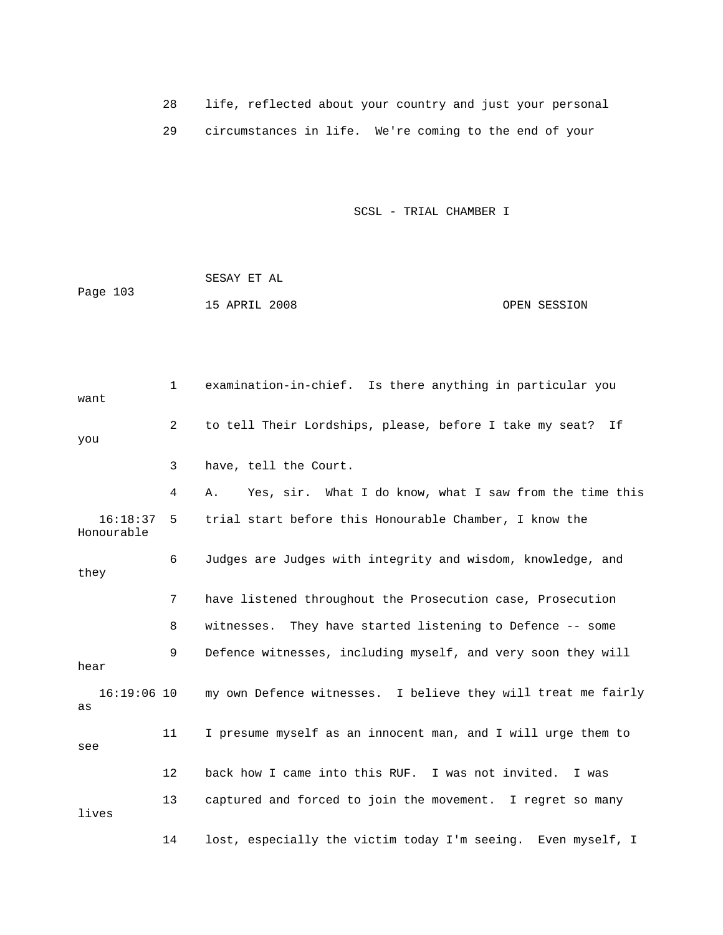28 life, reflected about your country and just your personal 29 circumstances in life. We're coming to the end of your

SCSL - TRIAL CHAMBER I

 SESAY ET AL Page 103 15 APRIL 2008 OPEN SESSION

1 examination-in-chief. Is there anything in particular you want 2 to tell Their Lordships, please, before I take my seat? If 3 have, tell the Court. 4 A. Yes, sir. What I do know, what I saw from the time this Honourable 6 Judges are Judges with integrity and wisdom, knowledge, and they 7 have listened throughout the Prosecution case, Prosecution 8 witnesses. They have started listening to Defence -- some 9 Defence witnesses, including myself, and very soon they will hear 16:19:06 10 my own Defence witnesses. I believe they will treat me fairly 11 I presume myself as an innocent man, and I will urge them to see 12 back how I came into this RUF. I was not invited. I was 13 captured and forced to join the movement. I regret so many lives 14 lost, especially the victim today I'm seeing. Even myself, I you 16:18:37 5 trial start before this Honourable Chamber, I know the as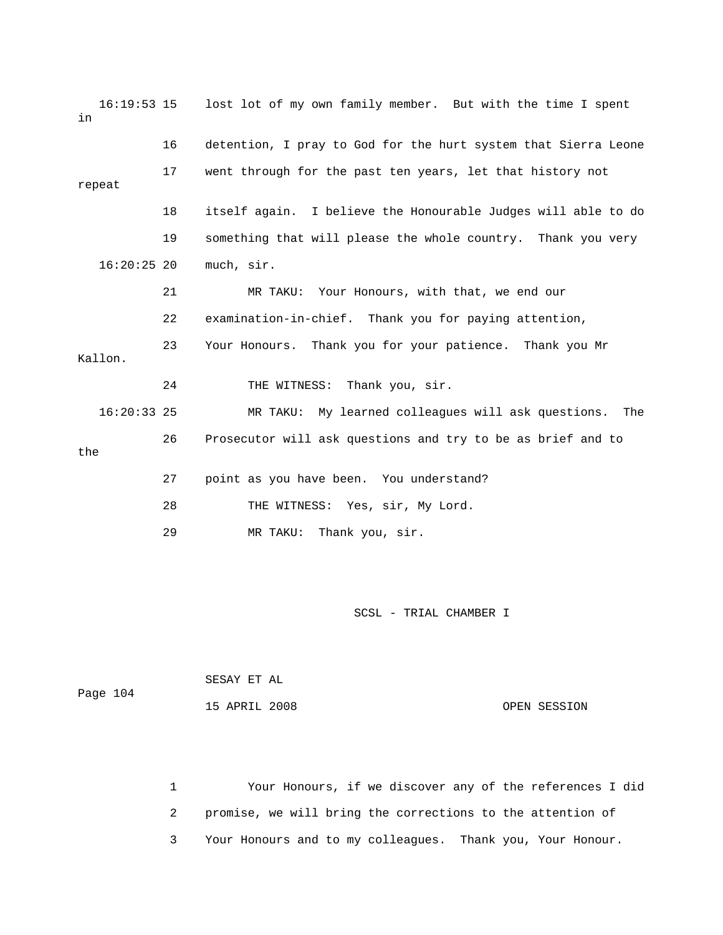| $16:19:53$ 15<br>in |    | lost lot of my own family member. But with the time I spent    |
|---------------------|----|----------------------------------------------------------------|
|                     | 16 | detention, I pray to God for the hurt system that Sierra Leone |
| repeat              | 17 | went through for the past ten years, let that history not      |
|                     | 18 | itself again. I believe the Honourable Judges will able to do  |
|                     | 19 | something that will please the whole country. Thank you very   |
| $16:20:25$ 20       |    | much, sir.                                                     |
|                     | 21 | MR TAKU: Your Honours, with that, we end our                   |
|                     | 22 | examination-in-chief. Thank you for paying attention,          |
| Kallon.             | 23 | Your Honours. Thank you for your patience. Thank you Mr        |
|                     | 24 | THE WITNESS: Thank you, sir.                                   |
| $16:20:33$ 25       |    | MR TAKU: My learned colleagues will ask questions. The         |
| the                 | 26 | Prosecutor will ask questions and try to be as brief and to    |
|                     | 27 | point as you have been. You understand?                        |
|                     | 28 | THE WITNESS: Yes, sir, My Lord.                                |
|                     | 29 | Thank you, sir.<br>MR TAKU:                                    |

| Page 104 | SESAY ET AL   |              |
|----------|---------------|--------------|
|          | 15 APRIL 2008 | OPEN SESSION |

1 1 Your Honours, if we discover any of the references I did 2 promise, we will bring the corrections to the attention of 3 Your Honours and to my colleagues. Thank you, Your Honour.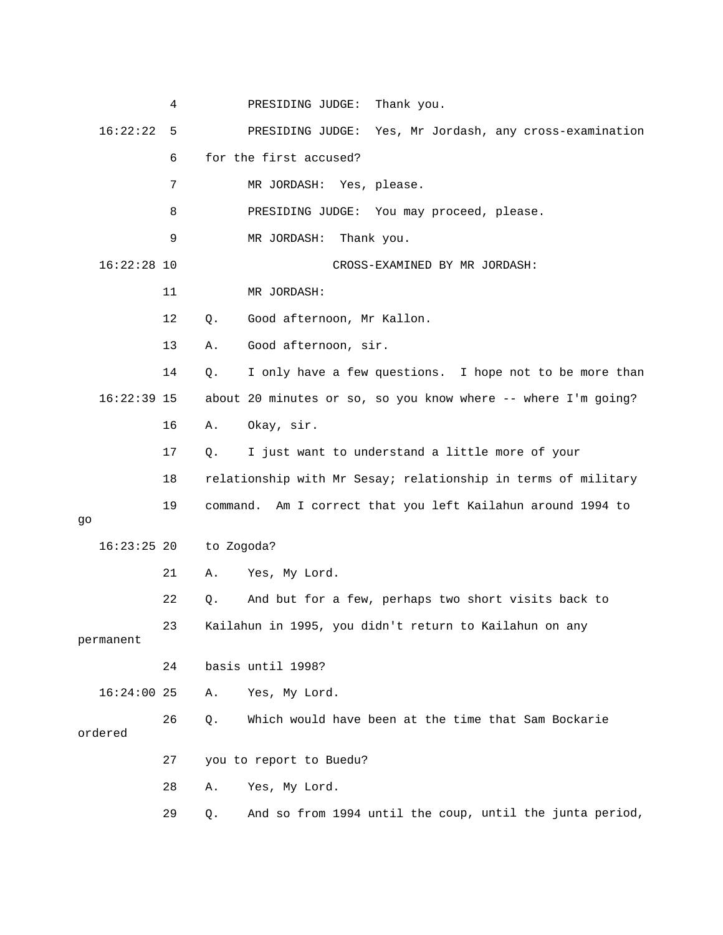|               | 4  | Thank you.<br>PRESIDING JUDGE:                                 |
|---------------|----|----------------------------------------------------------------|
| 16:22:22      | 5  | Yes, Mr Jordash, any cross-examination<br>PRESIDING JUDGE:     |
|               | 6  | for the first accused?                                         |
|               | 7  | MR JORDASH: Yes, please.                                       |
|               | 8  | PRESIDING JUDGE: You may proceed, please.                      |
|               | 9  | MR JORDASH:<br>Thank you.                                      |
| $16:22:28$ 10 |    | CROSS-EXAMINED BY MR JORDASH:                                  |
|               | 11 | MR JORDASH:                                                    |
|               | 12 | Good afternoon, Mr Kallon.<br>Q.                               |
|               | 13 | Good afternoon, sir.<br>Α.                                     |
|               | 14 | I only have a few questions. I hope not to be more than<br>Q.  |
| $16:22:39$ 15 |    | about 20 minutes or so, so you know where -- where I'm going?  |
|               | 16 | Okay, sir.<br>Α.                                               |
|               | 17 | I just want to understand a little more of your<br>Q.          |
|               | 18 | relationship with Mr Sesay; relationship in terms of military  |
|               | 19 | command. Am I correct that you left Kailahun around 1994 to    |
| go            |    |                                                                |
| $16:23:25$ 20 |    | to Zogoda?                                                     |
|               | 21 | Yes, My Lord.<br>Α.                                            |
|               | 22 | And but for a few, perhaps two short visits back to<br>Q.      |
| permanent     | 23 | Kailahun in 1995, you didn't return to Kailahun on any         |
|               | 24 | basis until 1998?                                              |
| $16:24:00$ 25 |    | Yes, My Lord.<br>Α.                                            |
|               | 26 | Which would have been at the time that Sam Bockarie<br>Q.      |
| ordered       |    |                                                                |
|               | 27 | you to report to Buedu?                                        |
|               | 28 | Yes, My Lord.<br>Α.                                            |
|               | 29 | And so from 1994 until the coup, until the junta period,<br>Q. |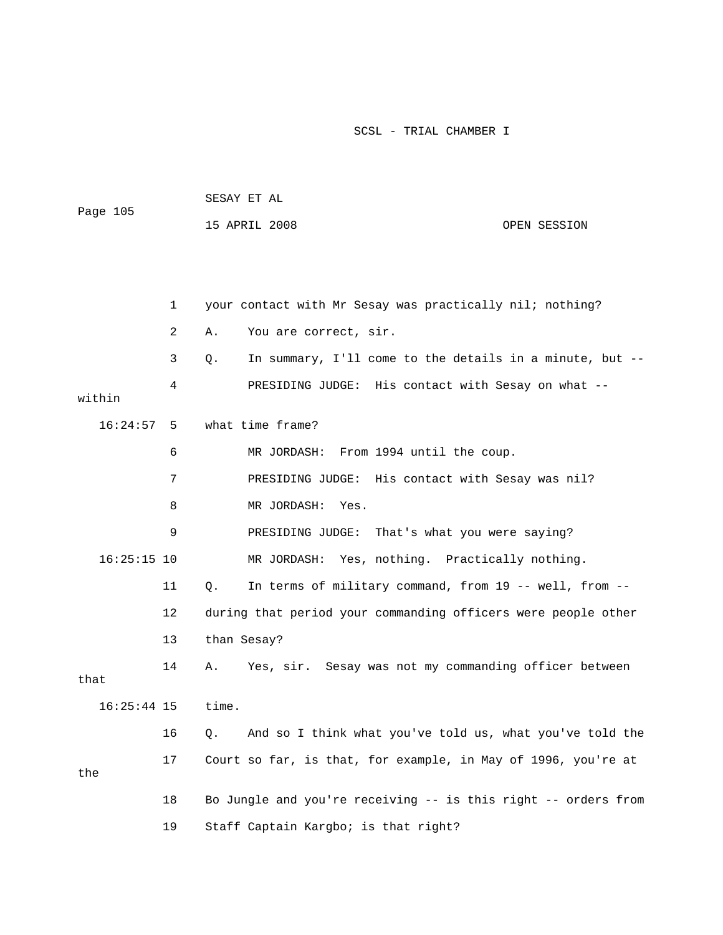| Page 105      |    | SESAY ET AL |                                                                |              |  |  |
|---------------|----|-------------|----------------------------------------------------------------|--------------|--|--|
|               |    |             | 15 APRIL 2008                                                  | OPEN SESSION |  |  |
|               |    |             |                                                                |              |  |  |
|               |    |             |                                                                |              |  |  |
|               | 1  |             | your contact with Mr Sesay was practically nil; nothing?       |              |  |  |
|               | 2  | Α.          | You are correct, sir.                                          |              |  |  |
|               | 3  | Q.          | In summary, I'll come to the details in a minute, but --       |              |  |  |
| within        | 4  |             | PRESIDING JUDGE: His contact with Sesay on what --             |              |  |  |
| 16:24:57      | 5  |             | what time frame?                                               |              |  |  |
|               | 6  |             | MR JORDASH: From 1994 until the coup.                          |              |  |  |
|               | 7  |             | PRESIDING JUDGE: His contact with Sesay was nil?               |              |  |  |
|               | 8  |             | MR JORDASH:<br>Yes.                                            |              |  |  |
|               | 9  |             | PRESIDING JUDGE: That's what you were saying?                  |              |  |  |
| $16:25:15$ 10 |    |             | MR JORDASH: Yes, nothing. Practically nothing.                 |              |  |  |
|               | 11 | Q.          | In terms of military command, from 19 -- well, from --         |              |  |  |
|               | 12 |             | during that period your commanding officers were people other  |              |  |  |
|               | 13 | than Sesay? |                                                                |              |  |  |
| that          | 14 | Α.          | Yes, sir. Sesay was not my commanding officer between          |              |  |  |
| $16:25:44$ 15 |    | time.       |                                                                |              |  |  |
|               | 16 | Q.          | And so I think what you've told us, what you've told the       |              |  |  |
|               | 17 |             | Court so far, is that, for example, in May of 1996, you're at  |              |  |  |
| the           |    |             |                                                                |              |  |  |
|               | 18 |             | Bo Jungle and you're receiving -- is this right -- orders from |              |  |  |
|               | 19 |             | Staff Captain Kargbo; is that right?                           |              |  |  |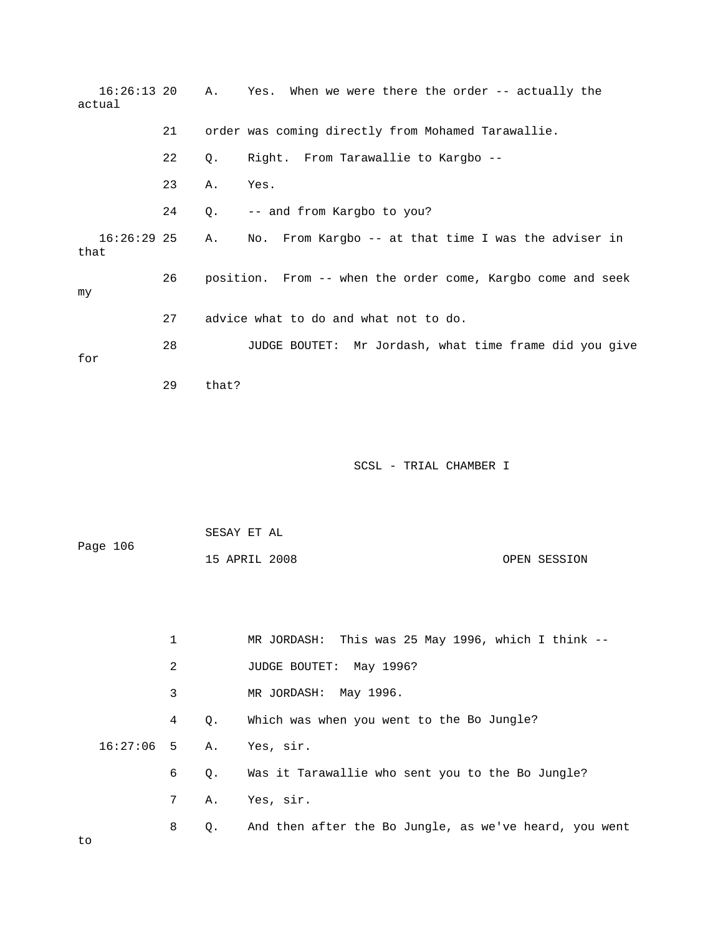| $16:26:13$ 20<br>actual |              | Α.       | Yes. When we were there the order -- actually the             |
|-------------------------|--------------|----------|---------------------------------------------------------------|
|                         | 21           |          | order was coming directly from Mohamed Tarawallie.            |
|                         | 22           | Q.       | Right. From Tarawallie to Kargbo --                           |
|                         | 23           | Α.       | Yes.                                                          |
|                         | 24           | Q.       | -- and from Kargbo to you?                                    |
| $16:26:29$ 25<br>that   |              | Α.       | From Kargbo -- at that time I was the adviser in<br>No.       |
| my                      | 26           |          | position. From -- when the order come, Kargbo come and seek   |
|                         | 27           |          | advice what to do and what not to do.                         |
| for                     | 28           |          | JUDGE BOUTET: Mr Jordash, what time frame did you give        |
|                         | 29           | that?    |                                                               |
|                         |              |          | SCSL - TRIAL CHAMBER I                                        |
|                         |              |          | SESAY ET AL                                                   |
| Page 106                |              |          | 15 APRIL 2008<br>OPEN SESSION                                 |
|                         |              |          |                                                               |
|                         | $\mathbf{1}$ |          | MR JORDASH: This was 25 May 1996, which I think --            |
|                         | 2            |          | JUDGE BOUTET: May 1996?                                       |
|                         | 3            |          | MR JORDASH: May 1996.                                         |
| 16:27:06                | 4            | Q.       | Which was when you went to the Bo Jungle?                     |
|                         | 5<br>6       | Α.       | Yes, sir.<br>Was it Tarawallie who sent you to the Bo Jungle? |
|                         | 7            | Q.<br>Α. | Yes, sir.                                                     |
|                         |              |          |                                                               |

8 Q. And then after the Bo Jungle, as we've heard, you went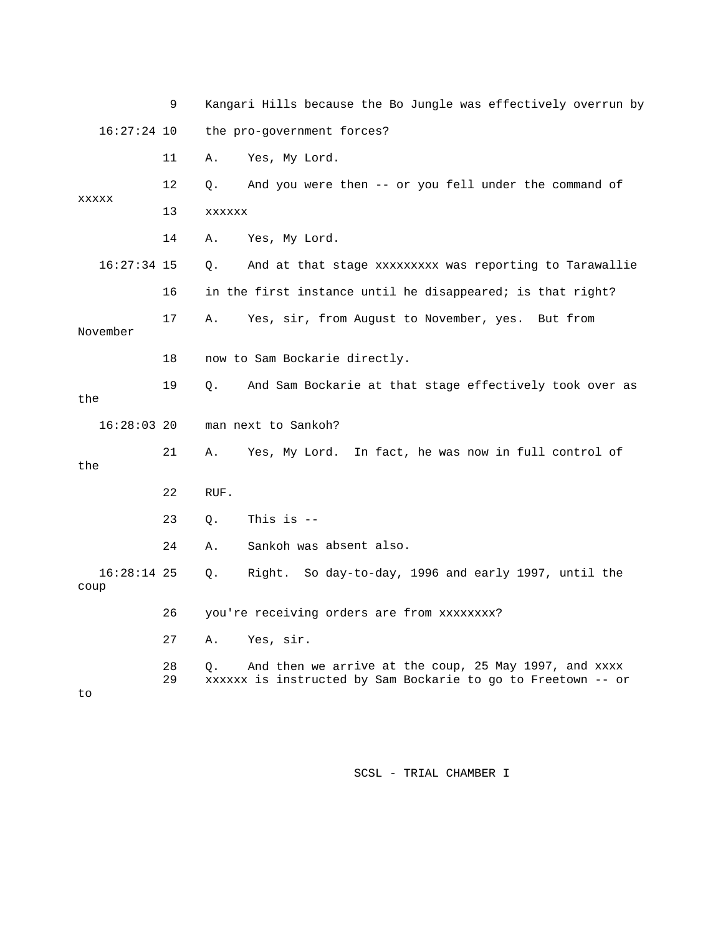|                       | 9        | Kangari Hills because the Bo Jungle was effectively overrun by                                                              |
|-----------------------|----------|-----------------------------------------------------------------------------------------------------------------------------|
| $16:27:24$ 10         |          | the pro-government forces?                                                                                                  |
|                       | 11       | Yes, My Lord.<br>Α.                                                                                                         |
| XXXXX                 | 12       | And you were then -- or you fell under the command of<br>Q.                                                                 |
|                       | 13       | <b>XXXXXX</b>                                                                                                               |
|                       | 14       | Yes, My Lord.<br>Α.                                                                                                         |
| $16:27:34$ 15         |          | Q.<br>And at that stage xxxxxxxxx was reporting to Tarawallie                                                               |
|                       | 16       | in the first instance until he disappeared; is that right?                                                                  |
| November              | 17       | Yes, sir, from August to November, yes.<br>Α.<br>But from                                                                   |
|                       | 18       | now to Sam Bockarie directly.                                                                                               |
| the                   | 19       | And Sam Bockarie at that stage effectively took over as<br>О.                                                               |
| $16:28:03$ 20         |          | man next to Sankoh?                                                                                                         |
| the                   | 21       | Yes, My Lord. In fact, he was now in full control of<br>А.                                                                  |
|                       | 22       | RUF.                                                                                                                        |
|                       | 23       | This is $-$<br>Q.                                                                                                           |
|                       | 24       | Sankoh was absent also.<br>Α.                                                                                               |
| $16:28:14$ 25<br>coup |          | Right. So day-to-day, 1996 and early 1997, until the<br>О.                                                                  |
|                       | 26       | you're receiving orders are from xxxxxxxx?                                                                                  |
|                       | 27       | Yes, sir.<br>Α.                                                                                                             |
| to                    | 28<br>29 | And then we arrive at the coup, 25 May 1997, and xxxx<br>Ο.<br>xxxxxx is instructed by Sam Bockarie to go to Freetown -- or |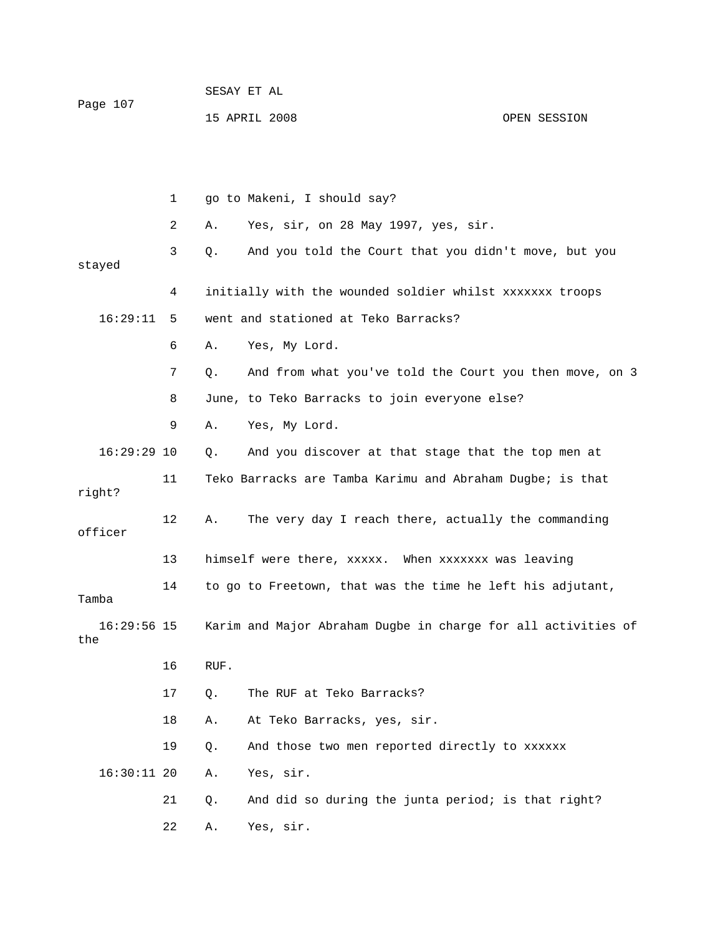| Page 107 | SESAY ET AL   |  |              |
|----------|---------------|--|--------------|
|          | 15 APRIL 2008 |  | OPEN SESSION |

 Yes, sir, on 28 May 1997, yes, sir. 3 Q. And you told the Court that you didn't move, but you 4 initially with the wounded soldier whilst xxxxxxx troops 7 Q. And from what you've told the Court you then move, on 3 8 June, to Teko Barracks to join everyone else? 16:29:29 10 Q. And you discover at that stage that the top men at 11 Teko Barracks are Tamba Karimu and Abraham Dugbe; is that right? 12 A. The very day I reach there, actually the commanding officer 13 himself were there, xxxxx. When xxxxxxx was leaving 16:29:56 15 Karim and Major Abraham Dugbe in charge for all activities of the 16 RUF. 17 Q. The RUF at Teko Barracks? 16:30:11 20 A. Yes, sir. 21 Q. And did so during the junta period; is that right? 1 go to Makeni, I should say? 2 A. stayed 16:29:11 5 went and stationed at Teko Barracks? 6 A. Yes, My Lord. 9 A. Yes, My Lord. 14 to go to Freetown, that was the time he left his adjutant, Tamba 18 A. At Teko Barracks, yes, sir. 19 Q. And those two men reported directly to xxxxxx 22 A. Yes, sir.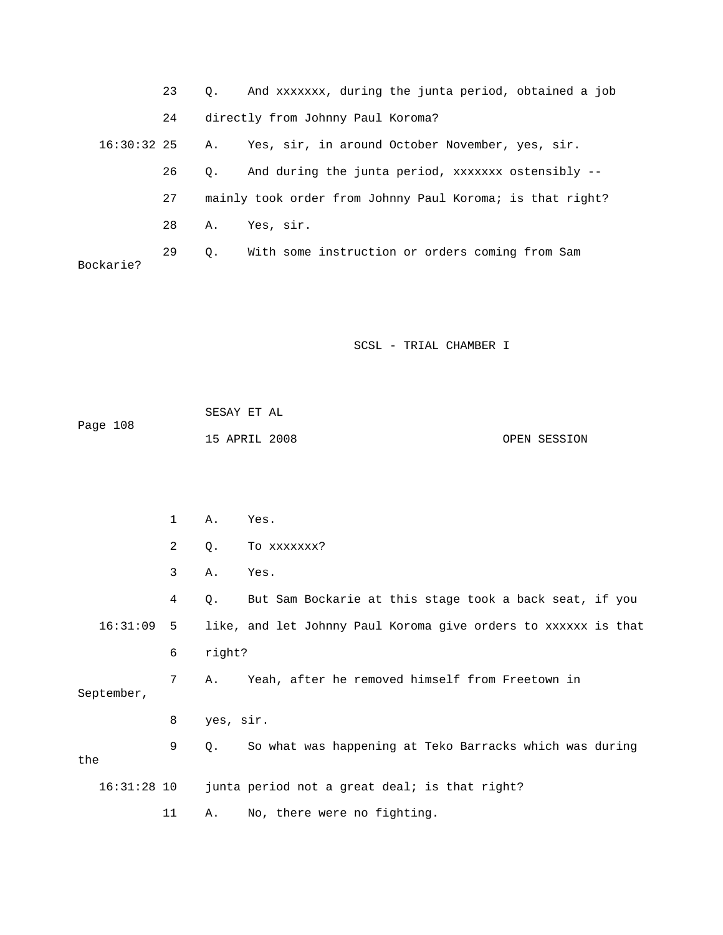|               | 23 | Q.    | And xxxxxxx, during the junta period, obtained a job      |              |
|---------------|----|-------|-----------------------------------------------------------|--------------|
|               | 24 |       | directly from Johnny Paul Koroma?                         |              |
| $16:30:32$ 25 |    | Α.    | Yes, sir, in around October November, yes, sir.           |              |
|               | 26 | Q.    | And during the junta period, xxxxxxx ostensibly --        |              |
|               | 27 |       | mainly took order from Johnny Paul Koroma; is that right? |              |
|               | 28 | Α.    | Yes, sir.                                                 |              |
| Bockarie?     | 29 | $Q$ . | With some instruction or orders coming from Sam           |              |
|               |    |       |                                                           |              |
|               |    |       |                                                           |              |
|               |    |       |                                                           |              |
|               |    |       | SCSL - TRIAL CHAMBER I                                    |              |
|               |    |       |                                                           |              |
|               |    |       | SESAY ET AL                                               |              |
| Page 108      |    |       | 15 APRIL 2008                                             | OPEN SESSION |
|               |    |       |                                                           |              |
|               |    |       |                                                           |              |
|               | 1  | Α.    | Yes.                                                      |              |

|               | 2  | Q.        | TO XXXXXXX?                                                    |
|---------------|----|-----------|----------------------------------------------------------------|
|               | 3  | Α.        | Yes.                                                           |
|               | 4  | Q.        | But Sam Bockarie at this stage took a back seat, if you        |
| 16:31:09      | 5  |           | like, and let Johnny Paul Koroma give orders to xxxxxx is that |
|               | 6  | right?    |                                                                |
| September,    | 7  | Α.        | Yeah, after he removed himself from Freetown in                |
|               | 8  | yes, sir. |                                                                |
| the           | 9  | Q.        | So what was happening at Teko Barracks which was during        |
| $16:31:28$ 10 |    |           | junta period not a great deal; is that right?                  |
|               | 11 | Α.        | No, there were no fighting.                                    |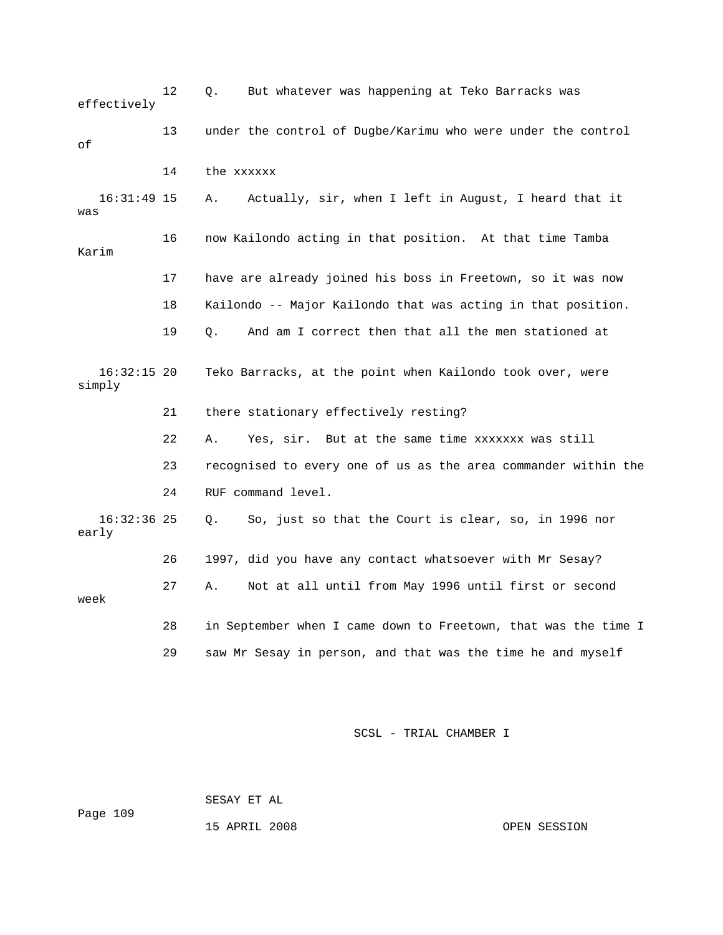| effectively             | 12 | But whatever was happening at Teko Barracks was<br>Q.          |
|-------------------------|----|----------------------------------------------------------------|
| оf                      | 13 | under the control of Dugbe/Karimu who were under the control   |
|                         | 14 | the xxxxxx                                                     |
| $16:31:49$ 15<br>was    |    | Actually, sir, when I left in August, I heard that it<br>Α.    |
| Karim                   | 16 | now Kailondo acting in that position. At that time Tamba       |
|                         | 17 | have are already joined his boss in Freetown, so it was now    |
|                         | 18 | Kailondo -- Major Kailondo that was acting in that position.   |
|                         | 19 | And am I correct then that all the men stationed at<br>О.      |
| $16:32:15$ 20<br>simply |    | Teko Barracks, at the point when Kailondo took over, were      |
|                         | 21 | there stationary effectively resting?                          |
|                         | 22 | Yes, sir. But at the same time xxxxxxx was still<br>Α.         |
|                         | 23 | recognised to every one of us as the area commander within the |
|                         | 24 | RUF command level.                                             |
| $16:32:36$ 25<br>early  |    | So, just so that the Court is clear, so, in 1996 nor<br>Q.     |
|                         | 26 | 1997, did you have any contact whatsoever with Mr Sesay?       |
| week                    | 27 | Not at all until from May 1996 until first or second<br>Α.     |
|                         | 28 | in September when I came down to Freetown, that was the time I |
|                         | 29 | saw Mr Sesay in person, and that was the time he and myself    |

 SESAY ET AL Page 109

15 APRIL 2008 OPEN SESSION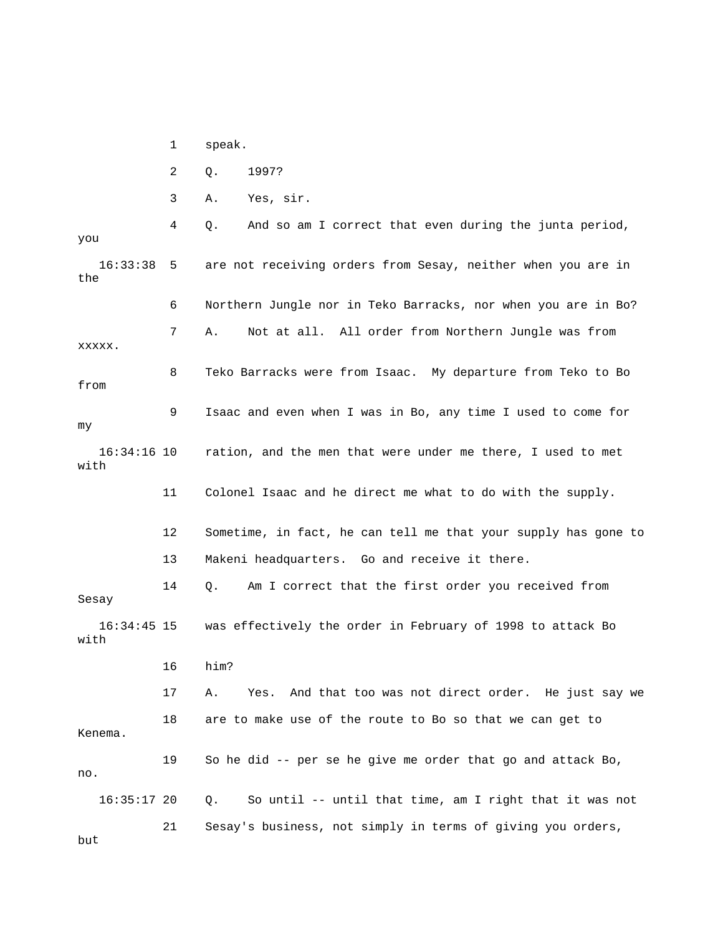1 speak.

2 Q. 1997?

3 A. Yes, sir.

4 Q. And so am I correct that even during the junta period, 16:33:38 5 are not receiving orders from Sesay, neither when you are in ? 6 Northern Jungle nor in Teko Barracks, nor when you are in Bo 7 A. Not at all. All order from Northern Jungle was from from 9 Isaac and even when I was in Bo, any time I used to come for 16:34:16 10 ration, and the men that were under me there, I used to met 11 Colonel Isaac and he direct me what to do with the supply. 12 Sometime, in fact, he can tell me that your supply has gone to 13 Makeni headquarters. Go and receive it there. 14 Q. Am I correct that the first order you received from Sesay was effectively the order in February of 1998 to attack Bo with 17 A. Yes. And that too was not direct order. He just say we 18 are to make use of the route to Bo so that we can get to Kenema. 19 So he did -- per se he give me order that go and attack Bo, . no 16:35:17 20 Q. So until -- until that time, am I right that it was not but you the xxxxx. 8 Teko Barracks were from Isaac. My departure from Teko to Bo my with  $16:34:45$  15 16 him? 21 Sesay's business, not simply in terms of giving you orders,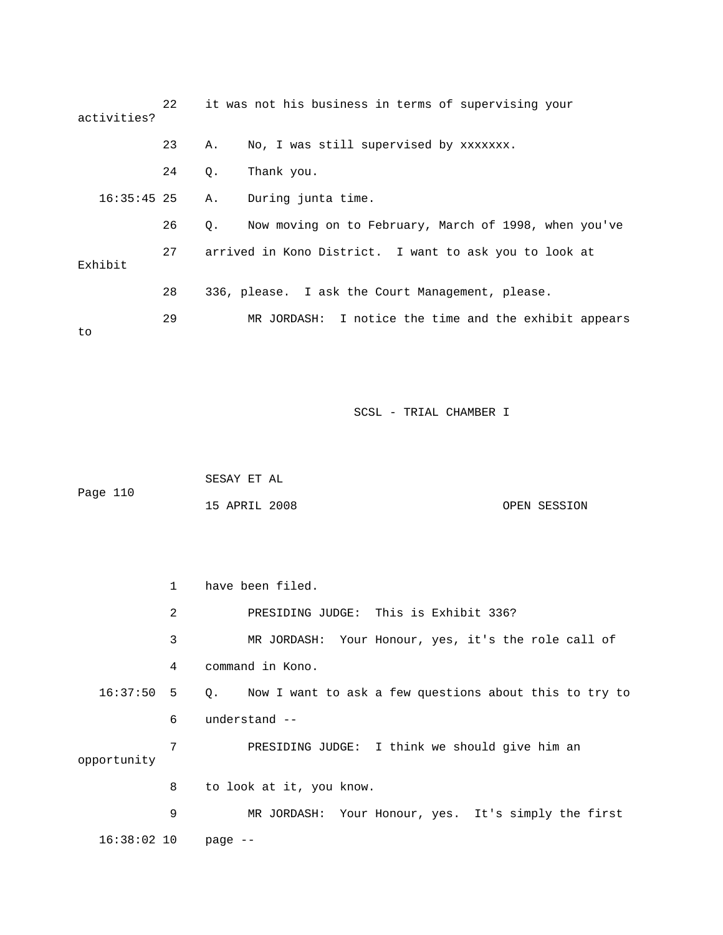| activities?   | 22 |           | it was not his business in terms of supervising your   |
|---------------|----|-----------|--------------------------------------------------------|
|               | 23 | Α.        | No, I was still supervised by xxxxxxx.                 |
|               | 24 | $\circ$ . | Thank you.                                             |
| $16:35:45$ 25 |    | Α.        | During junta time.                                     |
|               | 26 | $\circ$ . | Now moving on to February, March of 1998, when you've  |
| Exhibit       | 27 |           | arrived in Kono District. I want to ask you to look at |
|               | 28 |           | 336, please. I ask the Court Management, please.       |
| to            | 29 |           | MR JORDASH: I notice the time and the exhibit appears  |

| Page 110 | SESAY ET AL   |  |              |
|----------|---------------|--|--------------|
|          | 15 APRIL 2008 |  | OPEN SESSION |

 2 PRESIDING JUDGE: This is Exhibit 336? 3 MR JORDASH: Your Honour, yes, it's the role call of 16:37:50 5 Q. Now I want to ask a few questions about this to try to 6 understand - opportunity 9 MR JORDASH: Your Honour, yes. It's simply the first 16:38:02 10 page -- 1 have been filed. 4 command in Kono. 7 PRESIDING JUDGE: I think we should give him an 8 to look at it, you know.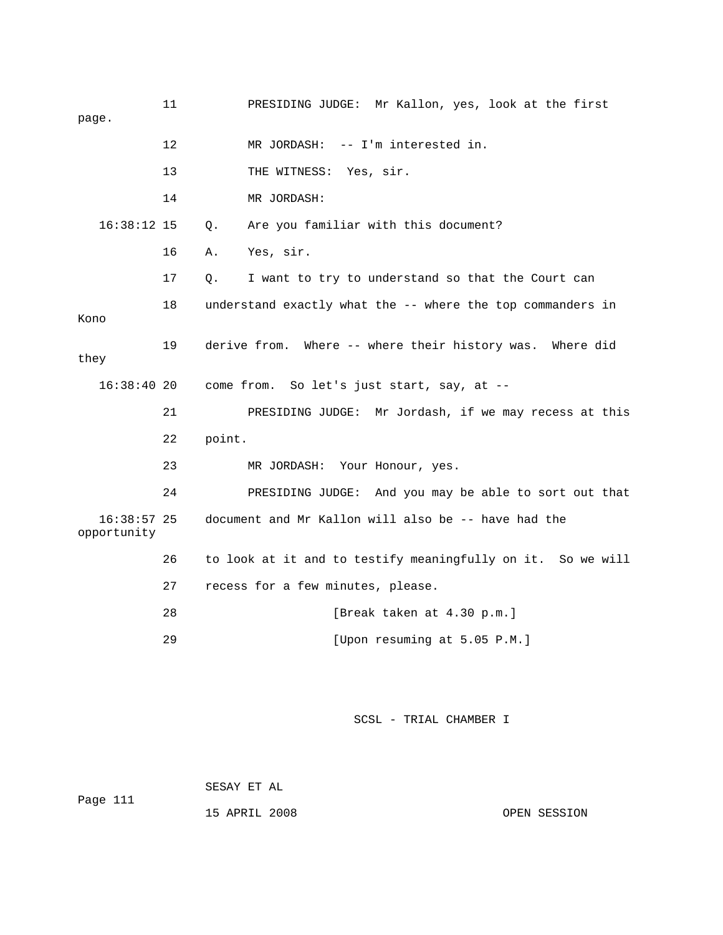11 PRESIDING JUDGE: Mr Kallon, yes, look at the first page. 12 MR JORDASH: -- I'm interested in. 13 THE WITNESS: Yes, sir. 16 A. Yes, sir. 17 Q. I want to try to understand so that the Court can 18 understand exactly what the -- where the top commanders in Kono  $16:38:40$  20 come from. So let's just start, say, at  $-$  24 PRESIDING JUDGE: And you may be able to sort out that 16:38:57 25 document and Mr Kallon will also be -- have had the 26 to look at it and to testify meaningfully on it. So we will 28 [Break taken at 4.30 p.m.] 29 [Upon resuming at 5.05 P.M.] 14 MR JORDASH: 16:38:12 15 Q. Are you familiar with this document? 19 derive from. Where -- where their history was. Where did they 21 PRESIDING JUDGE: Mr Jordash, if we may recess at this 22 point. 23 MR JORDASH: Your Honour, yes. opportunity 27 recess for a few minutes, please.

SCSL - TRIAL CHAMBER I

Page 111 15 APRIL 2008 OPEN SESSION SESAY ET AL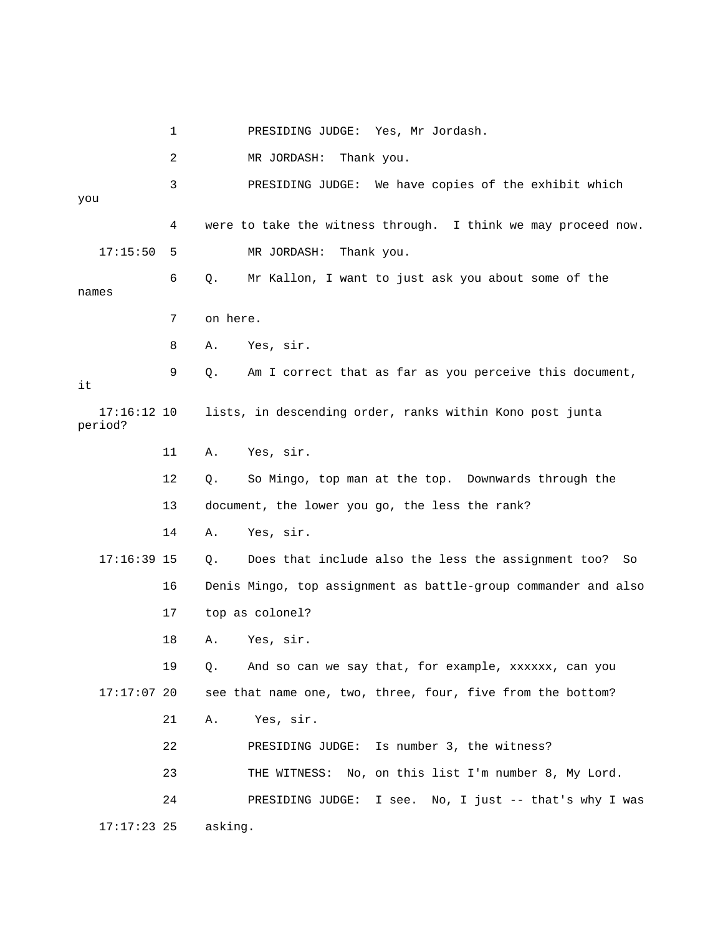1 PRESIDING JUDGE: Yes, Mr Jordash. 2 MR JORDASH: Thank you. 3 PRESIDING JUDGE: We have copies of the exhibit which you 4 were to take the witness through. I think we may proceed now. 5 MR JORDASH: Thank you. names 7 on here. 9 Q. Am I correct that as far as you perceive this document, 17:16:12 10 lists, in descending order, ranks within Kono post junta 11 A. Yes, sir. 12 Q. So Mingo, top man at the top. Downwards through the 17:16:39 15 Q. Does that include also the less the assignment too? So 16 Denis Mingo, top assignment as battle-group commander and also 17:17:07 20 see that name one, two, three, four, five from the bottom? 21 A. Yes, sir. 22 PRESIDING JUDGE: Is number 3, the witness? 23 THE WITNESS: No, on this list I'm number 8, My Lord. IDING JUDGE: I see. No, I just -- that's why I was 24 PRES 17:15:50 6 Q. Mr Kallon, I want to just ask you about some of the 8 A. Yes, sir. it period? 13 document, the lower you go, the less the rank? 14 A. Yes, sir. 17 top as colonel? 18 A. Yes, sir. 19 Q. And so can we say that, for example, xxxxxx, can you 17:17:23 25 asking.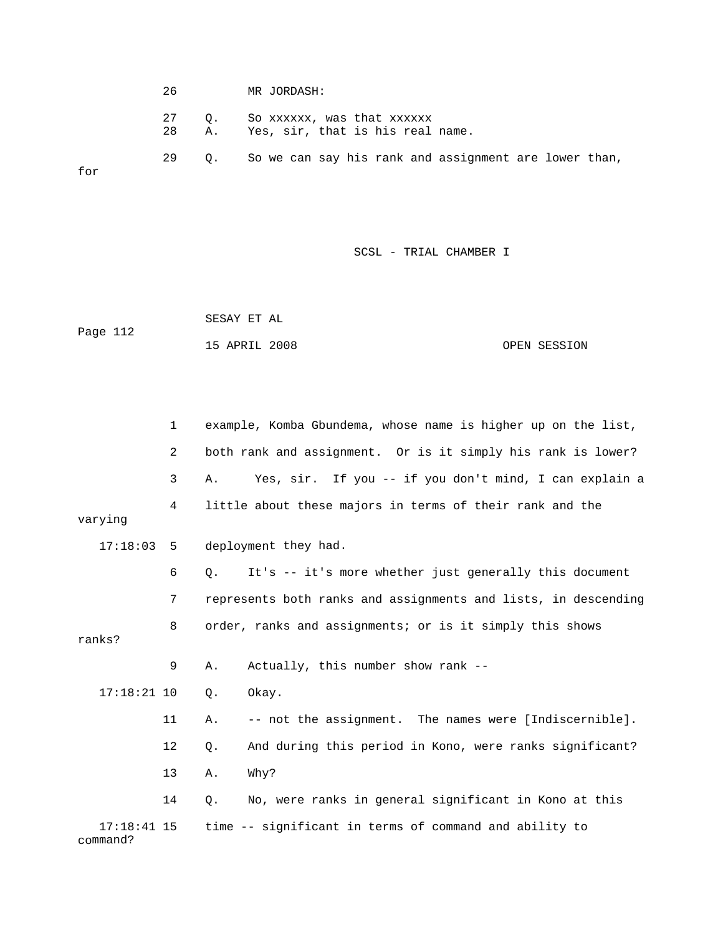26 MR JORDASH: 27 Q. So xxxxxx, was that xxxxxx 29 Q. So we can say his rank and assignment are lower than, 28 A. Yes, sir, that is his real name. for

SCSL - TRIAL CHAMBER I

 SESAY ET AL OPEN SESSION Page 112 15 APRIL 2008

1 example, Komba Gbundema, whose name is higher up on the list, 2 both rank and assignment. Or is it simply his rank is lower? 3 A. Yes, sir. If you -- if you don't mind, I can explain a deployment they had. 6 Q. It's -- it's more whether just generally this document 7 represents both ranks and assignments and lists, in descending 8 order, ranks and assignments; or is it simply this shows 9 A. Actually, this number show rank -- 17:18:21 10 Q. Okay. 11 A. -- not the assignment. The names were [Indiscernible]. 12 Q. And during this period in Kono, were ranks significant? 13 A. Why? command? 4 little about these majors in terms of their rank and the varying  $17:18:03$  5 ranks? 14 Q. No, were ranks in general significant in Kono at this 17:18:41 15 time -- significant in terms of command and ability to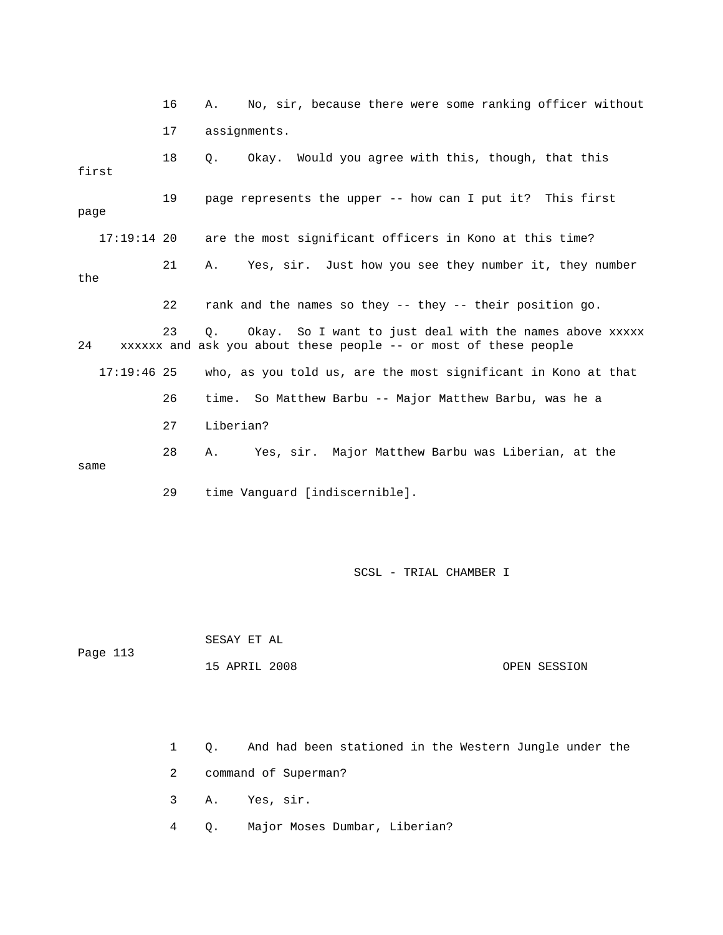16 A. No, sir, because there were some ranking officer without 17 assignments. 18 Q. Okay. Would you agree with this, though, that this page are the most significant officers in Kono at this time? 21 A. Yes, sir. Just how you see they number it, they number the 23 Q. Okay. So I want to just deal with the names above xxxxx 17:19:46 25 who, as you told us, are the most significant in Kono at that 26 time. So Matthew Barbu -- Major Matthew Barbu, was he a 28 A. Yes, sir. Major Matthew Barbu was Liberian, at the 29 time Vanguard [indiscernible]. first 19 page represents the upper -- how can I put it? This first 17:19: 22 rank and the names so they -- they -- their position go. 24 xxxxxx and ask you about these people -- or most of these people 27 Liberian? same

SCSL - TRIAL CHAMBER I

Page 113 SESAY ET AL

15 APRIL 2008 OPEN SESSION

1 Q. And had been stationed in the Western Jungle under the

2 command of Superman?

3 A. Yes, sir.

4 Q. Major Moses Dumbar, Liberian?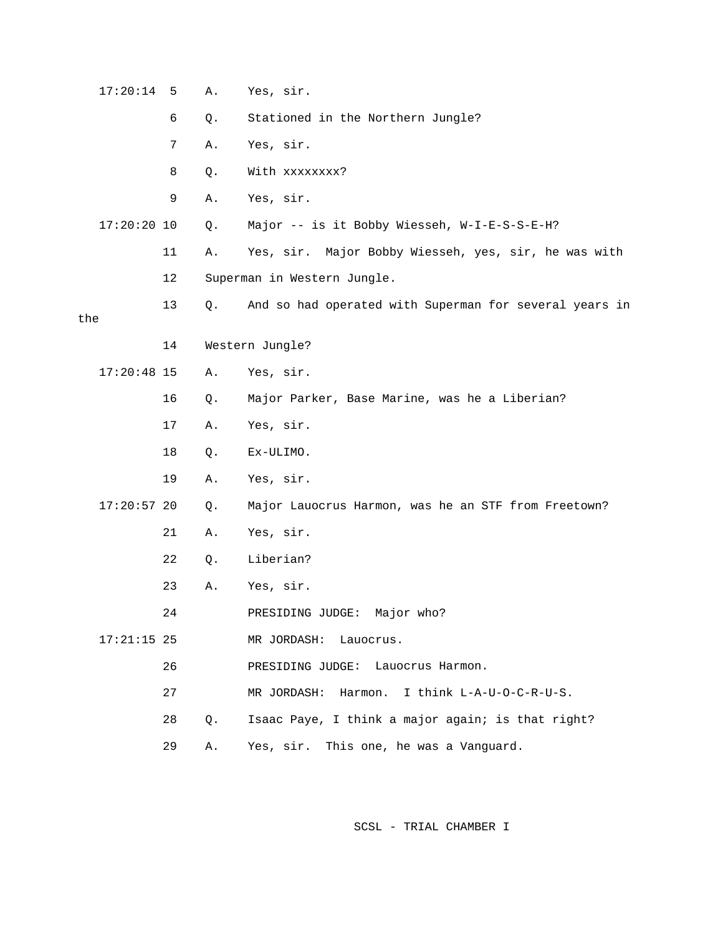| 17:20:14      | 5  | Α. | Yes, sir.                                              |
|---------------|----|----|--------------------------------------------------------|
|               | 6  | Q. | Stationed in the Northern Jungle?                      |
|               | 7  | Α. | Yes, sir.                                              |
|               | 8  | Q. | With xxxxxxxx?                                         |
|               | 9  | Α. | Yes, sir.                                              |
| 17:20:20 10   |    | Q. | Major -- is it Bobby Wiesseh, W-I-E-S-S-E-H?           |
|               | 11 | Α. | Yes, sir. Major Bobby Wiesseh, yes, sir, he was with   |
|               | 12 |    | Superman in Western Jungle.                            |
| the           | 13 | Q. | And so had operated with Superman for several years in |
|               | 14 |    | Western Jungle?                                        |
| $17:20:48$ 15 |    | Α. | Yes, sir.                                              |
|               | 16 | Q. | Major Parker, Base Marine, was he a Liberian?          |
|               | 17 | Α. | Yes, sir.                                              |
|               | 18 | Q. | Ex-ULIMO.                                              |
|               | 19 | Α. | Yes, sir.                                              |
| $17:20:57$ 20 |    | Q. | Major Lauocrus Harmon, was he an STF from Freetown?    |
|               | 21 | Α. | Yes, sir.                                              |
|               | 22 | Q. | Liberian?                                              |
|               | 23 | Α. | Yes, sir.                                              |
|               | 24 |    | Major who?<br>PRESIDING JUDGE:                         |
| $17:21:15$ 25 |    |    | MR JORDASH:<br>Lauocrus.                               |
|               | 26 |    | PRESIDING JUDGE:<br>Lauocrus Harmon.                   |
|               | 27 |    | I think L-A-U-O-C-R-U-S.<br>MR JORDASH: Harmon.        |
|               | 28 | Q. | Isaac Paye, I think a major again; is that right?      |
|               | 29 | Α. | Yes, sir.<br>This one, he was a Vanguard.              |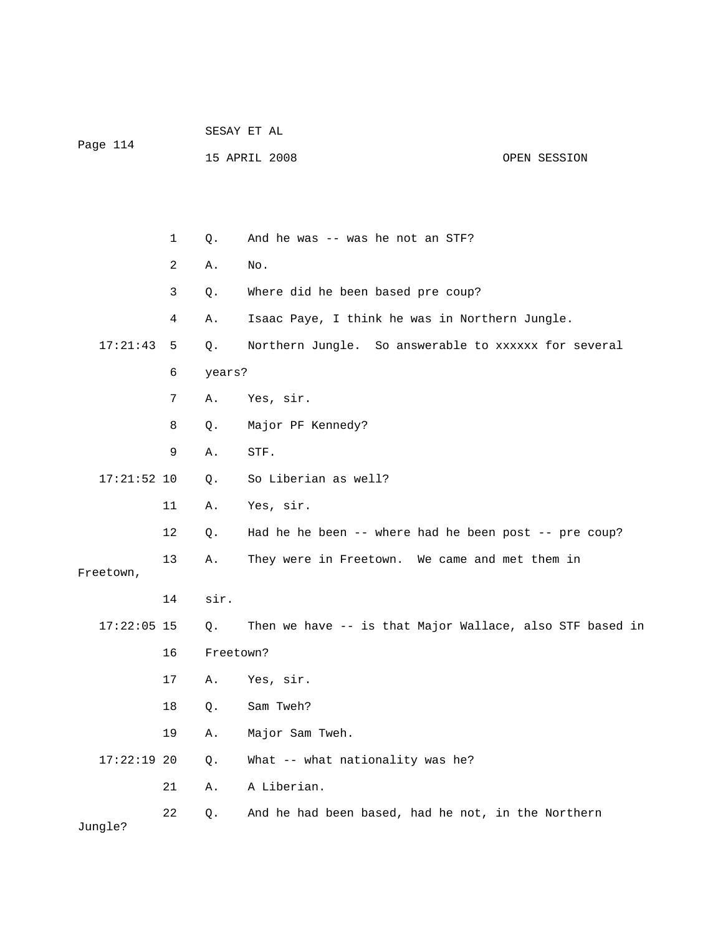| Page 114      |    |             | SESAY ET AL                                              |              |  |  |  |
|---------------|----|-------------|----------------------------------------------------------|--------------|--|--|--|
|               |    |             | 15 APRIL 2008                                            | OPEN SESSION |  |  |  |
|               |    |             |                                                          |              |  |  |  |
|               |    |             |                                                          |              |  |  |  |
|               | 1  | Q.          | And he was -- was he not an STF?                         |              |  |  |  |
|               | 2  | Α.          | No.                                                      |              |  |  |  |
|               | 3  | Q.          | Where did he been based pre coup?                        |              |  |  |  |
|               | 4  | Α.          | Isaac Paye, I think he was in Northern Jungle.           |              |  |  |  |
| 17:21:43      | 5  | Q.          | Northern Jungle. So answerable to xxxxxx for several     |              |  |  |  |
|               | 6  | years?      |                                                          |              |  |  |  |
|               | 7  | Α.          | Yes, sir.                                                |              |  |  |  |
|               | 8  | Q.          | Major PF Kennedy?                                        |              |  |  |  |
|               | 9  | Α.          | STF.                                                     |              |  |  |  |
| $17:21:52$ 10 |    | $Q_{\star}$ | So Liberian as well?                                     |              |  |  |  |
|               | 11 | Α.          | Yes, sir.                                                |              |  |  |  |
|               | 12 | Q.          | Had he he been -- where had he been post -- pre coup?    |              |  |  |  |
|               | 13 | Α.          | They were in Freetown. We came and met them in           |              |  |  |  |
| Freetown,     |    |             |                                                          |              |  |  |  |
|               | 14 | sir.        |                                                          |              |  |  |  |
| $17:22:05$ 15 |    | Q.          | Then we have -- is that Major Wallace, also STF based in |              |  |  |  |
|               | 16 | Freetown?   |                                                          |              |  |  |  |
|               | 17 | Α.          | Yes, sir.                                                |              |  |  |  |
|               | 18 | Q.          | Sam Tweh?                                                |              |  |  |  |
|               | 19 | Α.          | Major Sam Tweh.                                          |              |  |  |  |
| $17:22:19$ 20 |    | Q.          | What -- what nationality was he?                         |              |  |  |  |
|               | 21 | Α.          | A Liberian.                                              |              |  |  |  |
| Jungle?       | 22 | Q.          | And he had been based, had he not, in the Northern       |              |  |  |  |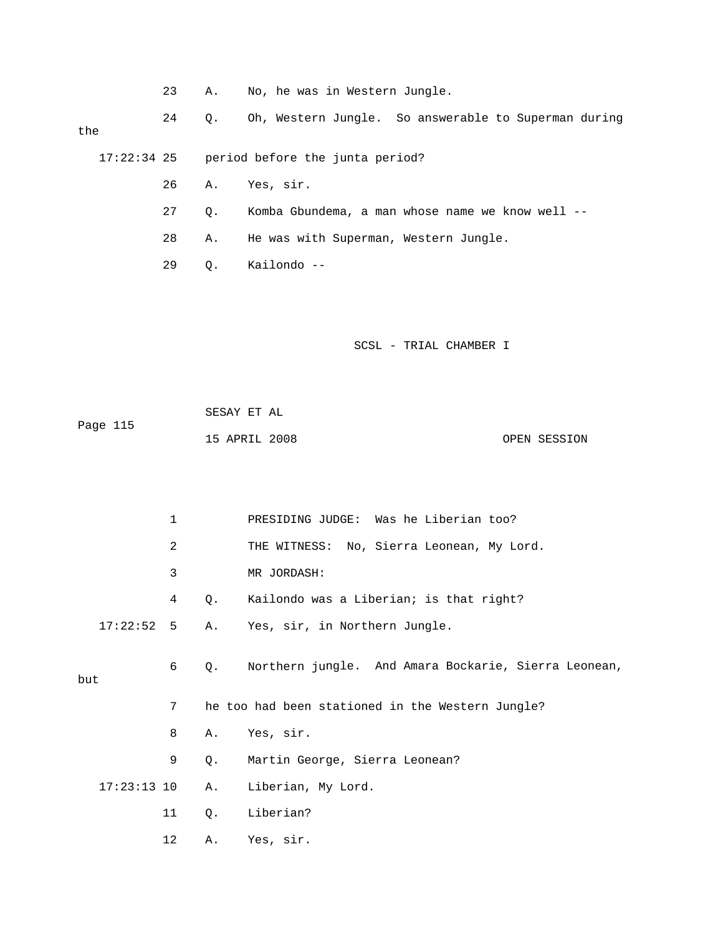|  | <b>A.</b> |  |  |  |  |  | No, he was in Western Jungle. |  |
|--|-----------|--|--|--|--|--|-------------------------------|--|
|--|-----------|--|--|--|--|--|-------------------------------|--|

24 Q. Oh, Western Jungle. So answerable to Superman during the

17:22:34 25 period before the junta period?

- 26 A. Yes, sir.
- 27 Q. Komba Gbundema, a man whose name we know well --

28 A. He was with Superman, Western Jungle.

29 Q. Kailondo --

SCSL - TRIAL CHAMBER I

| Page 115 | SESAY ET AL   |  |              |
|----------|---------------|--|--------------|
|          | 15 APRIL 2008 |  | OPEN SESSION |

|     |               | $\mathbf 1$ |             | PRESIDING JUDGE: Was he Liberian too?                |
|-----|---------------|-------------|-------------|------------------------------------------------------|
|     |               | 2           |             | THE WITNESS: No, Sierra Leonean, My Lord.            |
|     |               | 3           |             | MR JORDASH:                                          |
|     |               | 4           | $Q_{\star}$ | Kailondo was a Liberian; is that right?              |
|     | $17:22:52$ 5  |             |             | A. Yes, sir, in Northern Jungle.                     |
|     |               | 6           | Q.          | Northern jungle. And Amara Bockarie, Sierra Leonean, |
| but |               |             |             |                                                      |
|     |               | 7           |             | he too had been stationed in the Western Jungle?     |
|     |               | 8           | Α.          | Yes, sir.                                            |
|     |               | 9           | Q.          | Martin George, Sierra Leonean?                       |
|     | $17:23:13$ 10 |             | Α.          | Liberian, My Lord.                                   |
|     |               | 11          | Q.          | Liberian?                                            |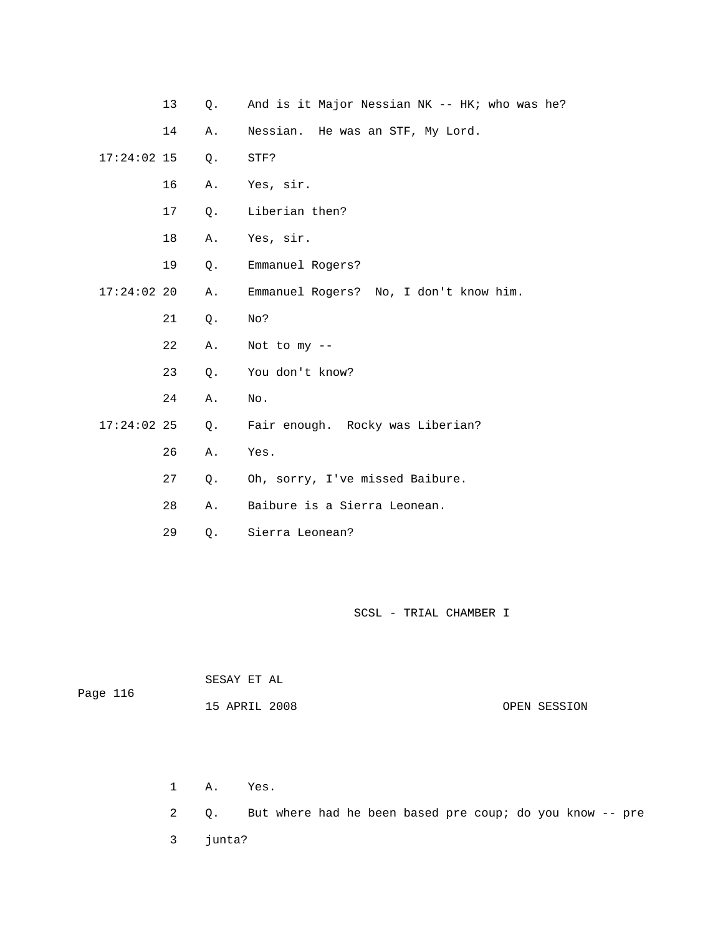- 13 Q. And is it Major Nessian NK -- HK; who was he?
- 14 A. Nessian. He was an STF, My Lord.
- 17:24:02 15 Q. STF?
	- 16 A. Yes, sir.
	- 17 Q. Liberian then?
	- 18 A. Yes, sir.
	- 19 Q. Emmanuel Rogers?
- 17:24:02 20 A. Emmanuel Rogers? No, I don't know him.
	- 21 Q. No?
	- 22 A. Not to my --
	- 23 Q. You don't know?
	- 24 A. No.
	- 17:24:02 25 Q. Fair enough. Rocky was Liberian?
		- 26 A. Yes.
		- 27 Q. Oh, sorry, I've missed Baibure.
- 28 A. Baibure is a Sierra Leonean.
- 29 Q. Sierra Leonean?

| Page 116 | SESAY ET AL   |  |              |
|----------|---------------|--|--------------|
|          | 15 APRIL 2008 |  | OPEN SESSION |

1 A. Yes.

2 Q. But where had he been based pre coup; do you know -- pre

3 junta?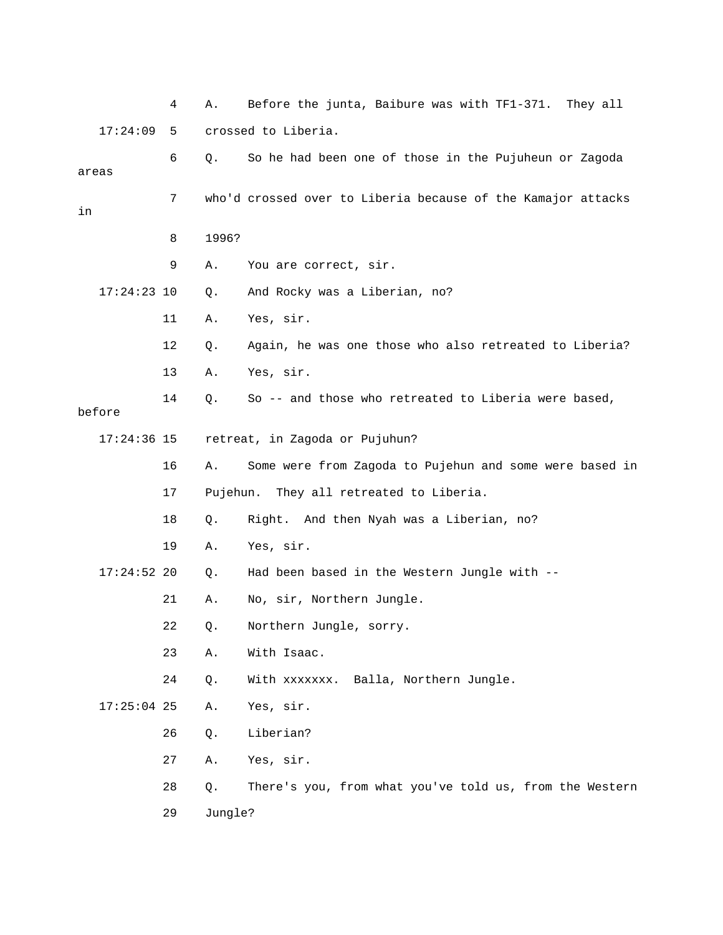|    |               | 4  | Α.      | Before the junta, Baibure was with TF1-371. They all         |
|----|---------------|----|---------|--------------------------------------------------------------|
|    | 17:24:09      | 5  |         | crossed to Liberia.                                          |
|    | areas         | 6  | $Q$ .   | So he had been one of those in the Pujuheun or Zagoda        |
| in |               | 7  |         | who'd crossed over to Liberia because of the Kamajor attacks |
|    |               | 8  | 1996?   |                                                              |
|    |               | 9  | Α.      | You are correct, sir.                                        |
|    | $17:24:23$ 10 |    | Q.      | And Rocky was a Liberian, no?                                |
|    |               | 11 | Α.      | Yes, sir.                                                    |
|    |               | 12 | Q.      | Again, he was one those who also retreated to Liberia?       |
|    |               | 13 | Α.      | Yes, sir.                                                    |
|    | before        | 14 | $Q$ .   | So -- and those who retreated to Liberia were based,         |
|    | $17:24:36$ 15 |    |         | retreat, in Zagoda or Pujuhun?                               |
|    |               | 16 | Α.      | Some were from Zagoda to Pujehun and some were based in      |
|    |               | 17 |         | Pujehun. They all retreated to Liberia.                      |
|    |               | 18 | Q.      | Right. And then Nyah was a Liberian, no?                     |
|    |               | 19 | Α.      | Yes, sir.                                                    |
|    | $17:24:52$ 20 |    | Q.      | Had been based in the Western Jungle with --                 |
|    |               | 21 | Α.      | No, sir, Northern Jungle.                                    |
|    |               | 22 | Q.      | Northern Jungle, sorry.                                      |
|    |               | 23 | Α.      | With Isaac.                                                  |
|    |               | 24 | Q.      | Balla, Northern Jungle.<br>With xxxxxxx.                     |
|    | $17:25:04$ 25 |    | Α.      | Yes, sir.                                                    |
|    |               | 26 | Q.      | Liberian?                                                    |
|    |               | 27 | Α.      | Yes, sir.                                                    |
|    |               | 28 | Q.      | There's you, from what you've told us, from the Western      |
|    |               | 29 | Jungle? |                                                              |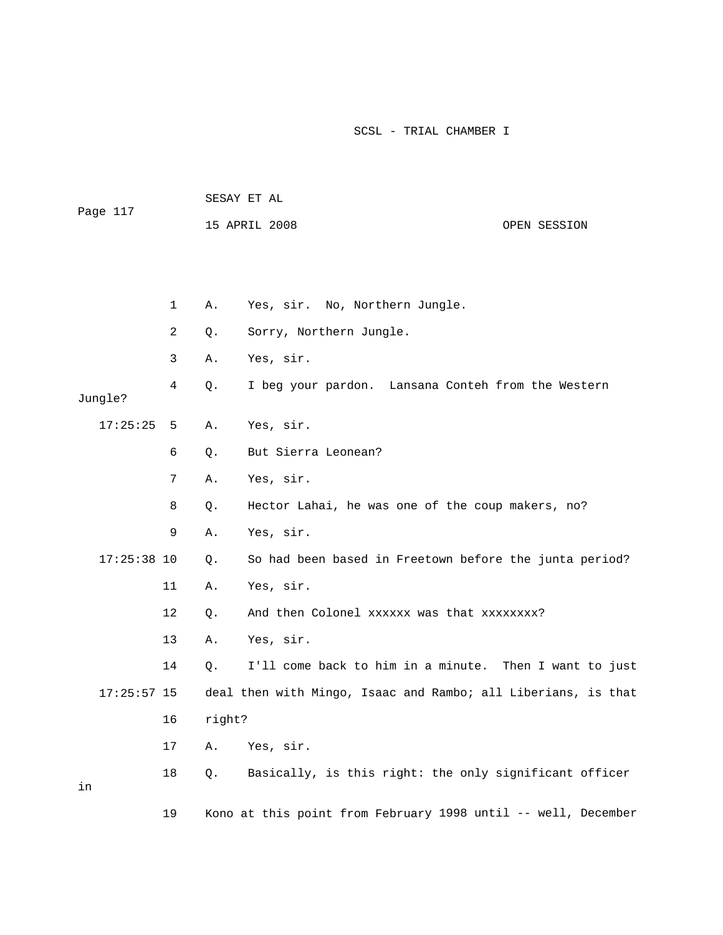| Page 117      |    | SESAY ET AL |                                                               |  |              |  |  |
|---------------|----|-------------|---------------------------------------------------------------|--|--------------|--|--|
|               |    |             | 15 APRIL 2008                                                 |  | OPEN SESSION |  |  |
|               |    |             |                                                               |  |              |  |  |
|               |    |             |                                                               |  |              |  |  |
|               | 1  | Α.          | Yes, sir. No, Northern Jungle.                                |  |              |  |  |
|               | 2  | Q.          | Sorry, Northern Jungle.                                       |  |              |  |  |
|               | 3  | Α.          | Yes, sir.                                                     |  |              |  |  |
| Jungle?       | 4  | Q.          | I beg your pardon. Lansana Conteh from the Western            |  |              |  |  |
| 17:25:25      | 5  | Α.          | Yes, sir.                                                     |  |              |  |  |
|               | 6  | Q.          | But Sierra Leonean?                                           |  |              |  |  |
|               | 7  | Α.          | Yes, sir.                                                     |  |              |  |  |
|               | 8  | Q.          | Hector Lahai, he was one of the coup makers, no?              |  |              |  |  |
|               | 9  | Α.          | Yes, sir.                                                     |  |              |  |  |
| $17:25:38$ 10 |    | Q.          | So had been based in Freetown before the junta period?        |  |              |  |  |
|               | 11 | Α.          | Yes, sir.                                                     |  |              |  |  |
|               | 12 | Q.          | And then Colonel xxxxxx was that xxxxxxxx?                    |  |              |  |  |
|               | 13 | Α.          | Yes, sir.                                                     |  |              |  |  |
|               | 14 | Q.          | I'll come back to him in a minute. Then I want to just        |  |              |  |  |
| $17:25:57$ 15 |    |             | deal then with Mingo, Isaac and Rambo; all Liberians, is that |  |              |  |  |
|               | 16 | right?      |                                                               |  |              |  |  |
|               | 17 | Α.          | Yes, sir.                                                     |  |              |  |  |
| in            | 18 | Q.          | Basically, is this right: the only significant officer        |  |              |  |  |

19 Kono at this point from February 1998 until -- well, December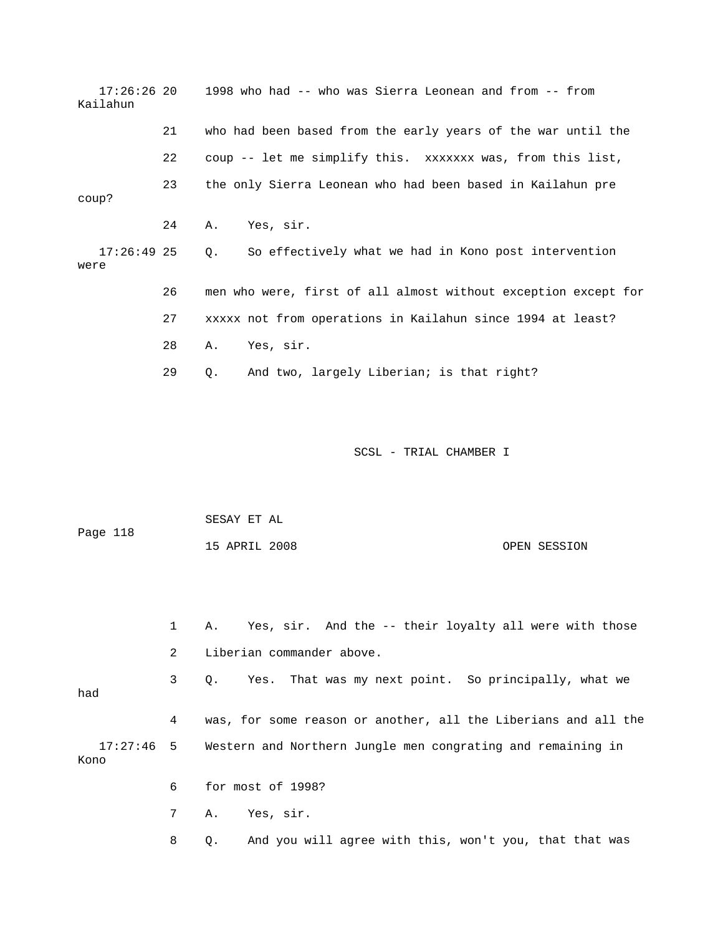| $17:26:26$ 20<br>Kailahun |    | 1998 who had -- who was Sierra Leonean and from -- from           |
|---------------------------|----|-------------------------------------------------------------------|
|                           | 21 | who had been based from the early years of the war until the      |
|                           | 22 | coup -- let me simplify this. xxxxxxx was, from this list,        |
| coup?                     | 23 | the only Sierra Leonean who had been based in Kailahun pre        |
|                           | 24 | Yes, sir.<br>Α.                                                   |
| $17:26:49$ 25<br>were     |    | So effectively what we had in Kono post intervention<br>$\circ$ . |
|                           | 26 | men who were, first of all almost without exception except for    |
|                           | 27 | xxxxx not from operations in Kailahun since 1994 at least?        |
|                           | 28 | Yes, sir.<br>Α.                                                   |
|                           | 29 | And two, largely Liberian; is that right?<br>0.                   |
|                           |    |                                                                   |
|                           |    |                                                                   |

| Page 118 | SESAY ET AL   |  |              |
|----------|---------------|--|--------------|
|          | 15 APRIL 2008 |  | OPEN SESSION |

 3 Q. Yes. That was my next point. So principally, what we 4 was, for some reason or another, all the Liberians and all the Western and Northern Jungle men congrating and remaining in 1 A. Yes, sir. And the -- their loyalty all were with those 2 Liberian commander above. had  $17:27:46$  5 Kono 6 for most of 1998?

7 A. Yes, sir.

8 Q. And you will agree with this, won't you, that that was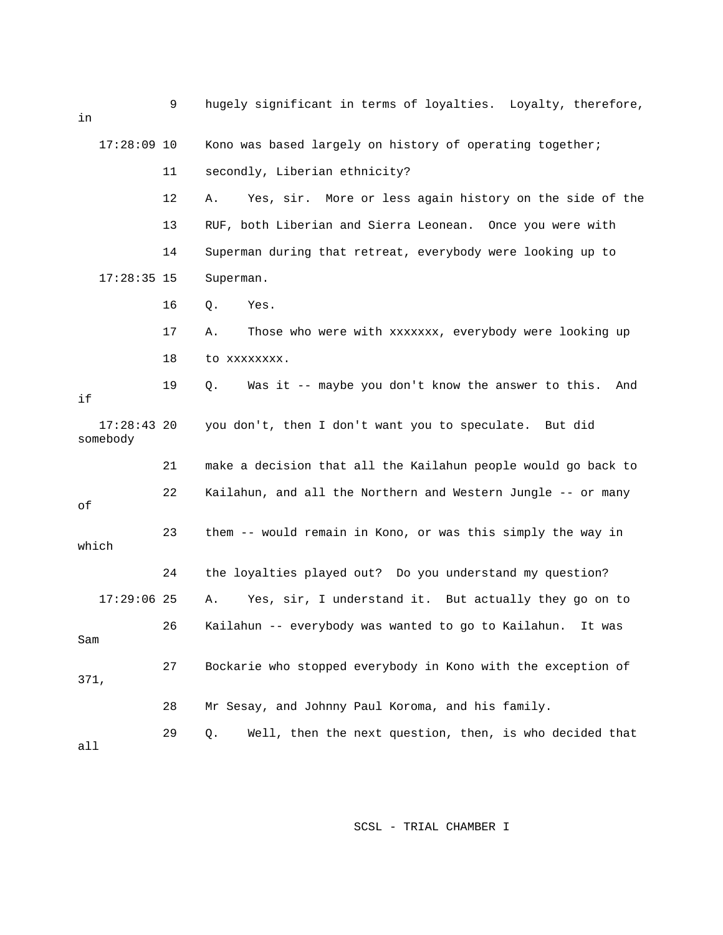| in                        | 9  | hugely significant in terms of loyalties. Loyalty, therefore,   |
|---------------------------|----|-----------------------------------------------------------------|
| $17:28:09$ 10             |    | Kono was based largely on history of operating together;        |
|                           | 11 | secondly, Liberian ethnicity?                                   |
|                           | 12 | Yes, sir. More or less again history on the side of the<br>Α.   |
|                           | 13 | RUF, both Liberian and Sierra Leonean. Once you were with       |
|                           | 14 | Superman during that retreat, everybody were looking up to      |
| $17:28:35$ 15             |    | Superman.                                                       |
|                           | 16 | Q.<br>Yes.                                                      |
|                           | 17 | Those who were with xxxxxxx, everybody were looking up<br>Α.    |
|                           | 18 | to xxxxxxxx.                                                    |
| if                        | 19 | Was it -- maybe you don't know the answer to this.<br>Q.<br>And |
| $17:28:43$ 20<br>somebody |    | you don't, then I don't want you to speculate. But did          |
|                           | 21 | make a decision that all the Kailahun people would go back to   |
| οf                        | 22 | Kailahun, and all the Northern and Western Jungle -- or many    |
| which                     | 23 | them -- would remain in Kono, or was this simply the way in     |
|                           | 24 | the loyalties played out? Do you understand my question?        |
| $17:29:06$ 25             |    | Yes, sir, I understand it. But actually they go on to<br>Α.     |
| Sam                       | 26 | Kailahun -- everybody was wanted to go to Kailahun. It was      |
| 371,                      | 27 | Bockarie who stopped everybody in Kono with the exception of    |
|                           | 28 | Mr Sesay, and Johnny Paul Koroma, and his family.               |
| a11                       | 29 | Well, then the next question, then, is who decided that<br>Q.   |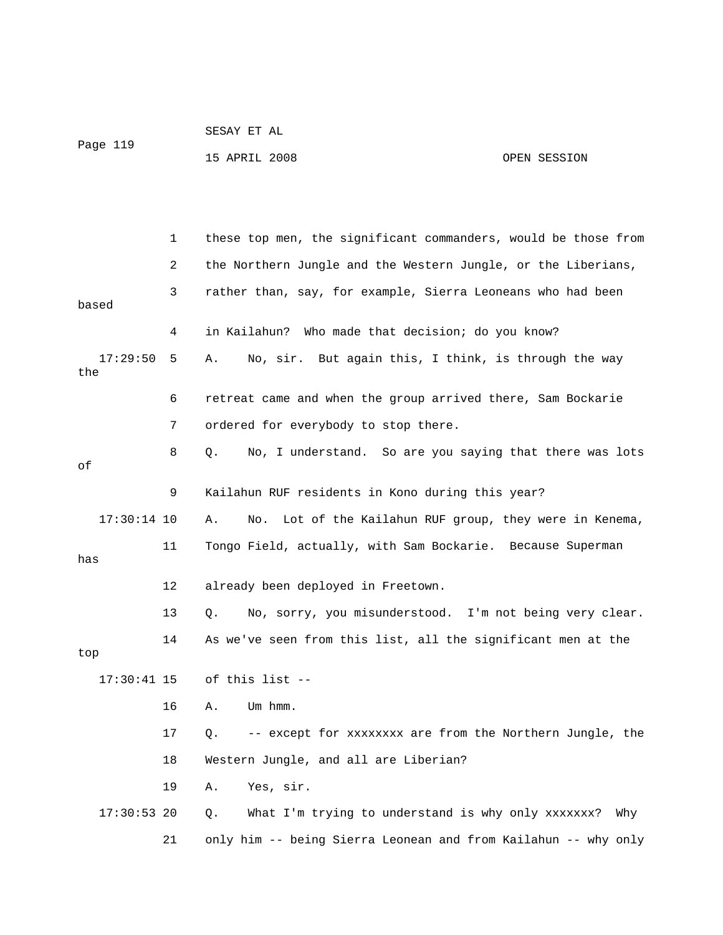| Page 119        |              | 15 APRIL 2008                                                    | OPEN SESSION |
|-----------------|--------------|------------------------------------------------------------------|--------------|
|                 |              |                                                                  |              |
|                 | $\mathbf{1}$ | these top men, the significant commanders, would be those from   |              |
|                 | 2            | the Northern Jungle and the Western Jungle, or the Liberians,    |              |
| based           | 3            | rather than, say, for example, Sierra Leoneans who had been      |              |
|                 | 4            | in Kailahun? Who made that decision; do you know?                |              |
| 17:29:50<br>the | 5            | No, sir. But again this, I think, is through the way<br>Α.       |              |
|                 | 6            | retreat came and when the group arrived there, Sam Bockarie      |              |
|                 | 7            | ordered for everybody to stop there.                             |              |
| оf              | 8            | No, I understand. So are you saying that there was lots<br>Q.    |              |
|                 | 9            | Kailahun RUF residents in Kono during this year?                 |              |
| $17:30:14$ 10   |              | Lot of the Kailahun RUF group, they were in Kenema,<br>Α.<br>No. |              |
| has             | 11           | Tongo Field, actually, with Sam Bockarie. Because Superman       |              |
|                 | 12           | already been deployed in Freetown.                               |              |
|                 | 13           | No, sorry, you misunderstood. I'm not being very clear.<br>Q.    |              |
| top             | 14           | As we've seen from this list, all the significant men at the     |              |
| $17:30:41$ 15   |              | of this list --                                                  |              |
|                 | 16           | Um hmm.<br>Α.                                                    |              |
|                 | 17           | -- except for xxxxxxxx are from the Northern Jungle, the<br>Q.   |              |
|                 | 18           | Western Jungle, and all are Liberian?                            |              |
|                 | 19           | Yes, sir.<br>Α.                                                  |              |
| $17:30:53$ 20   |              | What I'm trying to understand is why only xxxxxxx?<br>Q.         | Why          |
|                 | 21           | only him -- being Sierra Leonean and from Kailahun -- why only   |              |

SESAY ET AL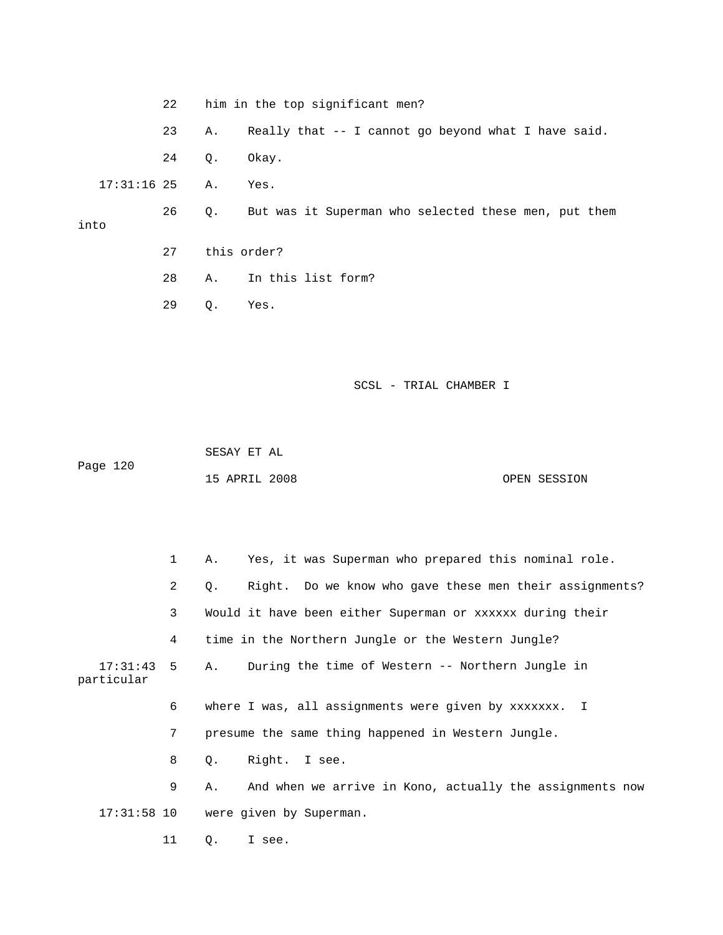- 22 him in the top significant men?
- 23 A. Really that -- I cannot go beyond what I have said.
- 24 Q. Okay.

17:31:16 25 A. Yes.

 26 Q. But was it Superman who selected these men, put them into

- 27 this order?
- 28 A. In this list form?
- 29 Q. Yes.

SCSL - TRIAL CHAMBER I

 SESAY ET AL 15 APRIL 2008 OPEN SESSION Page 120

|            | $\mathbf{1}$ | A.        | Yes, it was Superman who prepared this nominal role.           |
|------------|--------------|-----------|----------------------------------------------------------------|
|            | $2^{\circ}$  | $\circ$ . | Right. Do we know who gave these men their assignments?        |
|            | 3            |           | Would it have been either Superman or xxxxxx during their      |
|            | 4            |           | time in the Northern Jungle or the Western Jungle?             |
| particular |              |           | 17:31:43 5 A. During the time of Western -- Northern Jungle in |
|            | 6            |           | where I was, all assignments were given by xxxxxxx. I          |
|            | 7            |           | presume the same thing happened in Western Jungle.             |
|            | 8            | $\circ$ . | Right. I see.                                                  |
|            | 9            | Α.        | And when we arrive in Kono, actually the assignments now       |
|            |              |           | 17:31:58 10 were given by Superman.                            |

11 Q. I see.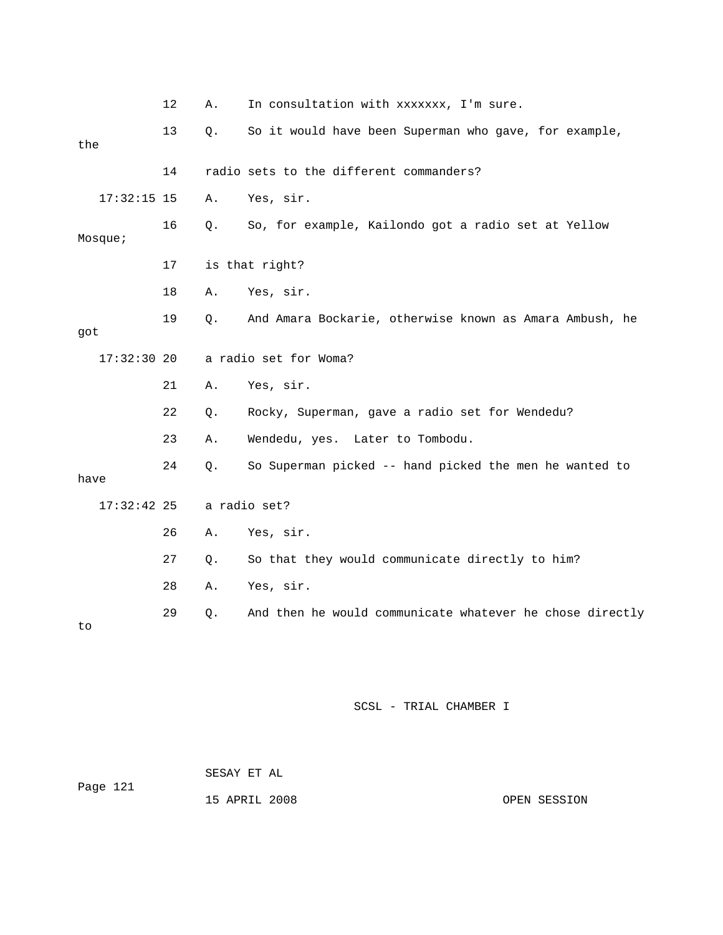|      |               | 12 | Α.    | In consultation with xxxxxxx, I'm sure.                  |
|------|---------------|----|-------|----------------------------------------------------------|
| the  |               | 13 | $Q$ . | So it would have been Superman who gave, for example,    |
|      |               | 14 |       | radio sets to the different commanders?                  |
|      | $17:32:15$ 15 |    | Α.    | Yes, sir.                                                |
|      | Mosque;       | 16 | Q.    | So, for example, Kailondo got a radio set at Yellow      |
|      |               | 17 |       | is that right?                                           |
|      |               | 18 | Α.    | Yes, sir.                                                |
| got  |               | 19 | Q.    | And Amara Bockarie, otherwise known as Amara Ambush, he  |
|      | $17:32:30$ 20 |    |       | a radio set for Woma?                                    |
|      |               | 21 | Α.    | Yes, sir.                                                |
|      |               | 22 | $Q$ . | Rocky, Superman, gave a radio set for Wendedu?           |
|      |               | 23 | Α.    | Wendedu, yes. Later to Tombodu.                          |
| have |               | 24 | $Q$ . | So Superman picked -- hand picked the men he wanted to   |
|      | $17:32:42$ 25 |    |       | a radio set?                                             |
|      |               | 26 | Α.    | Yes, sir.                                                |
|      |               | 27 | $Q$ . | So that they would communicate directly to him?          |
|      |               | 28 | Α.    | Yes, sir.                                                |
| to   |               | 29 | $Q$ . | And then he would communicate whatever he chose directly |

| Page 121 | SESAY ET AL   |  |              |
|----------|---------------|--|--------------|
|          | 15 APRIL 2008 |  | OPEN SESSION |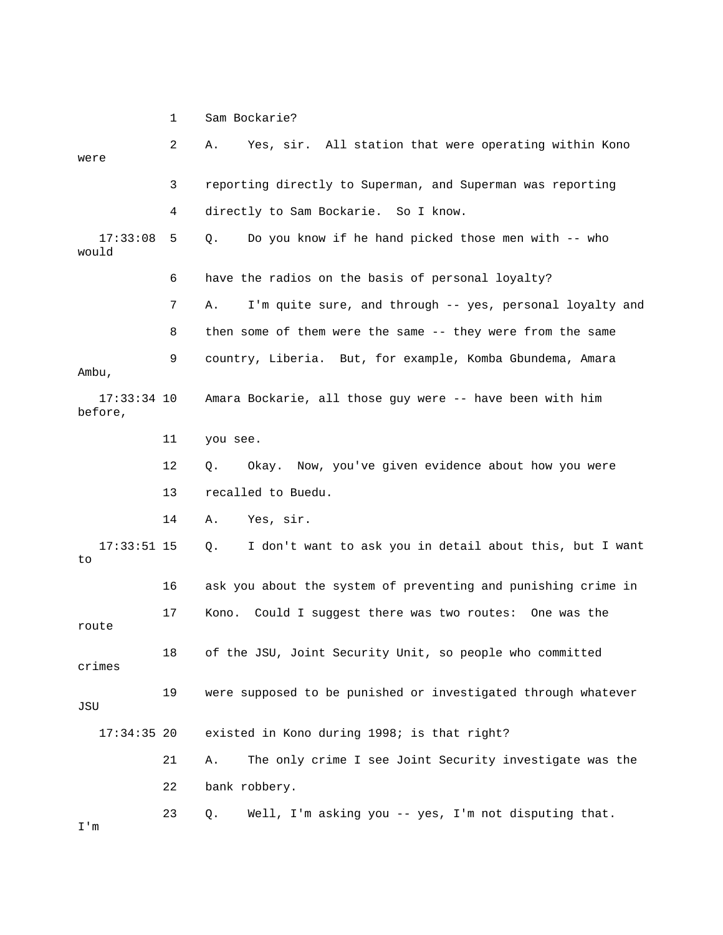1 Sam Bockarie? 2 A. Yes, sir. All station that were operating within Kono were 4 directly to Sam Bockarie. So I know. Do you know if he hand picked those men with -- who would 6 have the radios on the basis of personal loyalty? 7 A. I'm quite sure, and through -- yes, personal loyalty and 8 then some of them were the same -- they were from the same 9 country, Liberia. But, for example, Komba Gbundema, Amara Ambu, 17:33:34 10 Amara Bockarie, all those guy were -- have been with him before, 12 Q. Okay. Now, you've given evidence about how you were 13 recalled to Buedu. 14 A. Yes, sir. 17:33:51 15 Q. I don't want to ask you in detail about this, but I want 16 ask you about the system of preventing and punishing crime in 17 Kono. Could I suggest there was two routes: One was the 18 of the JSU, Joint Security Unit, so people who committed crimes 19 were supposed to be punished or investigated through whatever 21 A. The only crime I see Joint Security investigate was the 23 Q. Well, I'm asking you -- yes, I'm not disputing that. 3 reporting directly to Superman, and Superman was reporting  $17:33:08$  5 Q. 11 you see. to route JSU 17:34:35 20 existed in Kono during 1998; is that right? 22 bank robbery. I'm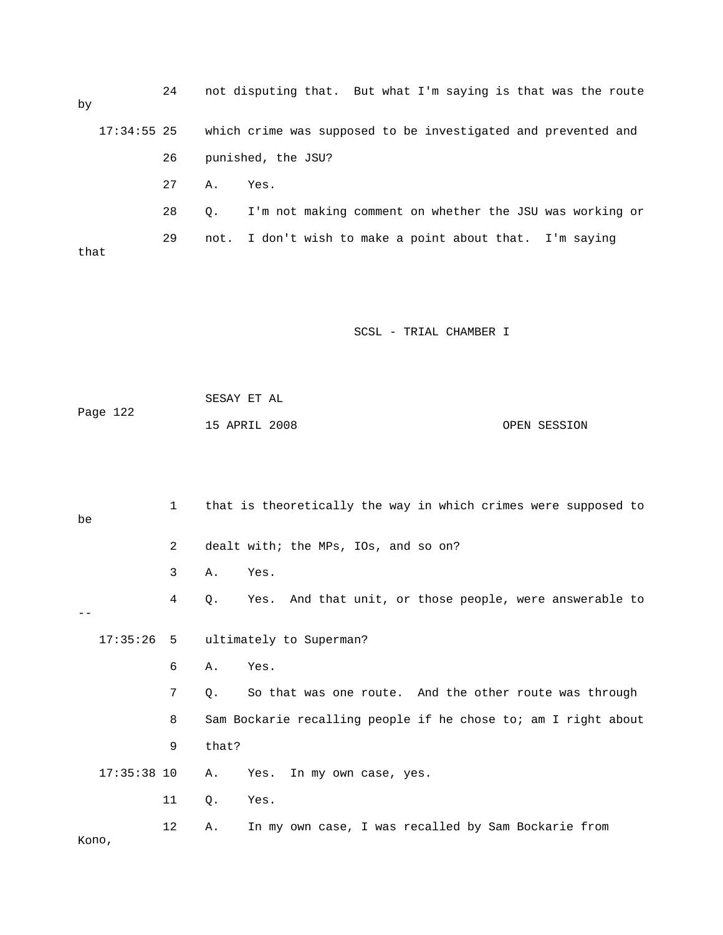24 not disputing that. But what I'm saying is that was the route by 17:34:55 25 which crime was supposed to be investigated and prevented and 26 punished, the JSU? 28 Q. I'm not making comment on whether the JSU was working or 29 not. I don't wish to make a point about that. I'm saying 27 A. Yes. that

SCSL - TRIAL CHAMBER I

|          | SESAY ET AL   |  |              |
|----------|---------------|--|--------------|
| Page 122 |               |  |              |
|          | 15 APRIL 2008 |  | OPEN SESSION |

 3 A. Yes. 4 Q. Yes. And that unit, or those people, were answerable to 17:35:26 5 ultimately to Superman? 7 Q. So that was one route. And the other route was through 8 Sam Bockarie recalling people if he chose to; am I right about 17:35:38 10 A. Yes. In my own case, yes. 11 Q. Yes. 12 A. In my own case, I was recalled by Sam Bockarie from Kono, 1 that is theoretically the way in which crimes were supposed to be 2 dealt with; the MPs, IOs, and so on?  $-$  6 A. Yes. 9 that?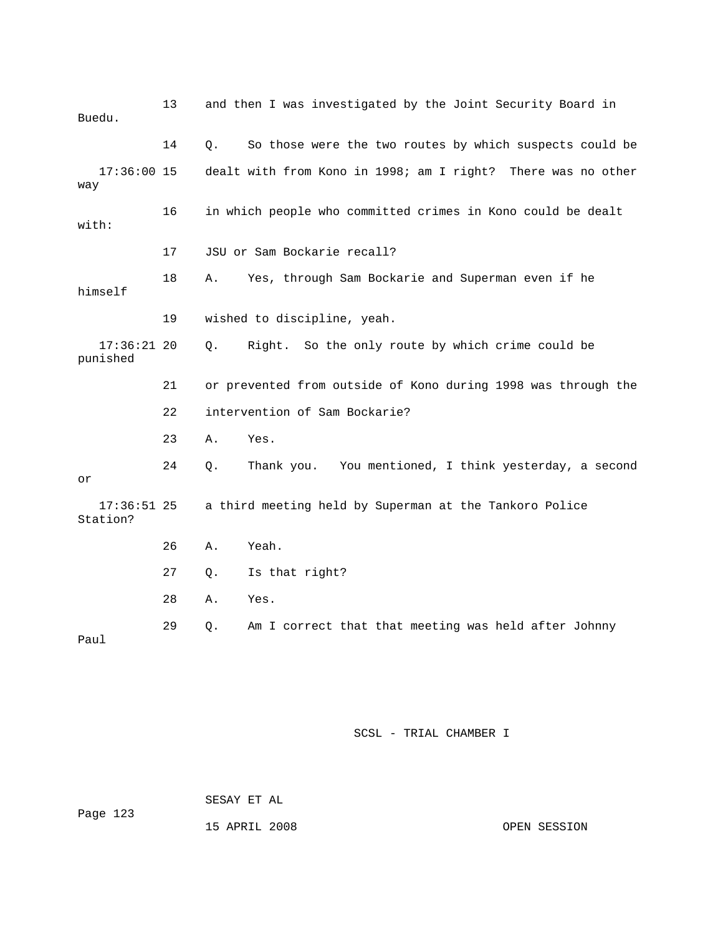| Buedu.                    | 13 |    | and then I was investigated by the Joint Security Board in    |
|---------------------------|----|----|---------------------------------------------------------------|
|                           | 14 | Q. | So those were the two routes by which suspects could be       |
| $17:36:00$ 15<br>way      |    |    | dealt with from Kono in 1998; am I right? There was no other  |
| with:                     | 16 |    | in which people who committed crimes in Kono could be dealt   |
|                           | 17 |    | JSU or Sam Bockarie recall?                                   |
| himself                   | 18 | Α. | Yes, through Sam Bockarie and Superman even if he             |
|                           | 19 |    | wished to discipline, yeah.                                   |
| $17:36:21$ 20<br>punished |    | Q. | Right. So the only route by which crime could be              |
|                           | 21 |    | or prevented from outside of Kono during 1998 was through the |
|                           |    |    |                                                               |
|                           | 22 |    | intervention of Sam Bockarie?                                 |
|                           | 23 | Α. | Yes.                                                          |
| or                        | 24 | Q. | Thank you. You mentioned, I think yesterday, a second         |
| $17:36:51$ 25<br>Station? |    |    | a third meeting held by Superman at the Tankoro Police        |
|                           | 26 | Α. | Yeah.                                                         |
|                           | 27 | Q. | Is that right?                                                |
|                           | 28 | Α. | Yes.                                                          |

 SESAY ET AL Page 123 15 APRIL 2008

OPEN SESSION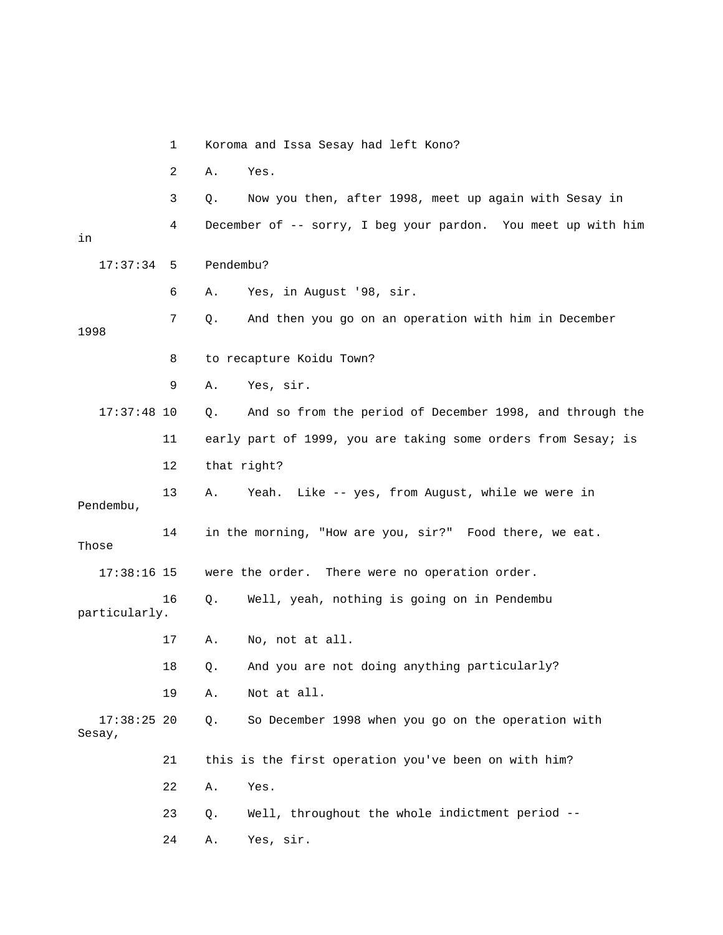|                         | 1  | Koroma and Issa Sesay had left Kono?                           |
|-------------------------|----|----------------------------------------------------------------|
|                         | 2  | Α.<br>Yes.                                                     |
|                         | 3  | Now you then, after 1998, meet up again with Sesay in<br>Q.    |
| in                      | 4  | December of -- sorry, I beg your pardon. You meet up with him  |
| 17:37:34                | -5 | Pendembu?                                                      |
|                         | 6  | Yes, in August '98, sir.<br>Α.                                 |
| 1998                    | 7  | And then you go on an operation with him in December<br>Q.     |
|                         | 8  | to recapture Koidu Town?                                       |
|                         | 9  | Yes, sir.<br>Α.                                                |
| $17:37:48$ 10           |    | And so from the period of December 1998, and through the<br>Q. |
|                         | 11 | early part of 1999, you are taking some orders from Sesay; is  |
|                         | 12 | that right?                                                    |
| Pendembu,               | 13 | Yeah. Like -- yes, from August, while we were in<br>Α.         |
| Those                   | 14 | in the morning, "How are you, sir?" Food there, we eat.        |
| $17:38:16$ 15           |    | were the order. There were no operation order.                 |
| particularly.           | 16 | Well, yeah, nothing is going on in Pendembu<br>Q.              |
|                         | 17 | No, not at all.<br>Α.                                          |
|                         | 18 | And you are not doing anything particularly?<br>Q.             |
|                         | 19 | Not at all.<br>Α.                                              |
| $17:38:25$ 20<br>Sesay, |    | So December 1998 when you go on the operation with<br>Q.       |
|                         | 21 | this is the first operation you've been on with him?           |
|                         | 22 | Yes.<br>Α.                                                     |
|                         | 23 | Well, throughout the whole indictment period --<br>Q.          |
|                         | 24 | Yes, sir.<br>Α.                                                |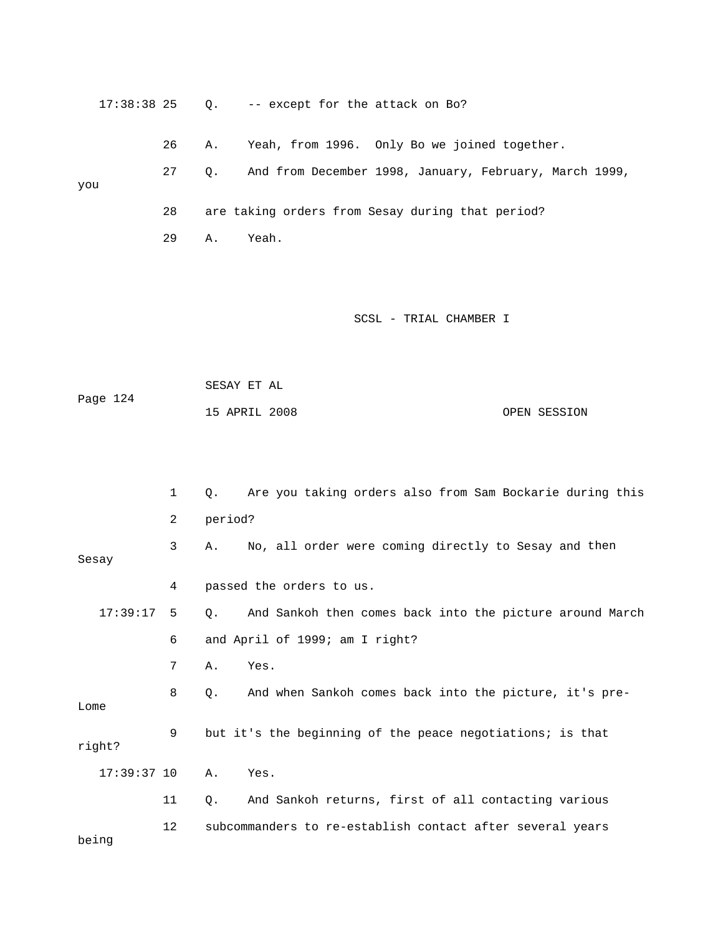| $17:38:38$ 25 |    | Q.      | -- except for the attack on Bo?                           |
|---------------|----|---------|-----------------------------------------------------------|
|               | 26 | Α.      | Yeah, from 1996. Only Bo we joined together.              |
| you           | 27 | Q.      | And from December 1998, January, February, March 1999,    |
|               | 28 |         | are taking orders from Sesay during that period?          |
|               | 29 | Α.      | Yeah.                                                     |
|               |    |         |                                                           |
|               |    |         |                                                           |
|               |    |         | SCSL - TRIAL CHAMBER I                                    |
|               |    |         |                                                           |
| Page 124      |    |         | SESAY ET AL                                               |
|               |    |         | 15 APRIL 2008<br>OPEN SESSION                             |
|               |    |         |                                                           |
|               |    |         |                                                           |
|               | 1  | Q.      | Are you taking orders also from Sam Bockarie during this  |
|               | 2  | period? |                                                           |
| Sesay         | 3  | Α.      | No, all order were coming directly to Sesay and then      |
|               | 4  |         | passed the orders to us.                                  |
| 17:39:17      | 5  | Q.      | And Sankoh then comes back into the picture around March  |
|               | 6  |         | and April of 1999; am I right?                            |
|               | 7  | Α.      | Yes.                                                      |
| Lome          | 8  | Q.      | And when Sankoh comes back into the picture, it's pre-    |
| right?        | 9  |         | but it's the beginning of the peace negotiations; is that |
| $17:39:37$ 10 |    | Α.      | Yes.                                                      |
|               | 11 | Q.      | And Sankoh returns, first of all contacting various       |
| being         | 12 |         | subcommanders to re-establish contact after several years |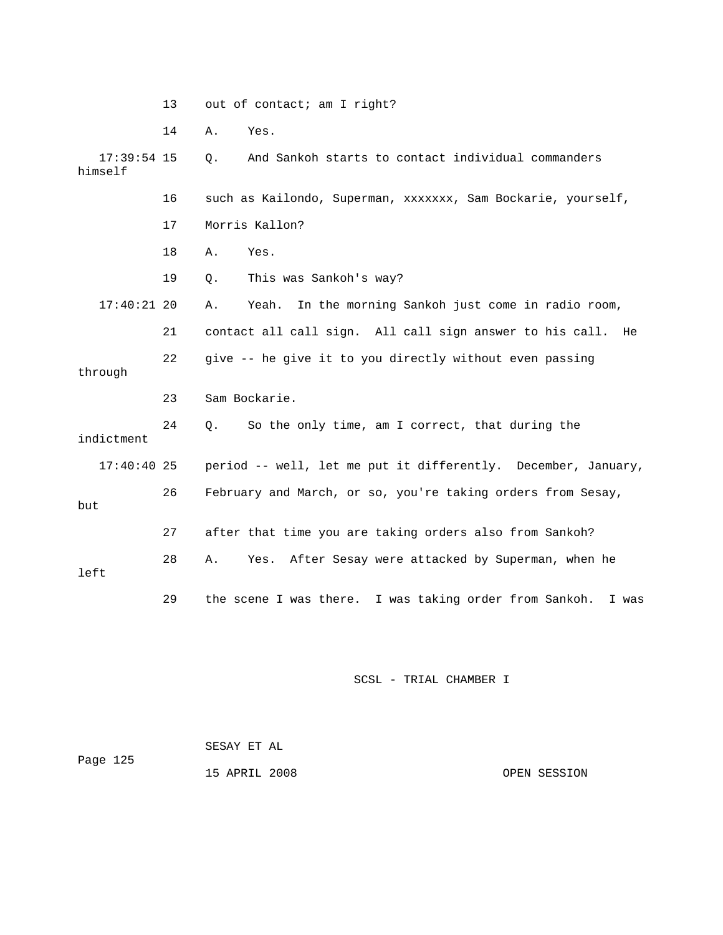|                          | 13 | out of contact; am I right?                                        |
|--------------------------|----|--------------------------------------------------------------------|
|                          | 14 | Α.<br>Yes.                                                         |
| $17:39:54$ 15<br>himself |    | And Sankoh starts to contact individual commanders<br>$\circ$ .    |
|                          | 16 | such as Kailondo, Superman, xxxxxxx, Sam Bockarie, yourself,       |
|                          | 17 | Morris Kallon?                                                     |
|                          | 18 | Yes.<br>Α.                                                         |
|                          | 19 | This was Sankoh's way?<br>Q.                                       |
| $17:40:21$ 20            |    | Yeah. In the morning Sankoh just come in radio room,<br>Α.         |
|                          | 21 | contact all call sign. All call sign answer to his call.<br>He     |
| through                  | 22 | give -- he give it to you directly without even passing            |
|                          | 23 | Sam Bockarie.                                                      |
| indictment               | 24 | So the only time, am I correct, that during the<br>Q.              |
| $17:40:40$ 25            |    | period -- well, let me put it differently. December, January,      |
| but                      | 26 | February and March, or so, you're taking orders from Sesay,        |
|                          | 27 | after that time you are taking orders also from Sankoh?            |
| left                     | 28 | Yes. After Sesay were attacked by Superman, when he<br>Α.          |
|                          | 29 | the scene I was there.<br>I was taking order from Sankoh.<br>I was |

SCSL - TRIAL CHAMBER I

| Page 125 | SESAY ET AL   |              |
|----------|---------------|--------------|
|          | 15 APRIL 2008 | OPEN SESSION |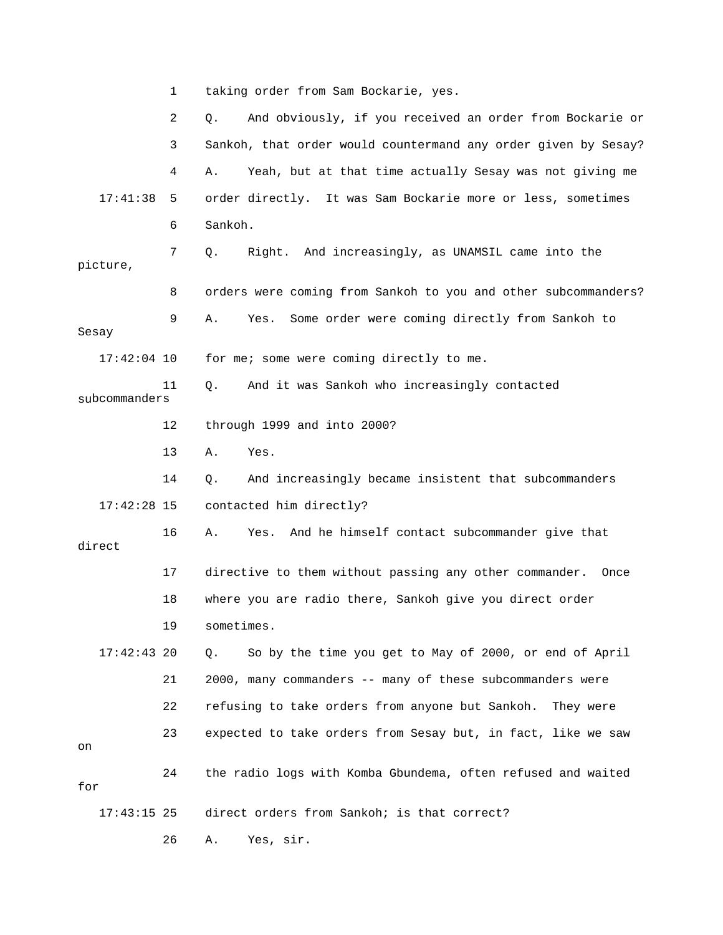1 taking order from Sam Bockarie, yes.

|               | 2  | And obviously, if you received an order from Bockarie or<br>Q. |
|---------------|----|----------------------------------------------------------------|
|               | 3  | Sankoh, that order would countermand any order given by Sesay? |
|               | 4  | Yeah, but at that time actually Sesay was not giving me<br>Α.  |
| 17:41:38      | 5  | order directly. It was Sam Bockarie more or less, sometimes    |
|               | 6  | Sankoh.                                                        |
| picture,      | 7  | Right. And increasingly, as UNAMSIL came into the<br>Q.        |
|               | 8  | orders were coming from Sankoh to you and other subcommanders? |
| Sesay         | 9  | Some order were coming directly from Sankoh to<br>Α.<br>Yes.   |
| $17:42:04$ 10 |    | for me; some were coming directly to me.                       |
| subcommanders | 11 | And it was Sankoh who increasingly contacted<br>Q.             |
|               | 12 | through 1999 and into 2000?                                    |
|               | 13 | Α.<br>Yes.                                                     |
|               | 14 | And increasingly became insistent that subcommanders<br>Q.     |
| $17:42:28$ 15 |    | contacted him directly?                                        |
| direct        | 16 | Yes.<br>And he himself contact subcommander give that<br>Α.    |
|               | 17 | directive to them without passing any other commander. Once    |
|               | 18 | where you are radio there, Sankoh give you direct order        |
|               | 19 | sometimes.                                                     |
| $17:42:43$ 20 |    | So by the time you get to May of 2000, or end of April<br>Q.   |
|               | 21 | 2000, many commanders -- many of these subcommanders were      |
|               | 22 | refusing to take orders from anyone but Sankoh.<br>They were   |
| on            | 23 | expected to take orders from Sesay but, in fact, like we saw   |
| for           | 24 | the radio logs with Komba Gbundema, often refused and waited   |
| $17:43:15$ 25 |    | direct orders from Sankoh; is that correct?                    |

26 A. Yes, sir.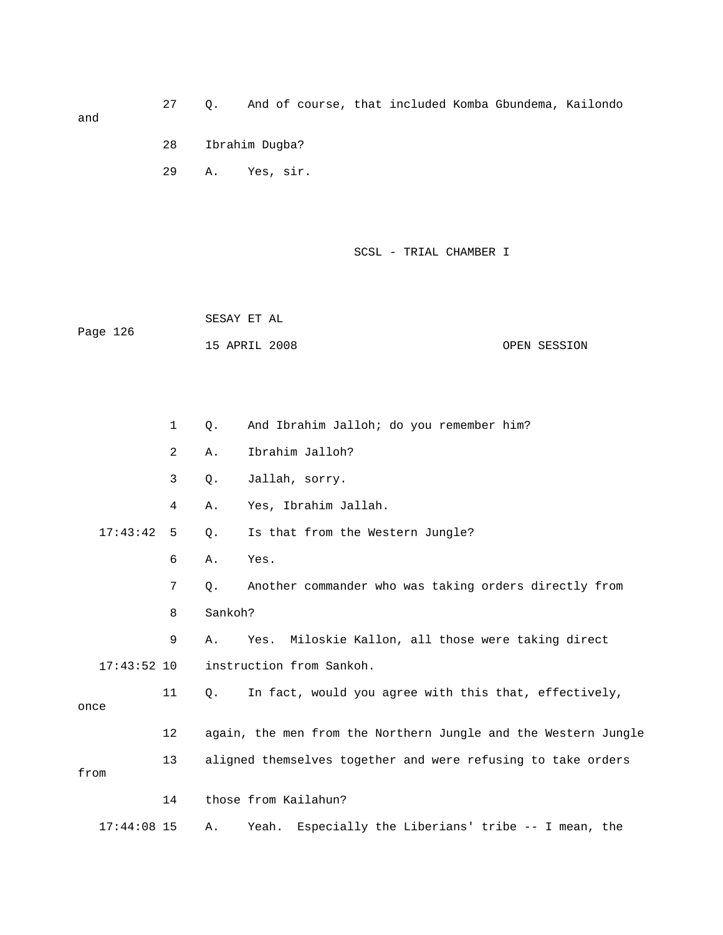27 Q. And of course, that included Komba Gbundema, Kailondo and 28 Ibrahim Dugba?

A. Yes, sir.

29

SCSL - TRIAL CHAMBER I

 SESAY ET AL ge 126 Pa 15 APRIL 2008 OPEN SESSION

|                           | $\mathbf 1$ | Q.        | And Ibrahim Jalloh; do you remember him?                       |
|---------------------------|-------------|-----------|----------------------------------------------------------------|
|                           | 2           | Α.        | Ibrahim Jalloh?                                                |
| 3<br>Jallah, sorry.<br>Q. |             |           |                                                                |
|                           | 4           | Α.        | Yes, Ibrahim Jallah.                                           |
| 17:43:42                  | 5           | Q.        | Is that from the Western Jungle?                               |
|                           | 6           | Α.        | Yes.                                                           |
|                           | 7           | Q.        | Another commander who was taking orders directly from          |
|                           | 8           | Sankoh?   |                                                                |
|                           | 9           | Α.        | Miloskie Kallon, all those were taking direct<br>Yes.          |
| $17:43:52$ 10             |             |           | instruction from Sankoh.                                       |
| once                      | 11          | $\circ$ . | In fact, would you agree with this that, effectively,          |
|                           | 12          |           | again, the men from the Northern Jungle and the Western Jungle |
| from                      | 13          |           | aligned themselves together and were refusing to take orders   |
|                           | 14          |           | those from Kailahun?                                           |
| $17:44:08$ 15             |             | Α.        | Especially the Liberians' tribe -- I mean, the<br>Yeah.        |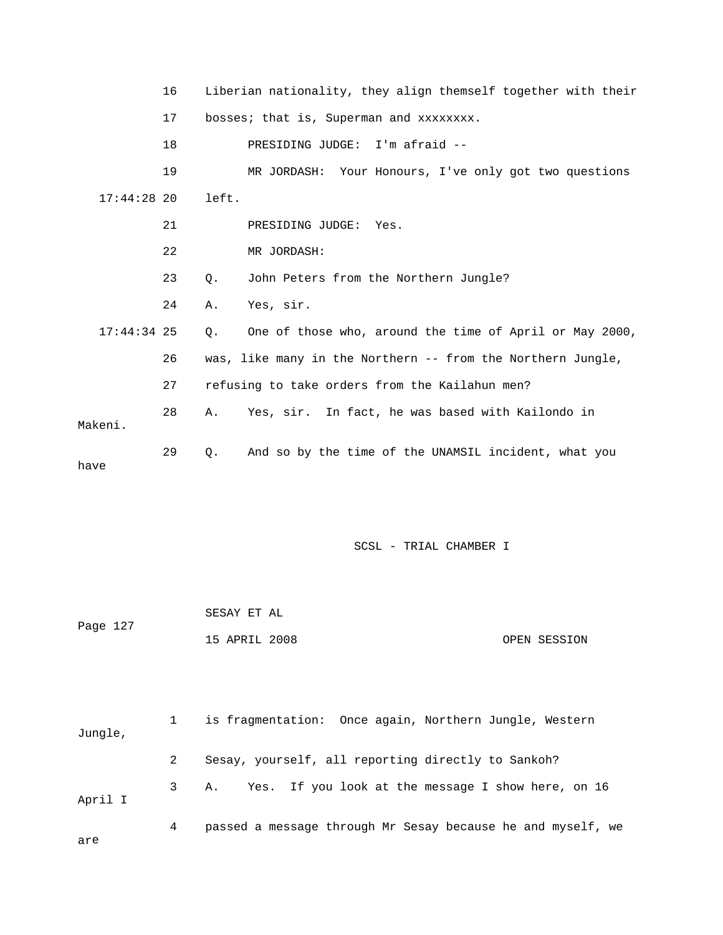|               | 16 | Liberian nationality, they align themself together with their |                                                             |  |
|---------------|----|---------------------------------------------------------------|-------------------------------------------------------------|--|
|               | 17 | bosses; that is, Superman and xxxxxxxx.                       |                                                             |  |
|               | 18 |                                                               | PRESIDING JUDGE: I'm afraid --                              |  |
|               | 19 |                                                               | MR JORDASH: Your Honours, I've only got two questions       |  |
| $17:44:28$ 20 |    | left.                                                         |                                                             |  |
|               | 21 |                                                               | PRESIDING JUDGE:<br>Yes.                                    |  |
|               | 22 |                                                               | MR JORDASH:                                                 |  |
|               | 23 | Q.                                                            | John Peters from the Northern Jungle?                       |  |
|               | 24 | Α.                                                            | Yes, sir.                                                   |  |
| $17:44:34$ 25 |    | О.                                                            | One of those who, around the time of April or May 2000,     |  |
|               | 26 |                                                               | was, like many in the Northern -- from the Northern Jungle, |  |
|               | 27 | refusing to take orders from the Kailahun men?                |                                                             |  |
|               | 28 | Α.                                                            | Yes, sir. In fact, he was based with Kailondo in            |  |
| Makeni.       |    |                                                               |                                                             |  |
| have          | 29 | $\circ$ .                                                     | And so by the time of the UNAMSIL incident, what you        |  |

SCSL - TRIAL CHAMBER I

|          | SESAY ET AL   |  |              |
|----------|---------------|--|--------------|
| Page 127 |               |  |              |
|          | 15 APRIL 2008 |  | OPEN SESSION |

| Jungle, |             | is fragmentation: Once again, Northern Jungle, Western      |
|---------|-------------|-------------------------------------------------------------|
|         |             | Sesay, yourself, all reporting directly to Sankoh?          |
| April I | $3^{\circ}$ | A. Yes. If you look at the message I show here, on 16       |
| are     | 4           | passed a message through Mr Sesay because he and myself, we |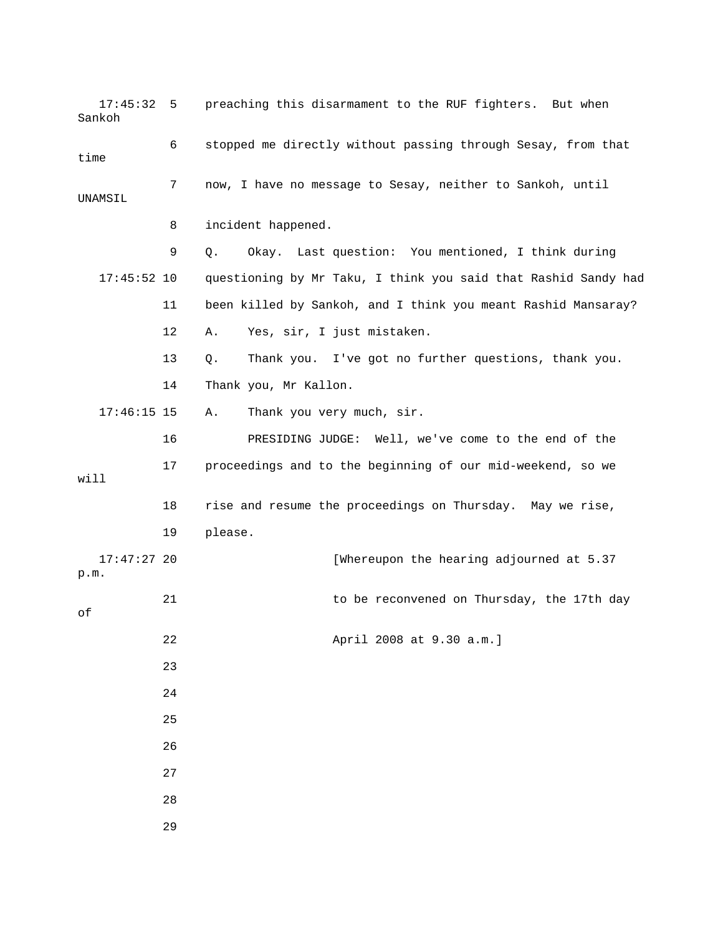| 17:45:32<br>Sankoh    | 5  | preaching this disarmament to the RUF fighters. But when       |
|-----------------------|----|----------------------------------------------------------------|
| time                  | 6  | stopped me directly without passing through Sesay, from that   |
| UNAMSIL               | 7  | now, I have no message to Sesay, neither to Sankoh, until      |
|                       | 8  | incident happened.                                             |
|                       | 9  | Okay. Last question: You mentioned, I think during<br>Q.       |
| $17:45:52$ 10         |    | questioning by Mr Taku, I think you said that Rashid Sandy had |
|                       | 11 | been killed by Sankoh, and I think you meant Rashid Mansaray?  |
|                       | 12 | Yes, sir, I just mistaken.<br>Α.                               |
|                       | 13 | Thank you. I've got no further questions, thank you.<br>$Q$ .  |
|                       | 14 | Thank you, Mr Kallon.                                          |
| $17:46:15$ 15         |    | Thank you very much, sir.<br>Α.                                |
|                       | 16 | PRESIDING JUDGE: Well, we've come to the end of the            |
| will                  | 17 | proceedings and to the beginning of our mid-weekend, so we     |
|                       | 18 | rise and resume the proceedings on Thursday. May we rise,      |
|                       | 19 | please.                                                        |
| $17:47:27$ 20<br>p.m. |    | [Whereupon the hearing adjourned at 5.37                       |
| оf                    | 21 | to be reconvened on Thursday, the 17th day                     |
|                       | 22 | April 2008 at 9.30 a.m.]                                       |
|                       | 23 |                                                                |
|                       | 24 |                                                                |
|                       | 25 |                                                                |
|                       | 26 |                                                                |
|                       | 27 |                                                                |
|                       | 28 |                                                                |
|                       | 29 |                                                                |